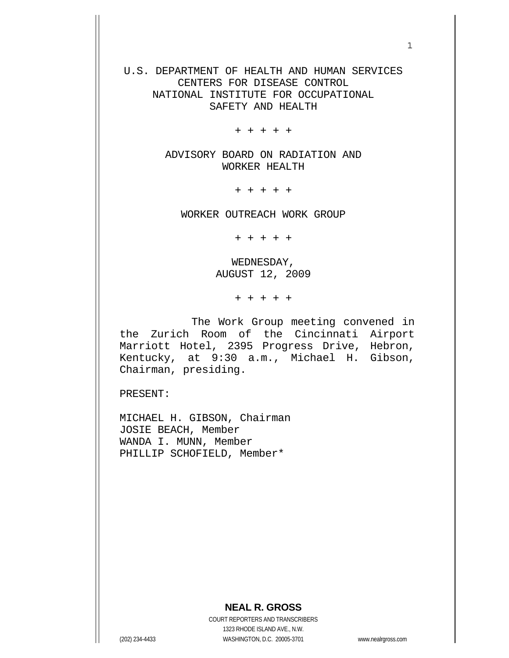U.S. DEPARTMENT OF HEALTH AND HUMAN SERVICES CENTERS FOR DISEASE CONTROL NATIONAL INSTITUTE FOR OCCUPATIONAL SAFETY AND HEALTH

+ + + + +

 ADVISORY BOARD ON RADIATION AND WORKER HEALTH

+ + + + +

WORKER OUTREACH WORK GROUP

+ + + + +

 WEDNESDAY, AUGUST 12, 2009

+ + + + +

 The Work Group meeting convened in the Zurich Room of the Cincinnati Airport Marriott Hotel, 2395 Progress Drive, Hebron, Kentucky, at 9:30 a.m., Michael H. Gibson, Chairman, presiding.

PRESENT:

MICHAEL H. GIBSON, Chairman JOSIE BEACH, Member WANDA I. MUNN, Member PHILLIP SCHOFIELD, Member\*

## **NEAL R. GROSS**

COURT REPORTERS AND TRANSCRIBERS 1323 RHODE ISLAND AVE., N.W. (202) 234-4433 WASHINGTON, D.C. 20005-3701 www.nealrgross.com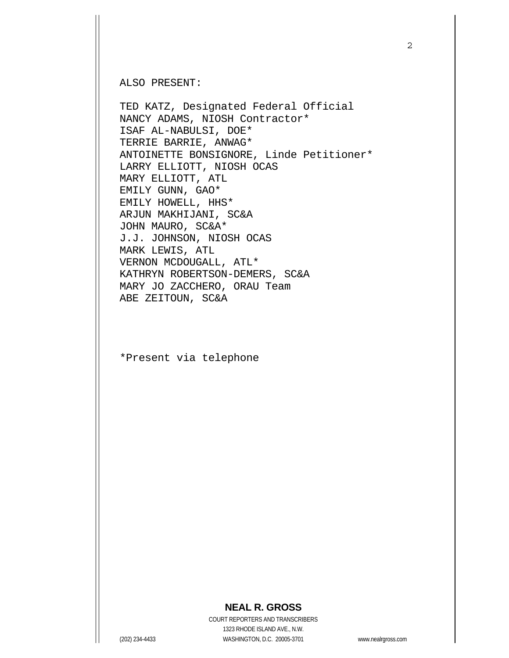ALSO PRESENT:

TED KATZ, Designated Federal Official NANCY ADAMS, NIOSH Contractor\* ISAF AL-NABULSI, DOE\* TERRIE BARRIE, ANWAG\* ANTOINETTE BONSIGNORE, Linde Petitioner\* LARRY ELLIOTT, NIOSH OCAS MARY ELLIOTT, ATL EMILY GUNN, GAO\* EMILY HOWELL, HHS\* ARJUN MAKHIJANI, SC&A JOHN MAURO, SC&A\* J.J. JOHNSON, NIOSH OCAS MARK LEWIS, ATL VERNON MCDOUGALL, ATL\* KATHRYN ROBERTSON-DEMERS, SC&A MARY JO ZACCHERO, ORAU Team ABE ZEITOUN, SC&A

\*Present via telephone

## **NEAL R. GROSS**

COURT REPORTERS AND TRANSCRIBERS 1323 RHODE ISLAND AVE., N.W. (202) 234-4433 WASHINGTON, D.C. 20005-3701 www.nealrgross.com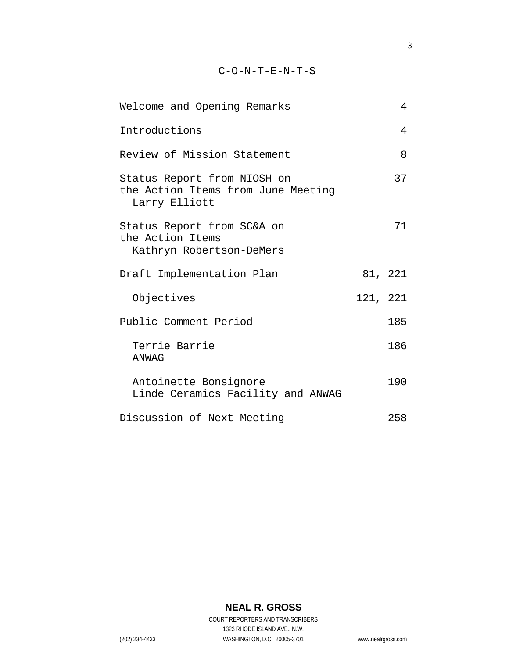C-O-N-T-E-N-T-S

3

| Welcome and Opening Remarks                                                        | 4        |
|------------------------------------------------------------------------------------|----------|
| Introductions                                                                      | 4        |
| Review of Mission Statement                                                        | 8        |
| Status Report from NIOSH on<br>the Action Items from June Meeting<br>Larry Elliott | 37       |
| Status Report from SC&A on<br>the Action Items<br>Kathryn Robertson-DeMers         | 71       |
| Draft Implementation Plan                                                          | 81, 221  |
| Objectives                                                                         | 121, 221 |
| Public Comment Period                                                              | 185      |
| Terrie Barrie<br><b>ANWAG</b>                                                      | 186      |
| Antoinette Bonsignore<br>Linde Ceramics Facility and ANWAG                         | 190      |
| Discussion of Next Meeting                                                         | 258      |

## **NEAL R. GROSS**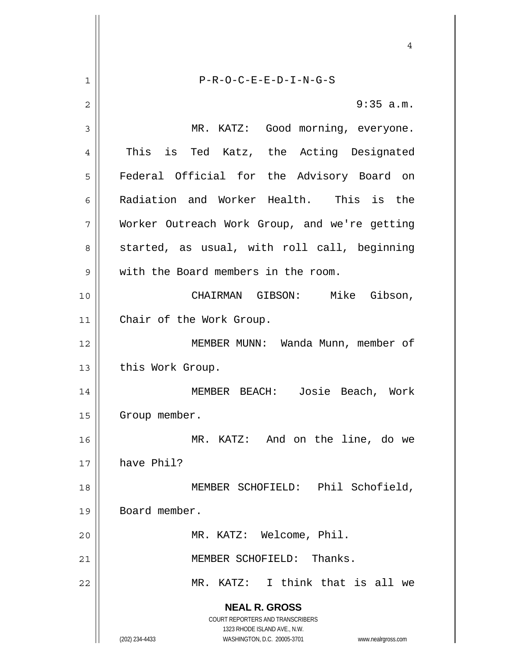**NEAL R. GROSS** COURT REPORTERS AND TRANSCRIBERS 1323 RHODE ISLAND AVE., N.W. (202) 234-4433 WASHINGTON, D.C. 20005-3701 www.nealrgross.com 4 1 2 3 4 5 6 7 8 9 10 11 12 13 14 15 16 17 18 19 20 21 22 P-R-O-C-E-E-D-I-N-G-S 9:35 a.m. MR. KATZ: Good morning, everyone. This is Ted Katz, the Acting Designated Federal Official for the Advisory Board on Radiation and Worker Health. This is the Worker Outreach Work Group, and we're getting started, as usual, with roll call, beginning with the Board members in the room. CHAIRMAN GIBSON: Mike Gibson, Chair of the Work Group. MEMBER MUNN: Wanda Munn, member of this Work Group. MEMBER BEACH: Josie Beach, Work Group member. MR. KATZ: And on the line, do we have Phil? MEMBER SCHOFIELD: Phil Schofield, Board member. MR. KATZ: Welcome, Phil. MEMBER SCHOFIELD: Thanks. MR. KATZ: I think that is all we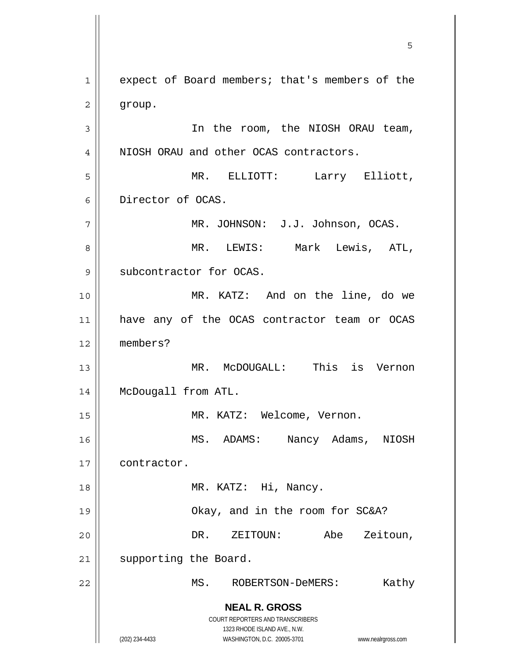**NEAL R. GROSS** COURT REPORTERS AND TRANSCRIBERS 1323 RHODE ISLAND AVE., N.W. (202) 234-4433 WASHINGTON, D.C. 20005-3701 www.nealrgross.com 1 2 3 4 5 6 7 8 9 10 11 12 13 14 15 16 17 18 19 20 21 22 expect of Board members; that's members of the group. In the room, the NIOSH ORAU team, NIOSH ORAU and other OCAS contractors. MR. ELLIOTT: Larry Elliott, Director of OCAS. MR. JOHNSON: J.J. Johnson, OCAS. MR. LEWIS: Mark Lewis, ATL, subcontractor for OCAS. MR. KATZ: And on the line, do we have any of the OCAS contractor team or OCAS members? MR. McDOUGALL: This is Vernon McDougall from ATL. MR. KATZ: Welcome, Vernon. MS. ADAMS: Nancy Adams, NIOSH contractor. MR. KATZ: Hi, Nancy. Okay, and in the room for SC&A? DR. ZEITOUN: Abe Zeitoun, supporting the Board. MS. ROBERTSON-DeMERS: Kathy

 $\sim$  5  $\sim$  5  $\sim$  5  $\sim$  5  $\sim$  5  $\sim$  5  $\sim$  5  $\sim$  5  $\sim$  5  $\sim$  5  $\sim$  5  $\sim$  5  $\sim$  5  $\sim$  5  $\sim$  5  $\sim$  5  $\sim$  5  $\sim$  5  $\sim$  5  $\sim$  5  $\sim$  5  $\sim$  5  $\sim$  5  $\sim$  5  $\sim$  5  $\sim$  5  $\sim$  5  $\sim$  5  $\sim$  5  $\sim$  5  $\sim$  5  $\sim$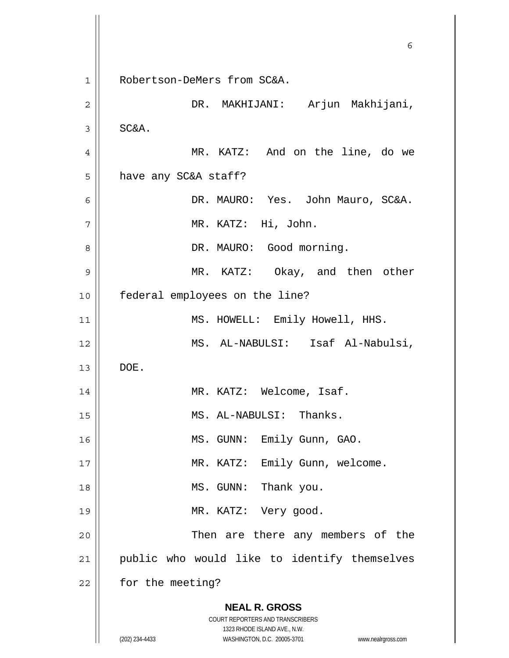**NEAL R. GROSS** COURT REPORTERS AND TRANSCRIBERS 1323 RHODE ISLAND AVE., N.W. (202) 234-4433 WASHINGTON, D.C. 20005-3701 www.nealrgross.com  $\sim$  6 1 2 3 4 5 6 7 8 9 10 11 12 13 14 15 16 17 18 19 20 21 22 Robertson-DeMers from SC&A. DR. MAKHIJANI: Arjun Makhijani, SC&A. MR. KATZ: And on the line, do we have any SC&A staff? DR. MAURO: Yes. John Mauro, SC&A. MR. KATZ: Hi, John. DR. MAURO: Good morning. MR. KATZ: Okay, and then other federal employees on the line? MS. HOWELL: Emily Howell, HHS. MS. AL-NABULSI: Isaf Al-Nabulsi, DOE. MR. KATZ: Welcome, Isaf. MS. AL-NABULSI: Thanks. MS. GUNN: Emily Gunn, GAO. MR. KATZ: Emily Gunn, welcome. MS. GUNN: Thank you. MR. KATZ: Very good. Then are there any members of the public who would like to identify themselves for the meeting?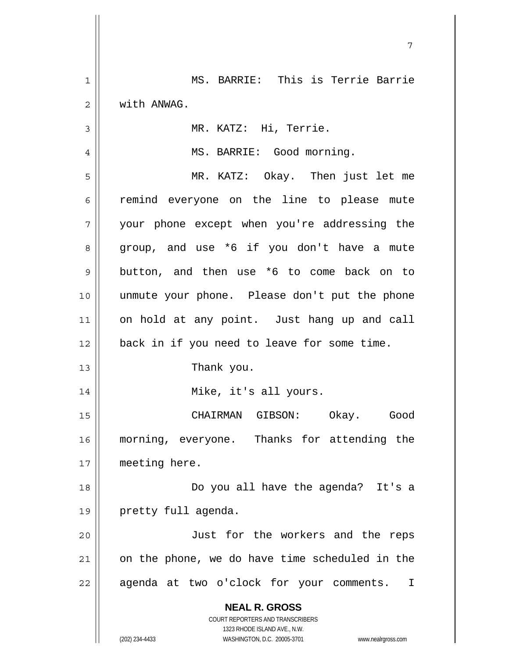**NEAL R. GROSS** COURT REPORTERS AND TRANSCRIBERS 1323 RHODE ISLAND AVE., N.W. (202) 234-4433 WASHINGTON, D.C. 20005-3701 www.nealrgross.com 1 2 3 4 5 6 7 8 9 10 11 12 13 14 15 16 17 18 19 20 21 22 MS. BARRIE: This is Terrie Barrie with ANWAG. MR. KATZ: Hi, Terrie. MS. BARRIE: Good morning. MR. KATZ: Okay. Then just let me remind everyone on the line to please mute your phone except when you're addressing the group, and use \*6 if you don't have a mute button, and then use \*6 to come back on to unmute your phone. Please don't put the phone on hold at any point. Just hang up and call back in if you need to leave for some time. Thank you. Mike, it's all yours. CHAIRMAN GIBSON: Okay. Good morning, everyone. Thanks for attending the meeting here. Do you all have the agenda? It's a pretty full agenda. Just for the workers and the reps on the phone, we do have time scheduled in the agenda at two o'clock for your comments. I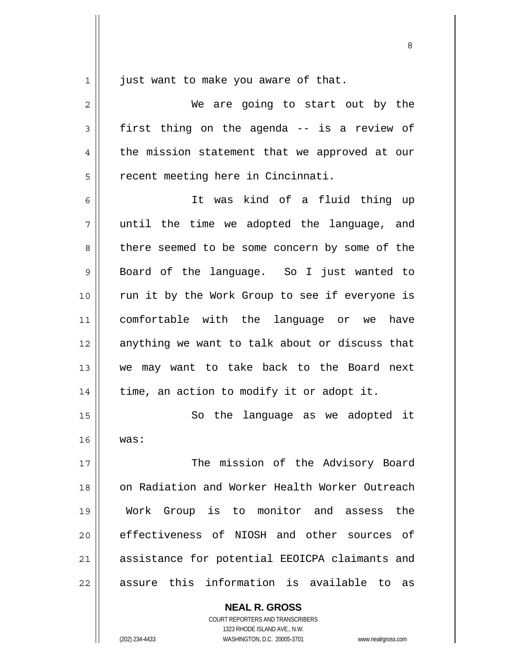1

just want to make you aware of that.

<u>83 - Santa Carlos de Santa Carlos de Santa Carlos de Santa Carlos de Santa Carlos de Santa Carlos de Santa Ca</u>

2 3 4 5 6 7 8 9 10 11 12 13 14 15 16 17 18 19 20 21 We are going to start out by the first thing on the agenda -- is a review of the mission statement that we approved at our recent meeting here in Cincinnati. It was kind of a fluid thing up until the time we adopted the language, and there seemed to be some concern by some of the Board of the language. So I just wanted to run it by the Work Group to see if everyone is comfortable with the language or we have anything we want to talk about or discuss that we may want to take back to the Board next time, an action to modify it or adopt it. So the language as we adopted it was: The mission of the Advisory Board on Radiation and Worker Health Worker Outreach Work Group is to monitor and assess the effectiveness of NIOSH and other sources of assistance for potential EEOICPA claimants and

22

**NEAL R. GROSS** COURT REPORTERS AND TRANSCRIBERS

assure this information is available to as

1323 RHODE ISLAND AVE., N.W. (202) 234-4433 WASHINGTON, D.C. 20005-3701 www.nealrgross.com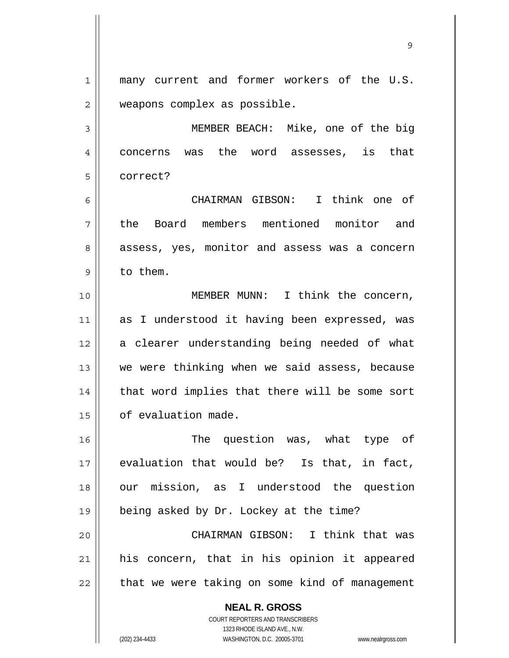1 2 many current and former workers of the U.S. weapons complex as possible.

9

3 4 5 MEMBER BEACH: Mike, one of the big concerns was the word assesses, is that correct?

6 7 8 9 CHAIRMAN GIBSON: I think one of the Board members mentioned monitor and assess, yes, monitor and assess was a concern to them.

10 11 12 13 14 15 MEMBER MUNN: I think the concern, as I understood it having been expressed, was a clearer understanding being needed of what we were thinking when we said assess, because that word implies that there will be some sort of evaluation made.

16 17 18 19 20 21 22 The question was, what type of evaluation that would be? Is that, in fact, our mission, as I understood the question being asked by Dr. Lockey at the time? CHAIRMAN GIBSON: I think that was his concern, that in his opinion it appeared that we were taking on some kind of management

> **NEAL R. GROSS** COURT REPORTERS AND TRANSCRIBERS 1323 RHODE ISLAND AVE., N.W. (202) 234-4433 WASHINGTON, D.C. 20005-3701 www.nealrgross.com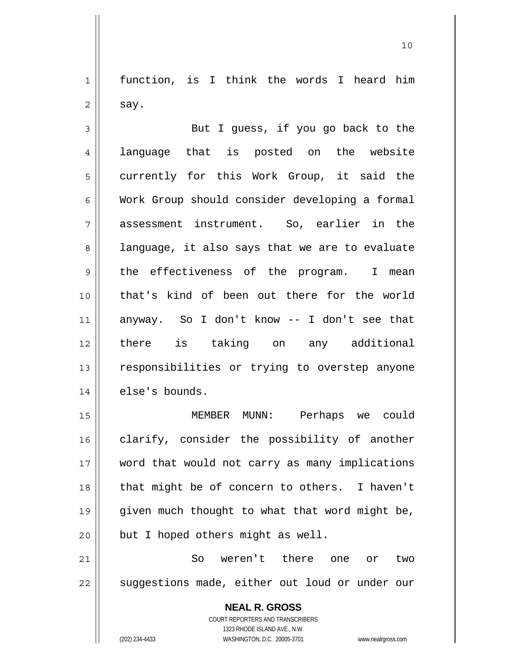1 2 function, is I think the words I heard him say.

3 4 5 6 7 8 9 10 11 12 13 14 But I guess, if you go back to the language that is posted on the website currently for this Work Group, it said the Work Group should consider developing a formal assessment instrument. So, earlier in the language, it also says that we are to evaluate the effectiveness of the program. I mean that's kind of been out there for the world anyway. So I don't know -- I don't see that there is taking on any additional responsibilities or trying to overstep anyone else's bounds.

15 16 17 18 19 20 MEMBER MUNN: Perhaps we could clarify, consider the possibility of another word that would not carry as many implications that might be of concern to others. I haven't given much thought to what that word might be, but I hoped others might as well.

21 22 So weren't there one or two suggestions made, either out loud or under our

> **NEAL R. GROSS** COURT REPORTERS AND TRANSCRIBERS 1323 RHODE ISLAND AVE., N.W. (202) 234-4433 WASHINGTON, D.C. 20005-3701 www.nealrgross.com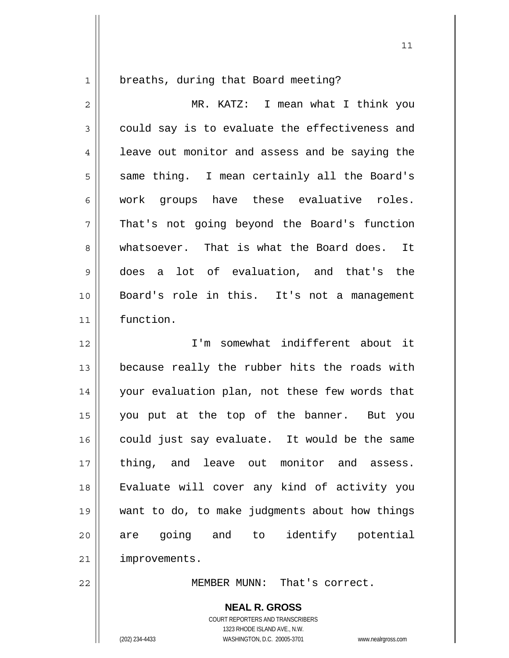1

breaths, during that Board meeting?

2 3 4 5 6 7 8 9 10 11 12 13 14 15 16 17 18 19 20 MR. KATZ: I mean what I think you could say is to evaluate the effectiveness and leave out monitor and assess and be saying the same thing. I mean certainly all the Board's work groups have these evaluative roles. That's not going beyond the Board's function whatsoever. That is what the Board does. It does a lot of evaluation, and that's the Board's role in this. It's not a management function. I'm somewhat indifferent about it because really the rubber hits the roads with your evaluation plan, not these few words that you put at the top of the banner. But you could just say evaluate. It would be the same thing, and leave out monitor and assess. Evaluate will cover any kind of activity you want to do, to make judgments about how things are going and to identify potential

21 improvements.

22

MEMBER MUNN: That's correct.

**NEAL R. GROSS** COURT REPORTERS AND TRANSCRIBERS 1323 RHODE ISLAND AVE., N.W. (202) 234-4433 WASHINGTON, D.C. 20005-3701 www.nealrgross.com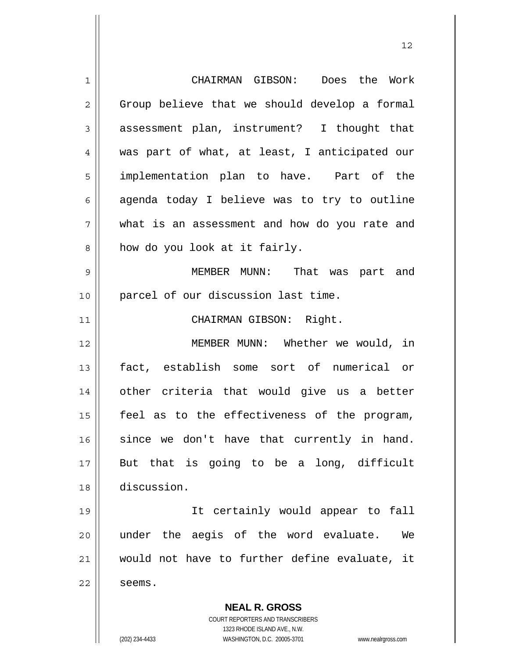| 1  | CHAIRMAN GIBSON: Does the Work                                      |
|----|---------------------------------------------------------------------|
| 2  | Group believe that we should develop a formal                       |
| 3  | assessment plan, instrument? I thought that                         |
| 4  | was part of what, at least, I anticipated our                       |
| 5  | implementation plan to have. Part of the                            |
| 6  | agenda today I believe was to try to outline                        |
| 7  | what is an assessment and how do you rate and                       |
| 8  | how do you look at it fairly.                                       |
| 9  | MEMBER MUNN: That was part and                                      |
| 10 | parcel of our discussion last time.                                 |
| 11 | CHAIRMAN GIBSON: Right.                                             |
| 12 | MEMBER MUNN: Whether we would, in                                   |
| 13 | fact, establish some sort of numerical or                           |
| 14 | other criteria that would give us a better                          |
| 15 | feel as to the effectiveness of the program,                        |
| 16 | since we don't have that currently in hand.                         |
| 17 | But that is going to be a long, difficult                           |
| 18 | discussion.                                                         |
| 19 | It certainly would appear to fall                                   |
| 20 | under the aegis of the word evaluate.<br>We                         |
| 21 | would not have to further define evaluate, it                       |
| 22 | seems.                                                              |
|    | <b>NEAL R. GROSS</b>                                                |
|    | <b>COURT REPORTERS AND TRANSCRIBERS</b>                             |
|    | 1323 RHODE ISLAND AVE., N.W.                                        |
|    | (202) 234-4433<br>WASHINGTON, D.C. 20005-3701<br>www.nealrgross.com |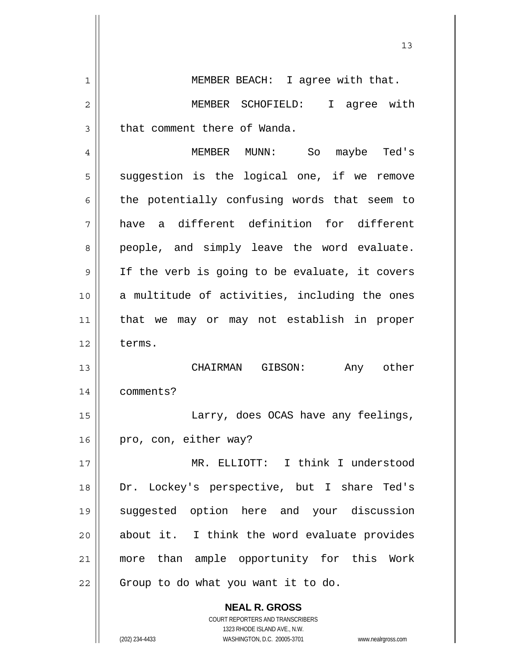| 1  | MEMBER BEACH: I agree with that.               |
|----|------------------------------------------------|
| 2  | MEMBER SCHOFIELD: I agree with                 |
| 3  | that comment there of Wanda.                   |
| 4  | MEMBER MUNN: So maybe Ted's                    |
| 5  | suggestion is the logical one, if we remove    |
| 6  | the potentially confusing words that seem to   |
| 7  | have a different definition for different      |
| 8  | people, and simply leave the word evaluate.    |
| 9  | If the verb is going to be evaluate, it covers |
| 10 | a multitude of activities, including the ones  |
| 11 | that we may or may not establish in proper     |
| 12 | terms.                                         |
| 13 | CHAIRMAN GIBSON: Any other                     |
| 14 | comments?                                      |
| 15 | Larry, does OCAS have any feelings,            |
| 16 | pro, con, either way?                          |
| 17 | MR. ELLIOTT: I think I understood              |
| 18 | Dr. Lockey's perspective, but I share Ted's    |
| 19 | suggested option here and your discussion      |
| 20 | about it. I think the word evaluate provides   |
| 21 | more than ample opportunity for this Work      |
| 22 | Group to do what you want it to do.            |
|    | <b>NEAL R. GROSS</b>                           |

COURT REPORTERS AND TRANSCRIBERS 1323 RHODE ISLAND AVE., N.W.

 $\mathop{\text{||}}$ 

(202) 234-4433 WASHINGTON, D.C. 20005-3701 www.nealrgross.com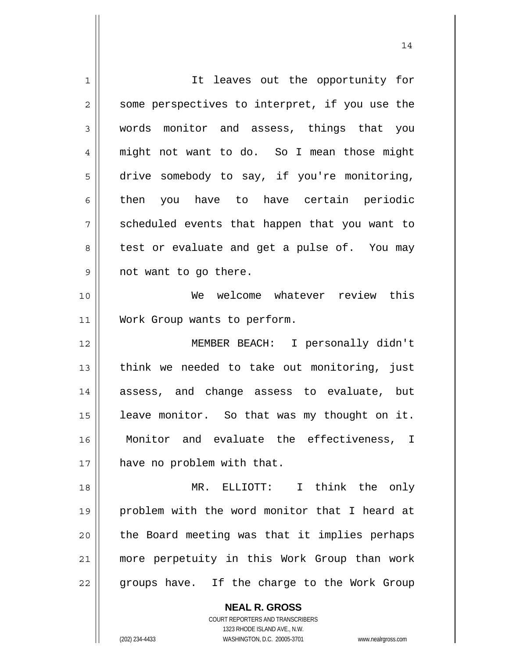| $\mathbf{1}$   | It leaves out the opportunity for              |
|----------------|------------------------------------------------|
| $\overline{2}$ | some perspectives to interpret, if you use the |
| $\mathfrak{Z}$ | words monitor and assess, things that you      |
| 4              | might not want to do. So I mean those might    |
| 5              | drive somebody to say, if you're monitoring,   |
| 6              | then you have to have certain periodic         |
| 7              | scheduled events that happen that you want to  |
| 8              | test or evaluate and get a pulse of. You may   |
| 9              | not want to go there.                          |
| 10             | We welcome whatever review this                |
| 11             | Work Group wants to perform.                   |
|                |                                                |
| 12             | MEMBER BEACH: I personally didn't              |
| 13             | think we needed to take out monitoring, just   |
| 14             | assess, and change assess to evaluate, but     |
| 15             | leave monitor. So that was my thought on it.   |
| 16             | Monitor and evaluate the effectiveness, I      |
| 17             | have no problem with that.                     |
| 18             | MR.<br>ELLIOTT:<br>I think the only            |
| 19             | problem with the word monitor that I heard at  |
| 20             | the Board meeting was that it implies perhaps  |
| 21             | more perpetuity in this Work Group than work   |

14

COURT REPORTERS AND TRANSCRIBERS 1323 RHODE ISLAND AVE., N.W. (202) 234-4433 WASHINGTON, D.C. 20005-3701 www.nealrgross.com

**NEAL R. GROSS**

 $\mathsf{II}$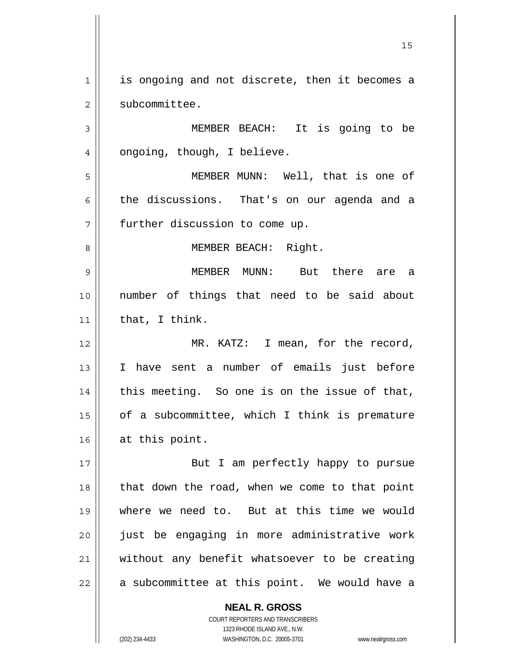1 2 is ongoing and not discrete, then it becomes a subcommittee.

3 4 MEMBER BEACH: It is going to be ongoing, though, I believe.

5 6 7 MEMBER MUNN: Well, that is one of the discussions. That's on our agenda and a further discussion to come up.

MEMBER BEACH: Right.

9 10 11 MEMBER MUNN: But there are a number of things that need to be said about that, I think.

12 13 14 15 16 MR. KATZ: I mean, for the record, I have sent a number of emails just before this meeting. So one is on the issue of that, of a subcommittee, which I think is premature at this point.

17 18 19 20 21 22 But I am perfectly happy to pursue that down the road, when we come to that point where we need to. But at this time we would just be engaging in more administrative work without any benefit whatsoever to be creating a subcommittee at this point. We would have a

> **NEAL R. GROSS** COURT REPORTERS AND TRANSCRIBERS 1323 RHODE ISLAND AVE., N.W.

8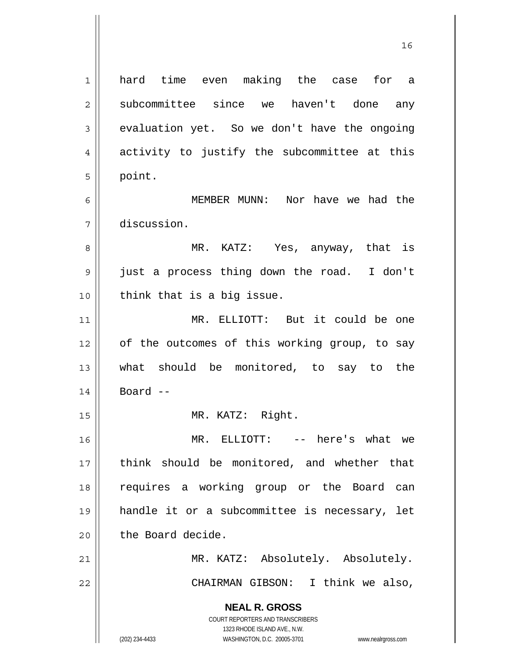**NEAL R. GROSS** COURT REPORTERS AND TRANSCRIBERS 1 2 3 4 5 6 7 8 9 10 11 12 13 14 15 16 17 18 19 20 21 22 hard time even making the case for a subcommittee since we haven't done any evaluation yet. So we don't have the ongoing activity to justify the subcommittee at this point. MEMBER MUNN: Nor have we had the discussion. MR. KATZ: Yes, anyway, that is just a process thing down the road. I don't think that is a big issue. MR. ELLIOTT: But it could be one of the outcomes of this working group, to say what should be monitored, to say to the Board -- MR. KATZ: Right. MR. ELLIOTT: -- here's what we think should be monitored, and whether that requires a working group or the Board can handle it or a subcommittee is necessary, let the Board decide. MR. KATZ: Absolutely. Absolutely. CHAIRMAN GIBSON: I think we also,

1323 RHODE ISLAND AVE., N.W.

(202) 234-4433 WASHINGTON, D.C. 20005-3701 www.nealrgross.com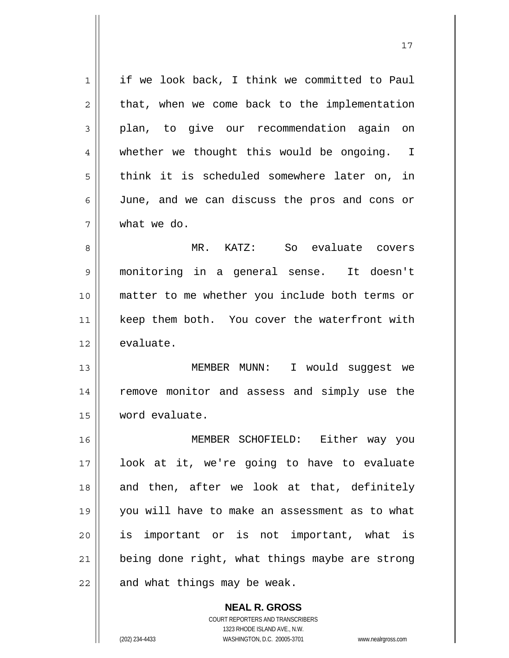1 2 3 4 5 6 7 8 9 10 11 12 13 14 15 16 17 18 19 20 21 22 if we look back, I think we committed to Paul that, when we come back to the implementation plan, to give our recommendation again on whether we thought this would be ongoing. I think it is scheduled somewhere later on, in June, and we can discuss the pros and cons or what we do. MR. KATZ: So evaluate covers monitoring in a general sense. It doesn't matter to me whether you include both terms or keep them both. You cover the waterfront with evaluate. MEMBER MUNN: I would suggest we remove monitor and assess and simply use the word evaluate. MEMBER SCHOFIELD: Either way you look at it, we're going to have to evaluate and then, after we look at that, definitely you will have to make an assessment as to what is important or is not important, what is being done right, what things maybe are strong and what things may be weak.

17

COURT REPORTERS AND TRANSCRIBERS 1323 RHODE ISLAND AVE., N.W. (202) 234-4433 WASHINGTON, D.C. 20005-3701 www.nealrgross.com

**NEAL R. GROSS**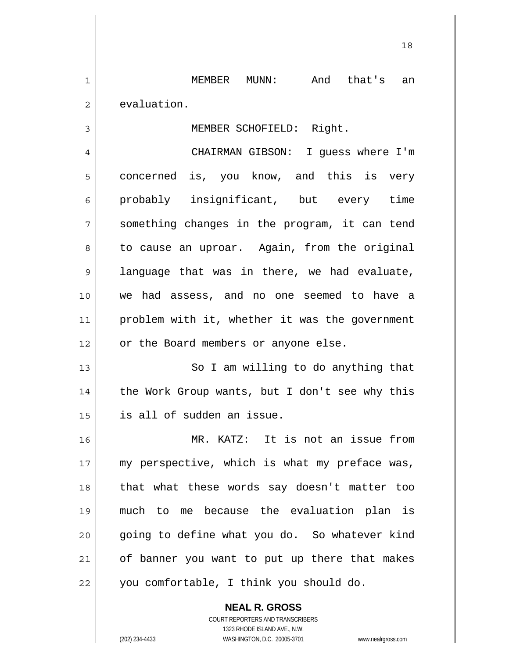MEMBER MUNN: And that's an evaluation.

MEMBER SCHOFIELD: Right.

4 5 6 7 8 9 10 11 12 CHAIRMAN GIBSON: I guess where I'm concerned is, you know, and this is very probably insignificant, but every time something changes in the program, it can tend to cause an uproar. Again, from the original language that was in there, we had evaluate, we had assess, and no one seemed to have a problem with it, whether it was the government or the Board members or anyone else.

13 14 15 So I am willing to do anything that the Work Group wants, but I don't see why this is all of sudden an issue.

16 17 18 19 20 21 22 MR. KATZ: It is not an issue from my perspective, which is what my preface was, that what these words say doesn't matter too much to me because the evaluation plan is going to define what you do. So whatever kind of banner you want to put up there that makes you comfortable, I think you should do.

> **NEAL R. GROSS** COURT REPORTERS AND TRANSCRIBERS 1323 RHODE ISLAND AVE., N.W. (202) 234-4433 WASHINGTON, D.C. 20005-3701 www.nealrgross.com

1

2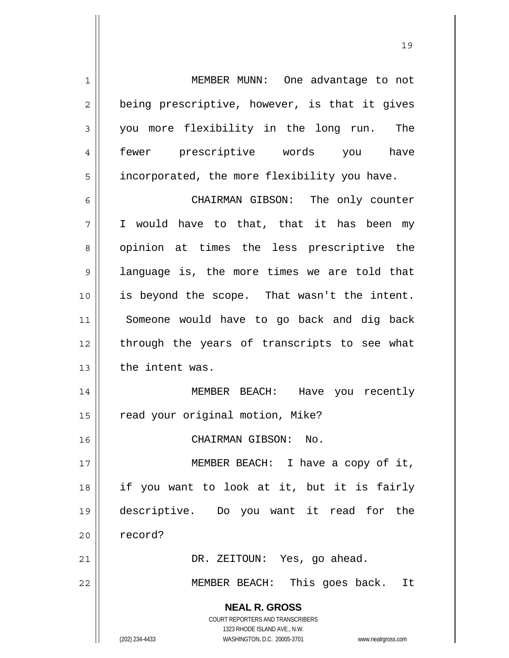**NEAL R. GROSS** COURT REPORTERS AND TRANSCRIBERS 1 2 3 4 5 6 7 8 9 10 11 12 13 14 15 16 17 18 19 20 21 22 MEMBER MUNN: One advantage to not being prescriptive, however, is that it gives you more flexibility in the long run. The fewer prescriptive words you have incorporated, the more flexibility you have. CHAIRMAN GIBSON: The only counter I would have to that, that it has been my opinion at times the less prescriptive the language is, the more times we are told that is beyond the scope. That wasn't the intent. Someone would have to go back and dig back through the years of transcripts to see what the intent was. MEMBER BEACH: Have you recently read your original motion, Mike? CHAIRMAN GIBSON: No. MEMBER BEACH: I have a copy of it, if you want to look at it, but it is fairly descriptive. Do you want it read for the record? DR. ZEITOUN: Yes, go ahead. MEMBER BEACH: This goes back. It

1323 RHODE ISLAND AVE., N.W.

(202) 234-4433 WASHINGTON, D.C. 20005-3701 www.nealrgross.com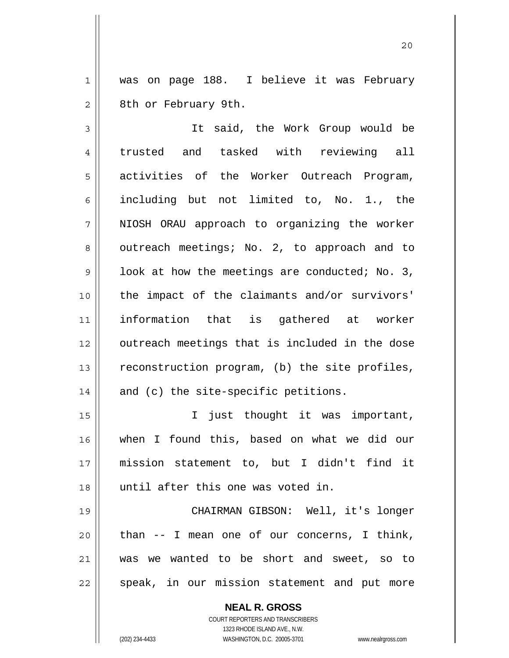1 2 was on page 188. I believe it was February 8th or February 9th.

3 4 5 6 7 8 9 10 11 12 13 14 It said, the Work Group would be trusted and tasked with reviewing all activities of the Worker Outreach Program, including but not limited to, No. 1., the NIOSH ORAU approach to organizing the worker outreach meetings; No. 2, to approach and to look at how the meetings are conducted; No. 3, the impact of the claimants and/or survivors' information that is gathered at worker outreach meetings that is included in the dose reconstruction program, (b) the site profiles, and (c) the site-specific petitions.

15 16 17 18 I just thought it was important, when I found this, based on what we did our mission statement to, but I didn't find it until after this one was voted in.

19 20 21 22 CHAIRMAN GIBSON: Well, it's longer than -- I mean one of our concerns, I think, was we wanted to be short and sweet, so to speak, in our mission statement and put more

> **NEAL R. GROSS** COURT REPORTERS AND TRANSCRIBERS 1323 RHODE ISLAND AVE., N.W. (202) 234-4433 WASHINGTON, D.C. 20005-3701 www.nealrgross.com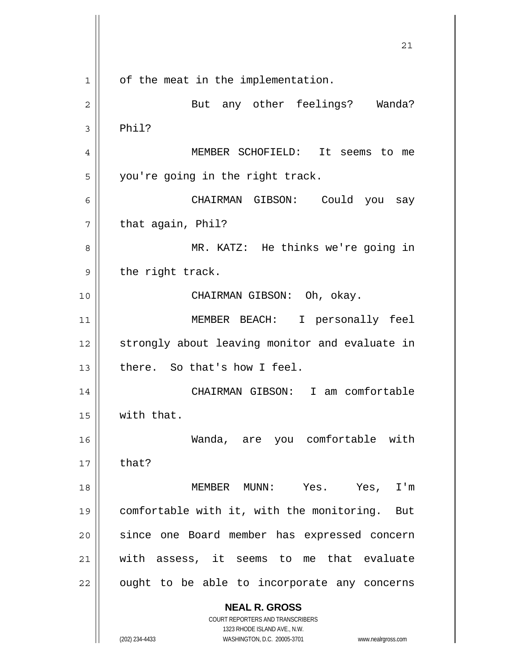**NEAL R. GROSS** COURT REPORTERS AND TRANSCRIBERS 1323 RHODE ISLAND AVE., N.W. 21 1 2 3 4 5 6 7 8 9 10 11 12 13 14 15 16 17 18 19 20 21 22 of the meat in the implementation. But any other feelings? Wanda? Phil? MEMBER SCHOFIELD: It seems to me you're going in the right track. CHAIRMAN GIBSON: Could you say that again, Phil? MR. KATZ: He thinks we're going in the right track. CHAIRMAN GIBSON: Oh, okay. MEMBER BEACH: I personally feel strongly about leaving monitor and evaluate in there. So that's how I feel. CHAIRMAN GIBSON: I am comfortable with that. Wanda, are you comfortable with that? MEMBER MUNN: Yes. Yes, I'm comfortable with it, with the monitoring. But since one Board member has expressed concern with assess, it seems to me that evaluate ought to be able to incorporate any concerns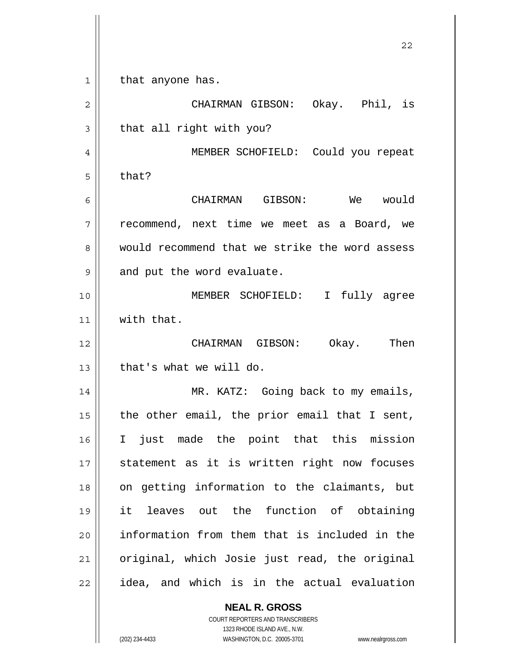|              | 22                                             |
|--------------|------------------------------------------------|
| $\mathbf{1}$ | that anyone has.                               |
| 2            | CHAIRMAN GIBSON: Okay. Phil, is                |
| 3            | that all right with you?                       |
| 4            | MEMBER SCHOFIELD: Could you repeat             |
| 5            | that?                                          |
| 6            | CHAIRMAN GIBSON:<br>We would                   |
| 7            | recommend, next time we meet as a Board, we    |
| 8            | would recommend that we strike the word assess |
| 9            | and put the word evaluate.                     |
| 10           | MEMBER SCHOFIELD: I<br>fully agree             |
| 11           | with that.                                     |
| 12           | CHAIRMAN GIBSON: Okay.<br>Then                 |
| 13           | that's what we will do.                        |
| 14           | MR. KATZ: Going back to my emails,             |
| 15           | the other email, the prior email that I sent,  |
| 16           | I just made the point that this mission        |
| 17           | statement as it is written right now focuses   |
| 18           | on getting information to the claimants, but   |
| 19           | leaves out the function of obtaining<br>it     |
| 20           | information from them that is included in the  |
| 21           | original, which Josie just read, the original  |
| 22           | idea, and which is in the actual evaluation    |
|              |                                                |

**NEAL R. GROSS** COURT REPORTERS AND TRANSCRIBERS

1323 RHODE ISLAND AVE., N.W.

 $\mathbf{I}$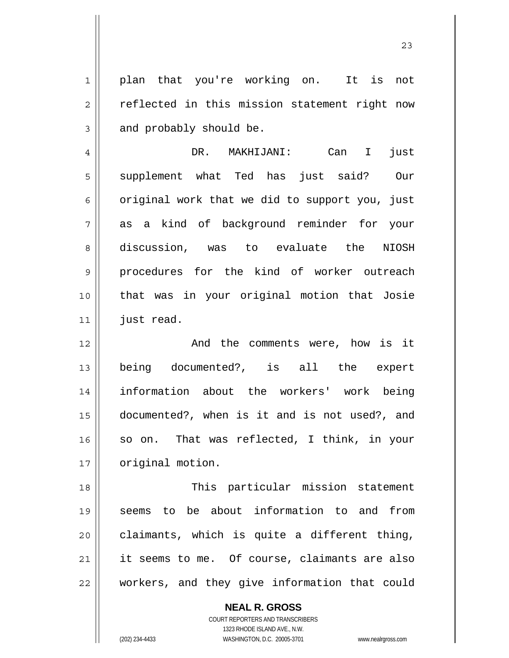1 2 3 plan that you're working on. It is not reflected in this mission statement right now and probably should be.

4 5 6 7 8 9 10 11 DR. MAKHIJANI: Can I just supplement what Ted has just said? Our original work that we did to support you, just as a kind of background reminder for your discussion, was to evaluate the NIOSH procedures for the kind of worker outreach that was in your original motion that Josie just read.

12 13 14 15 16 17 And the comments were, how is it being documented?, is all the expert information about the workers' work being documented?, when is it and is not used?, and so on. That was reflected, I think, in your original motion.

18 19 20 21 22 This particular mission statement seems to be about information to and from claimants, which is quite a different thing, it seems to me. Of course, claimants are also workers, and they give information that could

> **NEAL R. GROSS** COURT REPORTERS AND TRANSCRIBERS 1323 RHODE ISLAND AVE., N.W. (202) 234-4433 WASHINGTON, D.C. 20005-3701 www.nealrgross.com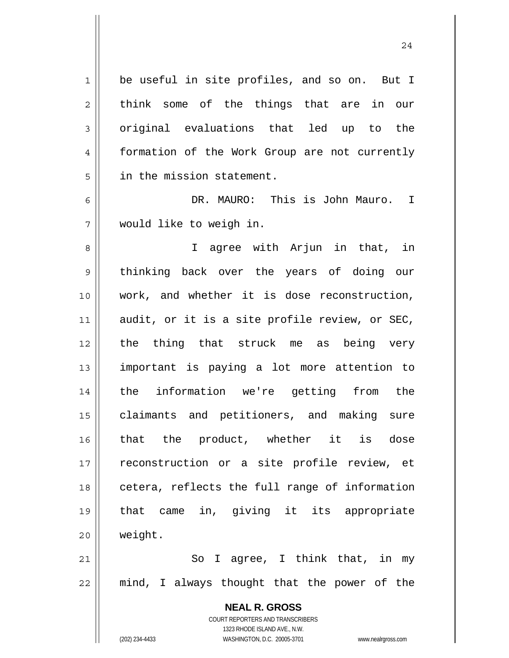1 2 3 4 5 6 7 8 9 10 11 12 13 14 15 16 17 18 19 20 be useful in site profiles, and so on. But I think some of the things that are in our original evaluations that led up to the formation of the Work Group are not currently in the mission statement. DR. MAURO: This is John Mauro. I would like to weigh in. I agree with Arjun in that, in thinking back over the years of doing our work, and whether it is dose reconstruction, audit, or it is a site profile review, or SEC, the thing that struck me as being very important is paying a lot more attention to the information we're getting from the claimants and petitioners, and making sure that the product, whether it is dose reconstruction or a site profile review, et cetera, reflects the full range of information that came in, giving it its appropriate weight.

21 22 So I agree, I think that, in my mind, I always thought that the power of the

> **NEAL R. GROSS** COURT REPORTERS AND TRANSCRIBERS 1323 RHODE ISLAND AVE., N.W. (202) 234-4433 WASHINGTON, D.C. 20005-3701 www.nealrgross.com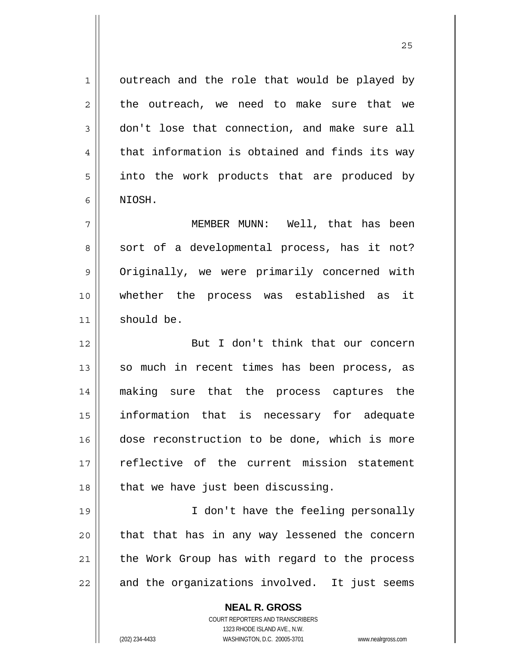outreach and the role that would be played by the outreach, we need to make sure that we don't lose that connection, and make sure all that information is obtained and finds its way into the work products that are produced by NIOSH.

7 8 9 10 11 MEMBER MUNN: Well, that has been sort of a developmental process, has it not? Originally, we were primarily concerned with whether the process was established as it should be.

12 13 14 15 16 17 18 But I don't think that our concern so much in recent times has been process, as making sure that the process captures the information that is necessary for adequate dose reconstruction to be done, which is more reflective of the current mission statement that we have just been discussing.

19 20 21 22 I don't have the feeling personally that that has in any way lessened the concern the Work Group has with regard to the process and the organizations involved. It just seems

> **NEAL R. GROSS** COURT REPORTERS AND TRANSCRIBERS 1323 RHODE ISLAND AVE., N.W. (202) 234-4433 WASHINGTON, D.C. 20005-3701 www.nealrgross.com

1

2

3

4

5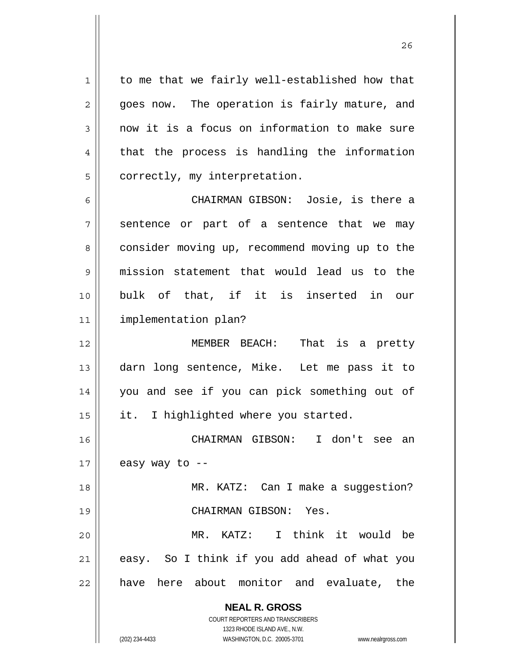1 2 3 4 5 to me that we fairly well-established how that goes now. The operation is fairly mature, and now it is a focus on information to make sure that the process is handling the information correctly, my interpretation.

6 7 8 9 10 11 CHAIRMAN GIBSON: Josie, is there a sentence or part of a sentence that we may consider moving up, recommend moving up to the mission statement that would lead us to the bulk of that, if it is inserted in our implementation plan?

12 13 14 15 MEMBER BEACH: That is a pretty darn long sentence, Mike. Let me pass it to you and see if you can pick something out of it. I highlighted where you started.

16 17 CHAIRMAN GIBSON: I don't see an easy way to --

18 19 20 MR. KATZ: Can I make a suggestion? CHAIRMAN GIBSON: Yes. MR. KATZ: I think it would be

21 22 easy. So I think if you add ahead of what you have here about monitor and evaluate, the

**NEAL R. GROSS**

COURT REPORTERS AND TRANSCRIBERS 1323 RHODE ISLAND AVE., N.W. (202) 234-4433 WASHINGTON, D.C. 20005-3701 www.nealrgross.com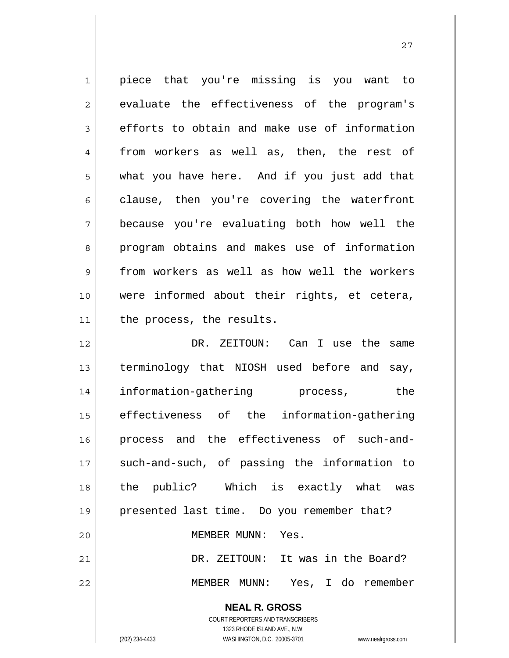**NEAL R. GROSS** COURT REPORTERS AND TRANSCRIBERS 1 2 3 4 5 6 7 8 9 10 11 12 13 14 15 16 17 18 19 20 21 22 piece that you're missing is you want to evaluate the effectiveness of the program's efforts to obtain and make use of information from workers as well as, then, the rest of what you have here. And if you just add that clause, then you're covering the waterfront because you're evaluating both how well the program obtains and makes use of information from workers as well as how well the workers were informed about their rights, et cetera, the process, the results. DR. ZEITOUN: Can I use the same terminology that NIOSH used before and say, information-gathering process, the effectiveness of the information-gathering process and the effectiveness of such-andsuch-and-such, of passing the information to the public? Which is exactly what was presented last time. Do you remember that? MEMBER MUNN: Yes. DR. ZEITOUN: It was in the Board? MEMBER MUNN: Yes, I do remember

1323 RHODE ISLAND AVE., N.W.

(202) 234-4433 WASHINGTON, D.C. 20005-3701 www.nealrgross.com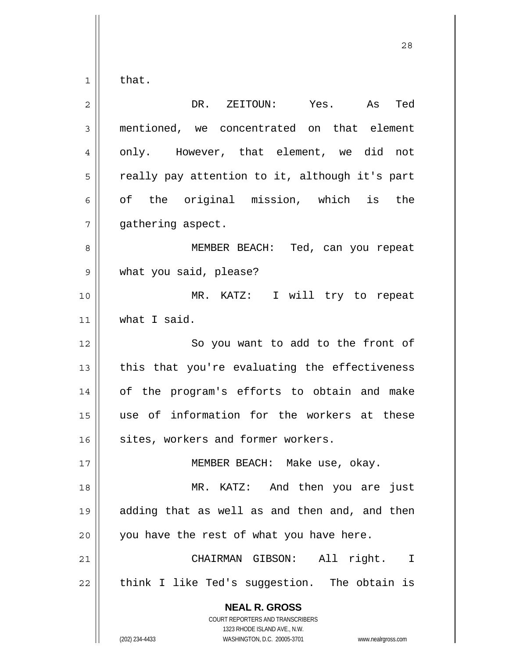**NEAL R. GROSS** COURT REPORTERS AND TRANSCRIBERS 1323 RHODE ISLAND AVE., N.W. 1 2 3 4 5 6 7 8 9 10 11 12 13 14 15 16 17 18 19 20 21 22 that. DR. ZEITOUN: Yes. As Ted mentioned, we concentrated on that element only. However, that element, we did not really pay attention to it, although it's part of the original mission, which is the gathering aspect. MEMBER BEACH: Ted, can you repeat what you said, please? MR. KATZ: I will try to repeat what I said. So you want to add to the front of this that you're evaluating the effectiveness of the program's efforts to obtain and make use of information for the workers at these sites, workers and former workers. MEMBER BEACH: Make use, okay. MR. KATZ: And then you are just adding that as well as and then and, and then you have the rest of what you have here. CHAIRMAN GIBSON: All right. I think I like Ted's suggestion. The obtain is

28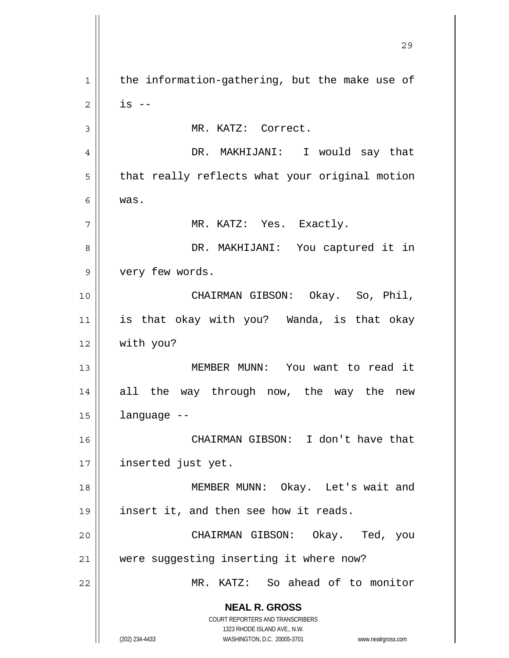**NEAL R. GROSS** COURT REPORTERS AND TRANSCRIBERS 1323 RHODE ISLAND AVE., N.W. 1 2 3 4 5 6 7 8 9 10 11 12 13 14 15 16 17 18 19 20 21 22 the information-gathering, but the make use of  $is$   $-$  MR. KATZ: Correct. DR. MAKHIJANI: I would say that that really reflects what your original motion was. MR. KATZ: Yes. Exactly. DR. MAKHIJANI: You captured it in very few words. CHAIRMAN GIBSON: Okay. So, Phil, is that okay with you? Wanda, is that okay with you? MEMBER MUNN: You want to read it all the way through now, the way the new language -- CHAIRMAN GIBSON: I don't have that inserted just yet. MEMBER MUNN: Okay. Let's wait and insert it, and then see how it reads. CHAIRMAN GIBSON: Okay. Ted, you were suggesting inserting it where now? MR. KATZ: So ahead of to monitor

<u>29</u>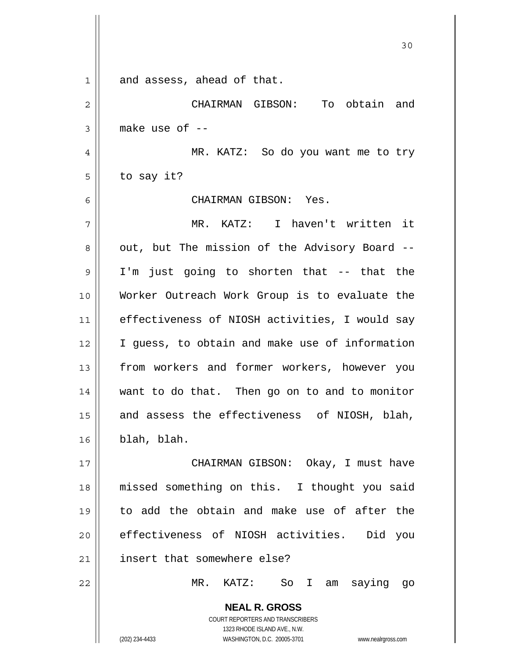|             | 30                                                                  |
|-------------|---------------------------------------------------------------------|
| $\mathbf 1$ | and assess, ahead of that.                                          |
| $\sqrt{2}$  | CHAIRMAN GIBSON: To obtain and                                      |
| 3           | make use of --                                                      |
| 4           | MR. KATZ: So do you want me to try                                  |
| 5           | to say it?                                                          |
| 6           | CHAIRMAN GIBSON: Yes.                                               |
| 7           | MR. KATZ: I haven't written it                                      |
| 8           | out, but The mission of the Advisory Board --                       |
| 9           | I'm just going to shorten that -- that the                          |
| 10          | Worker Outreach Work Group is to evaluate the                       |
| 11          | effectiveness of NIOSH activities, I would say                      |
| 12          | I guess, to obtain and make use of information                      |
| 13          | from workers and former workers, however you                        |
| 14          | want to do that. Then go on to and to monitor                       |
| 15          | and assess the effectiveness of NIOSH, blah,                        |
| 16          | blah, blah.                                                         |
| 17          | CHAIRMAN GIBSON: Okay, I must have                                  |
| 18          | missed something on this. I thought you said                        |
| 19          | to add the obtain and make use of after the                         |
| 20          | effectiveness of NIOSH activities. Did you                          |
| 21          | insert that somewhere else?                                         |
| 22          | MR. KATZ: So I<br>saying go<br>am                                   |
|             | <b>NEAL R. GROSS</b><br>COURT REPORTERS AND TRANSCRIBERS            |
|             | 1323 RHODE ISLAND AVE., N.W.                                        |
|             | (202) 234-4433<br>WASHINGTON, D.C. 20005-3701<br>www.nealrgross.com |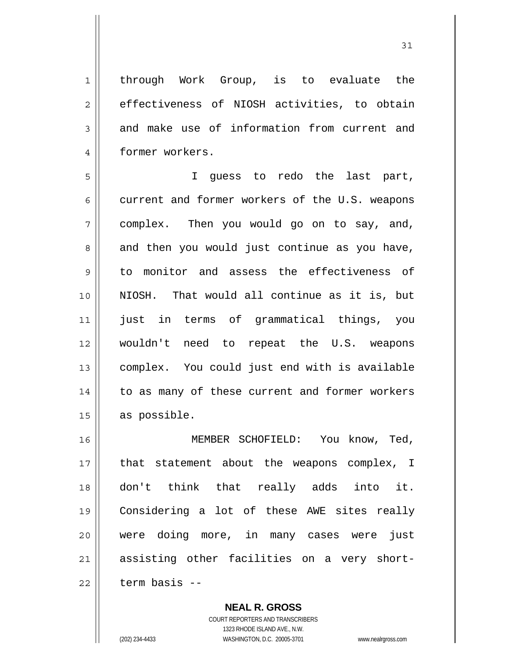31

1 2 3 4 through Work Group, is to evaluate the effectiveness of NIOSH activities, to obtain and make use of information from current and former workers.

5 6 7 8 9 10 11 12 13 14 15 I guess to redo the last part, current and former workers of the U.S. weapons complex. Then you would go on to say, and, and then you would just continue as you have, to monitor and assess the effectiveness of NIOSH. That would all continue as it is, but just in terms of grammatical things, you wouldn't need to repeat the U.S. weapons complex. You could just end with is available to as many of these current and former workers as possible.

16 17 18 19 20 21 22 MEMBER SCHOFIELD: You know, Ted, that statement about the weapons complex, I don't think that really adds into it. Considering a lot of these AWE sites really were doing more, in many cases were just assisting other facilities on a very shortterm basis --

> **NEAL R. GROSS** COURT REPORTERS AND TRANSCRIBERS 1323 RHODE ISLAND AVE., N.W. (202) 234-4433 WASHINGTON, D.C. 20005-3701 www.nealrgross.com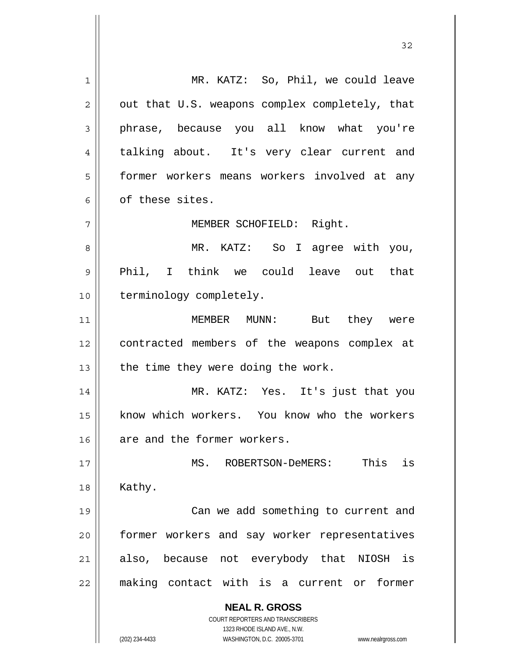**NEAL R. GROSS** COURT REPORTERS AND TRANSCRIBERS 1323 RHODE ISLAND AVE., N.W. (202) 234-4433 WASHINGTON, D.C. 20005-3701 www.nealrgross.com 1 2 3 4 5 6 7 8 9 10 11 12 13 14 15 16 17 18 19 20 21 22 MR. KATZ: So, Phil, we could leave out that U.S. weapons complex completely, that phrase, because you all know what you're talking about. It's very clear current and former workers means workers involved at any of these sites. MEMBER SCHOFIELD: Right. MR. KATZ: So I agree with you, Phil, I think we could leave out that terminology completely. MEMBER MUNN: But they were contracted members of the weapons complex at the time they were doing the work. MR. KATZ: Yes. It's just that you know which workers. You know who the workers are and the former workers. MS. ROBERTSON-DeMERS: This is Kathy. Can we add something to current and former workers and say worker representatives also, because not everybody that NIOSH is making contact with is a current or former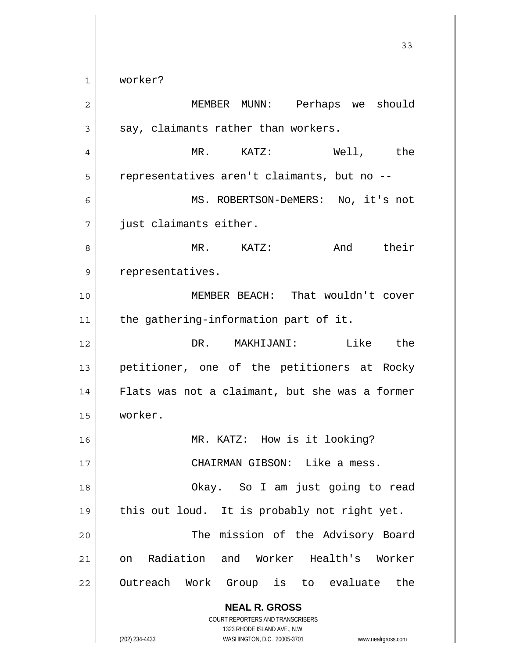**NEAL R. GROSS** COURT REPORTERS AND TRANSCRIBERS 1323 RHODE ISLAND AVE., N.W. 33 1 2 3 4 5 6 7 8 9 10 11 12 13 14 15 16 17 18 19 20 21 22 worker? MEMBER MUNN: Perhaps we should say, claimants rather than workers. MR. KATZ: Well, the representatives aren't claimants, but no -- MS. ROBERTSON-DeMERS: No, it's not just claimants either. MR. KATZ: And their representatives. MEMBER BEACH: That wouldn't cover the gathering-information part of it. DR. MAKHIJANI: Like the petitioner, one of the petitioners at Rocky Flats was not a claimant, but she was a former worker. MR. KATZ: How is it looking? CHAIRMAN GIBSON: Like a mess. Okay. So I am just going to read this out loud. It is probably not right yet. The mission of the Advisory Board on Radiation and Worker Health's Worker Outreach Work Group is to evaluate the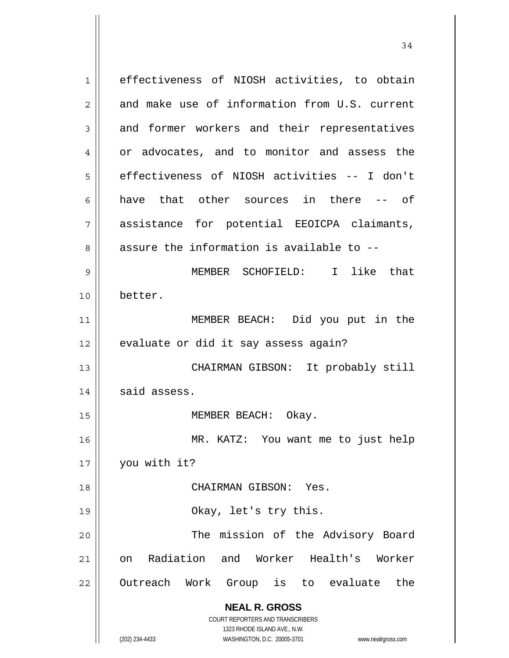**NEAL R. GROSS** COURT REPORTERS AND TRANSCRIBERS 1323 RHODE ISLAND AVE., N.W. (202) 234-4433 WASHINGTON, D.C. 20005-3701 www.nealrgross.com 1 2 3 4 5 6 7 8 9 10 11 12 13 14 15 16 17 18 19 20 21 22 effectiveness of NIOSH activities, to obtain and make use of information from U.S. current and former workers and their representatives or advocates, and to monitor and assess the effectiveness of NIOSH activities -- I don't have that other sources in there -- of assistance for potential EEOICPA claimants, assure the information is available to -- MEMBER SCHOFIELD: I like that better. MEMBER BEACH: Did you put in the evaluate or did it say assess again? CHAIRMAN GIBSON: It probably still said assess. MEMBER BEACH: Okay. MR. KATZ: You want me to just help you with it? CHAIRMAN GIBSON: Yes. Okay, let's try this. The mission of the Advisory Board on Radiation and Worker Health's Worker Outreach Work Group is to evaluate the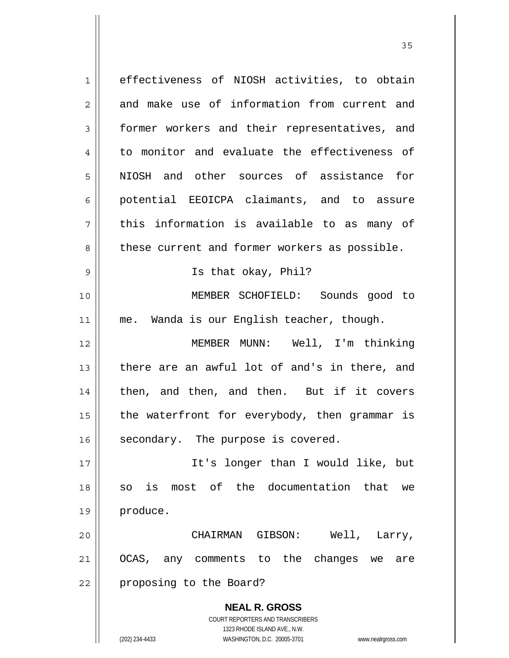**NEAL R. GROSS** COURT REPORTERS AND TRANSCRIBERS 1323 RHODE ISLAND AVE., N.W. (202) 234-4433 WASHINGTON, D.C. 20005-3701 www.nealrgross.com 1 2 3 4 5 6 7 8 9 10 11 12 13 14 15 16 17 18 19 20 21 22 effectiveness of NIOSH activities, to obtain and make use of information from current and former workers and their representatives, and to monitor and evaluate the effectiveness of NIOSH and other sources of assistance for potential EEOICPA claimants, and to assure this information is available to as many of these current and former workers as possible. Is that okay, Phil? MEMBER SCHOFIELD: Sounds good to me. Wanda is our English teacher, though. MEMBER MUNN: Well, I'm thinking there are an awful lot of and's in there, and then, and then, and then. But if it covers the waterfront for everybody, then grammar is secondary. The purpose is covered. It's longer than I would like, but so is most of the documentation that we produce. CHAIRMAN GIBSON: Well, Larry, OCAS, any comments to the changes we are proposing to the Board?

<u>35</u>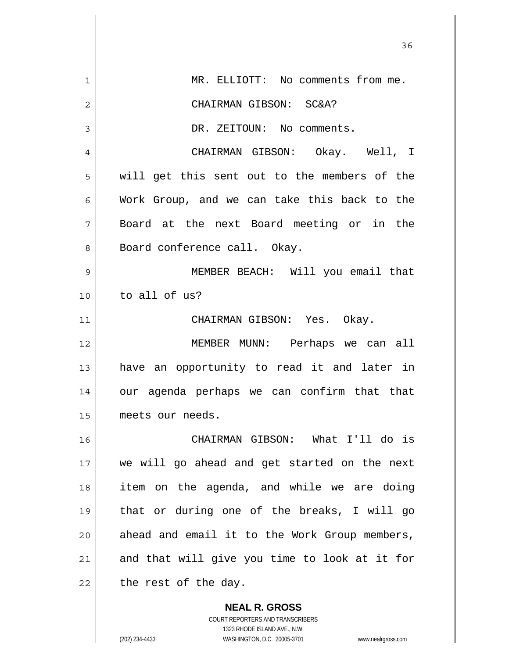|                | 36                                            |
|----------------|-----------------------------------------------|
| $\mathbf{1}$   | MR. ELLIOTT: No comments from me.             |
| 2              | CHAIRMAN GIBSON: SC&A?                        |
| $\overline{3}$ | DR. ZEITOUN: No comments.                     |
| 4              | CHAIRMAN GIBSON: Okay. Well, I                |
| 5              | will get this sent out to the members of the  |
| 6              | Work Group, and we can take this back to the  |
| 7              | Board at the next Board meeting or in the     |
| 8              | Board conference call. Okay.                  |
| 9              | MEMBER BEACH: Will you email that             |
| 10             | to all of us?                                 |
| 11             | CHAIRMAN GIBSON: Yes. Okay.                   |
| 12             | MEMBER MUNN: Perhaps we can all               |
| 13             | have an opportunity to read it and later in   |
| 14             | our agenda perhaps we can confirm that that   |
| 15             | meets our needs.                              |
| 16             | CHAIRMAN GIBSON: What I'll do is              |
| 17             | we will go ahead and get started on the next  |
| 18             | item on the agenda, and while we are doing    |
| 19             | that or during one of the breaks, I will go   |
| 20             | ahead and email it to the Work Group members, |
| 21             | and that will give you time to look at it for |
| 22             | the rest of the day.                          |

COURT REPORTERS AND TRANSCRIBERS 1323 RHODE ISLAND AVE., N.W. (202) 234-4433 WASHINGTON, D.C. 20005-3701 www.nealrgross.com

**NEAL R. GROSS**

 $\mathbf{I}$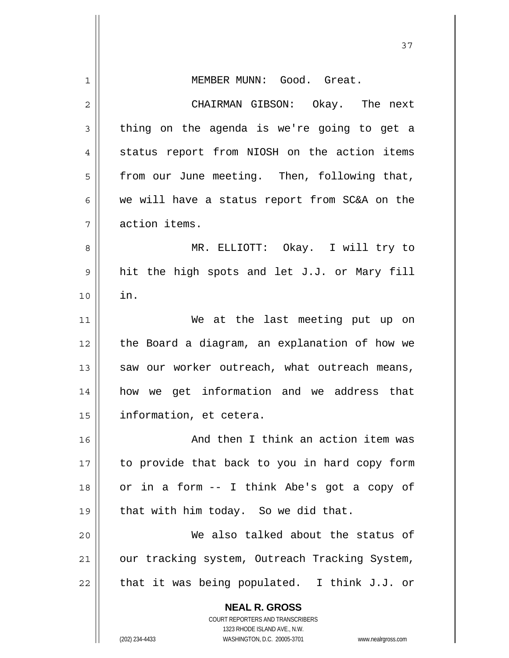| $\mathbf{1}$ | MEMBER MUNN: Good. Great.                                           |
|--------------|---------------------------------------------------------------------|
| 2            | CHAIRMAN GIBSON: Okay. The next                                     |
| 3            | thing on the agenda is we're going to get a                         |
| 4            | status report from NIOSH on the action items                        |
| 5            | from our June meeting. Then, following that,                        |
| 6            | we will have a status report from SC&A on the                       |
| 7            | action items.                                                       |
| 8            | MR. ELLIOTT: Okay. I will try to                                    |
| 9            | hit the high spots and let J.J. or Mary fill                        |
| 10           | in.                                                                 |
| 11           | We at the last meeting put up on                                    |
| 12           | the Board a diagram, an explanation of how we                       |
| 13           | saw our worker outreach, what outreach means,                       |
| 14           | how we get information and we address that                          |
| 15           | information, et cetera.                                             |
| 16           | And then I think an action item was                                 |
| 17           | to provide that back to you in hard copy form                       |
| 18           | or in a form -- I think Abe's got a copy of                         |
| 19           | that with him today. So we did that.                                |
| 20           | We also talked about the status of                                  |
| 21           | our tracking system, Outreach Tracking System,                      |
| 22           | that it was being populated. I think J.J. or                        |
|              | <b>NEAL R. GROSS</b>                                                |
|              | COURT REPORTERS AND TRANSCRIBERS<br>1323 RHODE ISLAND AVE., N.W.    |
|              | (202) 234-4433<br>WASHINGTON, D.C. 20005-3701<br>www.nealrgross.com |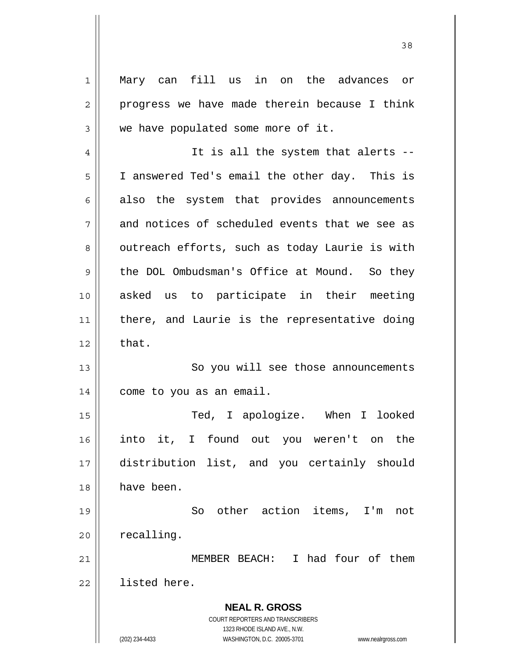**NEAL R. GROSS** COURT REPORTERS AND TRANSCRIBERS 1323 RHODE ISLAND AVE., N.W. (202) 234-4433 WASHINGTON, D.C. 20005-3701 www.nealrgross.com 1 2 3 4 5 6 7 8 9 10 11 12 13 14 15 16 17 18 19 20 21 22 Mary can fill us in on the advances or progress we have made therein because I think we have populated some more of it. It is all the system that alerts -- I answered Ted's email the other day. This is also the system that provides announcements and notices of scheduled events that we see as outreach efforts, such as today Laurie is with the DOL Ombudsman's Office at Mound. So they asked us to participate in their meeting there, and Laurie is the representative doing that. So you will see those announcements come to you as an email. Ted, I apologize. When I looked into it, I found out you weren't on the distribution list, and you certainly should have been. So other action items, I'm not recalling. MEMBER BEACH: I had four of them listed here.

<u>38</u>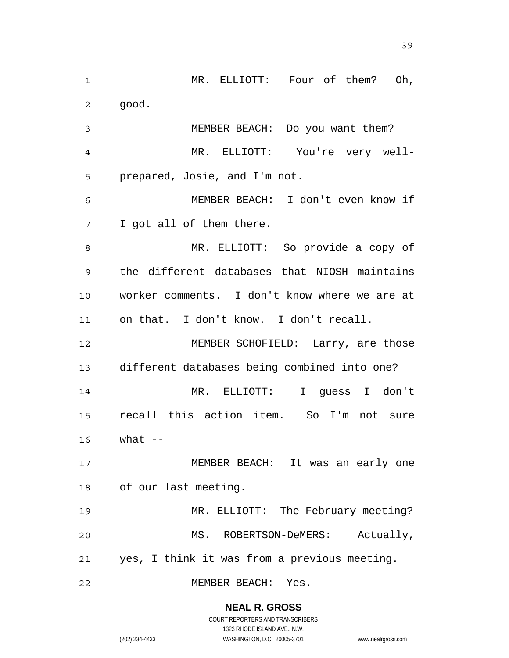**NEAL R. GROSS** COURT REPORTERS AND TRANSCRIBERS 1323 RHODE ISLAND AVE., N.W. (202) 234-4433 WASHINGTON, D.C. 20005-3701 www.nealrgross.com 39 1 2 3 4 5 6 7 8 9 10 11 12 13 14 15 16 17 18 19 20 21 22 MR. ELLIOTT: Four of them? Oh, good. MEMBER BEACH: Do you want them? MR. ELLIOTT: You're very wellprepared, Josie, and I'm not. MEMBER BEACH: I don't even know if I got all of them there. MR. ELLIOTT: So provide a copy of the different databases that NIOSH maintains worker comments. I don't know where we are at on that. I don't know. I don't recall. MEMBER SCHOFIELD: Larry, are those different databases being combined into one? MR. ELLIOTT: I guess I don't recall this action item. So I'm not sure what  $--$  MEMBER BEACH: It was an early one of our last meeting. MR. ELLIOTT: The February meeting? MS. ROBERTSON-DeMERS: Actually, yes, I think it was from a previous meeting. MEMBER BEACH: Yes.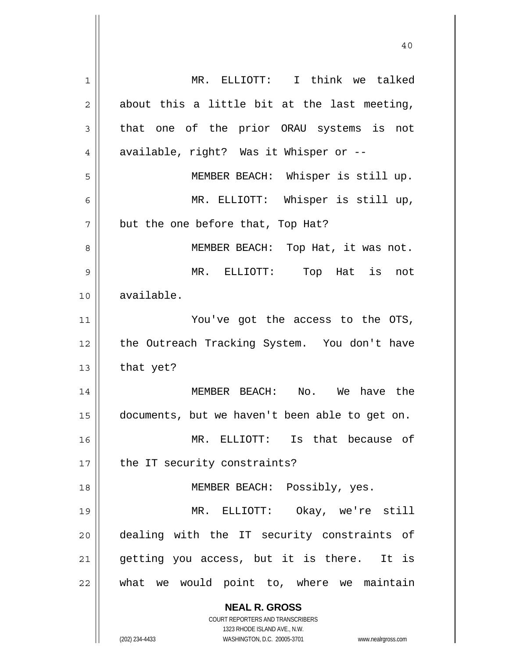**NEAL R. GROSS** COURT REPORTERS AND TRANSCRIBERS 1323 RHODE ISLAND AVE., N.W. (202) 234-4433 WASHINGTON, D.C. 20005-3701 www.nealrgross.com 1 2 3 4 5 6 7 8 9 10 11 12 13 14 15 16 17 18 19 20 21 22 MR. ELLIOTT: I think we talked about this a little bit at the last meeting, that one of the prior ORAU systems is not available, right? Was it Whisper or -- MEMBER BEACH: Whisper is still up. MR. ELLIOTT: Whisper is still up, but the one before that, Top Hat? MEMBER BEACH: Top Hat, it was not. MR. ELLIOTT: Top Hat is not available. You've got the access to the OTS, the Outreach Tracking System. You don't have that yet? MEMBER BEACH: No. We have the documents, but we haven't been able to get on. MR. ELLIOTT: Is that because of the IT security constraints? MEMBER BEACH: Possibly, yes. MR. ELLIOTT: Okay, we're still dealing with the IT security constraints of getting you access, but it is there. It is what we would point to, where we maintain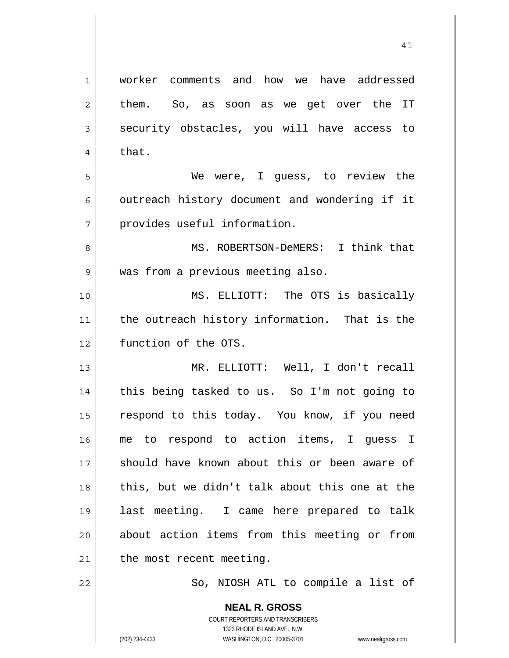| $\overline{\mathbf{c}}$ | them.   |
|-------------------------|---------|
| $\overline{3}$          | securit |
| $\overline{4}$          | that.   |
| 5                       |         |
| 6                       | outreac |
| $\overline{7}$          | provide |
| 8                       |         |
| 9                       | was fro |
| 10                      |         |
| 11                      | the out |
| 12                      | functio |
| 13                      |         |
| 14                      | this be |
| 15                      | respond |
| 16                      | me to   |
| 17                      | should  |
| 18                      | this, b |
| 19                      | last me |
| 20                      | about a |
| 21                      | the mos |
| $\overline{2}2$         |         |
|                         |         |

So, as soon as we get over the IT y obstacles, you will have access to

worker comments and how we have addressed

We were, I guess, to review the h history document and wondering if it s useful information.

 MS. ROBERTSON-DeMERS: I think that m a previous meeting also.

 MS. ELLIOTT: The OTS is basically reach history information. That is the on of the OTS.

 MR. ELLIOTT: Well, I don't recall eing tasked to us. So I'm not going to to this today. You know, if you need respond to action items, I guess I have known about this or been aware of out we didn't talk about this one at the eeting. I came here prepared to talk action items from this meeting or from t recent meeting.

So, NIOSH ATL to compile a list of

**NEAL R. GROSS** COURT REPORTERS AND TRANSCRIBERS 1323 RHODE ISLAND AVE., N.W. (202) 234-4433 WASHINGTON, D.C. 20005-3701 www.nealrgross.com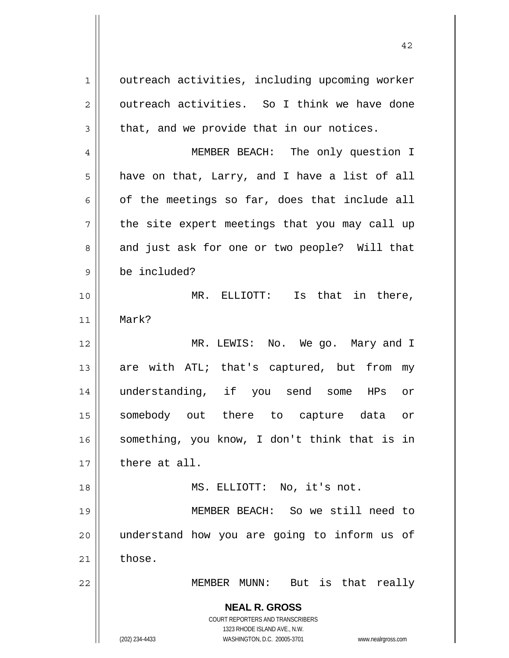**NEAL R. GROSS** COURT REPORTERS AND TRANSCRIBERS 1323 RHODE ISLAND AVE., N.W. (202) 234-4433 WASHINGTON, D.C. 20005-3701 www.nealrgross.com 1 2 3 4 5 6 7 8 9 10 11 12 13 14 15 16 17 18 19 20 21 22 outreach activities, including upcoming worker outreach activities. So I think we have done that, and we provide that in our notices. MEMBER BEACH: The only question I have on that, Larry, and I have a list of all of the meetings so far, does that include all the site expert meetings that you may call up and just ask for one or two people? Will that be included? MR. ELLIOTT: Is that in there, Mark? MR. LEWIS: No. We go. Mary and I are with ATL; that's captured, but from my understanding, if you send some HPs or somebody out there to capture data or something, you know, I don't think that is in there at all. MS. ELLIOTT: No, it's not. MEMBER BEACH: So we still need to understand how you are going to inform us of those. MEMBER MUNN: But is that really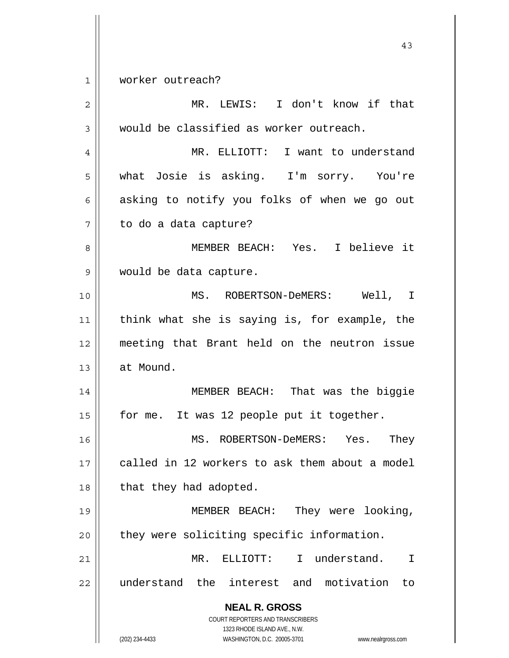**NEAL R. GROSS** COURT REPORTERS AND TRANSCRIBERS 1323 RHODE ISLAND AVE., N.W. 1 2 3 4 5 6 7 8 9 10 11 12 13 14 15 16 17 18 19 20 21 22 worker outreach? MR. LEWIS: I don't know if that would be classified as worker outreach. MR. ELLIOTT: I want to understand what Josie is asking. I'm sorry. You're asking to notify you folks of when we go out to do a data capture? MEMBER BEACH: Yes. I believe it would be data capture. MS. ROBERTSON-DeMERS: Well, I think what she is saying is, for example, the meeting that Brant held on the neutron issue at Mound. MEMBER BEACH: That was the biggie for me. It was 12 people put it together. MS. ROBERTSON-DeMERS: Yes. They called in 12 workers to ask them about a model that they had adopted. MEMBER BEACH: They were looking, they were soliciting specific information. MR. ELLIOTT: I understand. I understand the interest and motivation to

43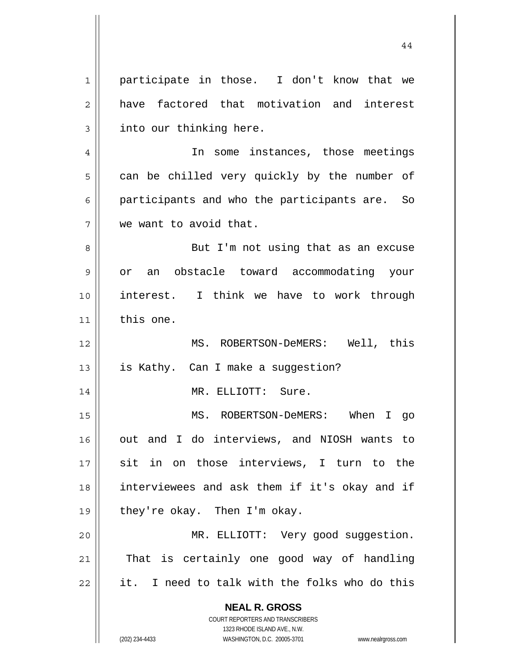**NEAL R. GROSS** COURT REPORTERS AND TRANSCRIBERS 1323 RHODE ISLAND AVE., N.W. 1 2 3 4 5 6 7 8 9 10 11 12 13 14 15 16 17 18 19 20 21 22 participate in those. I don't know that we have factored that motivation and interest into our thinking here. In some instances, those meetings can be chilled very quickly by the number of participants and who the participants are. So we want to avoid that. But I'm not using that as an excuse or an obstacle toward accommodating your interest. I think we have to work through this one. MS. ROBERTSON-DeMERS: Well, this is Kathy. Can I make a suggestion? MR. ELLIOTT: Sure. MS. ROBERTSON-DeMERS: When I go out and I do interviews, and NIOSH wants to sit in on those interviews, I turn to the interviewees and ask them if it's okay and if they're okay. Then I'm okay. MR. ELLIOTT: Very good suggestion. That is certainly one good way of handling it. I need to talk with the folks who do this

44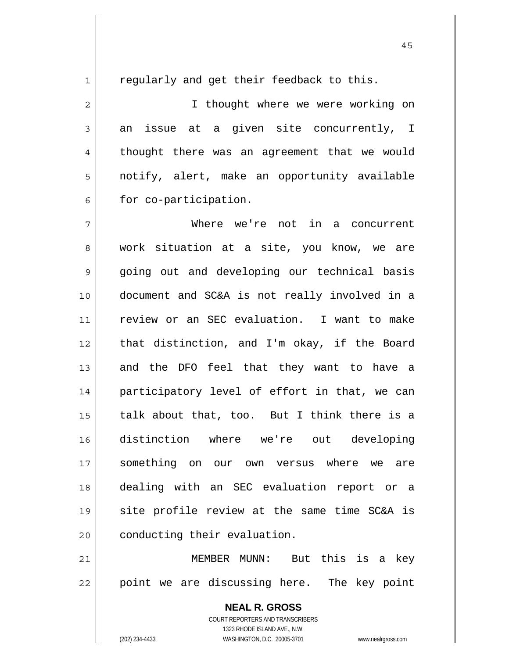2

3

4

5

6

regularly and get their feedback to this.

 I thought where we were working on an issue at a given site concurrently, I thought there was an agreement that we would notify, alert, make an opportunity available for co-participation.

7 8 9 10 11 12 13 14 15 16 17 18 19 20 Where we're not in a concurrent work situation at a site, you know, we are going out and developing our technical basis document and SC&A is not really involved in a review or an SEC evaluation. I want to make that distinction, and I'm okay, if the Board and the DFO feel that they want to have a participatory level of effort in that, we can talk about that, too. But I think there is a distinction where we're out developing something on our own versus where we are dealing with an SEC evaluation report or a site profile review at the same time SC&A is conducting their evaluation.

21 22 MEMBER MUNN: But this is a key point we are discussing here. The key point

> **NEAL R. GROSS** COURT REPORTERS AND TRANSCRIBERS 1323 RHODE ISLAND AVE., N.W. (202) 234-4433 WASHINGTON, D.C. 20005-3701 www.nealrgross.com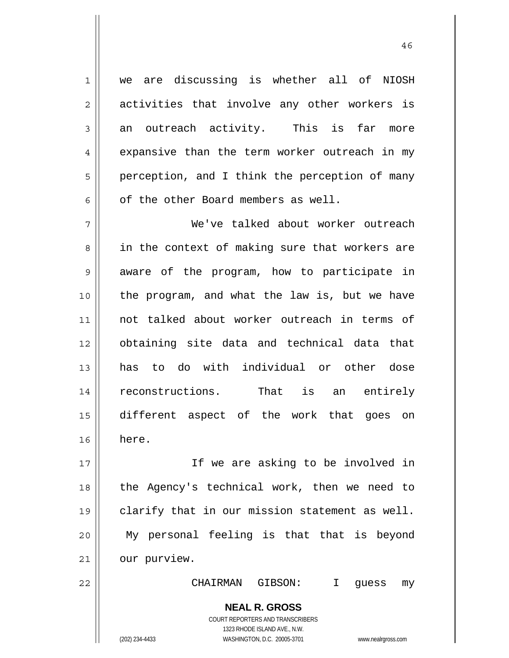1 2 3 4 5 6 7 8 9 10 11 12 13 14 15 16 17 18 19 20 21 22 we are discussing is whether all of NIOSH activities that involve any other workers is an outreach activity. This is far more expansive than the term worker outreach in my perception, and I think the perception of many of the other Board members as well. We've talked about worker outreach in the context of making sure that workers are aware of the program, how to participate in the program, and what the law is, but we have not talked about worker outreach in terms of obtaining site data and technical data that has to do with individual or other dose reconstructions. That is an entirely different aspect of the work that goes on here. If we are asking to be involved in the Agency's technical work, then we need to clarify that in our mission statement as well. My personal feeling is that that is beyond our purview. CHAIRMAN GIBSON: I guess my

> **NEAL R. GROSS** COURT REPORTERS AND TRANSCRIBERS 1323 RHODE ISLAND AVE., N.W. (202) 234-4433 WASHINGTON, D.C. 20005-3701 www.nealrgross.com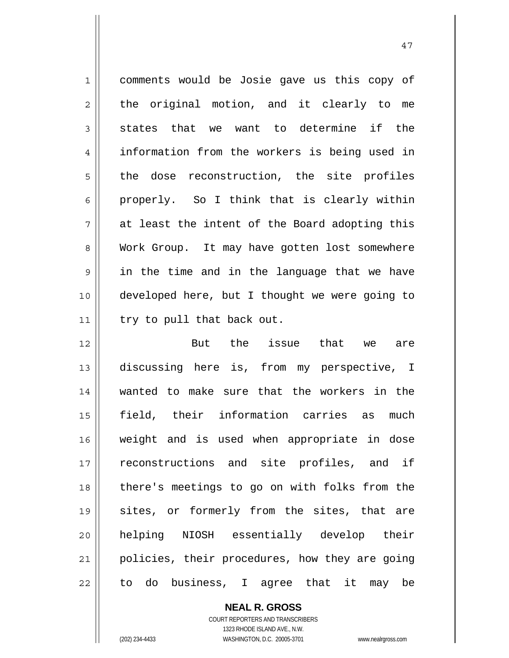1 2 3 4 5 6 7 8 9 10 11 comments would be Josie gave us this copy of the original motion, and it clearly to me states that we want to determine if the information from the workers is being used in the dose reconstruction, the site profiles properly. So I think that is clearly within at least the intent of the Board adopting this Work Group. It may have gotten lost somewhere in the time and in the language that we have developed here, but I thought we were going to try to pull that back out.

12 13 14 15 16 17 18 19 20 21 22 But the issue that we are discussing here is, from my perspective, I wanted to make sure that the workers in the field, their information carries as much weight and is used when appropriate in dose reconstructions and site profiles, and if there's meetings to go on with folks from the sites, or formerly from the sites, that are helping NIOSH essentially develop their policies, their procedures, how they are going to do business, I agree that it may be

> **NEAL R. GROSS** COURT REPORTERS AND TRANSCRIBERS 1323 RHODE ISLAND AVE., N.W. (202) 234-4433 WASHINGTON, D.C. 20005-3701 www.nealrgross.com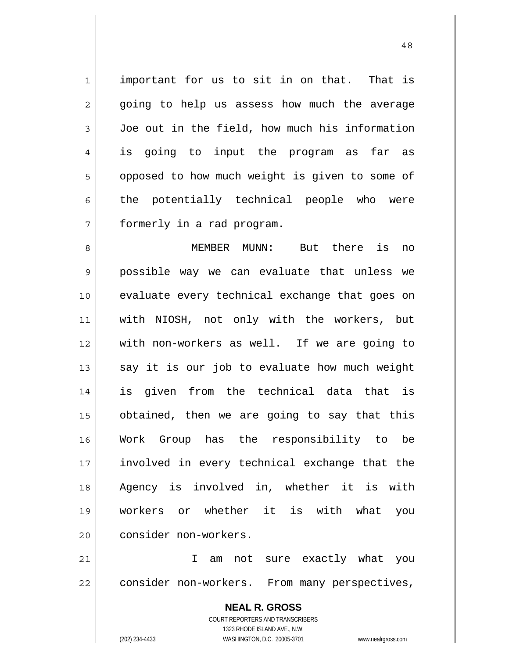1 2 3 4 5 6 7 important for us to sit in on that. That is going to help us assess how much the average Joe out in the field, how much his information is going to input the program as far as opposed to how much weight is given to some of the potentially technical people who were formerly in a rad program.

8 9 10 11 12 13 14 15 16 17 18 19 20 MEMBER MUNN: But there is no possible way we can evaluate that unless we evaluate every technical exchange that goes on with NIOSH, not only with the workers, but with non-workers as well. If we are going to say it is our job to evaluate how much weight is given from the technical data that is obtained, then we are going to say that this Work Group has the responsibility to be involved in every technical exchange that the Agency is involved in, whether it is with workers or whether it is with what you consider non-workers.

21 22 I am not sure exactly what you consider non-workers. From many perspectives,

> **NEAL R. GROSS** COURT REPORTERS AND TRANSCRIBERS 1323 RHODE ISLAND AVE., N.W. (202) 234-4433 WASHINGTON, D.C. 20005-3701 www.nealrgross.com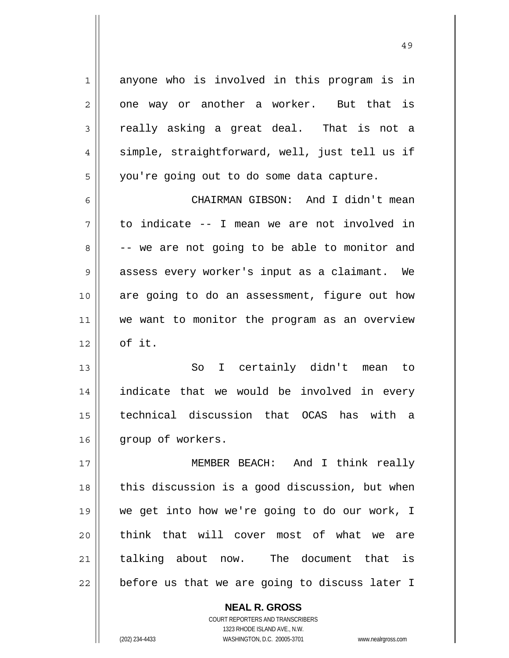anyone who is involved in this program is in one way or another a worker. But that is really asking a great deal. That is not a simple, straightforward, well, just tell us if you're going out to do some data capture.

1

2

3

4

5

49

6 7 8 9 10 11 12 CHAIRMAN GIBSON: And I didn't mean to indicate -- I mean we are not involved in -- we are not going to be able to monitor and assess every worker's input as a claimant. We are going to do an assessment, figure out how we want to monitor the program as an overview of it.

13 14 15 16 So I certainly didn't mean to indicate that we would be involved in every technical discussion that OCAS has with a group of workers.

17 18 19 20 21 22 MEMBER BEACH: And I think really this discussion is a good discussion, but when we get into how we're going to do our work, I think that will cover most of what we are talking about now. The document that is before us that we are going to discuss later I

> **NEAL R. GROSS** COURT REPORTERS AND TRANSCRIBERS 1323 RHODE ISLAND AVE., N.W. (202) 234-4433 WASHINGTON, D.C. 20005-3701 www.nealrgross.com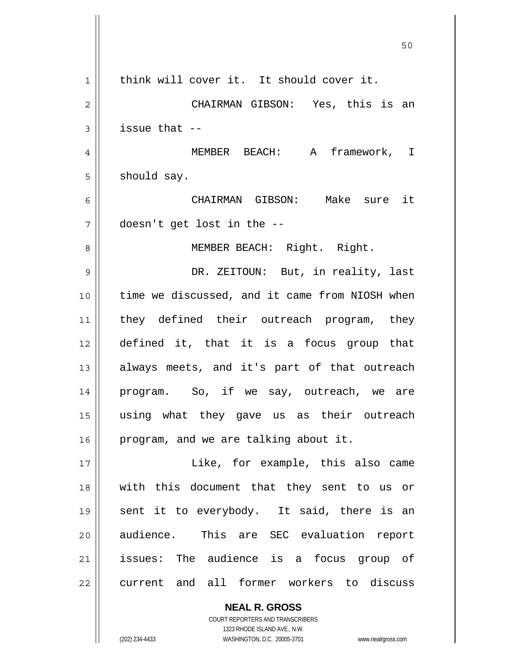|                | 50                                             |
|----------------|------------------------------------------------|
| $\mathbf{1}$   | think will cover it. It should cover it.       |
| $\overline{2}$ | CHAIRMAN GIBSON: Yes, this is an               |
| 3              | issue that $--$                                |
| 4              | MEMBER BEACH: A framework, I                   |
| 5              | should say.                                    |
| 6              | CHAIRMAN GIBSON: Make sure it                  |
| 7              | doesn't get lost in the --                     |
| 8              | MEMBER BEACH: Right. Right.                    |
| 9              | DR. ZEITOUN: But, in reality, last             |
| 10             | time we discussed, and it came from NIOSH when |
| 11             | they defined their outreach program, they      |
| 12             | defined it, that it is a focus group that      |
| 13             | always meets, and it's part of that outreach   |
| 14             | program. So, if we say, outreach, we are       |
| 15             | using what they gave us as their outreach      |
| 16             | program, and we are talking about it.          |
| 17             | Like, for example, this also came              |
| 18             | with this document that they sent to us or     |
| 19             | sent it to everybody. It said, there is an     |
| 20             | audience. This are SEC evaluation report       |
| 21             | issues: The audience is a focus group of       |
| 22             | current and all former workers to discuss      |
|                | <b>NEAL R. GROSS</b>                           |

COURT REPORTERS AND TRANSCRIBERS 1323 RHODE ISLAND AVE., N.W.

 $\mathsf{II}$ 

 $\overline{\phantom{a}}$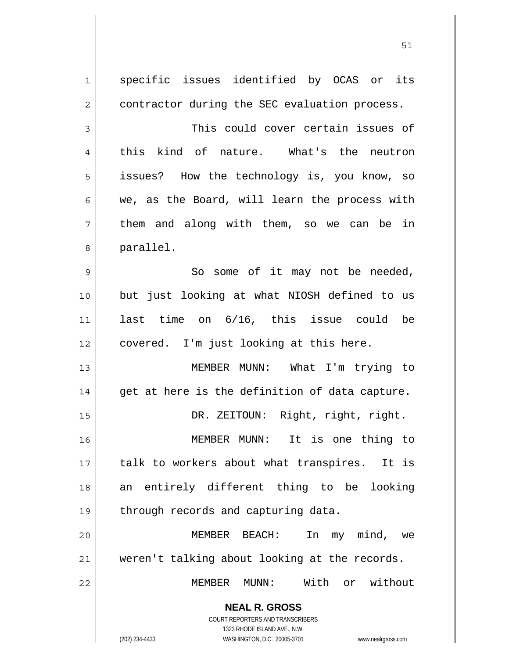**NEAL R. GROSS** COURT REPORTERS AND TRANSCRIBERS 1323 RHODE ISLAND AVE., N.W. (202) 234-4433 WASHINGTON, D.C. 20005-3701 www.nealrgross.com 1 2 3 4 5 6 7 8 9 10 11 12 13 14 15 16 17 18 19 20 21 22 specific issues identified by OCAS or its contractor during the SEC evaluation process. This could cover certain issues of this kind of nature. What's the neutron issues? How the technology is, you know, so we, as the Board, will learn the process with them and along with them, so we can be in parallel. So some of it may not be needed, but just looking at what NIOSH defined to us last time on 6/16, this issue could be covered. I'm just looking at this here. MEMBER MUNN: What I'm trying to get at here is the definition of data capture. DR. ZEITOUN: Right, right, right. MEMBER MUNN: It is one thing to talk to workers about what transpires. It is an entirely different thing to be looking through records and capturing data. MEMBER BEACH: In my mind, we weren't talking about looking at the records. MEMBER MUNN: With or without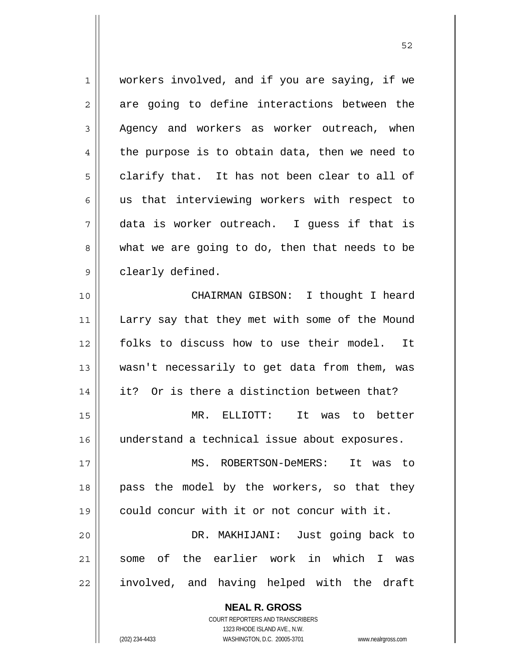| $\mathbf 1$ | workers involved, and if you are saying, if we |
|-------------|------------------------------------------------|
| 2           | are going to define interactions between the   |
| 3           | Agency and workers as worker outreach, when    |
| 4           | the purpose is to obtain data, then we need to |
| 5           | clarify that. It has not been clear to all of  |
| 6           | us that interviewing workers with respect to   |
| 7           | data is worker outreach. I guess if that is    |
| 8           | what we are going to do, then that needs to be |
| 9           | clearly defined.                               |
| 10          | CHAIRMAN GIBSON: I thought I heard             |
| 11          | Larry say that they met with some of the Mound |
| 12          | folks to discuss how to use their model.<br>It |
| 13          | wasn't necessarily to get data from them, was  |
| 14          | it? Or is there a distinction between that?    |
| 15          | MR. ELLIOTT: It<br>was to better               |
| 16          | understand a technical issue about exposures.  |
| 17          | MS. ROBERTSON-DeMERS: It was to                |
| 18          | pass the model by the workers, so that they    |
| 19          | could concur with it or not concur with it.    |
| 20          | DR. MAKHIJANI: Just going back to              |
| 21          | some of the earlier work in which I was        |
| 22          | involved, and having helped with the draft     |
|             |                                                |

**NEAL R. GROSS** COURT REPORTERS AND TRANSCRIBERS 1323 RHODE ISLAND AVE., N.W.

 $\mathbf{I}$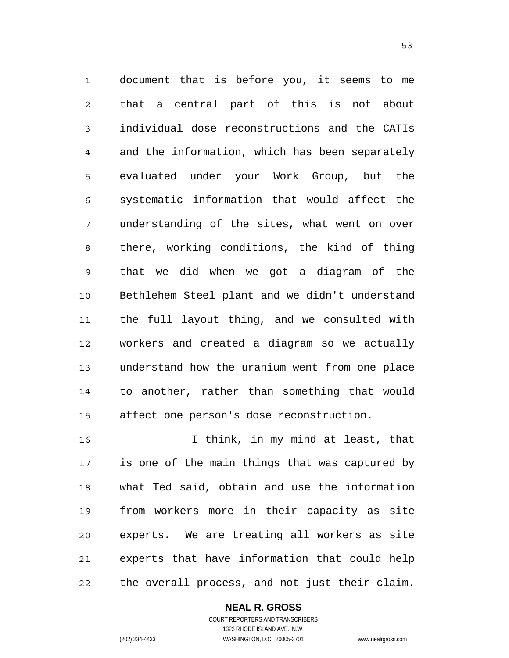1 2 3 4 5 6 7 8 9 10 11 12 13 14 15 16 document that is before you, it seems to me that a central part of this is not about individual dose reconstructions and the CATIs and the information, which has been separately evaluated under your Work Group, but the systematic information that would affect the understanding of the sites, what went on over there, working conditions, the kind of thing that we did when we got a diagram of the Bethlehem Steel plant and we didn't understand the full layout thing, and we consulted with workers and created a diagram so we actually understand how the uranium went from one place to another, rather than something that would affect one person's dose reconstruction. I think, in my mind at least, that

17 18 19 20 21 22 is one of the main things that was captured by what Ted said, obtain and use the information from workers more in their capacity as site experts. We are treating all workers as site experts that have information that could help the overall process, and not just their claim.

> COURT REPORTERS AND TRANSCRIBERS 1323 RHODE ISLAND AVE., N.W. (202) 234-4433 WASHINGTON, D.C. 20005-3701 www.nealrgross.com

**NEAL R. GROSS**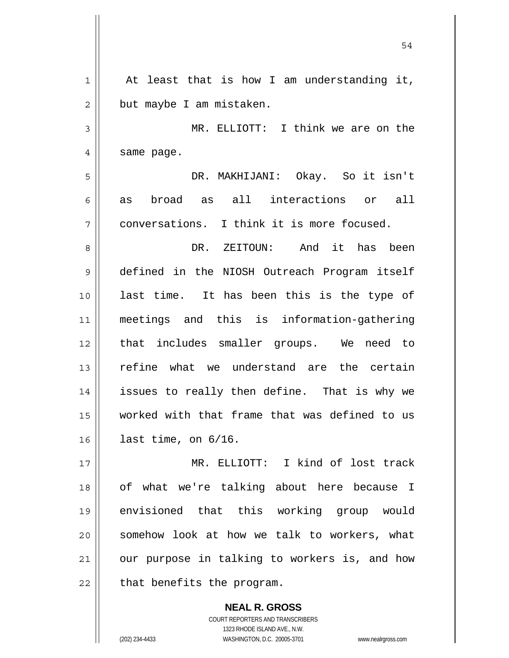| $\mathbf 1$    | At least that is how I am understanding it,   |
|----------------|-----------------------------------------------|
| $\overline{2}$ | but maybe I am mistaken.                      |
| 3              | MR. ELLIOTT: I think we are on the            |
| 4              | same page.                                    |
| 5              | DR. MAKHIJANI: Okay. So it isn't              |
| 6              | broad as all interactions or all<br>as        |
| 7              | conversations. I think it is more focused.    |
| 8              | DR. ZEITOUN: And it has been                  |
| 9              | defined in the NIOSH Outreach Program itself  |
| 10             | last time. It has been this is the type of    |
| 11             | meetings and this is information-gathering    |
| 12             | that includes smaller groups. We need to      |
| 13             | refine what we understand are the certain     |
| 14             | issues to really then define. That is why we  |
| 15             | worked with that frame that was defined to us |
| 16             | last time, on 6/16.                           |
| 17             | MR. ELLIOTT: I kind of lost track             |
| 18             | of what we're talking about here because I    |
| 19             | envisioned that this working group would      |
| 20             | somehow look at how we talk to workers, what  |
| 21             | our purpose in talking to workers is, and how |
| 22             | that benefits the program.                    |

COURT REPORTERS AND TRANSCRIBERS 1323 RHODE ISLAND AVE., N.W. (202) 234-4433 WASHINGTON, D.C. 20005-3701 www.nealrgross.com

**NEAL R. GROSS**

 $\mathsf{II}$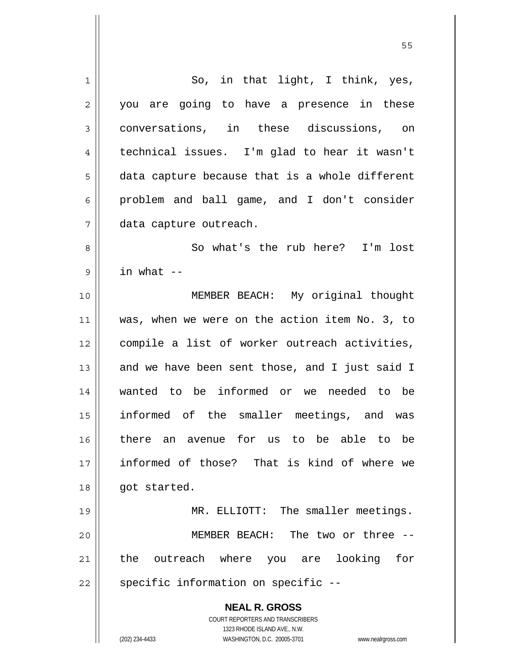| 1  | So, in that light, I think, yes,                                    |
|----|---------------------------------------------------------------------|
| 2  | you are going to have a presence in these                           |
| 3  | conversations, in these discussions, on                             |
| 4  | technical issues. I'm glad to hear it wasn't                        |
| 5  | data capture because that is a whole different                      |
| 6  | problem and ball game, and I don't consider                         |
| 7  | data capture outreach.                                              |
| 8  | So what's the rub here? I'm lost                                    |
| 9  | in what $-$                                                         |
| 10 | MEMBER BEACH: My original thought                                   |
| 11 | was, when we were on the action item No. 3, to                      |
| 12 | compile a list of worker outreach activities,                       |
| 13 | and we have been sent those, and I just said I                      |
| 14 | wanted to be informed or we needed to be                            |
| 15 | informed of the smaller meetings, and was                           |
| 16 | there an avenue for us to be able to be                             |
| 17 | informed of those? That is kind of where we                         |
| 18 | got started.                                                        |
| 19 | MR. ELLIOTT: The smaller meetings.                                  |
|    |                                                                     |
| 20 | MEMBER BEACH: The two or three --                                   |
| 21 | the outreach where you are looking<br>for                           |
| 22 | specific information on specific --                                 |
|    | <b>NEAL R. GROSS</b>                                                |
|    | COURT REPORTERS AND TRANSCRIBERS                                    |
|    | 1323 RHODE ISLAND AVE., N.W.                                        |
|    | (202) 234-4433<br>WASHINGTON, D.C. 20005-3701<br>www.nealrgross.com |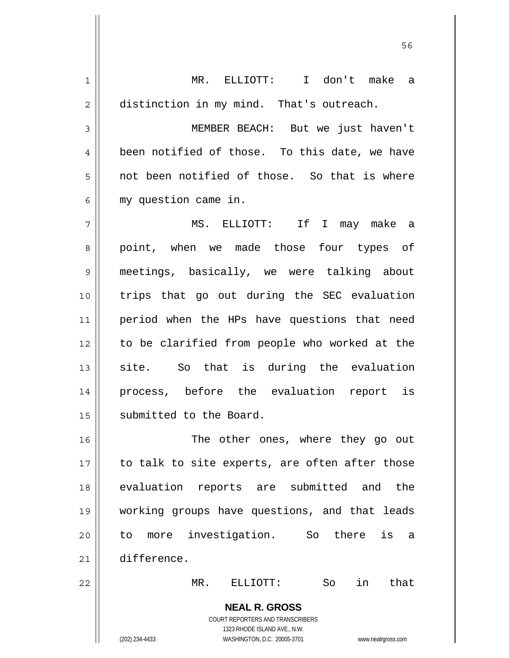| 1              | I don't make a<br>MR. ELLIOTT:                                                                      |
|----------------|-----------------------------------------------------------------------------------------------------|
| $\overline{c}$ | distinction in my mind. That's outreach.                                                            |
| 3              | MEMBER BEACH: But we just haven't                                                                   |
| 4              | been notified of those. To this date, we have                                                       |
| 5              | not been notified of those. So that is where                                                        |
| 6              | my question came in.                                                                                |
| 7              | MS. ELLIOTT: If I may make a                                                                        |
| 8              | point, when we made those four types of                                                             |
| 9              | meetings, basically, we were talking about                                                          |
| 10             | trips that go out during the SEC evaluation                                                         |
| 11             | period when the HPs have questions that need                                                        |
| 12             | to be clarified from people who worked at the                                                       |
| 13             | site. So that is during the evaluation                                                              |
| 14             | process, before the evaluation report is                                                            |
| 15             | submitted to the Board.                                                                             |
| 16             | The other ones, where they go out                                                                   |
| 17             | to talk to site experts, are often after those                                                      |
| 18             | evaluation reports are submitted and the                                                            |
| 19             | working groups have questions, and that leads                                                       |
| 20             | more investigation. So there<br>is<br>to<br>a                                                       |
| 21             | difference.                                                                                         |
| 22             | in<br>that<br>MR. ELLIOTT:<br>So                                                                    |
|                | <b>NEAL R. GROSS</b>                                                                                |
|                | COURT REPORTERS AND TRANSCRIBERS                                                                    |
|                | 1323 RHODE ISLAND AVE., N.W.<br>(202) 234-4433<br>WASHINGTON, D.C. 20005-3701<br>www.nealrgross.com |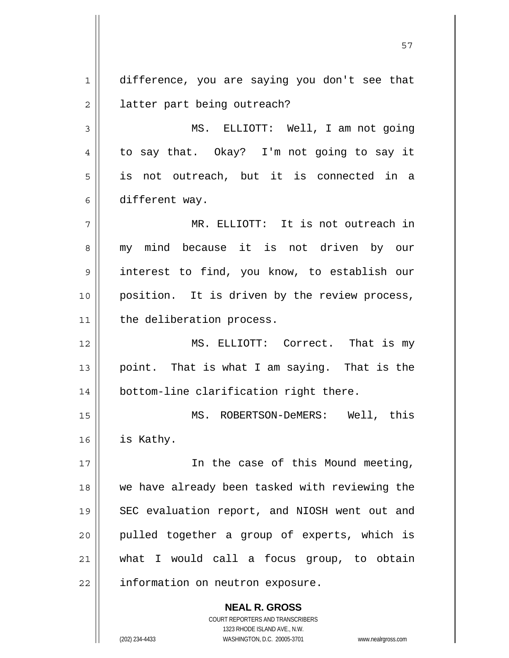1 2 difference, you are saying you don't see that latter part being outreach?

57

3 4 5 6 MS. ELLIOTT: Well, I am not going to say that. Okay? I'm not going to say it is not outreach, but it is connected in a different way.

7 8 9 10 11 MR. ELLIOTT: It is not outreach in my mind because it is not driven by our interest to find, you know, to establish our position. It is driven by the review process, the deliberation process.

12 13 14 MS. ELLIOTT: Correct. That is my point. That is what I am saying. That is the bottom-line clarification right there.

15 16 MS. ROBERTSON-DeMERS: Well, this is Kathy.

17 18 19 20 21 22 In the case of this Mound meeting, we have already been tasked with reviewing the SEC evaluation report, and NIOSH went out and pulled together a group of experts, which is what I would call a focus group, to obtain information on neutron exposure.

> COURT REPORTERS AND TRANSCRIBERS 1323 RHODE ISLAND AVE., N.W. (202) 234-4433 WASHINGTON, D.C. 20005-3701 www.nealrgross.com

**NEAL R. GROSS**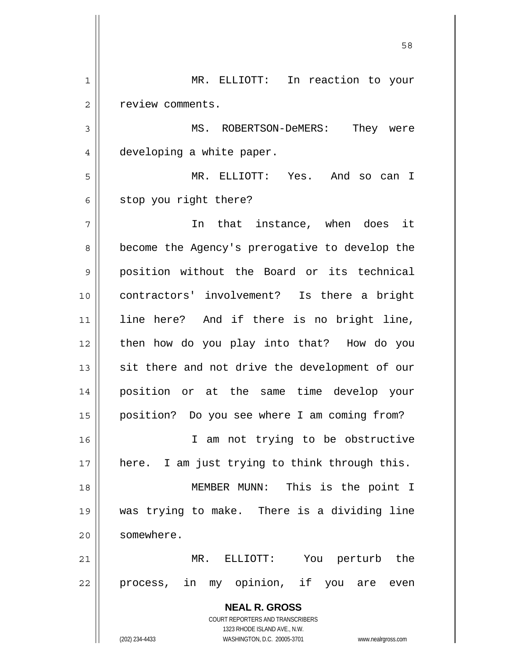**NEAL R. GROSS** COURT REPORTERS AND TRANSCRIBERS 1323 RHODE ISLAND AVE., N.W. (202) 234-4433 WASHINGTON, D.C. 20005-3701 www.nealrgross.com 58 1 2 3 4 5 6 7 8 9 10 11 12 13 14 15 16 17 18 19 20 21 22 MR. ELLIOTT: In reaction to your review comments. MS. ROBERTSON-DeMERS: They were developing a white paper. MR. ELLIOTT: Yes. And so can I stop you right there? In that instance, when does it become the Agency's prerogative to develop the position without the Board or its technical contractors' involvement? Is there a bright line here? And if there is no bright line, then how do you play into that? How do you sit there and not drive the development of our position or at the same time develop your position? Do you see where I am coming from? I am not trying to be obstructive here. I am just trying to think through this. MEMBER MUNN: This is the point I was trying to make. There is a dividing line somewhere. MR. ELLIOTT: You perturb the process, in my opinion, if you are even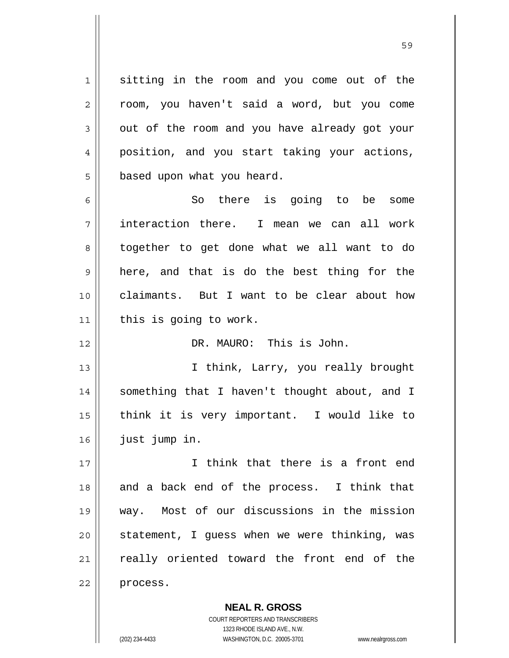1 2 3 4 5 sitting in the room and you come out of the room, you haven't said a word, but you come out of the room and you have already got your position, and you start taking your actions, based upon what you heard.

6 7 8 9 10 11 So there is going to be some interaction there. I mean we can all work together to get done what we all want to do here, and that is do the best thing for the claimants. But I want to be clear about how this is going to work.

DR. MAURO: This is John.

13 14 15 16 I think, Larry, you really brought something that I haven't thought about, and I think it is very important. I would like to just jump in.

17 18 19 20 21 22 I think that there is a front end and a back end of the process. I think that way. Most of our discussions in the mission statement, I guess when we were thinking, was really oriented toward the front end of the process.

> **NEAL R. GROSS** COURT REPORTERS AND TRANSCRIBERS 1323 RHODE ISLAND AVE., N.W. (202) 234-4433 WASHINGTON, D.C. 20005-3701 www.nealrgross.com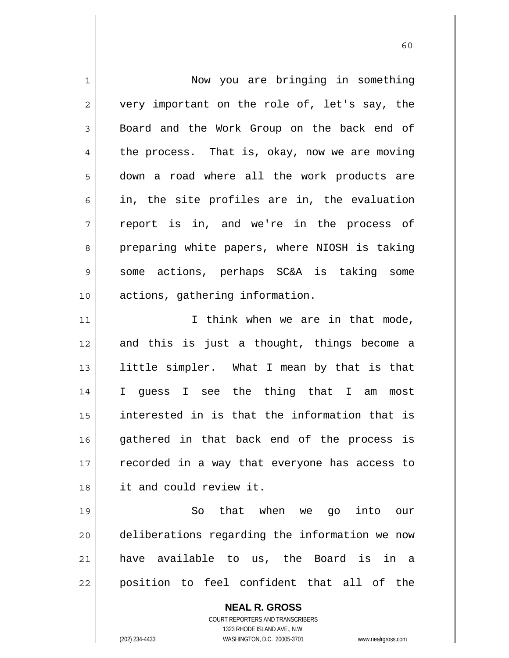| $\mathbf 1$  | Now you are bringing in something                        |
|--------------|----------------------------------------------------------|
| $\mathbf{2}$ | very important on the role of, let's say, the            |
| 3            | Board and the Work Group on the back end of              |
| 4            | the process. That is, okay, now we are moving            |
| 5            | down a road where all the work products are              |
| 6            | in, the site profiles are in, the evaluation             |
| 7            | report is in, and we're in the process of                |
| 8            | preparing white papers, where NIOSH is taking            |
| 9            | some actions, perhaps SC&A is taking some                |
| 10           | actions, gathering information.                          |
| 11           | I think when we are in that mode,                        |
| 12           | and this is just a thought, things become a              |
| 13           | little simpler. What I mean by that is that              |
| 14           | I guess I see the thing that I am<br>most                |
| 15           | interested in is that the information that is            |
| 16           | gathered in that back end of the process is              |
| 17           | recorded in a way that everyone has access to            |
| 18           | it and could review it.                                  |
| 19           | So that when we go into our                              |
| 20           | deliberations regarding the information we now           |
| 21           | have available to us, the Board is in a                  |
| 22           | position to feel confident that all of the               |
|              | <b>NEAL R. GROSS</b><br>COURT REPORTERS AND TRANSCRIBERS |

 $\sim$  60

1323 RHODE ISLAND AVE., N.W.

 $\prod$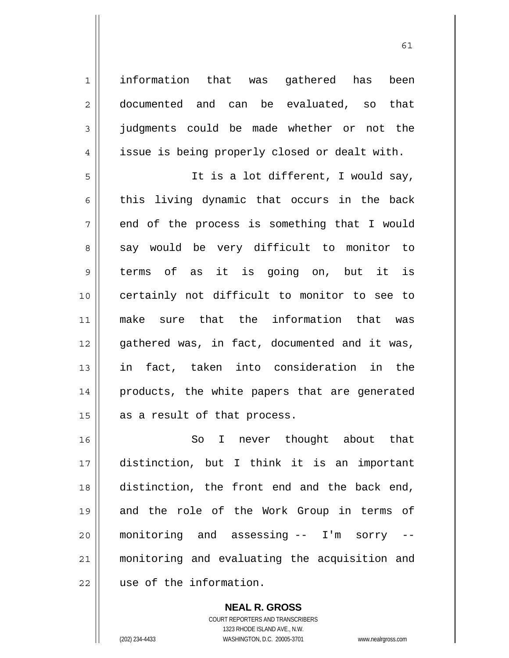information that was gathered has been documented and can be evaluated, so that judgments could be made whether or not the issue is being properly closed or dealt with.

5 6 7 8 9 10 11 12 13 14 15 It is a lot different, I would say, this living dynamic that occurs in the back end of the process is something that I would say would be very difficult to monitor to terms of as it is going on, but it is certainly not difficult to monitor to see to make sure that the information that was gathered was, in fact, documented and it was, in fact, taken into consideration in the products, the white papers that are generated as a result of that process.

16 17 18 19 20 21 22 So I never thought about that distinction, but I think it is an important distinction, the front end and the back end, and the role of the Work Group in terms of monitoring and assessing -- I'm sorry monitoring and evaluating the acquisition and use of the information.

> **NEAL R. GROSS** COURT REPORTERS AND TRANSCRIBERS 1323 RHODE ISLAND AVE., N.W. (202) 234-4433 WASHINGTON, D.C. 20005-3701 www.nealrgross.com

1

2

3

4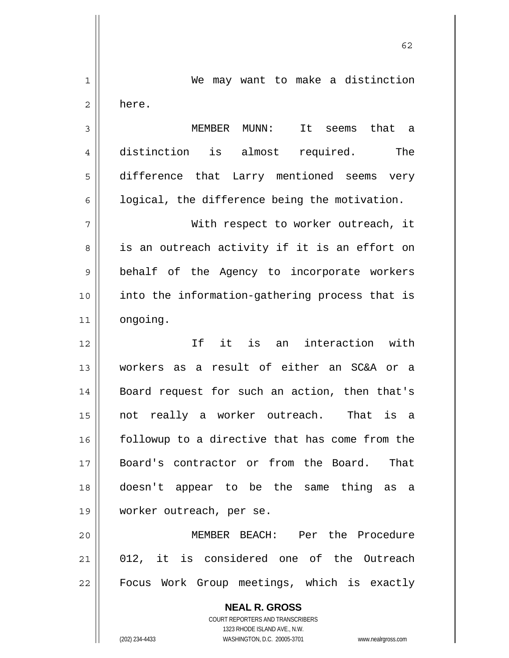| 1              | may want to make a distinction<br>We                                |
|----------------|---------------------------------------------------------------------|
| $\overline{c}$ | here.                                                               |
| 3              | MEMBER MUNN: It seems that a                                        |
| 4              | distinction is almost required. The                                 |
| 5              | difference that Larry mentioned seems<br>very                       |
| 6              | logical, the difference being the motivation.                       |
| 7              | With respect to worker outreach, it                                 |
| 8              | is an outreach activity if it is an effort on                       |
| 9              | behalf of the Agency to incorporate workers                         |
| 10             | into the information-gathering process that is                      |
| 11             | ongoing.                                                            |
| 12             | If it is an interaction with                                        |
| 13             | workers as a result of either an SC&A or a                          |
| 14             | Board request for such an action, then that's                       |
| 15             | not really a worker outreach. That is a                             |
| 16             | followup to a directive that has come from the                      |
| 17             | Board's contractor or from the Board. That                          |
| 18             | doesn't appear to be the same thing as a                            |
| 19             | worker outreach, per se.                                            |
| 20             | MEMBER BEACH: Per the Procedure                                     |
|                |                                                                     |
| 21             | 012, it is considered one of the Outreach                           |
| 22             | Focus Work Group meetings, which is exactly                         |
|                | <b>NEAL R. GROSS</b>                                                |
|                | COURT REPORTERS AND TRANSCRIBERS<br>1323 RHODE ISLAND AVE., N.W.    |
|                | (202) 234-4433<br>WASHINGTON, D.C. 20005-3701<br>www.nealrgross.com |

 $\sim$  62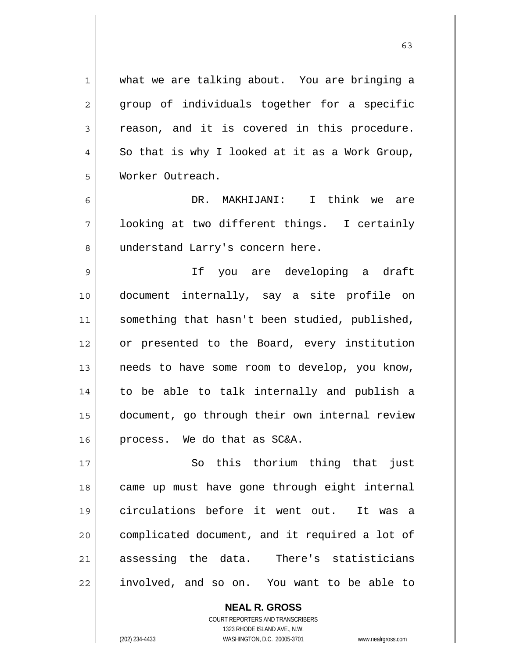what we are talking about. You are bringing a group of individuals together for a specific reason, and it is covered in this procedure. So that is why I looked at it as a Work Group, Worker Outreach.

6 7 8 DR. MAKHIJANI: I think we are looking at two different things. I certainly understand Larry's concern here.

9 10 11 12 13 14 15 16 If you are developing a draft document internally, say a site profile on something that hasn't been studied, published, or presented to the Board, every institution needs to have some room to develop, you know, to be able to talk internally and publish a document, go through their own internal review process. We do that as SC&A.

17 18 19 20 21 22 So this thorium thing that just came up must have gone through eight internal circulations before it went out. It was a complicated document, and it required a lot of assessing the data. There's statisticians involved, and so on. You want to be able to

> **NEAL R. GROSS** COURT REPORTERS AND TRANSCRIBERS 1323 RHODE ISLAND AVE., N.W. (202) 234-4433 WASHINGTON, D.C. 20005-3701 www.nealrgross.com

1

2

3

4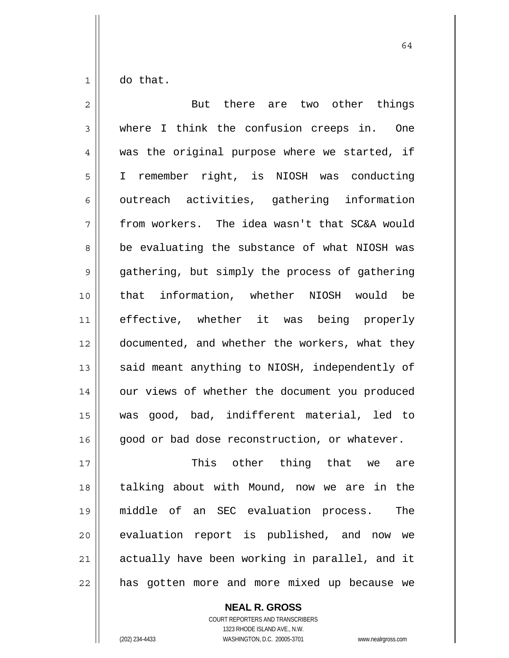1 do that.

| $\overline{2}$ | But there are two other things                 |
|----------------|------------------------------------------------|
| $\mathfrak{Z}$ | where I think the confusion creeps in. One     |
| 4              | was the original purpose where we started, if  |
| 5              | I remember right, is NIOSH was conducting      |
| 6              | outreach activities, gathering information     |
| 7              | from workers. The idea wasn't that SC&A would  |
| 8              | be evaluating the substance of what NIOSH was  |
| 9              | gathering, but simply the process of gathering |
| 10             | that information, whether NIOSH would be       |
| 11             | effective, whether it was being properly       |
| 12             | documented, and whether the workers, what they |
| 13             | said meant anything to NIOSH, independently of |
| 14             | our views of whether the document you produced |
| 15             | was good, bad, indifferent material, led to    |
| 16             | good or bad dose reconstruction, or whatever.  |
| 17             | This other thing that we<br>are                |
| 18             | talking about with Mound, now we are in the    |
| 19             | middle of an SEC evaluation process.<br>The    |
| 20             | evaluation report is published, and now<br>we  |

64

21 22 actually have been working in parallel, and it has gotten more and more mixed up because we

> **NEAL R. GROSS** COURT REPORTERS AND TRANSCRIBERS 1323 RHODE ISLAND AVE., N.W. (202) 234-4433 WASHINGTON, D.C. 20005-3701 www.nealrgross.com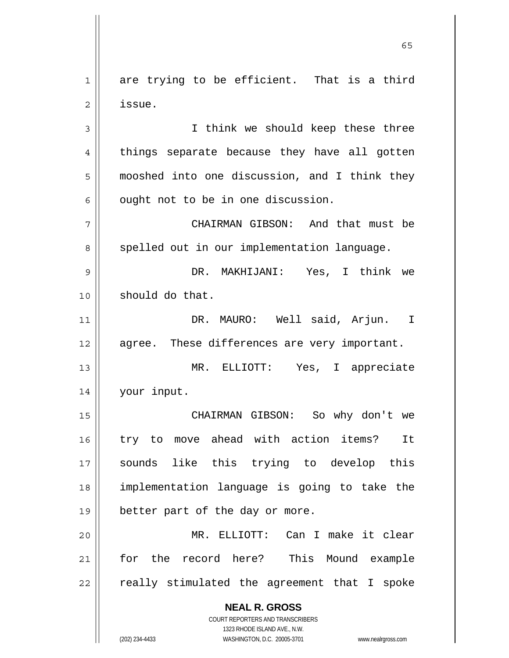**NEAL R. GROSS** COURT REPORTERS AND TRANSCRIBERS 1323 RHODE ISLAND AVE., N.W. 1 2 3 4 5 6 7 8 9 10 11 12 13 14 15 16 17 18 19 20 21 22 are trying to be efficient. That is a third issue. I think we should keep these three things separate because they have all gotten mooshed into one discussion, and I think they ought not to be in one discussion. CHAIRMAN GIBSON: And that must be spelled out in our implementation language. DR. MAKHIJANI: Yes, I think we should do that. DR. MAURO: Well said, Arjun. I agree. These differences are very important. MR. ELLIOTT: Yes, I appreciate your input. CHAIRMAN GIBSON: So why don't we try to move ahead with action items? It sounds like this trying to develop this implementation language is going to take the better part of the day or more. MR. ELLIOTT: Can I make it clear for the record here? This Mound example really stimulated the agreement that I spoke

 $\sim$  65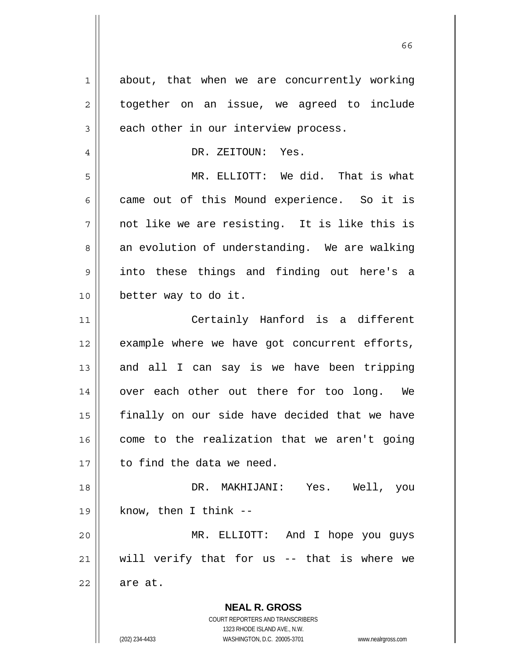**NEAL R. GROSS** COURT REPORTERS AND TRANSCRIBERS 1323 RHODE ISLAND AVE., N.W. 1 2 3 4 5 6 7 8 9 10 11 12 13 14 15 16 17 18 19 20 21 22 about, that when we are concurrently working together on an issue, we agreed to include each other in our interview process. DR. ZEITOUN: Yes. MR. ELLIOTT: We did. That is what came out of this Mound experience. So it is not like we are resisting. It is like this is an evolution of understanding. We are walking into these things and finding out here's a better way to do it. Certainly Hanford is a different example where we have got concurrent efforts, and all I can say is we have been tripping over each other out there for too long. We finally on our side have decided that we have come to the realization that we aren't going to find the data we need. DR. MAKHIJANI: Yes. Well, you know, then I think -- MR. ELLIOTT: And I hope you guys will verify that for us -- that is where we are at.

 $\sim$  66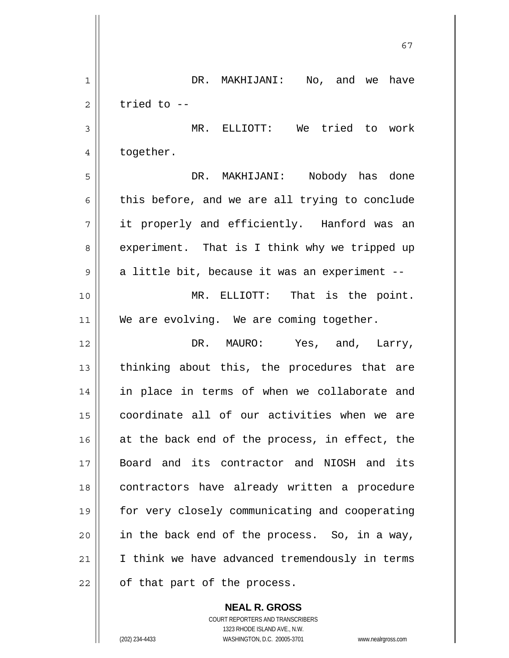|              | 67                                             |
|--------------|------------------------------------------------|
| 1            | DR. MAKHIJANI: No, and we have                 |
| $\mathbf{2}$ | tried to $-$                                   |
| 3            | MR. ELLIOTT: We tried to work                  |
| 4            | together.                                      |
| 5            | DR. MAKHIJANI: Nobody has done                 |
| 6            | this before, and we are all trying to conclude |
| 7            | it properly and efficiently. Hanford was an    |
| 8            | experiment. That is I think why we tripped up  |
| 9            | a little bit, because it was an experiment --  |
| 10           | MR. ELLIOTT: That is the point.                |
| 11           | We are evolving. We are coming together.       |
| 12           | DR. MAURO: Yes, and, Larry,                    |
| 13           | thinking about this, the procedures that are   |
| 14           | in place in terms of when we collaborate and   |
| 15           | coordinate all of our activities when we are   |
| 16           | at the back end of the process, in effect, the |
| 17           | Board and its contractor and NIOSH and its     |
| 18           | contractors have already written a procedure   |
| 19           | for very closely communicating and cooperating |
| 20           | in the back end of the process. So, in a way,  |
| 21           | I think we have advanced tremendously in terms |
| 22           | of that part of the process.                   |

**NEAL R. GROSS** COURT REPORTERS AND TRANSCRIBERS

1323 RHODE ISLAND AVE., N.W.

(202) 234-4433 WASHINGTON, D.C. 20005-3701 www.nealrgross.com

 $\mathbf{I}$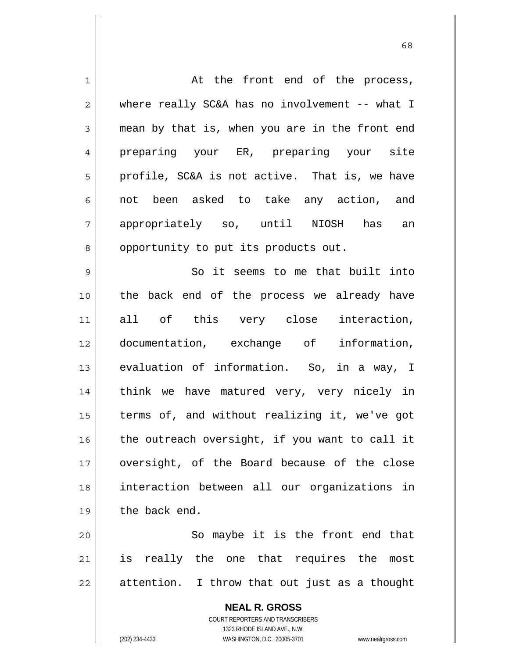| $\mathbf 1$    | At the front end of the process,                                                                    |
|----------------|-----------------------------------------------------------------------------------------------------|
| $\overline{2}$ | where really SC&A has no involvement -- what I                                                      |
| 3              | mean by that is, when you are in the front end                                                      |
| 4              | preparing your ER, preparing your site                                                              |
| 5              | profile, SC&A is not active. That is, we have                                                       |
| 6              | not been asked to take any action, and                                                              |
| 7              | appropriately so, until NIOSH<br>has<br>an                                                          |
| 8              | opportunity to put its products out.                                                                |
| $\mathsf 9$    | So it seems to me that built into                                                                   |
| 10             | the back end of the process we already have                                                         |
| 11             | all of this very close interaction,                                                                 |
| 12             | documentation, exchange of information,                                                             |
| 13             | evaluation of information. So, in a way, I                                                          |
| 14             | think we have matured very, very nicely in                                                          |
| 15             | terms of, and without realizing it, we've got                                                       |
| 16             | the outreach oversight, if you want to call it                                                      |
| 17             | oversight, of the Board because of the close                                                        |
| 18             | interaction between all our organizations in                                                        |
| 19             | the back end.                                                                                       |
| 20             | So maybe it is the front end that                                                                   |
| 21             | is really the one that requires the most                                                            |
| 22             | attention. I throw that out just as a thought                                                       |
|                | <b>NEAL R. GROSS</b>                                                                                |
|                | <b>COURT REPORTERS AND TRANSCRIBERS</b>                                                             |
|                | 1323 RHODE ISLAND AVE., N.W.<br>(202) 234-4433<br>WASHINGTON, D.C. 20005-3701<br>www.nealrgross.com |
|                |                                                                                                     |

 $\sim$  68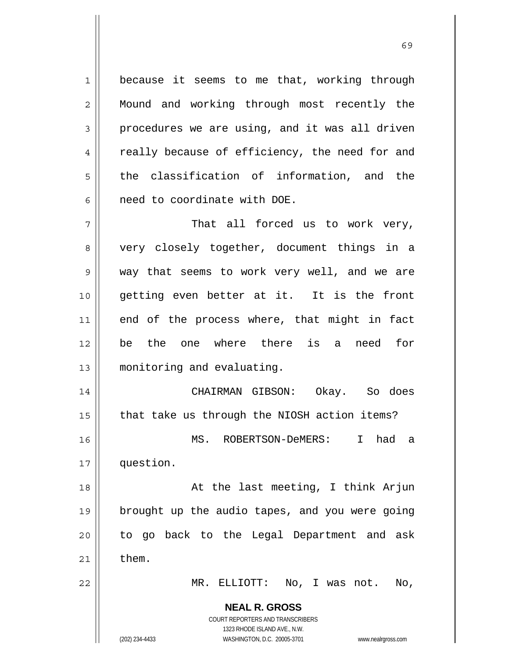1 2 3 4 5 6 7 8 9 10 11 12 13 14 15 because it seems to me that, working through Mound and working through most recently the procedures we are using, and it was all driven really because of efficiency, the need for and the classification of information, and the need to coordinate with DOE. That all forced us to work very, very closely together, document things in a way that seems to work very well, and we are getting even better at it. It is the front end of the process where, that might in fact be the one where there is a need for monitoring and evaluating. CHAIRMAN GIBSON: Okay. So does that take us through the NIOSH action items?

16 17 MS. ROBERTSON-DeMERS: I had a question.

18 19 20 21 At the last meeting, I think Arjun brought up the audio tapes, and you were going to go back to the Legal Department and ask them.

MR. ELLIOTT: No, I was not. No,

**NEAL R. GROSS** COURT REPORTERS AND TRANSCRIBERS 1323 RHODE ISLAND AVE., N.W.

22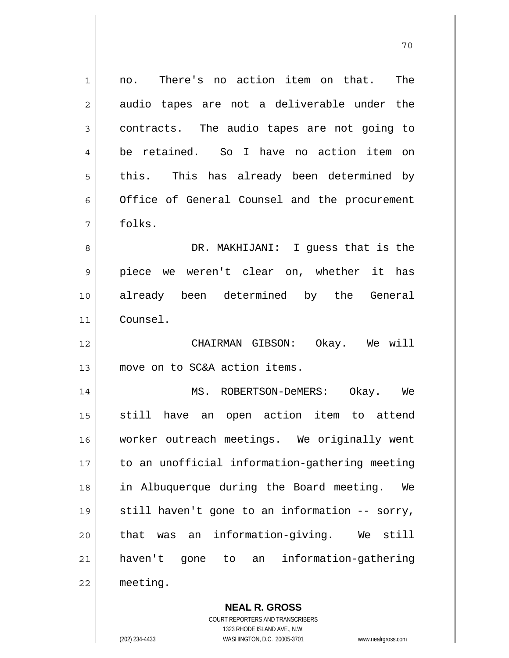1 2 3 4 5 6 7 8 9 10 11 12 13 14 15 no. There's no action item on that. The audio tapes are not a deliverable under the contracts. The audio tapes are not going to be retained. So I have no action item on this. This has already been determined by Office of General Counsel and the procurement folks. DR. MAKHIJANI: I guess that is the piece we weren't clear on, whether it has already been determined by the General Counsel. CHAIRMAN GIBSON: Okay. We will move on to SC&A action items. MS. ROBERTSON-DeMERS: Okay. We still have an open action item to attend

70

16 17 18 19 20 21 22 worker outreach meetings. We originally went to an unofficial information-gathering meeting in Albuquerque during the Board meeting. We still haven't gone to an information -- sorry, that was an information-giving. We still haven't gone to an information-gathering meeting.

> **NEAL R. GROSS** COURT REPORTERS AND TRANSCRIBERS 1323 RHODE ISLAND AVE., N.W. (202) 234-4433 WASHINGTON, D.C. 20005-3701 www.nealrgross.com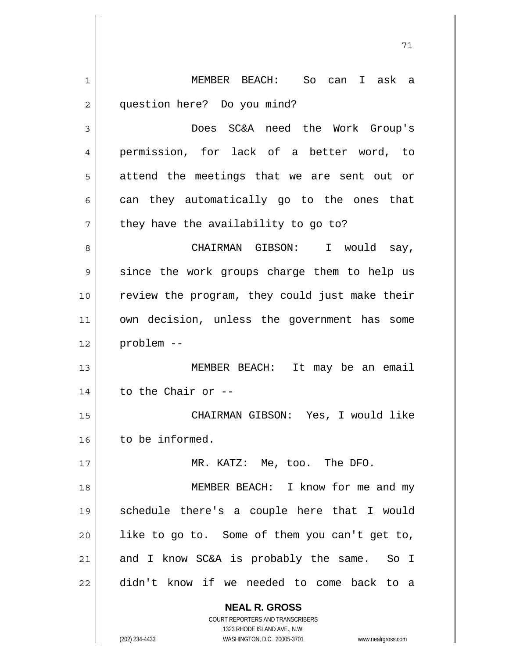| 1  | MEMBER BEACH: So can I ask a                                                                        |
|----|-----------------------------------------------------------------------------------------------------|
| 2  | question here? Do you mind?                                                                         |
| 3  | Does SC&A need the Work Group's                                                                     |
| 4  | permission, for lack of a better word, to                                                           |
| 5  | attend the meetings that we are sent out or                                                         |
| 6  | can they automatically go to the ones that                                                          |
| 7  | they have the availability to go to?                                                                |
| 8  | CHAIRMAN GIBSON: I would say,                                                                       |
| 9  | since the work groups charge them to help us                                                        |
| 10 | review the program, they could just make their                                                      |
| 11 | own decision, unless the government has some                                                        |
| 12 | problem --                                                                                          |
| 13 | MEMBER BEACH: It may be an email                                                                    |
| 14 | to the Chair or --                                                                                  |
| 15 | CHAIRMAN GIBSON: Yes, I would like                                                                  |
| 16 | to be informed.                                                                                     |
| 17 | MR. KATZ: Me, too. The DFO.                                                                         |
| 18 | MEMBER BEACH: I know for me and my                                                                  |
| 19 | schedule there's a couple here that I would                                                         |
| 20 | like to go to. Some of them you can't get to,                                                       |
| 21 | and I know SC&A is probably the same. So I                                                          |
| 22 | didn't know if we needed to come back to a                                                          |
|    | <b>NEAL R. GROSS</b>                                                                                |
|    | COURT REPORTERS AND TRANSCRIBERS                                                                    |
|    | 1323 RHODE ISLAND AVE., N.W.<br>(202) 234-4433<br>WASHINGTON, D.C. 20005-3701<br>www.nealrgross.com |
|    |                                                                                                     |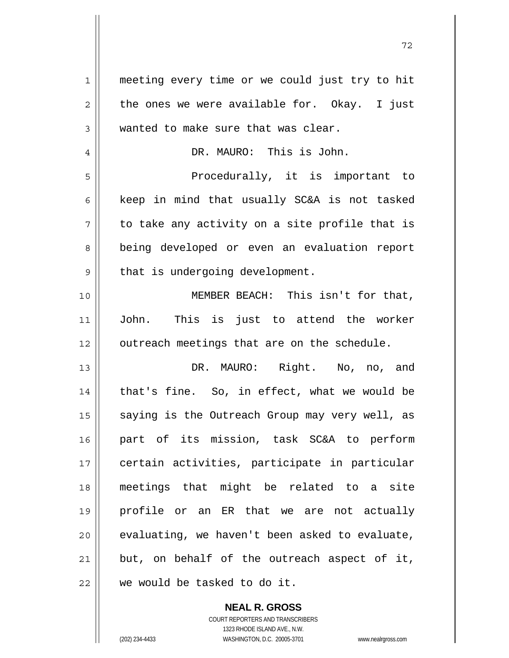| $\mathbf 1$  | meeting every time or we could just try to hit |
|--------------|------------------------------------------------|
| $\mathbf{2}$ | the ones we were available for. Okay. I just   |
| 3            | wanted to make sure that was clear.            |
| 4            | DR. MAURO: This is John.                       |
| 5            | Procedurally, it is important to               |
| 6            | keep in mind that usually SC&A is not tasked   |
| 7            | to take any activity on a site profile that is |
| 8            | being developed or even an evaluation report   |
| 9            | that is undergoing development.                |
| 10           | MEMBER BEACH: This isn't for that,             |
| 11           | John. This is just to attend the worker        |
| 12           | outreach meetings that are on the schedule.    |
| 13           | DR. MAURO: Right. No, no, and                  |
| 14           | that's fine. So, in effect, what we would be   |
| 15           | saying is the Outreach Group may very well, as |
| 16           | part of its mission, task SC&A to perform      |
| 17           | certain activities, participate in particular  |
| 18           | meetings that might be related to a<br>site    |
| 19           | profile or an ER that we are not actually      |
| 20           | evaluating, we haven't been asked to evaluate, |
| 21           | but, on behalf of the outreach aspect of it,   |
|              |                                                |
| 22           | we would be tasked to do it.                   |

COURT REPORTERS AND TRANSCRIBERS 1323 RHODE ISLAND AVE., N.W. (202) 234-4433 WASHINGTON, D.C. 20005-3701 www.nealrgross.com

**NEAL R. GROSS**

 $\mathsf{II}$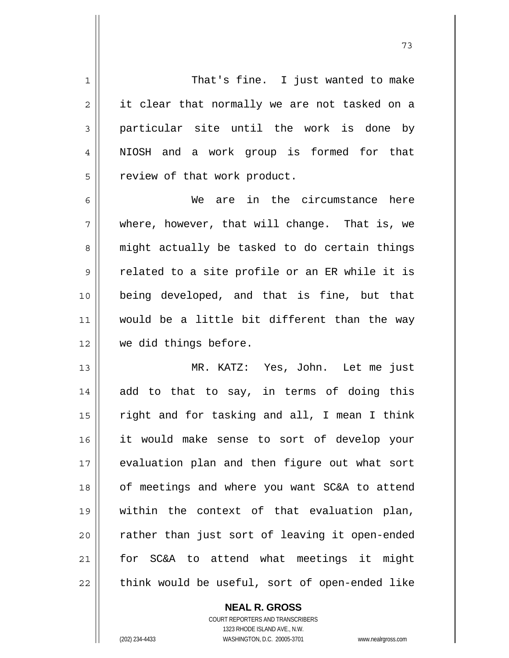That's fine. I just wanted to make it clear that normally we are not tasked on a particular site until the work is done by NIOSH and a work group is formed for that review of that work product.

6 7 8 9 10 11 12 We are in the circumstance here where, however, that will change. That is, we might actually be tasked to do certain things related to a site profile or an ER while it is being developed, and that is fine, but that would be a little bit different than the way we did things before.

13 14 15 16 17 18 19 20 21 22 MR. KATZ: Yes, John. Let me just add to that to say, in terms of doing this right and for tasking and all, I mean I think it would make sense to sort of develop your evaluation plan and then figure out what sort of meetings and where you want SC&A to attend within the context of that evaluation plan, rather than just sort of leaving it open-ended for SC&A to attend what meetings it might think would be useful, sort of open-ended like

> COURT REPORTERS AND TRANSCRIBERS 1323 RHODE ISLAND AVE., N.W. (202) 234-4433 WASHINGTON, D.C. 20005-3701 www.nealrgross.com

**NEAL R. GROSS**

1

2

3

4

5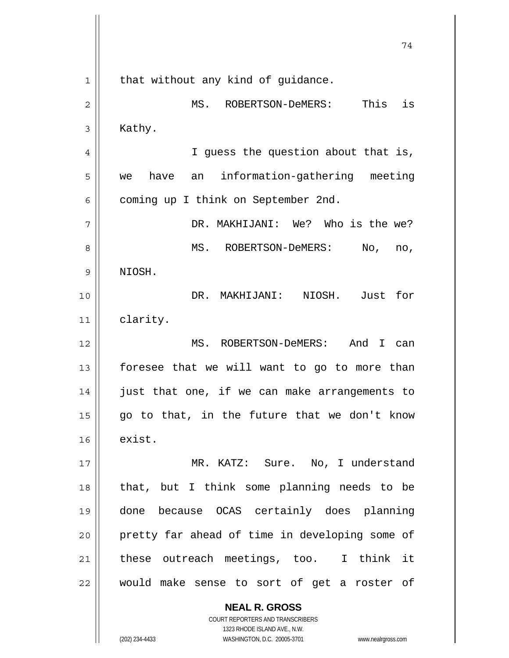**NEAL R. GROSS** COURT REPORTERS AND TRANSCRIBERS 74 1 2 3 4 5 6 7 8 9 10 11 12 13 14 15 16 17 18 19 20 21 22 that without any kind of guidance. MS. ROBERTSON-DeMERS: This is Kathy. I guess the question about that is, we have an information-gathering meeting coming up I think on September 2nd. DR. MAKHIJANI: We? Who is the we? MS. ROBERTSON-DeMERS: No, no, NIOSH. DR. MAKHIJANI: NIOSH. Just for clarity. MS. ROBERTSON-DeMERS: And I can foresee that we will want to go to more than just that one, if we can make arrangements to go to that, in the future that we don't know exist. MR. KATZ: Sure. No, I understand that, but I think some planning needs to be done because OCAS certainly does planning pretty far ahead of time in developing some of these outreach meetings, too. I think it would make sense to sort of get a roster of

1323 RHODE ISLAND AVE., N.W.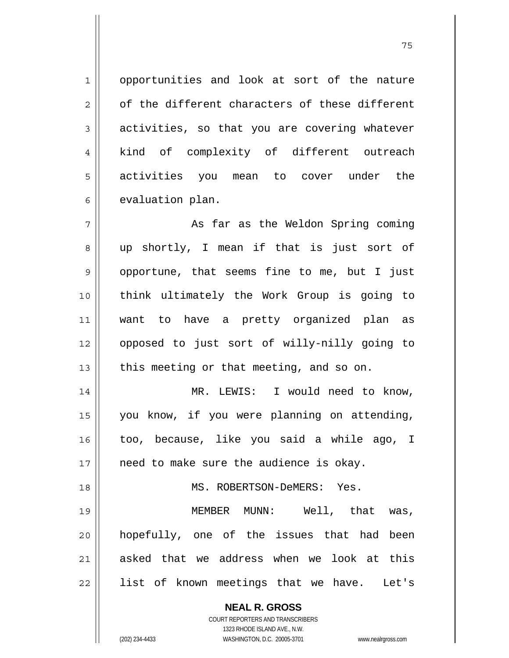opportunities and look at sort of the nature of the different characters of these different activities, so that you are covering whatever kind of complexity of different outreach activities you mean to cover under the evaluation plan.

7 8 9 10 11 12 13 As far as the Weldon Spring coming up shortly, I mean if that is just sort of opportune, that seems fine to me, but I just think ultimately the Work Group is going to want to have a pretty organized plan as opposed to just sort of willy-nilly going to this meeting or that meeting, and so on.

14 15 16 17 18 19 20 MR. LEWIS: I would need to know, you know, if you were planning on attending, too, because, like you said a while ago, I need to make sure the audience is okay. MS. ROBERTSON-DeMERS: Yes. MEMBER MUNN: Well, that was, hopefully, one of the issues that had been asked that we address when we look at this

list of known meetings that we have. Let's

**NEAL R. GROSS** COURT REPORTERS AND TRANSCRIBERS

1323 RHODE ISLAND AVE., N.W.

21

22

1

2

3

4

5

6

(202) 234-4433 WASHINGTON, D.C. 20005-3701 www.nealrgross.com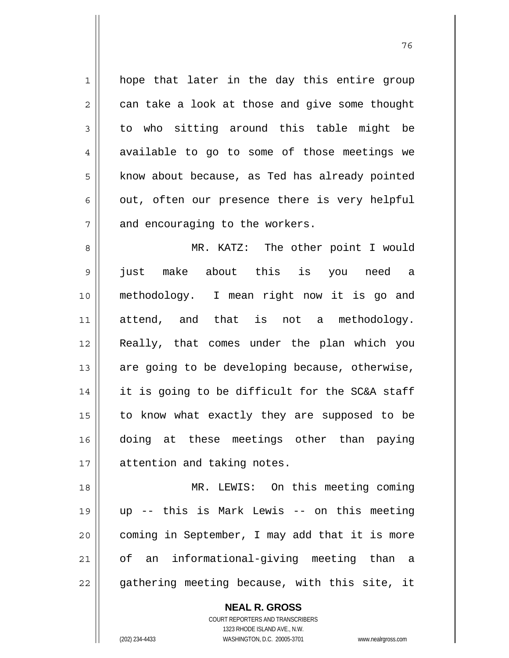7 hope that later in the day this entire group can take a look at those and give some thought to who sitting around this table might be available to go to some of those meetings we know about because, as Ted has already pointed out, often our presence there is very helpful and encouraging to the workers.

8 9 10 11 12 13 14 15 16 17 MR. KATZ: The other point I would just make about this is you need a methodology. I mean right now it is go and attend, and that is not a methodology. Really, that comes under the plan which you are going to be developing because, otherwise, it is going to be difficult for the SC&A staff to know what exactly they are supposed to be doing at these meetings other than paying attention and taking notes.

18 19 20 21 22 MR. LEWIS: On this meeting coming up -- this is Mark Lewis -- on this meeting coming in September, I may add that it is more of an informational-giving meeting than a gathering meeting because, with this site, it

**NEAL R. GROSS**

COURT REPORTERS AND TRANSCRIBERS 1323 RHODE ISLAND AVE., N.W. (202) 234-4433 WASHINGTON, D.C. 20005-3701 www.nealrgross.com

1

2

3

4

5

6

и процесс в политическиот представление в 176 године. В 176 године в 176 године. В 176 године в 176 године в 1<br>В 176 године в 176 године в 176 године в 176 године в 176 године в 176 године в 176 године в 176 године в 176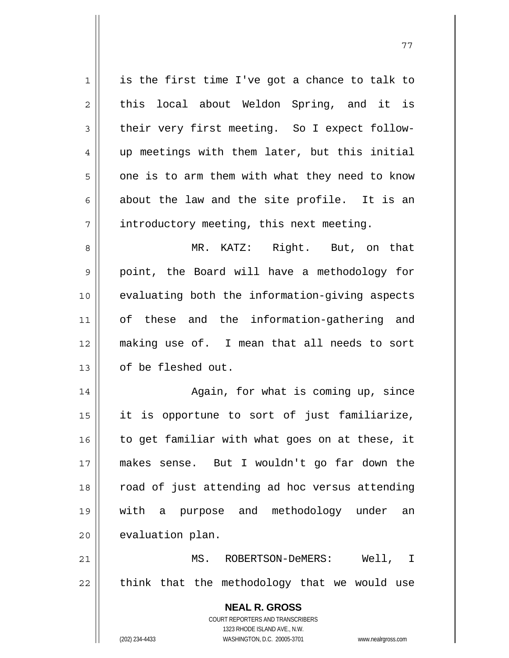**NEAL R. GROSS** COURT REPORTERS AND TRANSCRIBERS 1323 RHODE ISLAND AVE., N.W. (202) 234-4433 WASHINGTON, D.C. 20005-3701 www.nealrgross.com 1 2 3 4 5 6 7 8 9 10 11 12 13 14 15 16 17 18 19 20 21 22 is the first time I've got a chance to talk to this local about Weldon Spring, and it is their very first meeting. So I expect followup meetings with them later, but this initial one is to arm them with what they need to know about the law and the site profile. It is an introductory meeting, this next meeting. MR. KATZ: Right. But, on that point, the Board will have a methodology for evaluating both the information-giving aspects of these and the information-gathering and making use of. I mean that all needs to sort of be fleshed out. Again, for what is coming up, since it is opportune to sort of just familiarize, to get familiar with what goes on at these, it makes sense. But I wouldn't go far down the road of just attending ad hoc versus attending with a purpose and methodology under an evaluation plan. MS. ROBERTSON-DeMERS: Well, I think that the methodology that we would use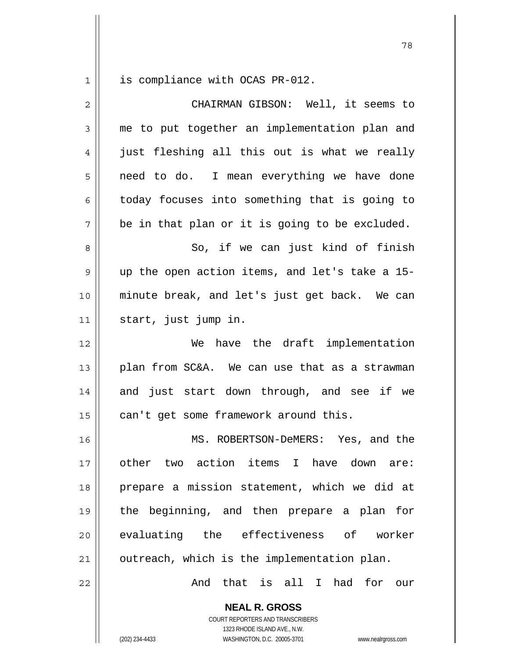1 is compliance with OCAS PR-012.

| 2  | CHAIRMAN GIBSON: Well, it seems to             |
|----|------------------------------------------------|
| 3  | me to put together an implementation plan and  |
| 4  | just fleshing all this out is what we really   |
| 5  | need to do. I mean everything we have done     |
| 6  | today focuses into something that is going to  |
| 7  | be in that plan or it is going to be excluded. |
| 8  | So, if we can just kind of finish              |
| 9  | up the open action items, and let's take a 15- |
| 10 | minute break, and let's just get back. We can  |
| 11 | start, just jump in.                           |
| 12 | have the draft implementation<br>We            |
| 13 | plan from SC&A. We can use that as a strawman  |
| 14 | and just start down through, and see if we     |
| 15 | can't get some framework around this.          |
| 16 | MS. ROBERTSON-DeMERS: Yes, and the             |
| 17 | other two action items I have down are:        |
| 18 | prepare a mission statement, which we did at   |
| 19 | the beginning, and then prepare a plan for     |
| 20 | evaluating the effectiveness of<br>worker      |
| 21 | outreach, which is the implementation plan.    |
| 22 | And that is all I<br>had for<br>our            |

**NEAL R. GROSS** COURT REPORTERS AND TRANSCRIBERS 1323 RHODE ISLAND AVE., N.W.

(202) 234-4433 WASHINGTON, D.C. 20005-3701 www.nealrgross.com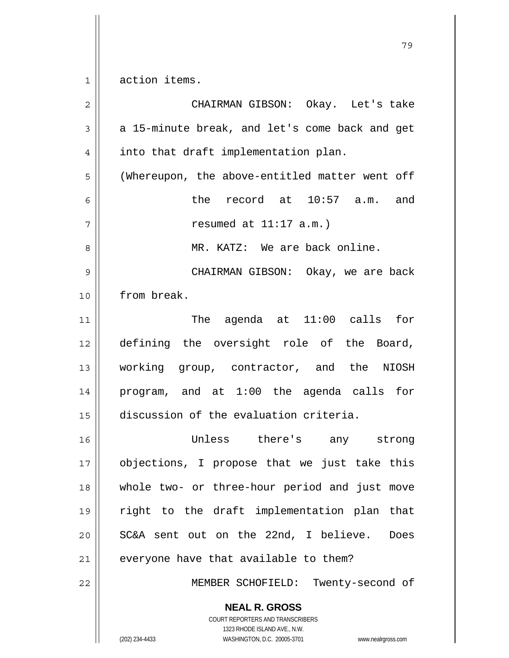$1$ action items.

| $\overline{c}$ | CHAIRMAN GIBSON: Okay. Let's take                                                                                                                               |
|----------------|-----------------------------------------------------------------------------------------------------------------------------------------------------------------|
| 3              | a 15-minute break, and let's come back and get                                                                                                                  |
| 4              | into that draft implementation plan.                                                                                                                            |
| 5              | (Whereupon, the above-entitled matter went off                                                                                                                  |
| 6              | the record at 10:57 a.m. and                                                                                                                                    |
| 7              | resumed at $11:17$ a.m.)                                                                                                                                        |
| 8              | MR. KATZ: We are back online.                                                                                                                                   |
| 9              | CHAIRMAN GIBSON: Okay, we are back                                                                                                                              |
| 10             | from break.                                                                                                                                                     |
| 11             | The agenda at 11:00 calls<br>for                                                                                                                                |
| 12             | defining the oversight role of the Board,                                                                                                                       |
| 13             | working group, contractor, and the NIOSH                                                                                                                        |
| 14             | program, and at 1:00 the agenda calls for                                                                                                                       |
| 15             | discussion of the evaluation criteria.                                                                                                                          |
| 16             | Unless there's any strong                                                                                                                                       |
| 17             | objections, I propose that we just take this                                                                                                                    |
| 18             | whole two- or three-hour period and just move                                                                                                                   |
| 19             | right to the draft implementation plan that                                                                                                                     |
| 20             | SC&A sent out on the 22nd, I believe.<br>Does                                                                                                                   |
| 21             | everyone have that available to them?                                                                                                                           |
| 22             | MEMBER SCHOFIELD: Twenty-second of                                                                                                                              |
|                | <b>NEAL R. GROSS</b><br>COURT REPORTERS AND TRANSCRIBERS<br>1323 RHODE ISLAND AVE., N.W.<br>(202) 234-4433<br>WASHINGTON, D.C. 20005-3701<br>www.nealrgross.com |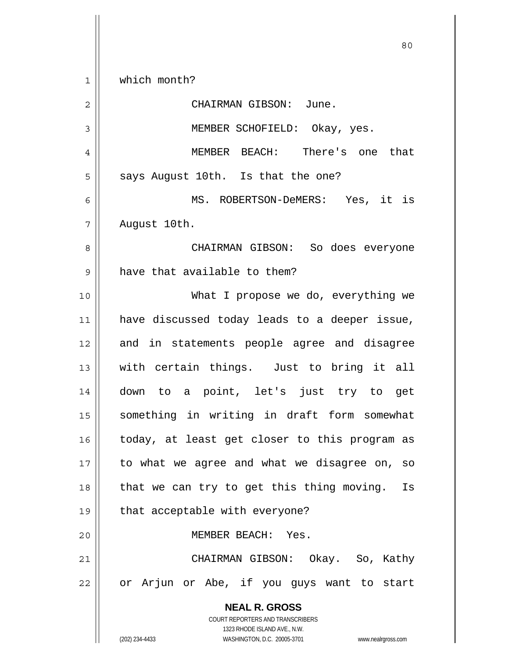**NEAL R. GROSS** COURT REPORTERS AND TRANSCRIBERS 1 2 3 4 5 6 7 8 9 10 11 12 13 14 15 16 17 18 19 20 21 22 which month? CHAIRMAN GIBSON: June. MEMBER SCHOFIELD: Okay, yes. MEMBER BEACH: There's one that says August 10th. Is that the one? MS. ROBERTSON-DeMERS: Yes, it is August 10th. CHAIRMAN GIBSON: So does everyone have that available to them? What I propose we do, everything we have discussed today leads to a deeper issue, and in statements people agree and disagree with certain things. Just to bring it all down to a point, let's just try to get something in writing in draft form somewhat today, at least get closer to this program as to what we agree and what we disagree on, so that we can try to get this thing moving. Is that acceptable with everyone? MEMBER BEACH: Yes. CHAIRMAN GIBSON: Okay. So, Kathy or Arjun or Abe, if you guys want to start

1323 RHODE ISLAND AVE., N.W.

(202) 234-4433 WASHINGTON, D.C. 20005-3701 www.nealrgross.com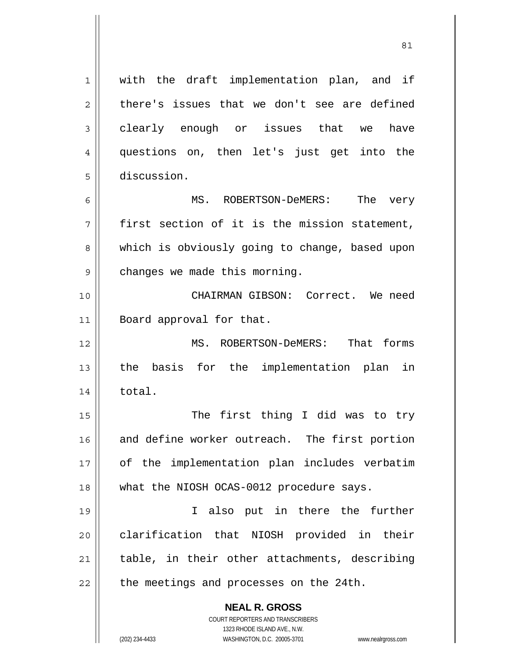**NEAL R. GROSS** COURT REPORTERS AND TRANSCRIBERS 1323 RHODE ISLAND AVE., N.W. 1 2 3 4 5 6 7 8 9 10 11 12 13 14 15 16 17 18 19 20 21 22 with the draft implementation plan, and if there's issues that we don't see are defined clearly enough or issues that we have questions on, then let's just get into the discussion. MS. ROBERTSON-DeMERS: The very first section of it is the mission statement, which is obviously going to change, based upon changes we made this morning. CHAIRMAN GIBSON: Correct. We need Board approval for that. MS. ROBERTSON-DeMERS: That forms the basis for the implementation plan in total. The first thing I did was to try and define worker outreach. The first portion of the implementation plan includes verbatim what the NIOSH OCAS-0012 procedure says. I also put in there the further clarification that NIOSH provided in their table, in their other attachments, describing the meetings and processes on the 24th.

<u>81</u>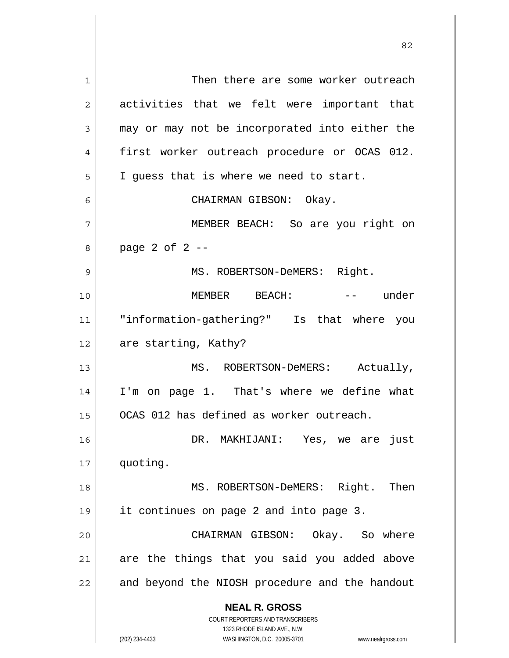| $\mathbf{1}$ | Then there are some worker outreach                                                                 |
|--------------|-----------------------------------------------------------------------------------------------------|
| 2            | activities that we felt were important that                                                         |
| 3            | may or may not be incorporated into either the                                                      |
| 4            | first worker outreach procedure or OCAS 012.                                                        |
| 5            | I guess that is where we need to start.                                                             |
| 6            | CHAIRMAN GIBSON: Okay.                                                                              |
| 7            | MEMBER BEACH: So are you right on                                                                   |
| 8            | page 2 of $2$ --                                                                                    |
| 9            | MS. ROBERTSON-DeMERS: Right.                                                                        |
| 10           | MEMBER BEACH:<br>-- under                                                                           |
| 11           | "information-gathering?" Is that where you                                                          |
| 12           | are starting, Kathy?                                                                                |
| 13           | MS. ROBERTSON-DeMERS: Actually,                                                                     |
| 14           | I'm on page 1. That's where we define what                                                          |
| 15           | OCAS 012 has defined as worker outreach.                                                            |
| 16           | DR. MAKHIJANI: Yes, we are<br>just                                                                  |
| 17           | quoting.                                                                                            |
| 18           | MS. ROBERTSON-DeMERS: Right. Then                                                                   |
| 19           | it continues on page 2 and into page 3.                                                             |
| 20           | CHAIRMAN GIBSON: Okay. So where                                                                     |
| 21           | are the things that you said you added above                                                        |
| 22           | and beyond the NIOSH procedure and the handout                                                      |
|              | <b>NEAL R. GROSS</b>                                                                                |
|              | <b>COURT REPORTERS AND TRANSCRIBERS</b>                                                             |
|              | 1323 RHODE ISLAND AVE., N.W.<br>(202) 234-4433<br>WASHINGTON, D.C. 20005-3701<br>www.nealrgross.com |
|              |                                                                                                     |

<u>82</u>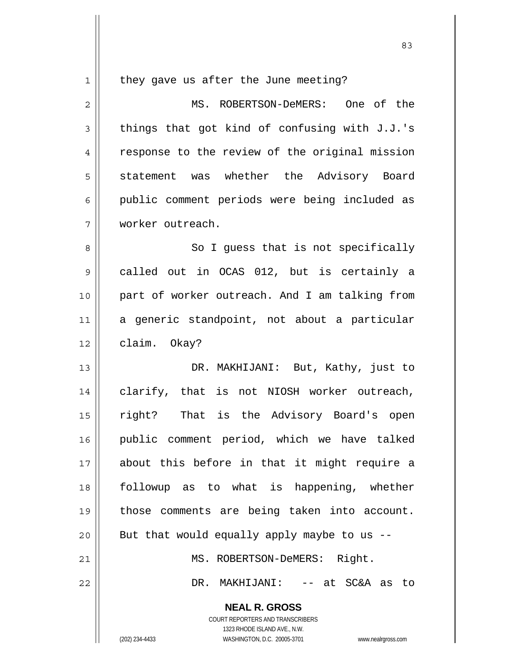$1$ they gave us after the June meeting?

| $\overline{c}$ | MS. ROBERTSON-DeMERS: One of the                         |
|----------------|----------------------------------------------------------|
| 3              | things that got kind of confusing with J.J.'s            |
| 4              | response to the review of the original mission           |
| 5              | statement was whether the Advisory Board                 |
| 6              | public comment periods were being included as            |
| 7              | worker outreach.                                         |
| 8              | So I guess that is not specifically                      |
| 9              | called out in OCAS 012, but is certainly a               |
| 10             | part of worker outreach. And I am talking from           |
| 11             | a generic standpoint, not about a particular             |
| 12             | claim. Okay?                                             |
| 13             | DR. MAKHIJANI: But, Kathy, just to                       |
| 14             | clarify, that is not NIOSH worker outreach,              |
| 15             | right? That is the Advisory Board's open                 |
| 16             | public comment period, which we have talked              |
| 17             | about this before in that it might require a             |
| 18             | followup as to what is happening, whether                |
| 19             | those comments are being taken into account.             |
| 20             | But that would equally apply maybe to us --              |
| 21             | MS. ROBERTSON-DeMERS: Right.                             |
| 22             | DR. MAKHIJANI: -- at SC&A as to                          |
|                | <b>NEAL R. GROSS</b><br>COURT REPORTERS AND TRANSCRIBERS |

1323 RHODE ISLAND AVE., N.W.

(202) 234-4433 WASHINGTON, D.C. 20005-3701 www.nealrgross.com

<u>83</u>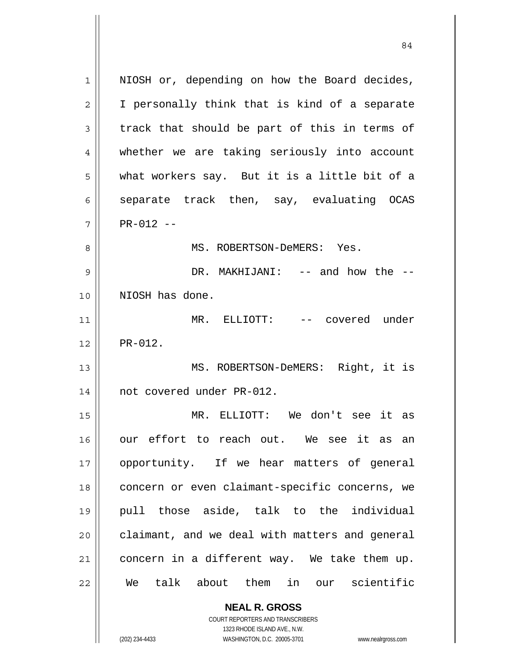**NEAL R. GROSS** 1 2 3 4 5 6 7 8 9 10 11 12 13 14 15 16 17 18 19 20 21 22 NIOSH or, depending on how the Board decides, I personally think that is kind of a separate track that should be part of this in terms of whether we are taking seriously into account what workers say. But it is a little bit of a separate track then, say, evaluating OCAS  $PR-012$  -- MS. ROBERTSON-DeMERS: Yes. DR. MAKHIJANI: -- and how the --NIOSH has done. MR. ELLIOTT: -- covered under PR-012. MS. ROBERTSON-DeMERS: Right, it is not covered under PR-012. MR. ELLIOTT: We don't see it as our effort to reach out. We see it as an opportunity. If we hear matters of general concern or even claimant-specific concerns, we pull those aside, talk to the individual claimant, and we deal with matters and general concern in a different way. We take them up. We talk about them in our scientific

> COURT REPORTERS AND TRANSCRIBERS 1323 RHODE ISLAND AVE., N.W.

(202) 234-4433 WASHINGTON, D.C. 20005-3701 www.nealrgross.com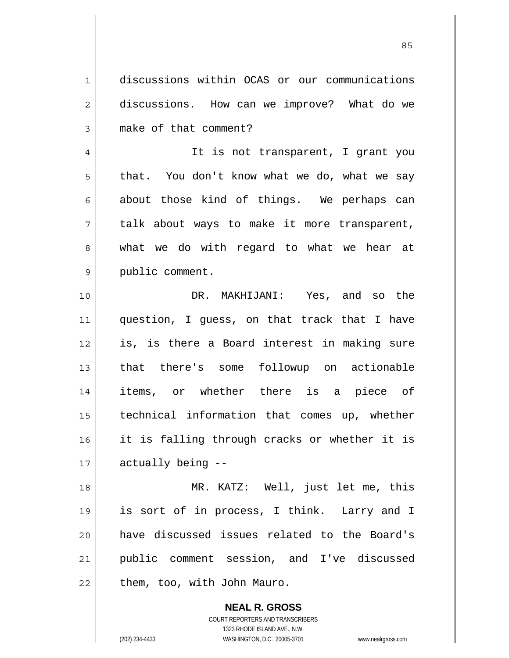1 2 3 discussions within OCAS or our communications discussions. How can we improve? What do we make of that comment?

4 5 6 7 8 9 It is not transparent, I grant you that. You don't know what we do, what we say about those kind of things. We perhaps can talk about ways to make it more transparent, what we do with regard to what we hear at public comment.

10 11 12 13 14 15 16 17 DR. MAKHIJANI: Yes, and so the question, I guess, on that track that I have is, is there a Board interest in making sure that there's some followup on actionable items, or whether there is a piece of technical information that comes up, whether it is falling through cracks or whether it is actually being --

18 19 20 21 22 MR. KATZ: Well, just let me, this is sort of in process, I think. Larry and I have discussed issues related to the Board's public comment session, and I've discussed them, too, with John Mauro.

> **NEAL R. GROSS** COURT REPORTERS AND TRANSCRIBERS 1323 RHODE ISLAND AVE., N.W. (202) 234-4433 WASHINGTON, D.C. 20005-3701 www.nealrgross.com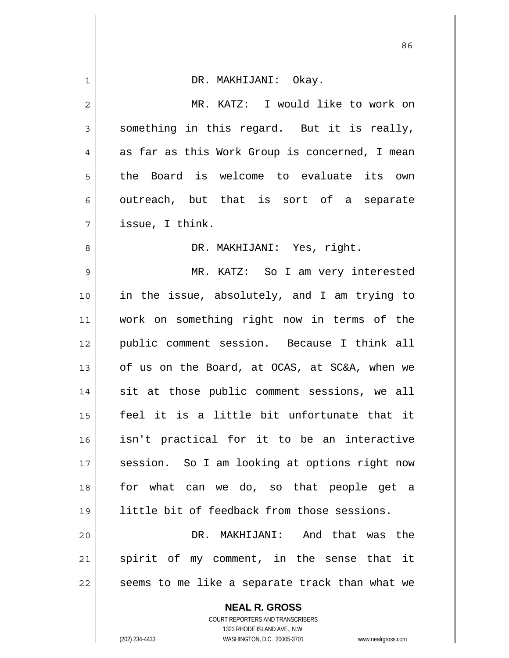| 1  | DR. MAKHIJANI: Okay.                                                |
|----|---------------------------------------------------------------------|
| 2  | MR. KATZ: I would like to work on                                   |
| 3  | something in this regard. But it is really,                         |
| 4  | as far as this Work Group is concerned, I mean                      |
| 5  | the Board is welcome to evaluate its own                            |
| 6  | outreach, but that is sort of a separate                            |
| 7  | issue, I think.                                                     |
| 8  | DR. MAKHIJANI: Yes, right.                                          |
| 9  | MR. KATZ: So I am very interested                                   |
| 10 | in the issue, absolutely, and I am trying to                        |
| 11 | work on something right now in terms of the                         |
| 12 | public comment session. Because I think all                         |
| 13 | of us on the Board, at OCAS, at SC&A, when we                       |
| 14 | sit at those public comment sessions, we all                        |
| 15 | feel it is a little bit unfortunate that it                         |
| 16 | isn't practical for it to be an interactive                         |
| 17 | session. So I am looking at options right now                       |
| 18 | for what can we do, so that people get a                            |
| 19 | little bit of feedback from those sessions.                         |
| 20 | DR. MAKHIJANI: And that was the                                     |
| 21 | spirit of my comment, in the sense that it                          |
| 22 | seems to me like a separate track than what we                      |
|    |                                                                     |
|    | <b>NEAL R. GROSS</b><br><b>COURT REPORTERS AND TRANSCRIBERS</b>     |
|    | 1323 RHODE ISLAND AVE., N.W.                                        |
|    | (202) 234-4433<br>WASHINGTON, D.C. 20005-3701<br>www.nealrgross.com |

<u>86 and 2001 and 2002 and 2003 and 2003 and 2003 and 2003 and 2003 and 2003 and 2003 and 2003 and 2003 and 200</u>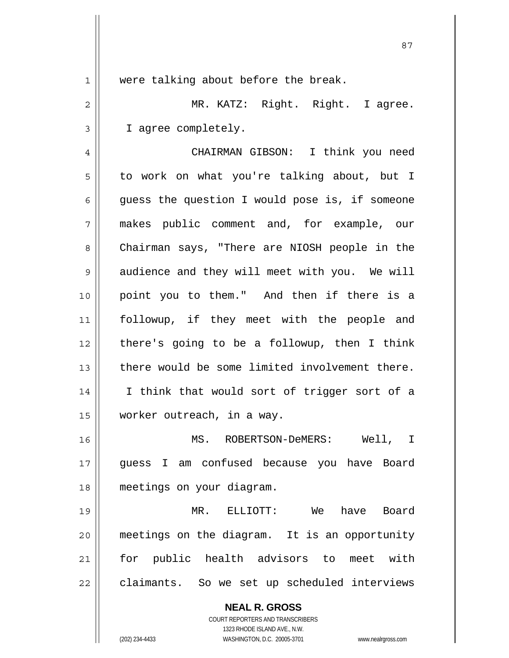1

were talking about before the break.

2 3 MR. KATZ: Right. Right. I agree. I agree completely.

4 5 6 7 8 9 10 11 12 13 14 15 CHAIRMAN GIBSON: I think you need to work on what you're talking about, but I guess the question I would pose is, if someone makes public comment and, for example, our Chairman says, "There are NIOSH people in the audience and they will meet with you. We will point you to them." And then if there is a followup, if they meet with the people and there's going to be a followup, then I think there would be some limited involvement there. I think that would sort of trigger sort of a worker outreach, in a way.

16 17 18 MS. ROBERTSON-DeMERS: Well, I guess I am confused because you have Board meetings on your diagram.

19 20 21 22 MR. ELLIOTT: We have Board meetings on the diagram. It is an opportunity for public health advisors to meet with claimants. So we set up scheduled interviews

> **NEAL R. GROSS** COURT REPORTERS AND TRANSCRIBERS 1323 RHODE ISLAND AVE., N.W. (202) 234-4433 WASHINGTON, D.C. 20005-3701 www.nealrgross.com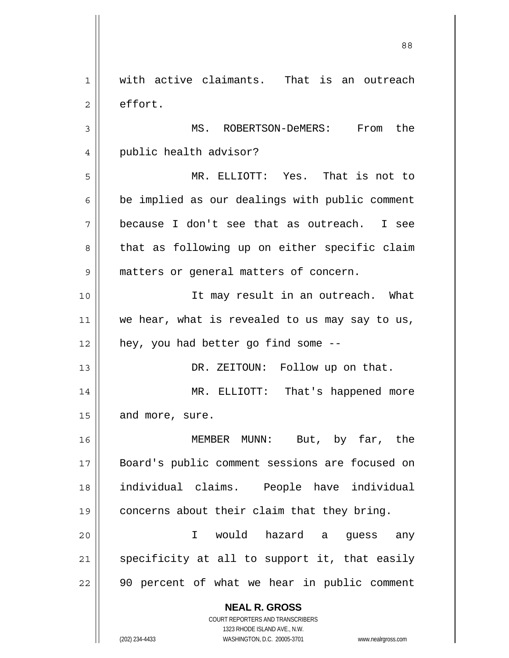**NEAL R. GROSS** COURT REPORTERS AND TRANSCRIBERS 1323 RHODE ISLAND AVE., N.W. (202) 234-4433 WASHINGTON, D.C. 20005-3701 www.nealrgross.com 1 2 3 4 5 6 7 8 9 10 11 12 13 14 15 16 17 18 19 20 21 22 with active claimants. That is an outreach effort. MS. ROBERTSON-DeMERS: From the public health advisor? MR. ELLIOTT: Yes. That is not to be implied as our dealings with public comment because I don't see that as outreach. I see that as following up on either specific claim matters or general matters of concern. It may result in an outreach. What we hear, what is revealed to us may say to us, hey, you had better go find some -- DR. ZEITOUN: Follow up on that. MR. ELLIOTT: That's happened more and more, sure. MEMBER MUNN: But, by far, the Board's public comment sessions are focused on individual claims. People have individual concerns about their claim that they bring. I would hazard a guess any specificity at all to support it, that easily 90 percent of what we hear in public comment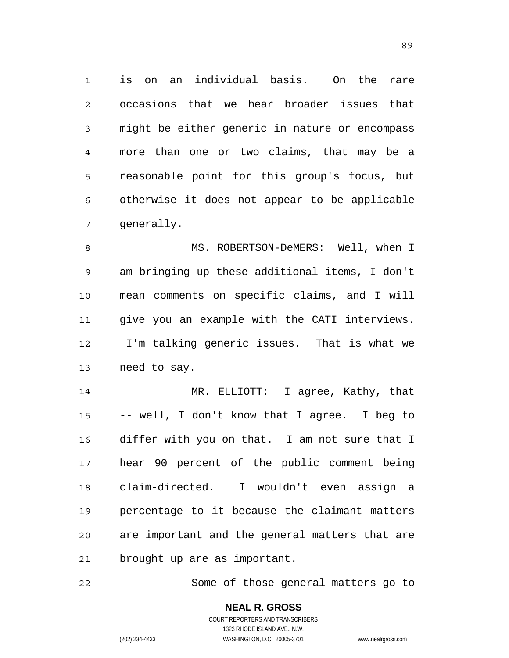1 2 3 4 5 6 7 8 9 10 11 is on an individual basis. On the rare occasions that we hear broader issues that might be either generic in nature or encompass more than one or two claims, that may be a reasonable point for this group's focus, but otherwise it does not appear to be applicable generally. MS. ROBERTSON-DeMERS: Well, when I am bringing up these additional items, I don't mean comments on specific claims, and I will give you an example with the CATI interviews.

12 13 I'm talking generic issues. That is what we need to say.

14 15 16 17 18 19 20 21 MR. ELLIOTT: I agree, Kathy, that -- well, I don't know that I agree. I beg to differ with you on that. I am not sure that I hear 90 percent of the public comment being claim-directed. I wouldn't even assign a percentage to it because the claimant matters are important and the general matters that are brought up are as important.

22

Some of those general matters go to

**NEAL R. GROSS** COURT REPORTERS AND TRANSCRIBERS 1323 RHODE ISLAND AVE., N.W. (202) 234-4433 WASHINGTON, D.C. 20005-3701 www.nealrgross.com

<u>89 and 2001 and 2002 and 2003 and 2003 and 2003 and 2003 and 2003 and 2003 and 2003 and 2003 and 2003 and 200</u>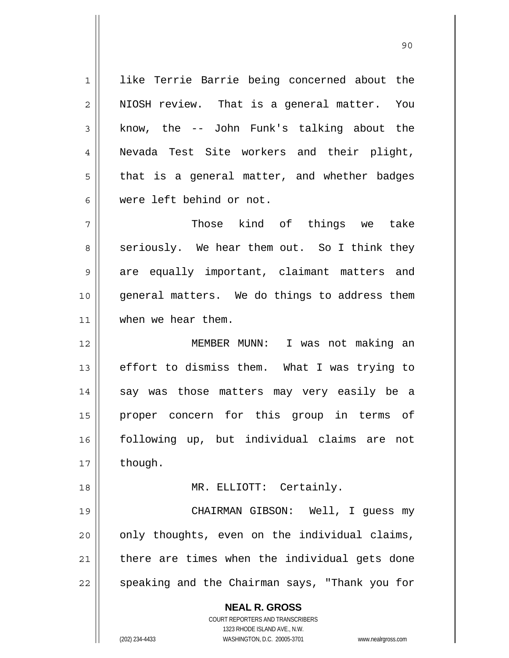1 2 3 4 5 6 like Terrie Barrie being concerned about the NIOSH review. That is a general matter. You know, the -- John Funk's talking about the Nevada Test Site workers and their plight, that is a general matter, and whether badges were left behind or not.

7 8 9 10 11 Those kind of things we take seriously. We hear them out. So I think they are equally important, claimant matters and general matters. We do things to address them when we hear them.

12 13 14 15 16 17 MEMBER MUNN: I was not making an effort to dismiss them. What I was trying to say was those matters may very easily be a proper concern for this group in terms of following up, but individual claims are not though.

MR. ELLIOTT: Certainly.

19 20 21 22 CHAIRMAN GIBSON: Well, I guess my only thoughts, even on the individual claims, there are times when the individual gets done speaking and the Chairman says, "Thank you for

**NEAL R. GROSS**

18

COURT REPORTERS AND TRANSCRIBERS 1323 RHODE ISLAND AVE., N.W. (202) 234-4433 WASHINGTON, D.C. 20005-3701 www.nealrgross.com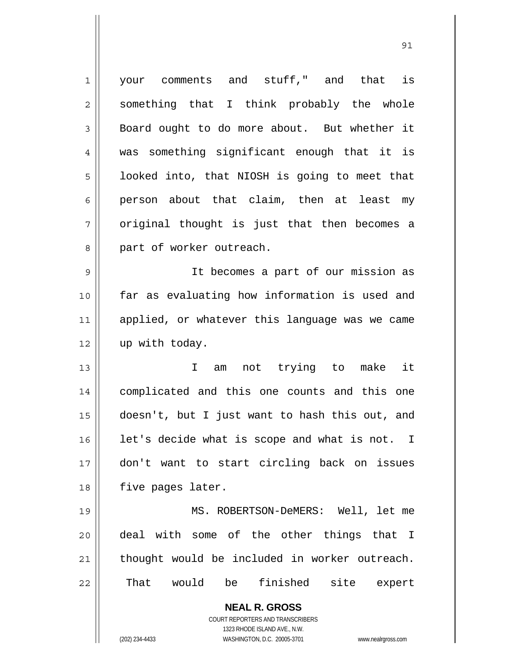| $\mathbf 1$    | your comments and stuff," and that is                                                    |
|----------------|------------------------------------------------------------------------------------------|
| $\overline{2}$ | something that I think probably the whole                                                |
| 3              | Board ought to do more about. But whether it                                             |
| $\overline{4}$ | was something significant enough that it is                                              |
| 5              | looked into, that NIOSH is going to meet that                                            |
| 6              | person about that claim, then at least my                                                |
| 7              | original thought is just that then becomes a                                             |
| 8              | part of worker outreach.                                                                 |
| 9              | It becomes a part of our mission as                                                      |
| 10             | far as evaluating how information is used and                                            |
| 11             | applied, or whatever this language was we came                                           |
| 12             | up with today.                                                                           |
| 13             | make it<br>$\mathbf{I}$<br>not trying to<br>am                                           |
| 14             | complicated and this one counts and this one                                             |
| 15             | doesn't, but I just want to hash this out, and                                           |
| 16             | let's decide what is scope and what is not. I                                            |
| 17             | don't want to start circling back on issues                                              |
| 18             | five pages later.                                                                        |
| 19             | MS. ROBERTSON-DeMERS: Well, let me                                                       |
| 20             | deal with some of the other things that I                                                |
| 21             | thought would be included in worker outreach.                                            |
| 22             | would<br>finished site<br>That<br>be<br>expert                                           |
|                | <b>NEAL R. GROSS</b><br>COURT REPORTERS AND TRANSCRIBERS<br>1323 RHODE ISLAND AVE., N.W. |
|                | (202) 234-4433<br>WASHINGTON, D.C. 20005-3701<br>www.nealrgross.com                      |

<u>91</u>

 $\overline{\phantom{a}}$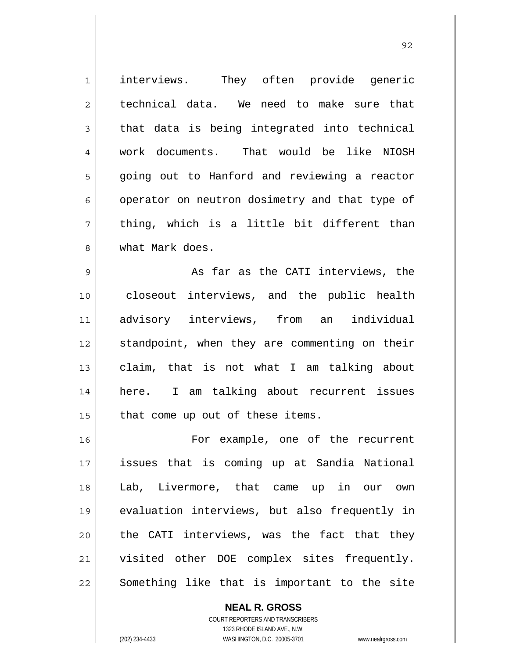1 2 3 4 5 6 7 8 interviews. They often provide generic technical data. We need to make sure that that data is being integrated into technical work documents. That would be like NIOSH going out to Hanford and reviewing a reactor operator on neutron dosimetry and that type of thing, which is a little bit different than what Mark does.

9 10 11 12 13 14 15 As far as the CATI interviews, the closeout interviews, and the public health advisory interviews, from an individual standpoint, when they are commenting on their claim, that is not what I am talking about here. I am talking about recurrent issues that come up out of these items.

16 17 18 19 20 21 22 For example, one of the recurrent issues that is coming up at Sandia National Lab, Livermore, that came up in our own evaluation interviews, but also frequently in the CATI interviews, was the fact that they visited other DOE complex sites frequently. Something like that is important to the site

> **NEAL R. GROSS** COURT REPORTERS AND TRANSCRIBERS 1323 RHODE ISLAND AVE., N.W. (202) 234-4433 WASHINGTON, D.C. 20005-3701 www.nealrgross.com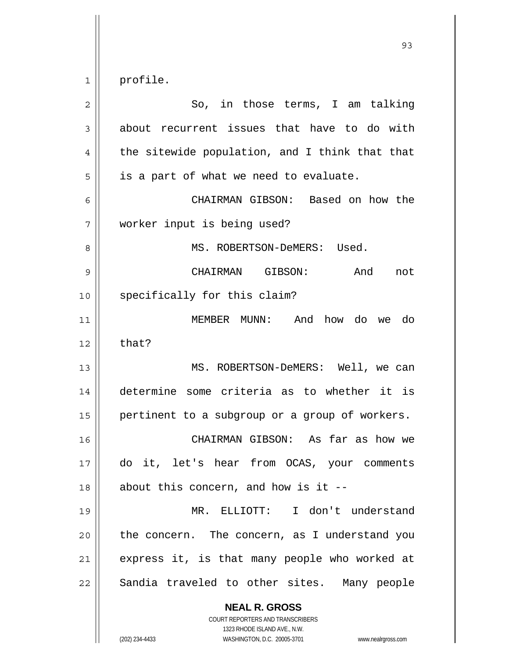| $\overline{2}$ | So, in those terms, I am talking                                                                                                                                       |
|----------------|------------------------------------------------------------------------------------------------------------------------------------------------------------------------|
| 3              | about recurrent issues that have to do with                                                                                                                            |
| $\overline{4}$ | the sitewide population, and I think that that                                                                                                                         |
| 5              | is a part of what we need to evaluate.                                                                                                                                 |
| 6              | CHAIRMAN GIBSON: Based on how the                                                                                                                                      |
| 7              | worker input is being used?                                                                                                                                            |
| 8              | MS. ROBERTSON-DeMERS: Used.                                                                                                                                            |
| 9              | CHAIRMAN GIBSON:<br>And<br>not                                                                                                                                         |
| 10             | specifically for this claim?                                                                                                                                           |
| 11             | MEMBER MUNN: And<br>how do we do                                                                                                                                       |
| 12             | that?                                                                                                                                                                  |
| 13             | MS. ROBERTSON-DeMERS: Well, we can                                                                                                                                     |
| 14             | determine some criteria as to whether it is                                                                                                                            |
| 15             | pertinent to a subgroup or a group of workers.                                                                                                                         |
| 16             | CHAIRMAN GIBSON: As far as how we                                                                                                                                      |
| 17             | do it, let's hear from OCAS, your comments                                                                                                                             |
| 18             | about this concern, and how is it $-$ -                                                                                                                                |
| 19             | MR. ELLIOTT: I don't understand                                                                                                                                        |
| 20             | the concern. The concern, as I understand you                                                                                                                          |
| 21             | express it, is that many people who worked at                                                                                                                          |
| 22             | Sandia traveled to other sites. Many people                                                                                                                            |
|                | <b>NEAL R. GROSS</b><br><b>COURT REPORTERS AND TRANSCRIBERS</b><br>1323 RHODE ISLAND AVE., N.W.<br>WASHINGTON, D.C. 20005-3701<br>(202) 234-4433<br>www.nealrgross.com |

<u>93 and 200 and 200 and 200 and 200 and 200 and 200 and 200 and 200 and 200 and 200 and 200 and 200 and 200 an</u>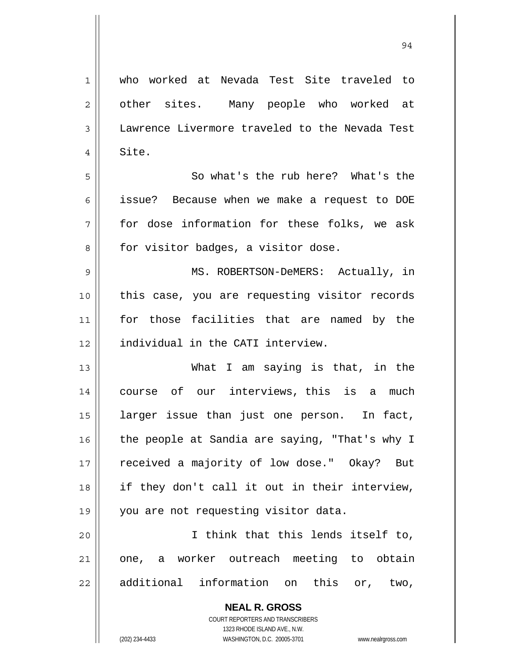| $\mathbf 1$    | who worked at Nevada Test Site traveled to     |
|----------------|------------------------------------------------|
| $\overline{c}$ | other sites. Many people who worked at         |
| 3              | Lawrence Livermore traveled to the Nevada Test |
| 4              | Site.                                          |
| 5              | So what's the rub here? What's the             |
| 6              | issue? Because when we make a request to DOE   |
| $\overline{7}$ | for dose information for these folks, we ask   |
| 8              | for visitor badges, a visitor dose.            |
| $\mathsf 9$    | MS. ROBERTSON-DeMERS: Actually, in             |
| 10             | this case, you are requesting visitor records  |
| 11             | for those facilities that are named by the     |
| 12             | individual in the CATI interview.              |
| 13             | What I am saying is that, in the               |
| 14             | course of our interviews, this is a much       |
| 15             | larger issue than just one person. In fact,    |
| 16             | the people at Sandia are saying, "That's why I |
| 17             | received a majority of low dose." Okay? But    |
| 18             | if they don't call it out in their interview,  |
| 19             | you are not requesting visitor data.           |
| 20             | I think that this lends itself to,             |
| 21             | one, a worker outreach meeting to obtain       |
| 22             | additional information on this or, two,        |
|                | <b>NEAL R. GROSS</b>                           |

94

 $\prod$ 

COURT REPORTERS AND TRANSCRIBERS 1323 RHODE ISLAND AVE., N.W. (202) 234-4433 WASHINGTON, D.C. 20005-3701 www.nealrgross.com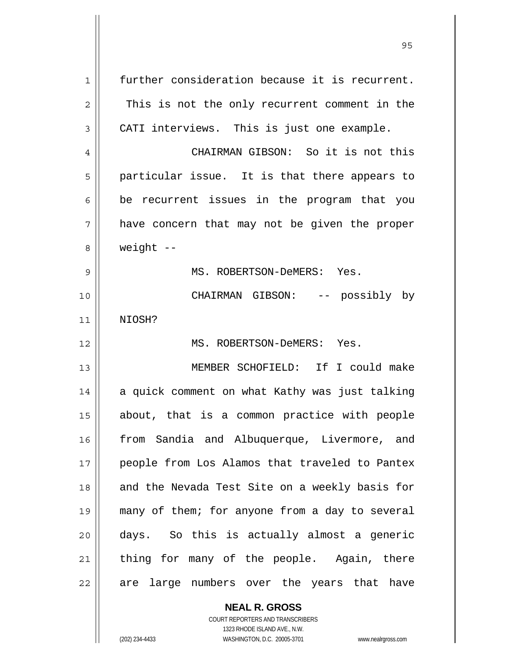| $\mathbf{1}$ | further consideration because it is recurrent. |
|--------------|------------------------------------------------|
| 2            | This is not the only recurrent comment in the  |
| 3            | CATI interviews. This is just one example.     |
| 4            | CHAIRMAN GIBSON: So it is not this             |
| 5            | particular issue. It is that there appears to  |
| 6            | be recurrent issues in the program that you    |
| 7            | have concern that may not be given the proper  |
| 8            | weight $--$                                    |
| 9            | MS. ROBERTSON-DeMERS: Yes.                     |
| 10           | CHAIRMAN GIBSON: -- possibly by                |
| 11           | NIOSH?                                         |
| 12           | MS. ROBERTSON-DeMERS: Yes.                     |
| 13           | MEMBER SCHOFIELD: If I could make              |
| 14           | a quick comment on what Kathy was just talking |
| 15           | about, that is a common practice with people   |
|              |                                                |
| 16           | from Sandia and Albuquerque, Livermore, and    |
| 17           | people from Los Alamos that traveled to Pantex |
| 18           | and the Nevada Test Site on a weekly basis for |
| 19           | many of them; for anyone from a day to several |
| 20           | days. So this is actually almost a generic     |
| 21           | thing for many of the people. Again, there     |

<u>95 and 2001 and 2001 and 2001 and 2001 and 2001 and 2001 and 2001 and 2001 and 2001 and 2001 and 2001 and 200</u>

 $\mathbf{I}$ 

COURT REPORTERS AND TRANSCRIBERS 1323 RHODE ISLAND AVE., N.W. (202) 234-4433 WASHINGTON, D.C. 20005-3701 www.nealrgross.com

**NEAL R. GROSS**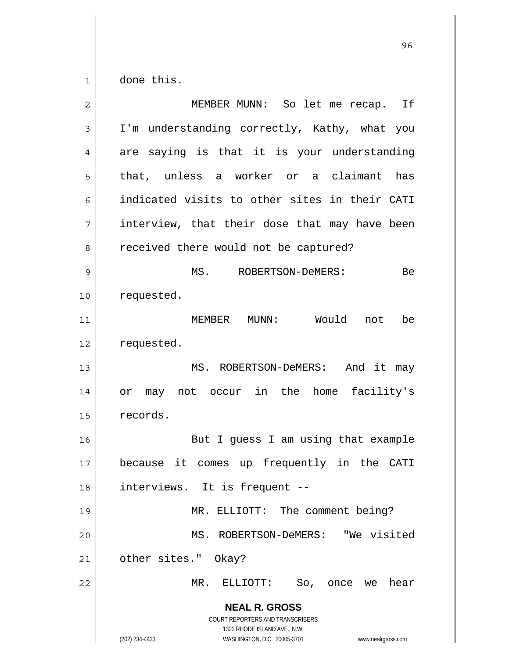1 done this.

| $\overline{2}$ | MEMBER MUNN: So let me recap. If                                                                                                                                       |
|----------------|------------------------------------------------------------------------------------------------------------------------------------------------------------------------|
| 3              | I'm understanding correctly, Kathy, what you                                                                                                                           |
| 4              | are saying is that it is your understanding                                                                                                                            |
| 5              | that, unless a worker or a claimant has                                                                                                                                |
| 6              | indicated visits to other sites in their CATI                                                                                                                          |
| 7              | interview, that their dose that may have been                                                                                                                          |
| 8              | received there would not be captured?                                                                                                                                  |
| 9              | MS.<br>ROBERTSON-DeMERS:<br>Be                                                                                                                                         |
| 10             | requested.                                                                                                                                                             |
| 11             | MEMBER MUNN: Would not<br>be                                                                                                                                           |
| 12             | requested.                                                                                                                                                             |
| 13             | MS. ROBERTSON-DeMERS: And it may                                                                                                                                       |
| 14             | or may not occur in the home facility's                                                                                                                                |
| 15             | records.                                                                                                                                                               |
| 16             | But I guess I am using that example                                                                                                                                    |
| 17             | because it comes up frequently in the CATI                                                                                                                             |
| 18             | interviews. It is frequent --                                                                                                                                          |
| 19             | MR. ELLIOTT: The comment being?                                                                                                                                        |
| 20             | MS. ROBERTSON-DeMERS: "We visited                                                                                                                                      |
| 21             | other sites." Okay?                                                                                                                                                    |
| 22             | MR. ELLIOTT: So, once we hear                                                                                                                                          |
|                | <b>NEAL R. GROSS</b><br><b>COURT REPORTERS AND TRANSCRIBERS</b><br>1323 RHODE ISLAND AVE., N.W.<br>WASHINGTON, D.C. 20005-3701<br>(202) 234-4433<br>www.nealrgross.com |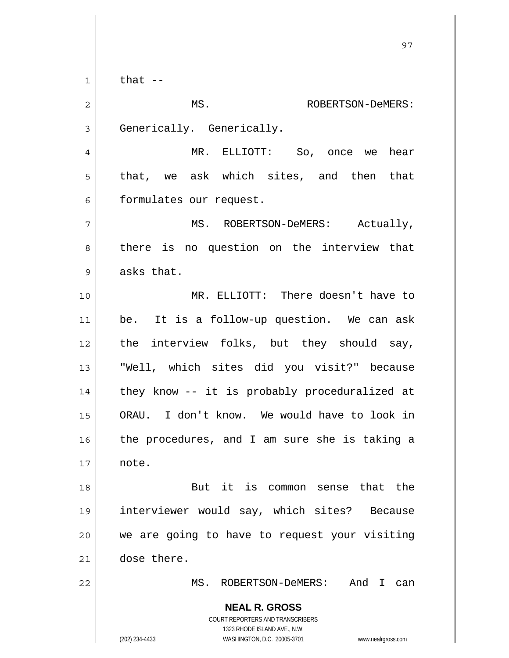| $\mathbf 1$    | that $--$                                                                                           |
|----------------|-----------------------------------------------------------------------------------------------------|
| $\overline{2}$ | MS.<br>ROBERTSON-DeMERS:                                                                            |
| $\mathfrak{Z}$ | Generically. Generically.                                                                           |
| 4              | MR. ELLIOTT: So, once we hear                                                                       |
| 5              | that, we ask which sites, and then that                                                             |
| 6              | formulates our request.                                                                             |
| 7              | MS. ROBERTSON-DeMERS: Actually,                                                                     |
| 8              | there is no question on the interview that                                                          |
| 9              | asks that.                                                                                          |
| 10             | MR. ELLIOTT: There doesn't have to                                                                  |
| 11             | be. It is a follow-up question. We can ask                                                          |
| 12             | the interview folks, but they should say,                                                           |
| 13             | "Well, which sites did you visit?" because                                                          |
| 14             | they know -- it is probably proceduralized at                                                       |
| 15             | ORAU. I don't know. We would have to look in                                                        |
| 16             | the procedures, and I am sure she is taking a                                                       |
| 17             | note.                                                                                               |
| 18             | But it is common sense that the                                                                     |
| 19             | interviewer would say, which sites? Because                                                         |
| 20             | we are going to have to request your visiting                                                       |
| 21             | dose there.                                                                                         |
| 22             | MS. ROBERTSON-DeMERS: And I can                                                                     |
|                | <b>NEAL R. GROSS</b>                                                                                |
|                | <b>COURT REPORTERS AND TRANSCRIBERS</b>                                                             |
|                | 1323 RHODE ISLAND AVE., N.W.<br>WASHINGTON, D.C. 20005-3701<br>(202) 234-4433<br>www.nealrgross.com |

 $\mathbf{\mathsf{H}}$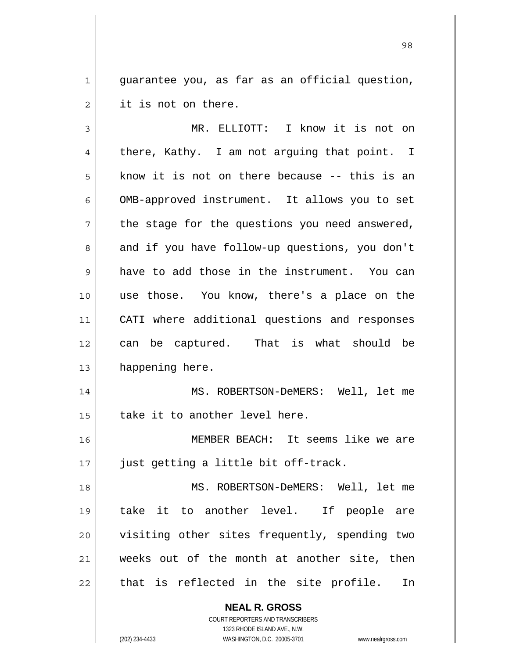1 2 guarantee you, as far as an official question, it is not on there.

3 4 5 6 7 8 9 10 11 12 13 14 15 16 17 18 19 20 21 22 MR. ELLIOTT: I know it is not on there, Kathy. I am not arguing that point. I know it is not on there because -- this is an OMB-approved instrument. It allows you to set the stage for the questions you need answered, and if you have follow-up questions, you don't have to add those in the instrument. You can use those. You know, there's a place on the CATI where additional questions and responses can be captured. That is what should be happening here. MS. ROBERTSON-DeMERS: Well, let me take it to another level here. MEMBER BEACH: It seems like we are just getting a little bit off-track. MS. ROBERTSON-DeMERS: Well, let me take it to another level. If people are visiting other sites frequently, spending two weeks out of the month at another site, then that is reflected in the site profile. In

**NEAL R. GROSS**

COURT REPORTERS AND TRANSCRIBERS 1323 RHODE ISLAND AVE., N.W. (202) 234-4433 WASHINGTON, D.C. 20005-3701 www.nealrgross.com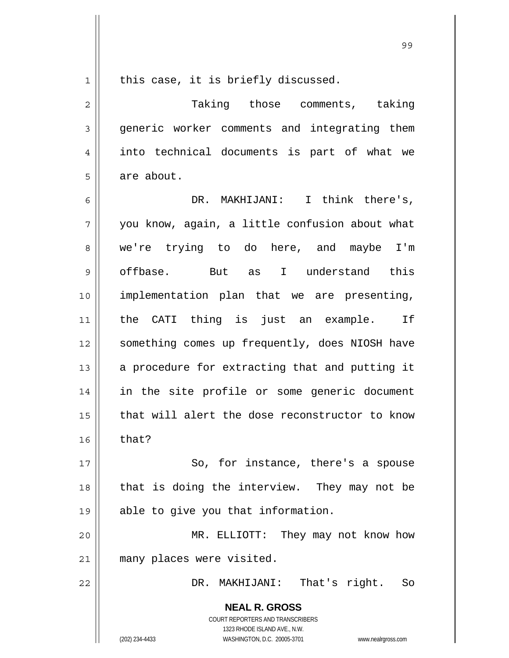1 2 3 4 5 6 7 8 9 10 11 12 13 14 15 16 17 18 19 this case, it is briefly discussed. Taking those comments, taking generic worker comments and integrating them into technical documents is part of what we are about. DR. MAKHIJANI: I think there's, you know, again, a little confusion about what we're trying to do here, and maybe I'm offbase. But as I understand this implementation plan that we are presenting, the CATI thing is just an example. If something comes up frequently, does NIOSH have a procedure for extracting that and putting it in the site profile or some generic document that will alert the dose reconstructor to know that? So, for instance, there's a spouse that is doing the interview. They may not be able to give you that information.

99 - Paul Barbara, poeta e a contra de 1999 - Paul Barbara, español de 1999 - Paul Barbara, español de 1999 -<br>1990 - Paul Barbara, poeta español de 1990 - Paul Barbara, español de 1990 - Paul Barbara, español de 1990 -

20 21 MR. ELLIOTT: They may not know how many places were visited.

DR. MAKHIJANI: That's right. So

**NEAL R. GROSS** COURT REPORTERS AND TRANSCRIBERS 1323 RHODE ISLAND AVE., N.W.

22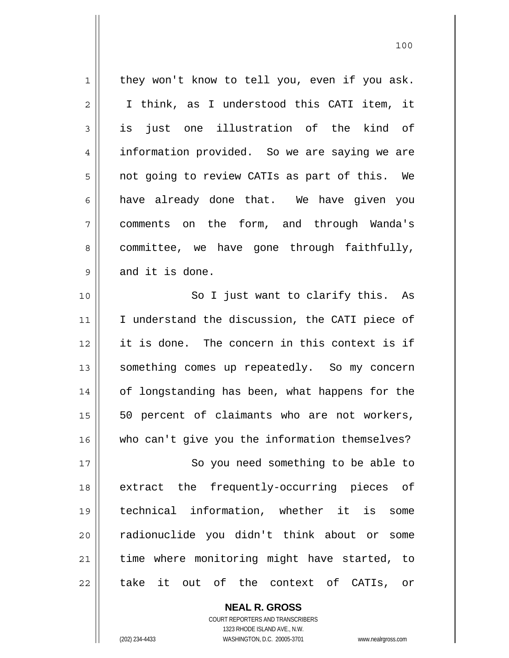| $\mathbf{1}$   | they won't know to tell you, even if you ask.  |
|----------------|------------------------------------------------|
| $\mathbf{2}$   | I think, as I understood this CATI item, it    |
| 3              | just one illustration of the kind of<br>is     |
| $\overline{4}$ | information provided. So we are saying we are  |
| 5              | not going to review CATIs as part of this. We  |
| 6              | have already done that. We have given you      |
| 7              | comments on the form, and through Wanda's      |
| 8              | committee, we have gone through faithfully,    |
| $\mathsf 9$    | and it is done.                                |
| 10             | So I just want to clarify this. As             |
| 11             | I understand the discussion, the CATI piece of |
| 12             | it is done. The concern in this context is if  |
| 13             | something comes up repeatedly. So my concern   |
| 14             | of longstanding has been, what happens for the |
| 15             | 50 percent of claimants who are not workers,   |
| 16             | who can't give you the information themselves? |
| 17             | So you need something to be able to            |
| 18             | extract the frequently-occurring pieces of     |
| 19             | technical information, whether it is<br>some   |
| 20             | radionuclide you didn't think about or some    |
| 21             | time where monitoring might have started, to   |
| 22             | take it out of the context of<br>CATIs, or     |

> COURT REPORTERS AND TRANSCRIBERS 1323 RHODE ISLAND AVE., N.W. (202) 234-4433 WASHINGTON, D.C. 20005-3701 www.nealrgross.com

**NEAL R. GROSS**

 $\mathsf{II}$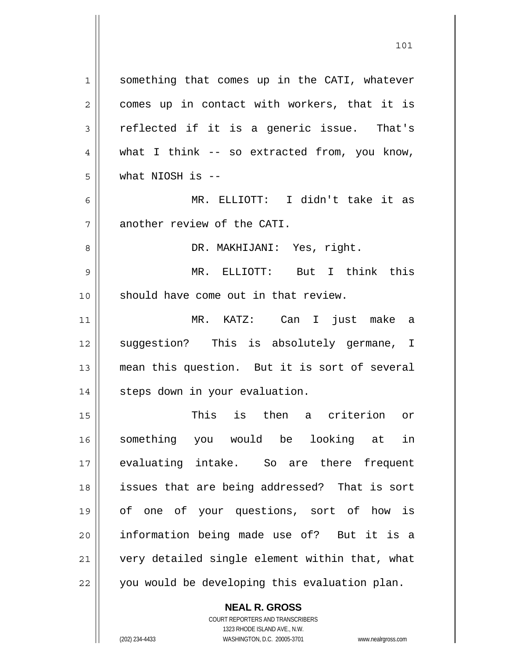something that comes up in the CATI, whatever comes up in contact with workers, that it is reflected if it is a generic issue. That's what I think -- so extracted from, you know, what NIOSH is -- MR. ELLIOTT: I didn't take it as another review of the CATI. DR. MAKHIJANI: Yes, right. MR. ELLIOTT: But I think this should have come out in that review. MR. KATZ: Can I just make a suggestion? This is absolutely germane, I mean this question. But it is sort of several

15 16 17 18 19 20 21 22 This is then a criterion or something you would be looking at in evaluating intake. So are there frequent issues that are being addressed? That is sort of one of your questions, sort of how is information being made use of? But it is a very detailed single element within that, what you would be developing this evaluation plan.

steps down in your evaluation.

COURT REPORTERS AND TRANSCRIBERS 1323 RHODE ISLAND AVE., N.W. (202) 234-4433 WASHINGTON, D.C. 20005-3701 www.nealrgross.com

**NEAL R. GROSS**

1

2

3

4

5

6

7

8

9

10

11

12

13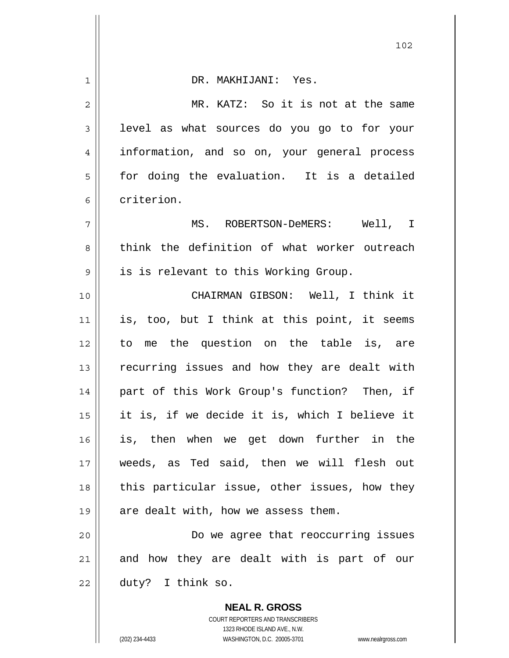| 1  | DR. MAKHIJANI: Yes.                                      |
|----|----------------------------------------------------------|
| 2  | MR. KATZ: So it is not at the same                       |
| 3  | level as what sources do you go to for your              |
| 4  | information, and so on, your general process             |
| 5  | for doing the evaluation. It is a detailed               |
| 6  | criterion.                                               |
| 7  | MS. ROBERTSON-DeMERS: Well, I                            |
| 8  | think the definition of what worker outreach             |
| 9  | is is relevant to this Working Group.                    |
| 10 | CHAIRMAN GIBSON: Well, I think it                        |
| 11 | is, too, but I think at this point, it seems             |
| 12 | to me the question on the table is, are                  |
| 13 | recurring issues and how they are dealt with             |
| 14 | part of this Work Group's function? Then, if             |
| 15 | it is, if we decide it is, which I believe it            |
| 16 | is, then when we get down further in the                 |
| 17 | weeds, as Ted said, then we will flesh out               |
| 18 | this particular issue, other issues, how they            |
| 19 | are dealt with, how we assess them.                      |
| 20 | Do we agree that reoccurring issues                      |
| 21 | and how they are dealt with is part of our               |
| 22 | duty? I think so.                                        |
|    | <b>NEAL R. GROSS</b><br>COURT REPORTERS AND TRANSCRIBERS |

102

1323 RHODE ISLAND AVE., N.W.

 $\mathsf{II}$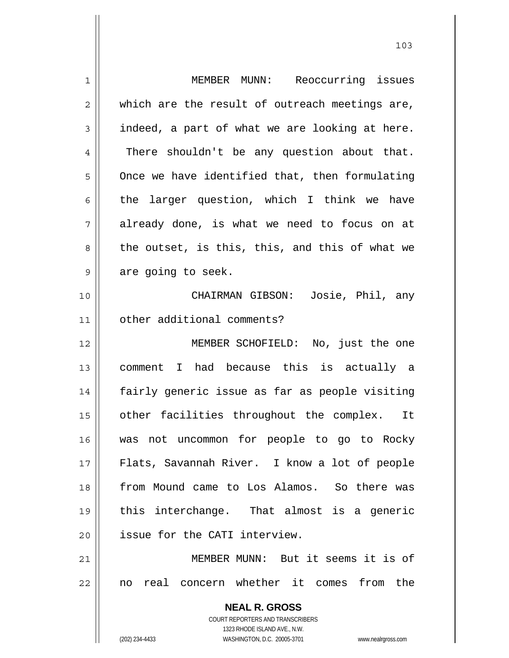| $\mathbf 1$    | MEMBER MUNN: Reoccurring issues                                     |
|----------------|---------------------------------------------------------------------|
| $\overline{2}$ | which are the result of outreach meetings are,                      |
| 3              | indeed, a part of what we are looking at here.                      |
| 4              | There shouldn't be any question about that.                         |
| 5              | Once we have identified that, then formulating                      |
| 6              | the larger question, which I think we have                          |
| 7              | already done, is what we need to focus on at                        |
| 8              | the outset, is this, this, and this of what we                      |
| 9              | are going to seek.                                                  |
| 10             | CHAIRMAN GIBSON: Josie, Phil, any                                   |
| 11             | other additional comments?                                          |
| 12             | MEMBER SCHOFIELD: No, just the one                                  |
| 13             | comment I had because this is actually a                            |
| 14             | fairly generic issue as far as people visiting                      |
| 15             | other facilities throughout the complex. It                         |
| 16             | was not uncommon for people to go to Rocky                          |
| 17             | Flats, Savannah River. I know a lot of people                       |
| 18             | from Mound came to Los Alamos. So there was                         |
| 19             | this interchange. That almost is a generic                          |
| 20             | issue for the CATI interview.                                       |
| 21             | MEMBER MUNN: But it seems it is of                                  |
| 22             | no real concern whether it comes from the                           |
|                | <b>NEAL R. GROSS</b>                                                |
|                | <b>COURT REPORTERS AND TRANSCRIBERS</b>                             |
|                | 1323 RHODE ISLAND AVE., N.W.                                        |
|                | (202) 234-4433<br>WASHINGTON, D.C. 20005-3701<br>www.nealrgross.com |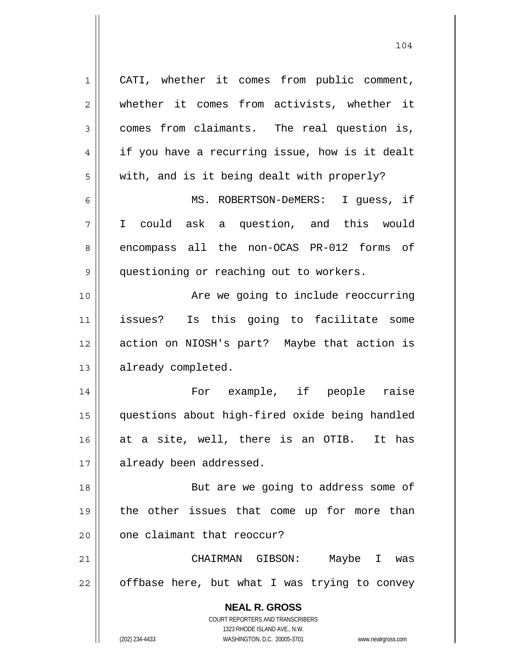**NEAL R. GROSS** COURT REPORTERS AND TRANSCRIBERS 1323 RHODE ISLAND AVE., N.W. 1 2 3 4 5 6 7 8 9 10 11 12 13 14 15 16 17 18 19 20 21 22 CATI, whether it comes from public comment, whether it comes from activists, whether it comes from claimants. The real question is, if you have a recurring issue, how is it dealt with, and is it being dealt with properly? MS. ROBERTSON-DeMERS: I guess, if I could ask a question, and this would encompass all the non-OCAS PR-012 forms of questioning or reaching out to workers. Are we going to include reoccurring issues? Is this going to facilitate some action on NIOSH's part? Maybe that action is already completed. For example, if people raise questions about high-fired oxide being handled at a site, well, there is an OTIB. It has already been addressed. But are we going to address some of the other issues that come up for more than one claimant that reoccur? CHAIRMAN GIBSON: Maybe I was offbase here, but what I was trying to convey

104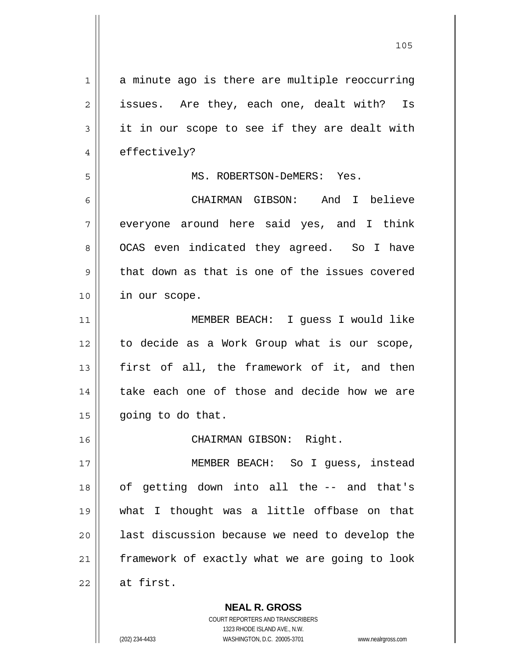1 2 3 4 5 6 7 8 9 10 11 12 13 14 15 16 17 18 19 20 21 22 a minute ago is there are multiple reoccurring issues. Are they, each one, dealt with? Is it in our scope to see if they are dealt with effectively? MS. ROBERTSON-DeMERS: Yes. CHAIRMAN GIBSON: And I believe everyone around here said yes, and I think OCAS even indicated they agreed. So I have that down as that is one of the issues covered in our scope. MEMBER BEACH: I guess I would like to decide as a Work Group what is our scope, first of all, the framework of it, and then take each one of those and decide how we are going to do that. CHAIRMAN GIBSON: Right. MEMBER BEACH: So I guess, instead of getting down into all the -- and that's what I thought was a little offbase on that last discussion because we need to develop the framework of exactly what we are going to look at first.

105

**NEAL R. GROSS** COURT REPORTERS AND TRANSCRIBERS 1323 RHODE ISLAND AVE., N.W.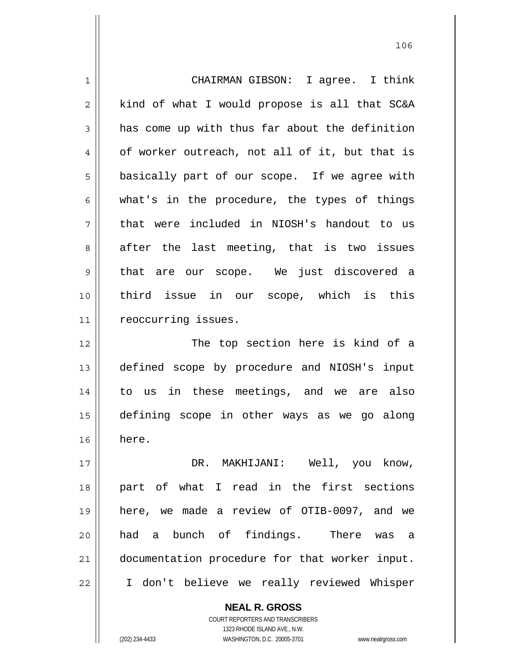1 2 3 4 5 6 7 8 9 10 11 12 13 14 15 16 17 18 19 20 21 22 CHAIRMAN GIBSON: I agree. I think kind of what I would propose is all that SC&A has come up with thus far about the definition of worker outreach, not all of it, but that is basically part of our scope. If we agree with what's in the procedure, the types of things that were included in NIOSH's handout to us after the last meeting, that is two issues that are our scope. We just discovered a third issue in our scope, which is this reoccurring issues. The top section here is kind of a defined scope by procedure and NIOSH's input to us in these meetings, and we are also defining scope in other ways as we go along here. DR. MAKHIJANI: Well, you know, part of what I read in the first sections here, we made a review of OTIB-0097, and we had a bunch of findings. There was a documentation procedure for that worker input. I don't believe we really reviewed Whisper

106

COURT REPORTERS AND TRANSCRIBERS 1323 RHODE ISLAND AVE., N.W. (202) 234-4433 WASHINGTON, D.C. 20005-3701 www.nealrgross.com

**NEAL R. GROSS**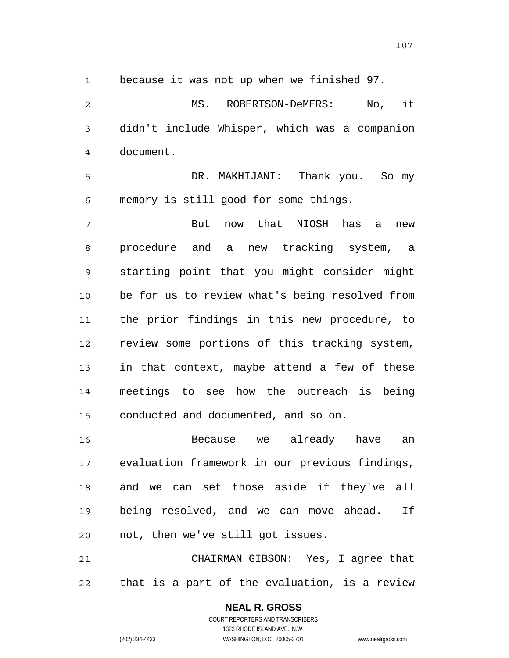| $1\,$          | because it was not up when we finished 97.                                                          |
|----------------|-----------------------------------------------------------------------------------------------------|
| $\overline{c}$ | No, it<br>MS. ROBERTSON-DeMERS:                                                                     |
| 3              | didn't include Whisper, which was a companion                                                       |
| 4              | document.                                                                                           |
| 5              | DR. MAKHIJANI: Thank you. So my                                                                     |
| 6              | memory is still good for some things.                                                               |
| 7              | now that NIOSH has<br>But<br>a<br>new                                                               |
| 8              | procedure and a new tracking system, a                                                              |
| 9              | starting point that you might consider might                                                        |
| 10             | be for us to review what's being resolved from                                                      |
| 11             | the prior findings in this new procedure, to                                                        |
| 12             | review some portions of this tracking system,                                                       |
| 13             | in that context, maybe attend a few of these                                                        |
| 14             | meetings to see how the outreach is being                                                           |
| 15             | conducted and documented, and so on.                                                                |
| 16             | Because we already have an                                                                          |
| 17             | evaluation framework in our previous findings,                                                      |
| 18             | and we can set those aside if they've all                                                           |
| 19             | being resolved, and we can move ahead.<br>Ιf                                                        |
| 20             | not, then we've still got issues.                                                                   |
| 21             | CHAIRMAN GIBSON: Yes, I agree that                                                                  |
| 22             | that is a part of the evaluation, is a review                                                       |
|                | <b>NEAL R. GROSS</b>                                                                                |
|                | COURT REPORTERS AND TRANSCRIBERS                                                                    |
|                | 1323 RHODE ISLAND AVE., N.W.<br>(202) 234-4433<br>WASHINGTON, D.C. 20005-3701<br>www.nealrgross.com |
|                |                                                                                                     |

107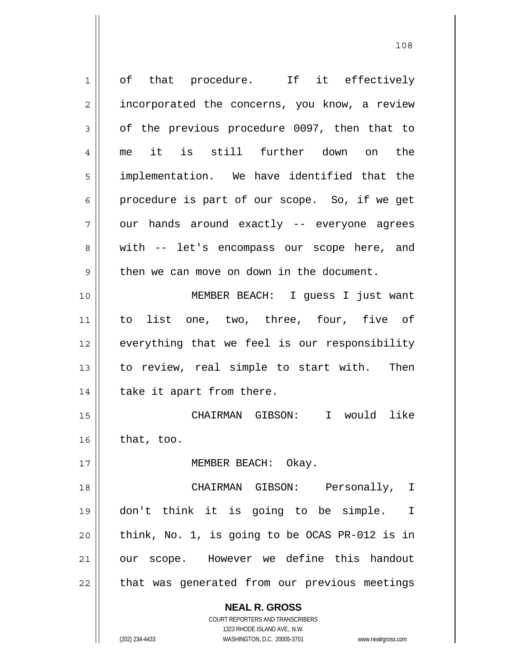**NEAL R. GROSS** COURT REPORTERS AND TRANSCRIBERS 1 2 3 4 5 6 7 8 9 10 11 12 13 14 15 16 17 18 19 20 21 22 of that procedure. If it effectively incorporated the concerns, you know, a review of the previous procedure 0097, then that to me it is still further down on the implementation. We have identified that the procedure is part of our scope. So, if we get our hands around exactly -- everyone agrees with -- let's encompass our scope here, and then we can move on down in the document. MEMBER BEACH: I guess I just want to list one, two, three, four, five of everything that we feel is our responsibility to review, real simple to start with. Then take it apart from there. CHAIRMAN GIBSON: I would like that, too. MEMBER BEACH: Okay. CHAIRMAN GIBSON: Personally, I don't think it is going to be simple. I think, No. 1, is going to be OCAS PR-012 is in our scope. However we define this handout that was generated from our previous meetings

108

1323 RHODE ISLAND AVE., N.W.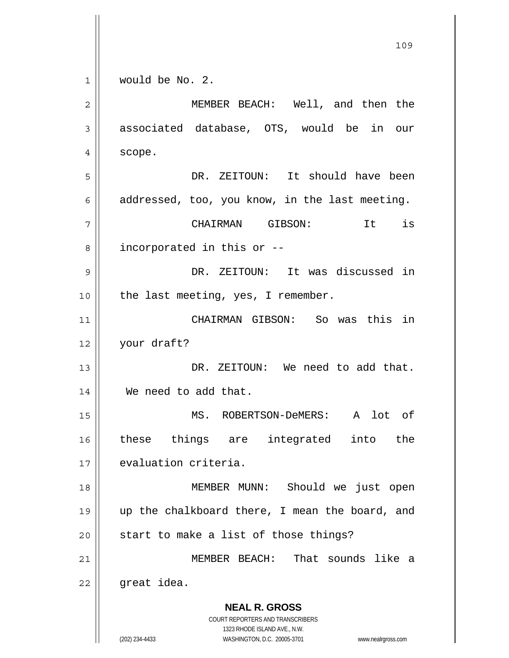**NEAL R. GROSS** COURT REPORTERS AND TRANSCRIBERS 1323 RHODE ISLAND AVE., N.W. (202) 234-4433 WASHINGTON, D.C. 20005-3701 www.nealrgross.com 109 1 2 3 4 5 6 7 8 9 10 11 12 13 14 15 16 17 18 19 20 21 22 would be No. 2. MEMBER BEACH: Well, and then the associated database, OTS, would be in our scope. DR. ZEITOUN: It should have been addressed, too, you know, in the last meeting. CHAIRMAN GIBSON: It is incorporated in this or -- DR. ZEITOUN: It was discussed in the last meeting, yes, I remember. CHAIRMAN GIBSON: So was this in your draft? DR. ZEITOUN: We need to add that. We need to add that. MS. ROBERTSON-DeMERS: A lot of these things are integrated into the evaluation criteria. MEMBER MUNN: Should we just open up the chalkboard there, I mean the board, and start to make a list of those things? MEMBER BEACH: That sounds like a great idea.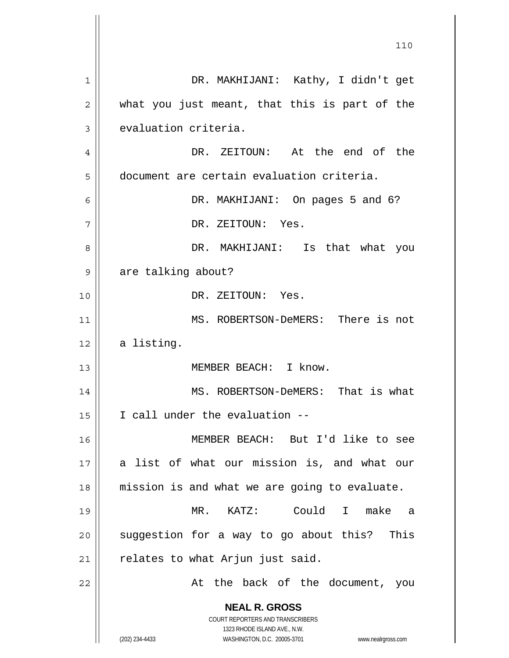|    | 110                                                                                                 |
|----|-----------------------------------------------------------------------------------------------------|
| 1  | DR. MAKHIJANI: Kathy, I didn't get                                                                  |
| 2  | what you just meant, that this is part of the                                                       |
| 3  | evaluation criteria.                                                                                |
| 4  | DR. ZEITOUN: At the end of the                                                                      |
| 5  | document are certain evaluation criteria.                                                           |
| 6  | DR. MAKHIJANI: On pages 5 and 6?                                                                    |
| 7  | DR. ZEITOUN: Yes.                                                                                   |
| 8  | DR. MAKHIJANI: Is that what you                                                                     |
| 9  | are talking about?                                                                                  |
| 10 | DR. ZEITOUN: Yes.                                                                                   |
| 11 | MS. ROBERTSON-DeMERS: There is not                                                                  |
| 12 | a listing.                                                                                          |
| 13 | MEMBER BEACH: I know.                                                                               |
| 14 | MS. ROBERTSON-DeMERS: That is what                                                                  |
| 15 | I call under the evaluation --                                                                      |
| 16 | MEMBER BEACH: But I'd like to see                                                                   |
| 17 | a list of what our mission is, and what our                                                         |
| 18 | mission is and what we are going to evaluate.                                                       |
| 19 | Could I make a<br>MR. KATZ:                                                                         |
| 20 | suggestion for a way to go about this? This                                                         |
| 21 | relates to what Arjun just said.                                                                    |
| 22 | At the back of the document, you                                                                    |
|    | <b>NEAL R. GROSS</b>                                                                                |
|    | COURT REPORTERS AND TRANSCRIBERS                                                                    |
|    | 1323 RHODE ISLAND AVE., N.W.<br>(202) 234-4433<br>WASHINGTON, D.C. 20005-3701<br>www.nealrgross.com |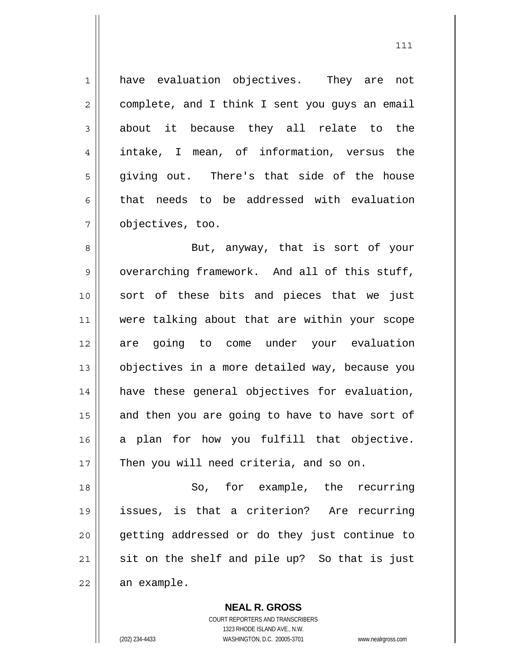1 2 3 4 5 6 7 have evaluation objectives. They are not complete, and I think I sent you guys an email about it because they all relate to the intake, I mean, of information, versus the giving out. There's that side of the house that needs to be addressed with evaluation objectives, too.

8 9 10 11 12 13 14 15 16 17 But, anyway, that is sort of your overarching framework. And all of this stuff, sort of these bits and pieces that we just were talking about that are within your scope are going to come under your evaluation objectives in a more detailed way, because you have these general objectives for evaluation, and then you are going to have to have sort of a plan for how you fulfill that objective. Then you will need criteria, and so on.

18 19 20 21 22 So, for example, the recurring issues, is that a criterion? Are recurring getting addressed or do they just continue to sit on the shelf and pile up? So that is just an example.

> **NEAL R. GROSS** COURT REPORTERS AND TRANSCRIBERS 1323 RHODE ISLAND AVE., N.W. (202) 234-4433 WASHINGTON, D.C. 20005-3701 www.nealrgross.com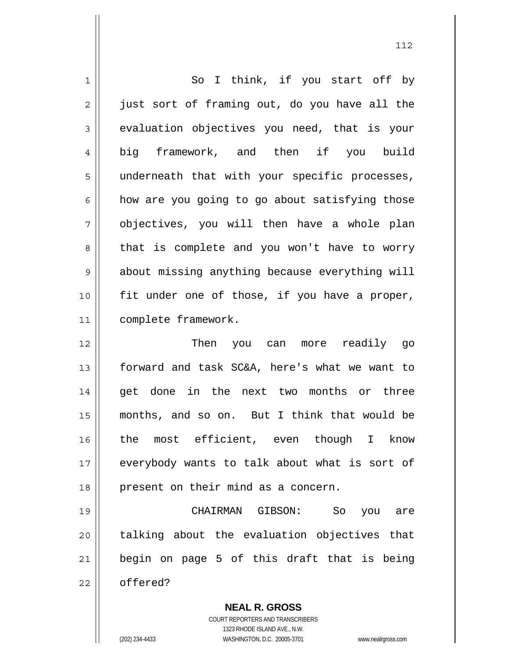| $\mathbf{1}$   | So I think, if you start off by                |
|----------------|------------------------------------------------|
| $\overline{c}$ | just sort of framing out, do you have all the  |
| 3              | evaluation objectives you need, that is your   |
| 4              | big framework, and then if you build           |
| 5              | underneath that with your specific processes,  |
| 6              | how are you going to go about satisfying those |
| 7              | objectives, you will then have a whole plan    |
| 8              | that is complete and you won't have to worry   |
| 9              | about missing anything because everything will |
| 10             | fit under one of those, if you have a proper,  |
| 11             | complete framework.                            |
| 12             | Then<br>you can more readily go                |
| 13             | forward and task SC&A, here's what we want to  |
| 14             | get done in the next two months or three       |
| 15             | months, and so on. But I think that would be   |
| 16             | most efficient, even though I<br>the<br>know   |
| 17             | everybody wants to talk about what is sort of  |
| 18             | present on their mind as a concern.            |
| 19             | So<br>CHAIRMAN GIBSON:<br>you are              |
| 20             | talking about the evaluation objectives that   |
| 21             | begin on page 5 of this draft that is being    |
| 22             | offered?                                       |
|                | <b>NEAL R. GROSS</b>                           |

112

COURT REPORTERS AND TRANSCRIBERS 1323 RHODE ISLAND AVE., N.W.

 $\mathsf{II}$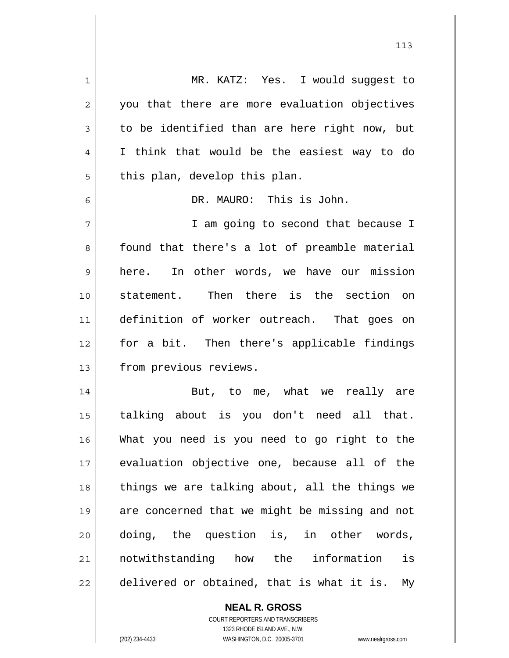1 2 3 4 5 6 7 8 9 10 11 12 13 14 15 16 17 18 19 20 21 22 MR. KATZ: Yes. I would suggest to you that there are more evaluation objectives to be identified than are here right now, but I think that would be the easiest way to do this plan, develop this plan. DR. MAURO: This is John. I am going to second that because I found that there's a lot of preamble material here. In other words, we have our mission statement. Then there is the section on definition of worker outreach. That goes on for a bit. Then there's applicable findings from previous reviews. But, to me, what we really are talking about is you don't need all that. What you need is you need to go right to the evaluation objective one, because all of the things we are talking about, all the things we are concerned that we might be missing and not doing, the question is, in other words, notwithstanding how the information is delivered or obtained, that is what it is. My

113

**NEAL R. GROSS** COURT REPORTERS AND TRANSCRIBERS 1323 RHODE ISLAND AVE., N.W.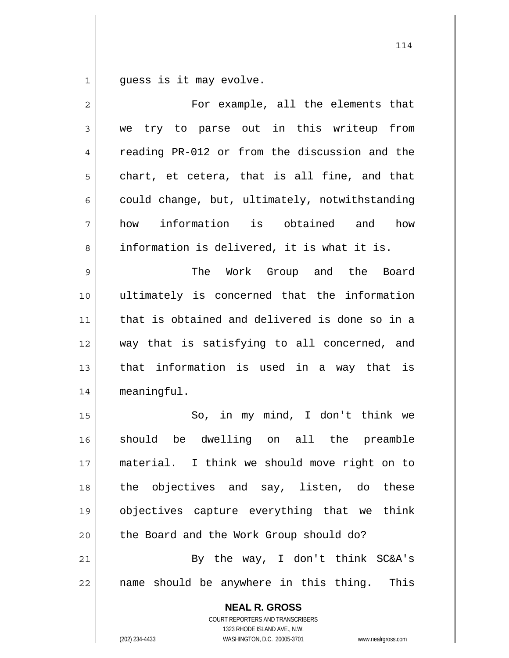1 guess is it may evolve.

| $\overline{2}$ | For example, all the elements that                                                                                                                                     |
|----------------|------------------------------------------------------------------------------------------------------------------------------------------------------------------------|
| 3              | we try to parse out in this writeup from                                                                                                                               |
| 4              | reading PR-012 or from the discussion and the                                                                                                                          |
| 5              | chart, et cetera, that is all fine, and that                                                                                                                           |
| 6              | could change, but, ultimately, notwithstanding                                                                                                                         |
| 7              | how information is obtained and how                                                                                                                                    |
| 8              | information is delivered, it is what it is.                                                                                                                            |
| 9              | The Work Group and the Board                                                                                                                                           |
| 10             | ultimately is concerned that the information                                                                                                                           |
| 11             | that is obtained and delivered is done so in a                                                                                                                         |
| 12             | way that is satisfying to all concerned, and                                                                                                                           |
| 13             | that information is used in a way that is                                                                                                                              |
| 14             | meaningful.                                                                                                                                                            |
| 15             | So, in my mind, I don't think we                                                                                                                                       |
| 16             | should be dwelling on all the preamble                                                                                                                                 |
| 17             | material. I think we should move right on to                                                                                                                           |
| 18             | the objectives and say, listen, do these                                                                                                                               |
| 19             | objectives capture everything that we think                                                                                                                            |
| 20             | the Board and the Work Group should do?                                                                                                                                |
| 21             | By the way, I don't think SC&A's                                                                                                                                       |
| 22             | name should be anywhere in this thing. This                                                                                                                            |
|                | <b>NEAL R. GROSS</b><br><b>COURT REPORTERS AND TRANSCRIBERS</b><br>1323 RHODE ISLAND AVE., N.W.<br>(202) 234-4433<br>WASHINGTON, D.C. 20005-3701<br>www.nealrgross.com |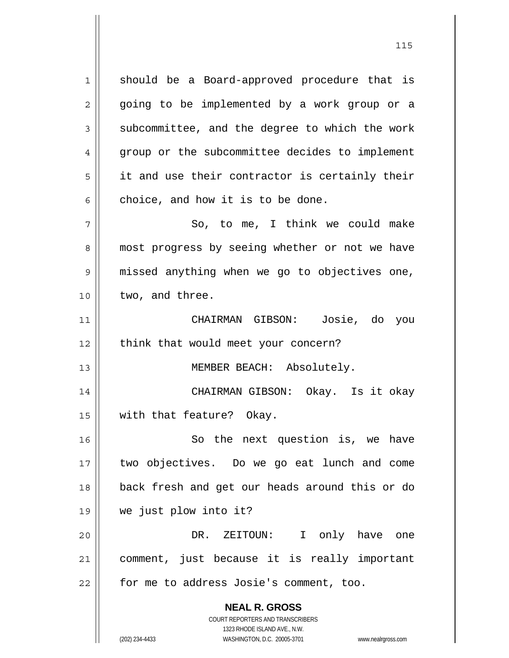**NEAL R. GROSS** COURT REPORTERS AND TRANSCRIBERS 1 2 3 4 5 6 7 8 9 10 11 12 13 14 15 16 17 18 19 20 21 22 should be a Board-approved procedure that is going to be implemented by a work group or a subcommittee, and the degree to which the work group or the subcommittee decides to implement it and use their contractor is certainly their choice, and how it is to be done. So, to me, I think we could make most progress by seeing whether or not we have missed anything when we go to objectives one, two, and three. CHAIRMAN GIBSON: Josie, do you think that would meet your concern? MEMBER BEACH: Absolutely. CHAIRMAN GIBSON: Okay. Is it okay with that feature? Okay. So the next question is, we have two objectives. Do we go eat lunch and come back fresh and get our heads around this or do we just plow into it? DR. ZEITOUN: I only have one comment, just because it is really important for me to address Josie's comment, too.

<u>115</u>

1323 RHODE ISLAND AVE., N.W. (202) 234-4433 WASHINGTON, D.C. 20005-3701 www.nealrgross.com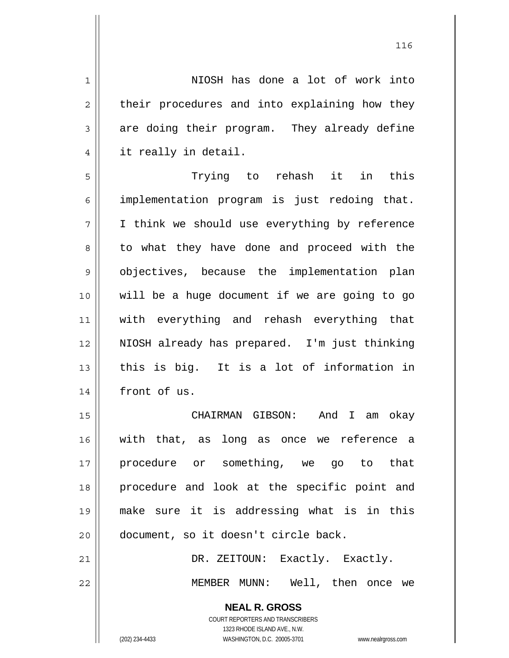NIOSH has done a lot of work into their procedures and into explaining how they are doing their program. They already define it really in detail.

5 6 7 8 9 10 11 12 13 14 Trying to rehash it in this implementation program is just redoing that. I think we should use everything by reference to what they have done and proceed with the objectives, because the implementation plan will be a huge document if we are going to go with everything and rehash everything that NIOSH already has prepared. I'm just thinking this is big. It is a lot of information in front of us.

15 16 17 18 19 20 CHAIRMAN GIBSON: And I am okay with that, as long as once we reference a procedure or something, we go to that procedure and look at the specific point and make sure it is addressing what is in this document, so it doesn't circle back.

21 22 DR. ZEITOUN: Exactly. Exactly. MEMBER MUNN: Well, then once we

> **NEAL R. GROSS** COURT REPORTERS AND TRANSCRIBERS 1323 RHODE ISLAND AVE., N.W. (202) 234-4433 WASHINGTON, D.C. 20005-3701 www.nealrgross.com

1

2

3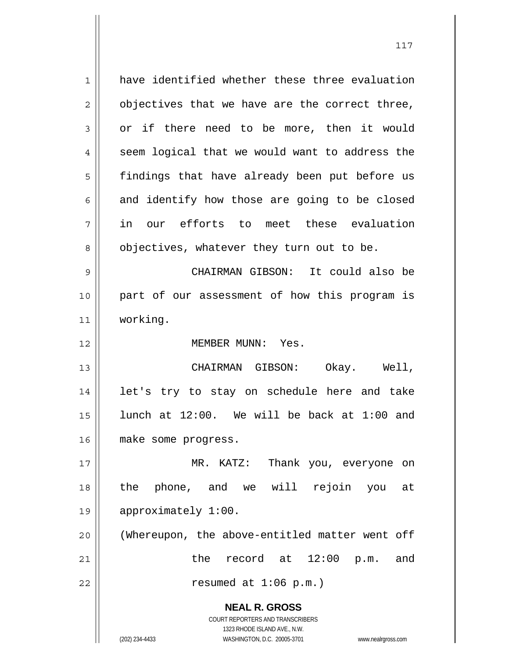**NEAL R. GROSS** COURT REPORTERS AND TRANSCRIBERS 1323 RHODE ISLAND AVE., N.W. (202) 234-4433 WASHINGTON, D.C. 20005-3701 www.nealrgross.com 1 2 3 4 5 6 7 8 9 10 11 12 13 14 15 16 17 18 19 20 21 22 have identified whether these three evaluation objectives that we have are the correct three, or if there need to be more, then it would seem logical that we would want to address the findings that have already been put before us and identify how those are going to be closed in our efforts to meet these evaluation objectives, whatever they turn out to be. CHAIRMAN GIBSON: It could also be part of our assessment of how this program is working. MEMBER MUNN: Yes. CHAIRMAN GIBSON: Okay. Well, let's try to stay on schedule here and take lunch at 12:00. We will be back at 1:00 and make some progress. MR. KATZ: Thank you, everyone on the phone, and we will rejoin you at approximately 1:00. (Whereupon, the above-entitled matter went off the record at 12:00 p.m. and resumed at 1:06 p.m.)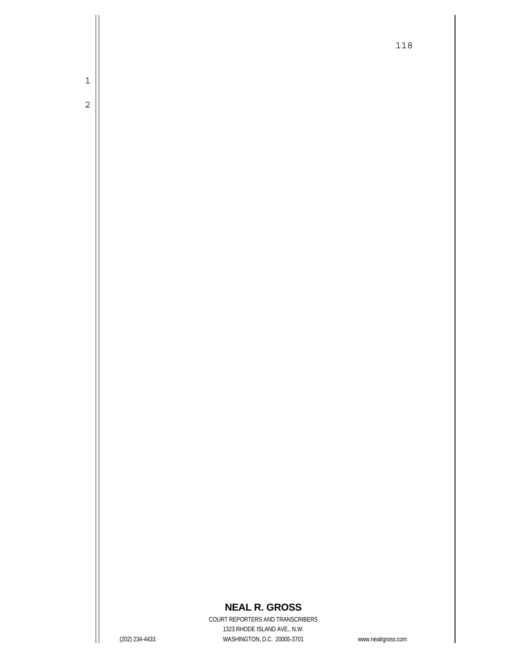1

## 2

## **NEAL R. GROSS**

COURT REPORTERS AND TRANSCRIBERS 1323 RHODE ISLAND AVE., N.W. (202) 234-4433 WASHINGTON, D.C. 20005-3701 www.nealrgross.com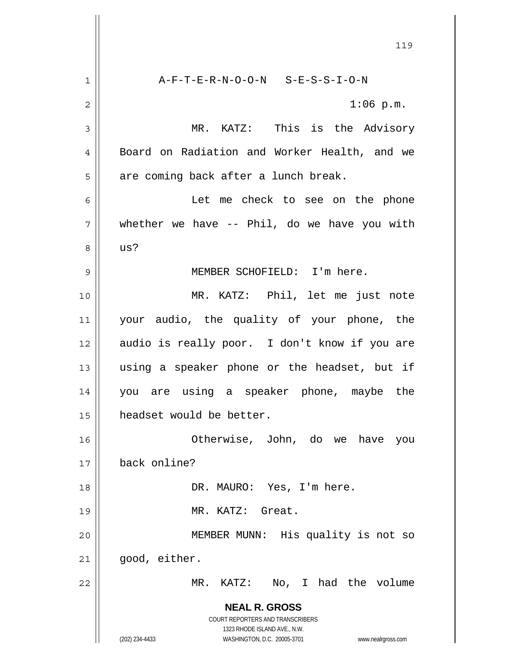**NEAL R. GROSS** COURT REPORTERS AND TRANSCRIBERS 1323 RHODE ISLAND AVE., N.W. (202) 234-4433 WASHINGTON, D.C. 20005-3701 www.nealrgross.com 119 1 2 3 4 5 6 7 8 9 10 11 12 13 14 15 16 17 18 19 20 21 22 A-F-T-E-R-N-O-O-N S-E-S-S-I-O-N 1:06 p.m. MR. KATZ: This is the Advisory Board on Radiation and Worker Health, and we are coming back after a lunch break. Let me check to see on the phone whether we have -- Phil, do we have you with us? MEMBER SCHOFIELD: I'm here. MR. KATZ: Phil, let me just note your audio, the quality of your phone, the audio is really poor. I don't know if you are using a speaker phone or the headset, but if you are using a speaker phone, maybe the headset would be better. Otherwise, John, do we have you back online? DR. MAURO: Yes, I'm here. MR. KATZ: Great. MEMBER MUNN: His quality is not so good, either. MR. KATZ: No, I had the volume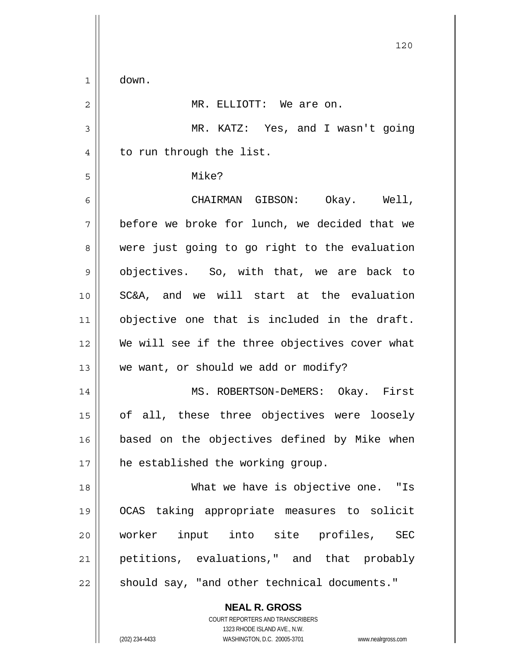**NEAL R. GROSS** 120 1 2 3 4 5 6 7 8 9 10 11 12 13 14 15 16 17 18 19 20 21 22 down. MR. ELLIOTT: We are on. MR. KATZ: Yes, and I wasn't going to run through the list. Mike? CHAIRMAN GIBSON: Okay. Well, before we broke for lunch, we decided that we were just going to go right to the evaluation objectives. So, with that, we are back to SC&A, and we will start at the evaluation objective one that is included in the draft. We will see if the three objectives cover what we want, or should we add or modify? MS. ROBERTSON-DeMERS: Okay. First of all, these three objectives were loosely based on the objectives defined by Mike when he established the working group. What we have is objective one. "Is OCAS taking appropriate measures to solicit worker input into site profiles, SEC petitions, evaluations," and that probably should say, "and other technical documents."

> COURT REPORTERS AND TRANSCRIBERS 1323 RHODE ISLAND AVE., N.W.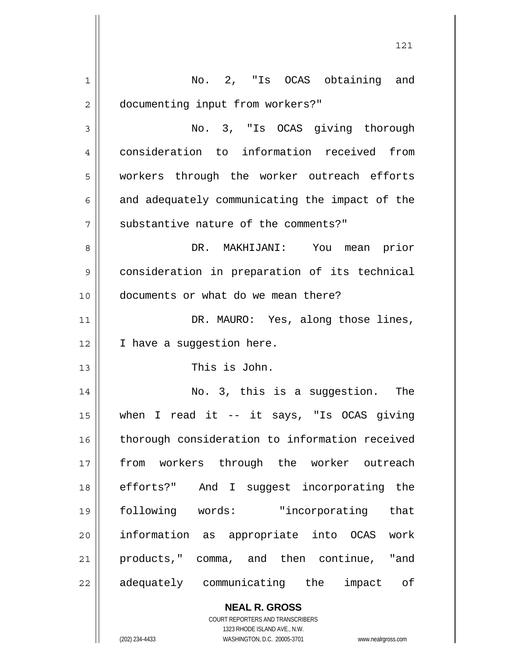|    | 121                                            |
|----|------------------------------------------------|
| 1  | No. 2, "Is OCAS obtaining and                  |
| 2  | documenting input from workers?"               |
| 3  | No. 3, "Is OCAS giving thorough                |
| 4  | consideration to information received from     |
| 5  | workers through the worker outreach efforts    |
| 6  | and adequately communicating the impact of the |
| 7  | substantive nature of the comments?"           |
| 8  | DR. MAKHIJANI: You mean prior                  |
| 9  | consideration in preparation of its technical  |
| 10 | documents or what do we mean there?            |
| 11 | DR. MAURO: Yes, along those lines,             |
| 12 | I have a suggestion here.                      |
| 13 | This is John.                                  |
| 14 | No. 3, this is a suggestion. The               |
| 15 | when I read it -- it says, "Is OCAS giving     |
| 16 | thorough consideration to information received |
| 17 | from workers through the worker outreach       |
| 18 | efforts?" And I suggest incorporating the      |
| 19 | following words: "incorporating that           |
| 20 | information as appropriate into OCAS work      |
| 21 | products," comma, and then continue, "and      |
| 22 | adequately communicating the impact of         |
|    | <b>NEAL R. GROSS</b>                           |

COURT REPORTERS AND TRANSCRIBERS 1323 RHODE ISLAND AVE., N.W.

 $\mathbf{\mathsf{I}}$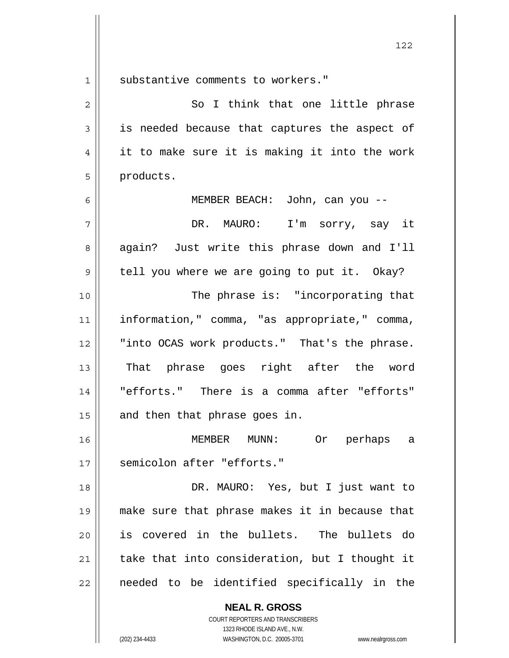1 2 3 4 5 6 7 8 9 10 11 12 13 14 15 16 17 18 19 20 21 22 substantive comments to workers." So I think that one little phrase is needed because that captures the aspect of it to make sure it is making it into the work products. MEMBER BEACH: John, can you -- DR. MAURO: I'm sorry, say it again? Just write this phrase down and I'll tell you where we are going to put it. Okay? The phrase is: "incorporating that information," comma, "as appropriate," comma, "into OCAS work products." That's the phrase. That phrase goes right after the word "efforts." There is a comma after "efforts" and then that phrase goes in. MEMBER MUNN: Or perhaps a semicolon after "efforts." DR. MAURO: Yes, but I just want to make sure that phrase makes it in because that is covered in the bullets. The bullets do take that into consideration, but I thought it needed to be identified specifically in the

122

COURT REPORTERS AND TRANSCRIBERS 1323 RHODE ISLAND AVE., N.W. (202) 234-4433 WASHINGTON, D.C. 20005-3701 www.nealrgross.com

**NEAL R. GROSS**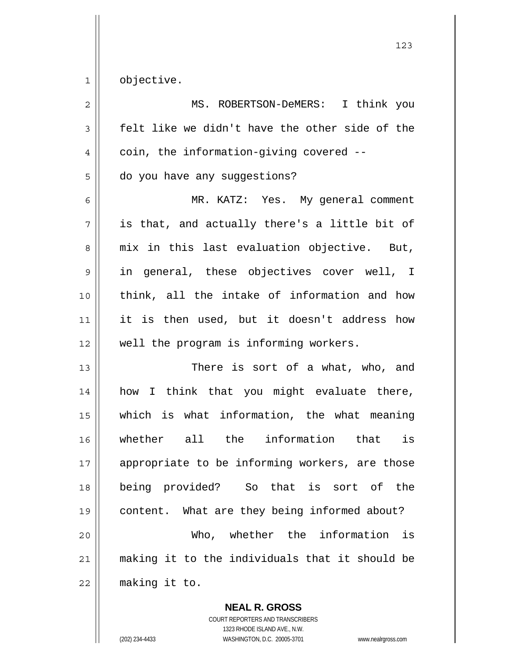1 objective.

| $\overline{2}$ | MS. ROBERTSON-DeMERS: I think you              |
|----------------|------------------------------------------------|
| 3              | felt like we didn't have the other side of the |
| 4              | coin, the information-giving covered --        |
| 5              | do you have any suggestions?                   |
| 6              | MR. KATZ: Yes. My general comment              |
| 7              | is that, and actually there's a little bit of  |
| 8              | mix in this last evaluation objective. But,    |
| $\mathsf 9$    | in general, these objectives cover well, I     |
| 10             | think, all the intake of information and how   |
| 11             | it is then used, but it doesn't address how    |
| 12             | well the program is informing workers.         |
| 13             | There is sort of a what, who, and              |
| 14             | how I think that you might evaluate there,     |
| 15             | which is what information, the what meaning    |
| 16             | whether all the information that is            |
| 17             | appropriate to be informing workers, are those |
| 18             | being provided? So that is sort of the         |
| 19             | content. What are they being informed about?   |
| 20             | Who, whether the information is                |
| 21             | making it to the individuals that it should be |
| 22             | making it to.                                  |

**NEAL R. GROSS** COURT REPORTERS AND TRANSCRIBERS 1323 RHODE ISLAND AVE., N.W. (202) 234-4433 WASHINGTON, D.C. 20005-3701 www.nealrgross.com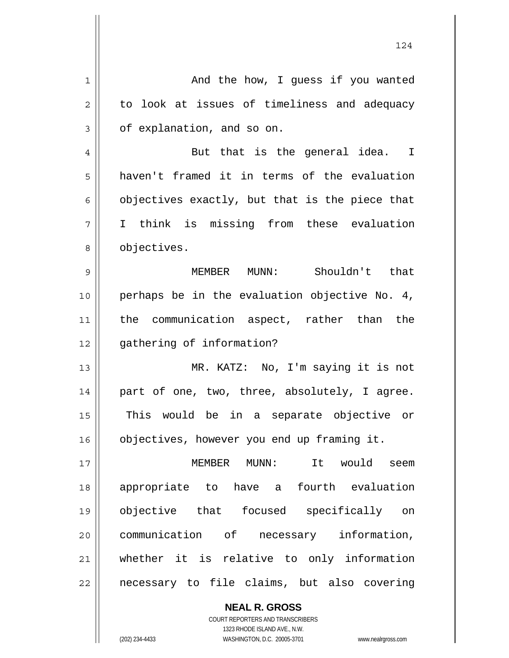| 1           | And the how, I guess if you wanted             |
|-------------|------------------------------------------------|
| 2           | to look at issues of timeliness and adequacy   |
| 3           | of explanation, and so on.                     |
| 4           | But that is the general idea. I                |
| 5           | haven't framed it in terms of the evaluation   |
| 6           | objectives exactly, but that is the piece that |
| 7           | I think is missing from these evaluation       |
| 8           | objectives.                                    |
| $\mathsf 9$ | MEMBER MUNN: Shouldn't that                    |
| 10          | perhaps be in the evaluation objective No. 4,  |
| 11          | the communication aspect, rather than the      |
| 12          | gathering of information?                      |
| 13          | MR. KATZ: No, I'm saying it is not             |
| 14          | part of one, two, three, absolutely, I agree.  |
| 15          | This would be in a separate objective or       |
| 16          | objectives, however you end up framing it.     |
| 17          | MEMBER MUNN: It would seem                     |
| 18          | appropriate to have a fourth evaluation        |
| 19          | objective that focused specifically on         |
| 20          | communication of necessary information,        |
| 21          | whether it is relative to only information     |
| 22          | necessary to file claims, but also covering    |
|             | <b>NEAL R. GROSS</b>                           |

COURT REPORTERS AND TRANSCRIBERS 1323 RHODE ISLAND AVE., N.W.

 $\mathbf{I}$ 

(202) 234-4433 WASHINGTON, D.C. 20005-3701 www.nealrgross.com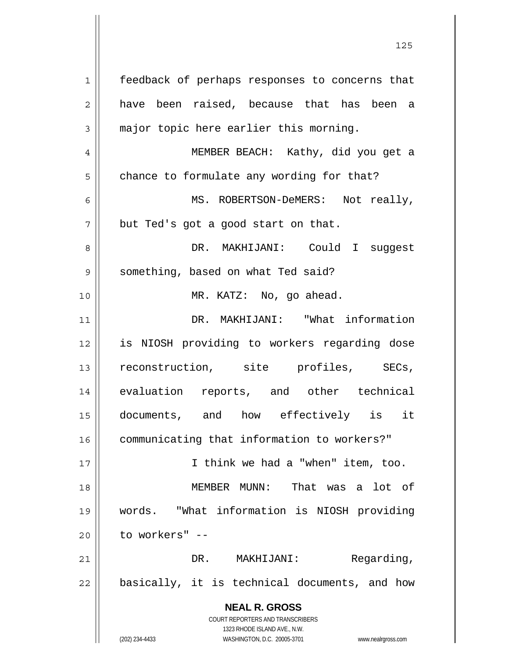**NEAL R. GROSS** COURT REPORTERS AND TRANSCRIBERS 1323 RHODE ISLAND AVE., N.W. 1 2 3 4 5 6 7 8 9 10 11 12 13 14 15 16 17 18 19 20 21 22 feedback of perhaps responses to concerns that have been raised, because that has been a major topic here earlier this morning. MEMBER BEACH: Kathy, did you get a chance to formulate any wording for that? MS. ROBERTSON-DeMERS: Not really, but Ted's got a good start on that. DR. MAKHIJANI: Could I suggest something, based on what Ted said? MR. KATZ: No, go ahead. DR. MAKHIJANI: "What information is NIOSH providing to workers regarding dose reconstruction, site profiles, SECs, evaluation reports, and other technical documents, and how effectively is it communicating that information to workers?" I think we had a "when" item, too. MEMBER MUNN: That was a lot of words. "What information is NIOSH providing to workers" -- DR. MAKHIJANI: Regarding, basically, it is technical documents, and how

<u>125</u>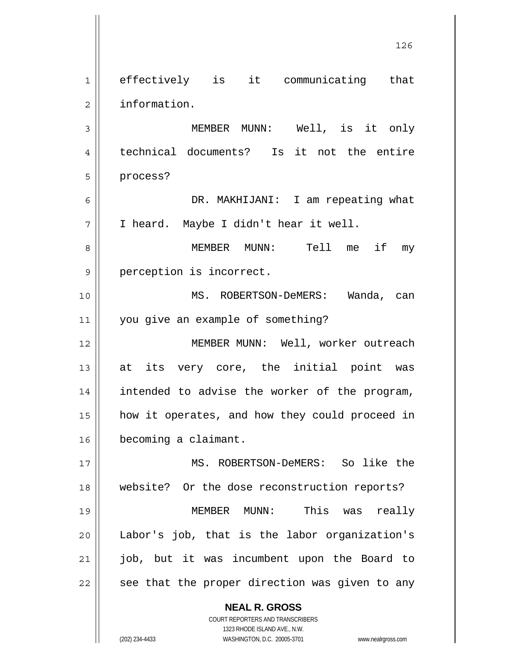**NEAL R. GROSS** COURT REPORTERS AND TRANSCRIBERS 1323 RHODE ISLAND AVE., N.W. (202) 234-4433 WASHINGTON, D.C. 20005-3701 www.nealrgross.com 126 1 2 3 4 5 6 7 8 9 10 11 12 13 14 15 16 17 18 19 20 21 22 effectively is it communicating that information. MEMBER MUNN: Well, is it only technical documents? Is it not the entire process? DR. MAKHIJANI: I am repeating what I heard. Maybe I didn't hear it well. MEMBER MUNN: Tell me if my perception is incorrect. MS. ROBERTSON-DeMERS: Wanda, can you give an example of something? MEMBER MUNN: Well, worker outreach at its very core, the initial point was intended to advise the worker of the program, how it operates, and how they could proceed in becoming a claimant. MS. ROBERTSON-DeMERS: So like the website? Or the dose reconstruction reports? MEMBER MUNN: This was really Labor's job, that is the labor organization's job, but it was incumbent upon the Board to see that the proper direction was given to any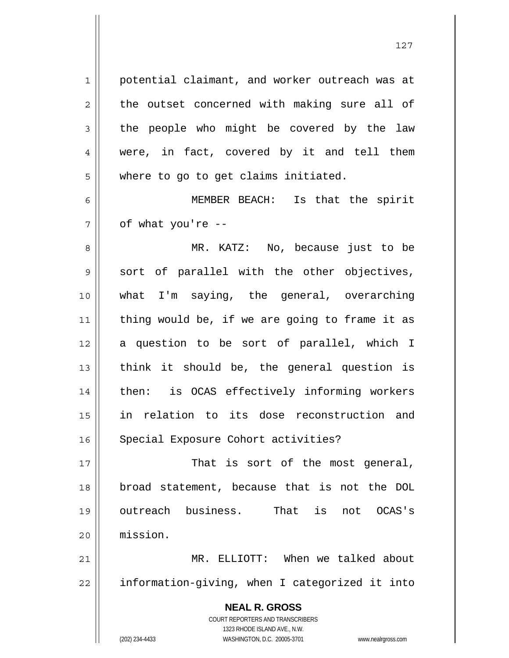potential claimant, and worker outreach was at the outset concerned with making sure all of the people who might be covered by the law were, in fact, covered by it and tell them where to go to get claims initiated.

6 7 MEMBER BEACH: Is that the spirit of what you're --

8 9 10 11 12 13 14 15 16 MR. KATZ: No, because just to be sort of parallel with the other objectives, what I'm saying, the general, overarching thing would be, if we are going to frame it as a question to be sort of parallel, which I think it should be, the general question is then: is OCAS effectively informing workers in relation to its dose reconstruction and Special Exposure Cohort activities?

17 18 19 20 That is sort of the most general, broad statement, because that is not the DOL outreach business. That is not OCAS's mission.

21 22 MR. ELLIOTT: When we talked about information-giving, when I categorized it into

> **NEAL R. GROSS** COURT REPORTERS AND TRANSCRIBERS 1323 RHODE ISLAND AVE., N.W. (202) 234-4433 WASHINGTON, D.C. 20005-3701 www.nealrgross.com

1

2

3

4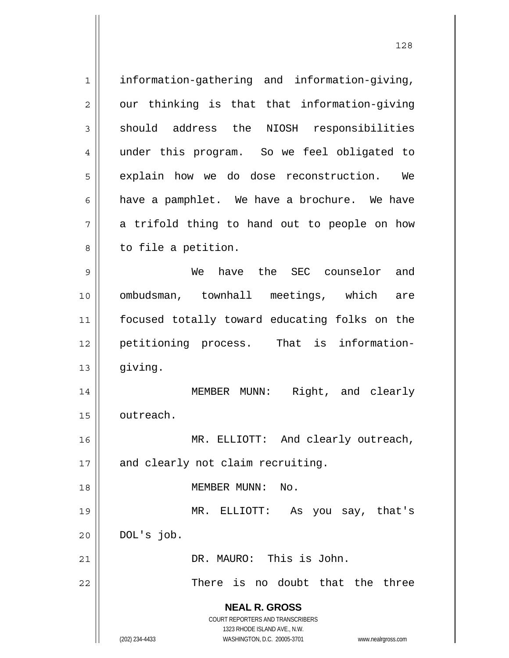**NEAL R. GROSS** COURT REPORTERS AND TRANSCRIBERS 1323 RHODE ISLAND AVE., N.W. (202) 234-4433 WASHINGTON, D.C. 20005-3701 www.nealrgross.com 1 2 3 4 5 6 7 8 9 10 11 12 13 14 15 16 17 18 19 20 21 22 information-gathering and information-giving, our thinking is that that information-giving should address the NIOSH responsibilities under this program. So we feel obligated to explain how we do dose reconstruction. We have a pamphlet. We have a brochure. We have a trifold thing to hand out to people on how to file a petition. We have the SEC counselor and ombudsman, townhall meetings, which are focused totally toward educating folks on the petitioning process. That is informationgiving. MEMBER MUNN: Right, and clearly outreach. MR. ELLIOTT: And clearly outreach, and clearly not claim recruiting. MEMBER MUNN: No. MR. ELLIOTT: As you say, that's DOL's job. DR. MAURO: This is John. There is no doubt that the three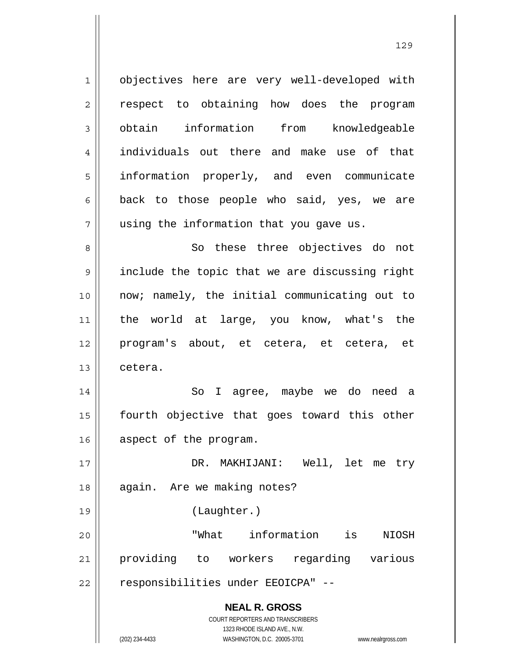**NEAL R. GROSS** COURT REPORTERS AND TRANSCRIBERS 1323 RHODE ISLAND AVE., N.W. 1 2 3 4 5 6 7 8 9 10 11 12 13 14 15 16 17 18 19 20 21 22 objectives here are very well-developed with respect to obtaining how does the program obtain information from knowledgeable individuals out there and make use of that information properly, and even communicate back to those people who said, yes, we are using the information that you gave us. So these three objectives do not include the topic that we are discussing right now; namely, the initial communicating out to the world at large, you know, what's the program's about, et cetera, et cetera, et cetera. So I agree, maybe we do need a fourth objective that goes toward this other aspect of the program. DR. MAKHIJANI: Well, let me try again. Are we making notes? (Laughter.) "What information is NIOSH providing to workers regarding various responsibilities under EEOICPA" --

129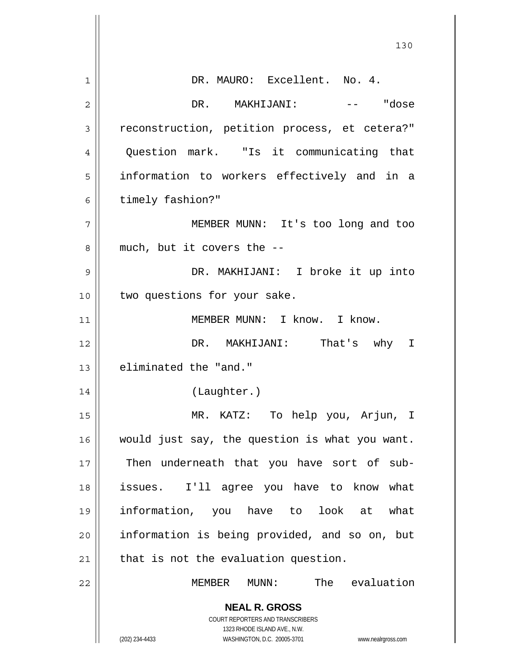|                | 130                                                                 |
|----------------|---------------------------------------------------------------------|
| $\mathbf{1}$   | DR. MAURO: Excellent. No. 4.                                        |
| $\overline{c}$ | DR. MAKHIJANI: --<br>"dose                                          |
| 3              | reconstruction, petition process, et cetera?"                       |
| 4              | Question mark. "Is it communicating that                            |
| 5              | information to workers effectively and in a                         |
| 6              | timely fashion?"                                                    |
| 7              | MEMBER MUNN: It's too long and too                                  |
| 8              | much, but it covers the --                                          |
| 9              | DR. MAKHIJANI: I broke it up into                                   |
| 10             | two questions for your sake.                                        |
| 11             | MEMBER MUNN: I know. I know.                                        |
| 12             | DR. MAKHIJANI: That's why I                                         |
| 13             | eliminated the "and."                                               |
| 14             | (Laughter.)                                                         |
| 15             | MR. KATZ: To help you, Arjun, I                                     |
| 16             | would just say, the question is what you want.                      |
| 17             | Then underneath that you have sort of sub-                          |
| 18             | issues. I'll agree you have to know what                            |
| 19             | information, you have to look at<br>what                            |
| 20             | information is being provided, and so on, but                       |
| 21             | that is not the evaluation question.                                |
| 22             | The evaluation<br>MEMBER<br>MUNN:                                   |
|                | <b>NEAL R. GROSS</b><br>COURT REPORTERS AND TRANSCRIBERS            |
|                | 1323 RHODE ISLAND AVE., N.W.                                        |
|                | (202) 234-4433<br>WASHINGTON, D.C. 20005-3701<br>www.nealrgross.com |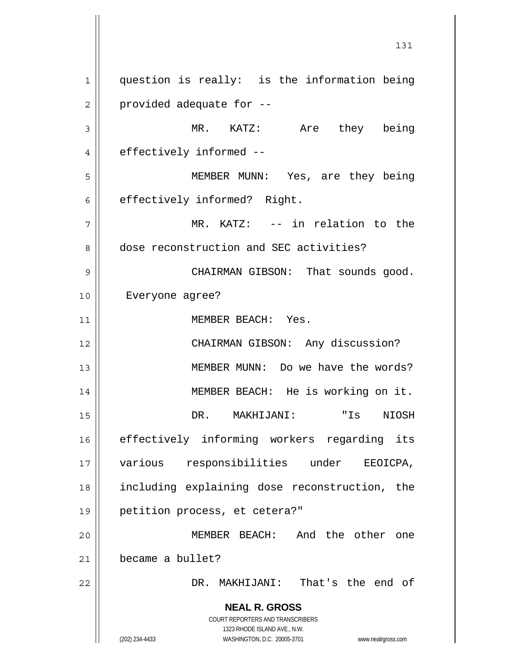**NEAL R. GROSS** COURT REPORTERS AND TRANSCRIBERS 1323 RHODE ISLAND AVE., N.W. (202) 234-4433 WASHINGTON, D.C. 20005-3701 www.nealrgross.com 1 2 3 4 5 6 7 8 9 10 11 12 13 14 15 16 17 18 19 20 21 22 question is really: is the information being provided adequate for -- MR. KATZ: Are they being effectively informed -- MEMBER MUNN: Yes, are they being effectively informed? Right. MR. KATZ: -- in relation to the dose reconstruction and SEC activities? CHAIRMAN GIBSON: That sounds good. Everyone agree? MEMBER BEACH: Yes. CHAIRMAN GIBSON: Any discussion? MEMBER MUNN: Do we have the words? MEMBER BEACH: He is working on it. DR. MAKHIJANI: "Is NIOSH effectively informing workers regarding its various responsibilities under EEOICPA, including explaining dose reconstruction, the petition process, et cetera?" MEMBER BEACH: And the other one became a bullet? DR. MAKHIJANI: That's the end of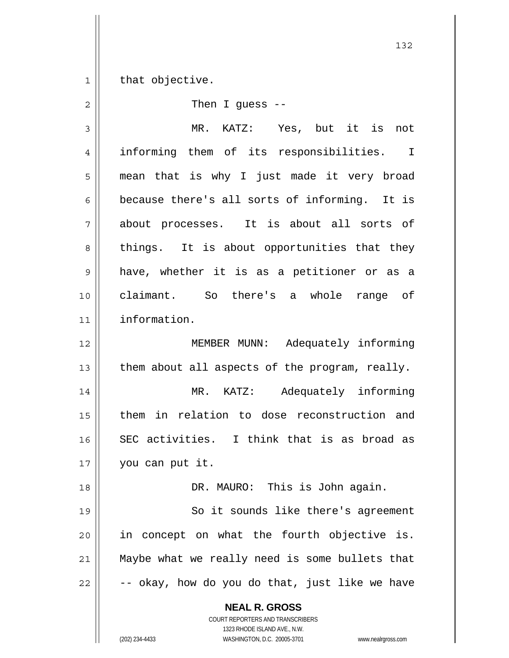1 that objective.

**NEAL R. GROSS** COURT REPORTERS AND TRANSCRIBERS 2 3 4 5 6 7 8 9 10 11 12 13 14 15 16 17 18 19 20 21 22 Then I guess -- MR. KATZ: Yes, but it is not informing them of its responsibilities. I mean that is why I just made it very broad because there's all sorts of informing. It is about processes. It is about all sorts of things. It is about opportunities that they have, whether it is as a petitioner or as a claimant. So there's a whole range of information. MEMBER MUNN: Adequately informing them about all aspects of the program, really. MR. KATZ: Adequately informing them in relation to dose reconstruction and SEC activities. I think that is as broad as you can put it. DR. MAURO: This is John again. So it sounds like there's agreement in concept on what the fourth objective is. Maybe what we really need is some bullets that -- okay, how do you do that, just like we have

1323 RHODE ISLAND AVE., N.W. (202) 234-4433 WASHINGTON, D.C. 20005-3701 www.nealrgross.com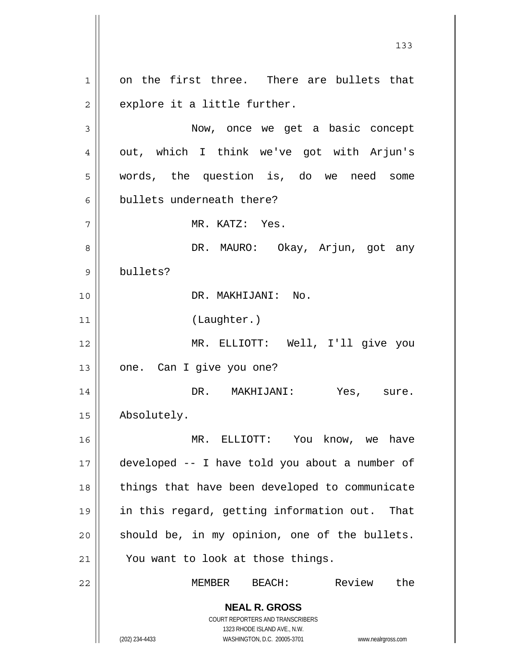**NEAL R. GROSS** COURT REPORTERS AND TRANSCRIBERS 1323 RHODE ISLAND AVE., N.W. (202) 234-4433 WASHINGTON, D.C. 20005-3701 www.nealrgross.com 1 2 3 4 5 6 7 8 9 10 11 12 13 14 15 16 17 18 19 20 21 22 on the first three. There are bullets that explore it a little further. Now, once we get a basic concept out, which I think we've got with Arjun's words, the question is, do we need some bullets underneath there? MR. KATZ: Yes. DR. MAURO: Okay, Arjun, got any bullets? DR. MAKHIJANI: No. (Laughter.) MR. ELLIOTT: Well, I'll give you one. Can I give you one? DR. MAKHIJANI: Yes, sure. Absolutely. MR. ELLIOTT: You know, we have developed -- I have told you about a number of things that have been developed to communicate in this regard, getting information out. That should be, in my opinion, one of the bullets. You want to look at those things. MEMBER BEACH: Review the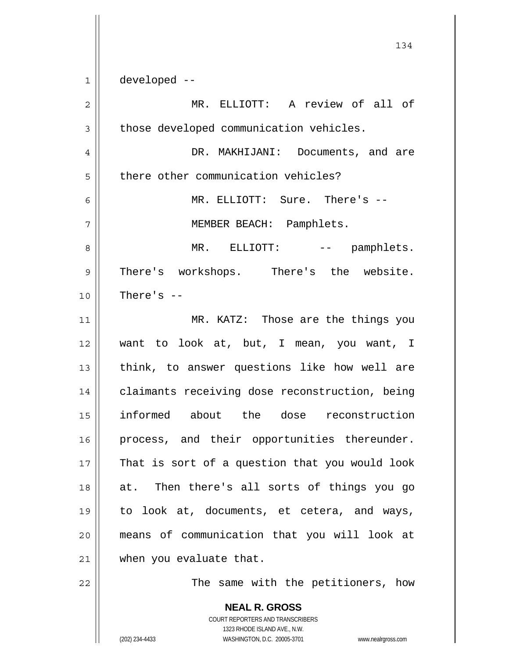**NEAL R. GROSS** 134 1 2 3 4 5 6 7 8 9 10 11 12 13 14 15 16 17 18 19 20 21 22 developed -- MR. ELLIOTT: A review of all of those developed communication vehicles. DR. MAKHIJANI: Documents, and are there other communication vehicles? MR. ELLIOTT: Sure. There's -- MEMBER BEACH: Pamphlets. MR. ELLIOTT: -- pamphlets. There's workshops. There's the website. There's  $-$  MR. KATZ: Those are the things you want to look at, but, I mean, you want, I think, to answer questions like how well are claimants receiving dose reconstruction, being informed about the dose reconstruction process, and their opportunities thereunder. That is sort of a question that you would look at. Then there's all sorts of things you go to look at, documents, et cetera, and ways, means of communication that you will look at when you evaluate that. The same with the petitioners, how

> COURT REPORTERS AND TRANSCRIBERS 1323 RHODE ISLAND AVE., N.W.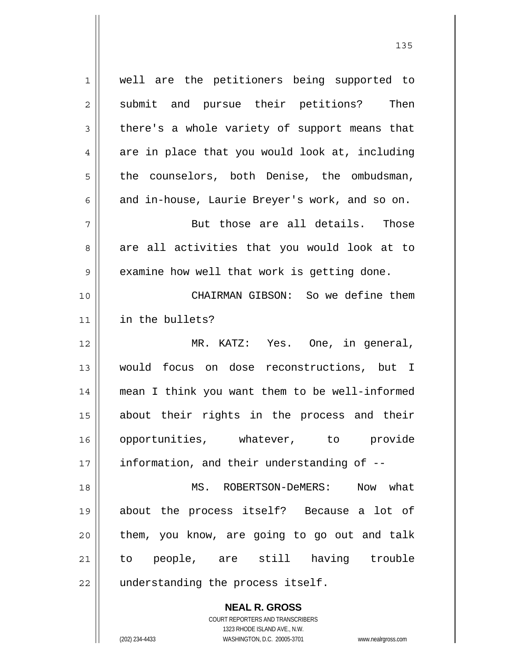1 2 3 4 5 6 7 8 9 10 11 12 13 14 15 16 17 18 19 20 21 22 well are the petitioners being supported to submit and pursue their petitions? Then there's a whole variety of support means that are in place that you would look at, including the counselors, both Denise, the ombudsman, and in-house, Laurie Breyer's work, and so on. But those are all details. Those are all activities that you would look at to examine how well that work is getting done. CHAIRMAN GIBSON: So we define them in the bullets? MR. KATZ: Yes. One, in general, would focus on dose reconstructions, but I mean I think you want them to be well-informed about their rights in the process and their opportunities, whatever, to provide information, and their understanding of -- MS. ROBERTSON-DeMERS: Now what about the process itself? Because a lot of them, you know, are going to go out and talk to people, are still having trouble understanding the process itself.

> **NEAL R. GROSS** COURT REPORTERS AND TRANSCRIBERS 1323 RHODE ISLAND AVE., N.W.

(202) 234-4433 WASHINGTON, D.C. 20005-3701 www.nealrgross.com

<u>135</u>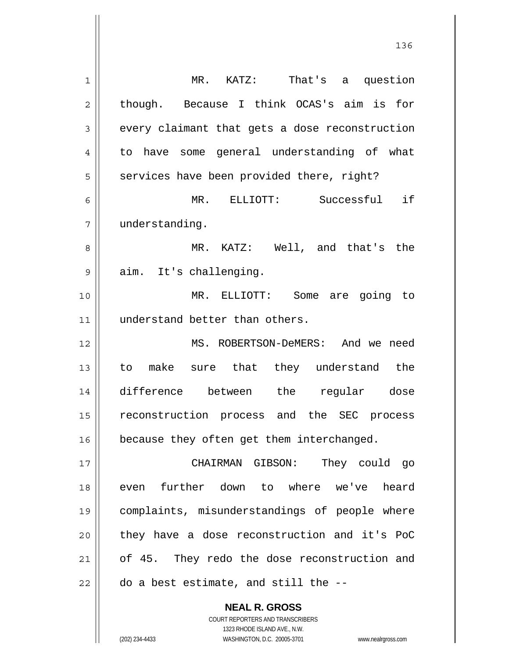| $\mathbf 1$ | MR. KATZ: That's a question                    |
|-------------|------------------------------------------------|
| 2           | though. Because I think OCAS's aim is for      |
| 3           | every claimant that gets a dose reconstruction |
| 4           | to have some general understanding of what     |
| 5           | services have been provided there, right?      |
| 6           | MR. ELLIOTT: Successful if                     |
| 7           | understanding.                                 |
| 8           | MR. KATZ: Well, and that's the                 |
| 9           | aim. It's challenging.                         |
| 10          | MR. ELLIOTT: Some are going to                 |
| 11          | understand better than others.                 |
| 12          | MS. ROBERTSON-DeMERS: And we need              |
| 13          | make sure that they understand the<br>to       |
| 14          | difference between the regular dose            |
| 15          | reconstruction process and the SEC process     |
| 16          | because they often get them interchanged.      |
| 17          | CHAIRMAN GIBSON: They could go                 |
| 18          | even further down to where we've heard         |
| 19          | complaints, misunderstandings of people where  |
| 20          | they have a dose reconstruction and it's PoC   |
| 21          | of 45. They redo the dose reconstruction and   |
| 22          | do a best estimate, and still the --           |
|             | <b>NEAL R. GROSS</b>                           |

136

COURT REPORTERS AND TRANSCRIBERS 1323 RHODE ISLAND AVE., N.W.

 $\prod$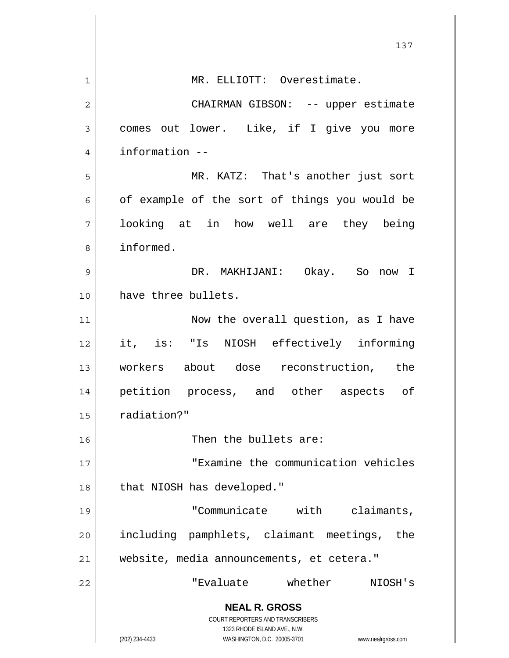|    | 137                                                                                                 |
|----|-----------------------------------------------------------------------------------------------------|
| 1  | MR. ELLIOTT: Overestimate.                                                                          |
| 2  | CHAIRMAN GIBSON: -- upper estimate                                                                  |
| 3  | comes out lower. Like, if I give you more                                                           |
| 4  | information --                                                                                      |
| 5  | MR. KATZ: That's another just sort                                                                  |
| 6  | of example of the sort of things you would be                                                       |
| 7  | looking at in how well are they being                                                               |
| 8  | informed.                                                                                           |
| 9  | DR. MAKHIJANI: Okay. So now I                                                                       |
| 10 | have three bullets.                                                                                 |
| 11 | Now the overall question, as I have                                                                 |
| 12 | it, is: "Is NIOSH effectively informing                                                             |
| 13 | workers about dose reconstruction, the                                                              |
| 14 | petition process, and<br>other aspects<br>of                                                        |
| 15 | radiation?"                                                                                         |
| 16 | Then the bullets are:                                                                               |
| 17 | "Examine the communication vehicles                                                                 |
| 18 | that NIOSH has developed."                                                                          |
| 19 | "Communicate with claimants,                                                                        |
| 20 | including pamphlets, claimant meetings,<br>the                                                      |
| 21 | website, media announcements, et cetera."                                                           |
| 22 | "Evaluate<br>whether<br>NIOSH's                                                                     |
|    | <b>NEAL R. GROSS</b><br>COURT REPORTERS AND TRANSCRIBERS                                            |
|    | 1323 RHODE ISLAND AVE., N.W.<br>(202) 234-4433<br>WASHINGTON, D.C. 20005-3701<br>www.nealrgross.com |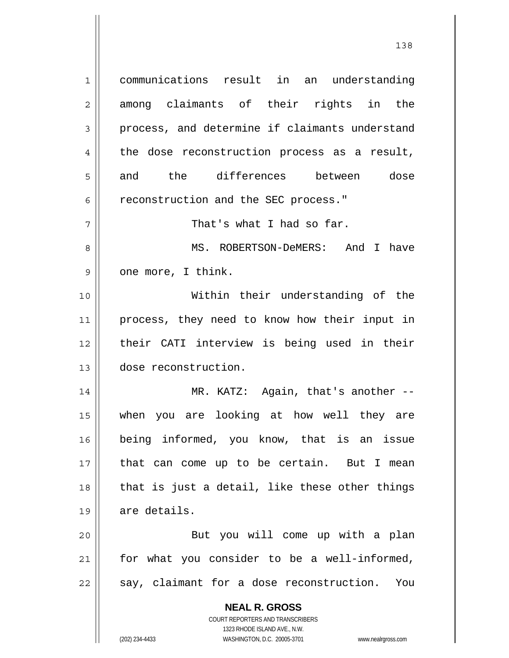**NEAL R. GROSS** COURT REPORTERS AND TRANSCRIBERS 1323 RHODE ISLAND AVE., N.W. (202) 234-4433 WASHINGTON, D.C. 20005-3701 www.nealrgross.com 1 2 3 4 5 6 7 8 9 10 11 12 13 14 15 16 17 18 19 20 21 22 communications result in an understanding among claimants of their rights in the process, and determine if claimants understand the dose reconstruction process as a result, and the differences between dose reconstruction and the SEC process." That's what I had so far. MS. ROBERTSON-DeMERS: And I have one more, I think. Within their understanding of the process, they need to know how their input in their CATI interview is being used in their dose reconstruction. MR. KATZ: Again, that's another - when you are looking at how well they are being informed, you know, that is an issue that can come up to be certain. But I mean that is just a detail, like these other things are details. But you will come up with a plan for what you consider to be a well-informed, say, claimant for a dose reconstruction. You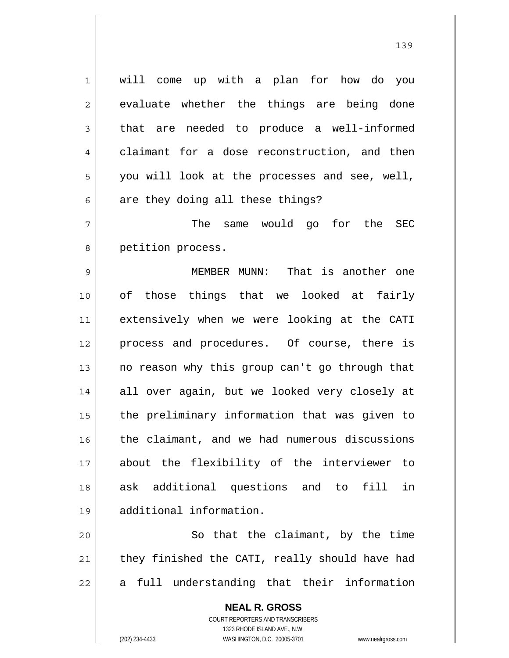1 2 3 4 5 6 7 8 9 10 11 12 13 14 15 16 17 18 19 20 will come up with a plan for how do you evaluate whether the things are being done that are needed to produce a well-informed claimant for a dose reconstruction, and then you will look at the processes and see, well, are they doing all these things? The same would go for the SEC petition process. MEMBER MUNN: That is another one of those things that we looked at fairly extensively when we were looking at the CATI process and procedures. Of course, there is no reason why this group can't go through that all over again, but we looked very closely at the preliminary information that was given to the claimant, and we had numerous discussions about the flexibility of the interviewer to ask additional questions and to fill in additional information.

21 22 So that the claimant, by the time they finished the CATI, really should have had a full understanding that their information

> **NEAL R. GROSS** COURT REPORTERS AND TRANSCRIBERS 1323 RHODE ISLAND AVE., N.W. (202) 234-4433 WASHINGTON, D.C. 20005-3701 www.nealrgross.com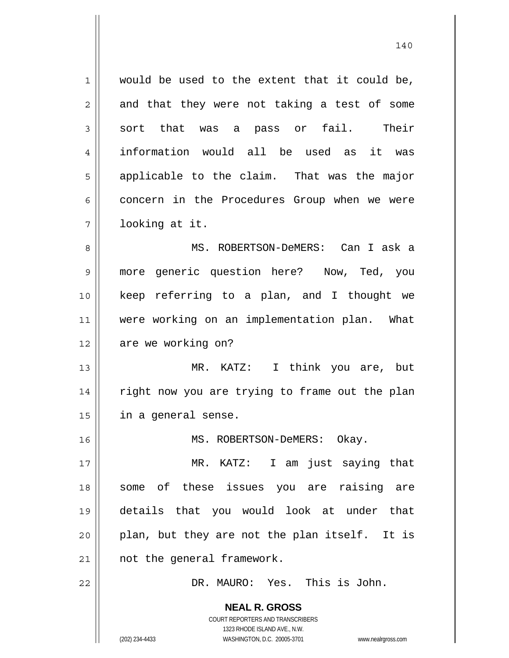1 2 3 4 5 6 7 8 9 would be used to the extent that it could be, and that they were not taking a test of some sort that was a pass or fail. Their information would all be used as it was applicable to the claim. That was the major concern in the Procedures Group when we were looking at it. MS. ROBERTSON-DeMERS: Can I ask a more generic question here? Now, Ted, you

10 11 12 keep referring to a plan, and I thought we were working on an implementation plan. What are we working on?

13 14 15 MR. KATZ: I think you are, but right now you are trying to frame out the plan in a general sense.

MS. ROBERTSON-DeMERS: Okay.

17 18 19 20 21 MR. KATZ: I am just saying that some of these issues you are raising are details that you would look at under that plan, but they are not the plan itself. It is not the general framework.

DR. MAURO: Yes. This is John.

**NEAL R. GROSS** COURT REPORTERS AND TRANSCRIBERS 1323 RHODE ISLAND AVE., N.W. (202) 234-4433 WASHINGTON, D.C. 20005-3701 www.nealrgross.com

16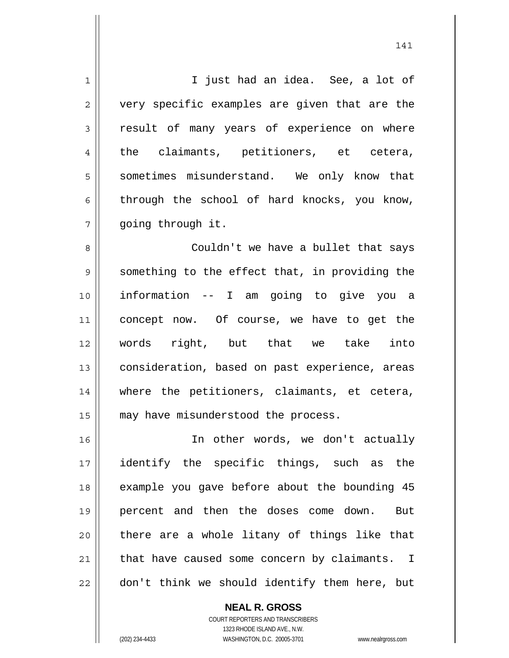| $\mathbf 1$    | I just had an idea. See, a lot of                   |
|----------------|-----------------------------------------------------|
| $\overline{2}$ | very specific examples are given that are the       |
| 3              | result of many years of experience on where         |
| 4              | the claimants, petitioners, et cetera,              |
| 5              | sometimes misunderstand. We only know that          |
| 6              | through the school of hard knocks, you know,        |
| 7              | going through it.                                   |
| 8              | Couldn't we have a bullet that says                 |
| 9              | something to the effect that, in providing the      |
| 10             | information -- I am going to give you a             |
| 11             | concept now. Of course, we have to get the          |
| 12             | words right, but that we take into                  |
| 13             | consideration, based on past experience, areas      |
| 14             | where the petitioners, claimants, et cetera,        |
| 15             | may have misunderstood the process.                 |
| 16             | In other words, we don't actually                   |
| 17             | identify the specific things, such as the           |
| 18             | example you gave before about the bounding 45       |
| 19             | percent and then the doses come down.<br><b>But</b> |
| 20             | there are a whole litany of things like that        |
| 21             | that have caused some concern by claimants. I       |
| 22             | don't think we should identify them here, but       |

**NEAL R. GROSS**

COURT REPORTERS AND TRANSCRIBERS 1323 RHODE ISLAND AVE., N.W. (202) 234-4433 WASHINGTON, D.C. 20005-3701 www.nealrgross.com

 $\mathbf{\mathsf{I}}$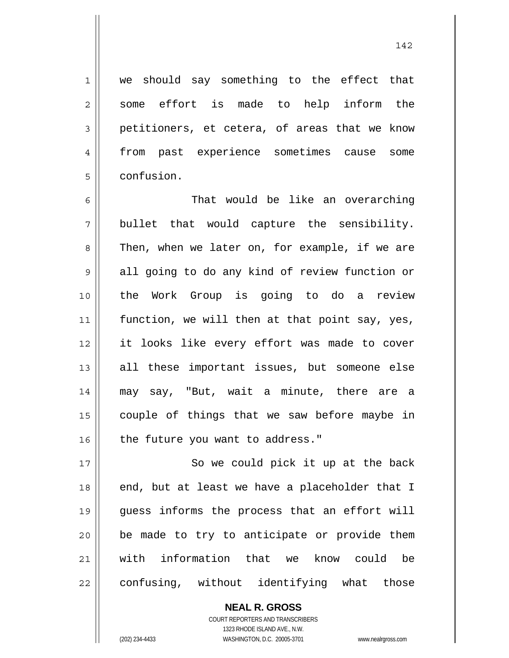we should say something to the effect that some effort is made to help inform the petitioners, et cetera, of areas that we know from past experience sometimes cause some confusion.

6 7 8 9 10 11 12 13 14 15 16 That would be like an overarching bullet that would capture the sensibility. Then, when we later on, for example, if we are all going to do any kind of review function or the Work Group is going to do a review function, we will then at that point say, yes, it looks like every effort was made to cover all these important issues, but someone else may say, "But, wait a minute, there are a couple of things that we saw before maybe in the future you want to address."

17 18 19 20 21 22 So we could pick it up at the back end, but at least we have a placeholder that I guess informs the process that an effort will be made to try to anticipate or provide them with information that we know could be confusing, without identifying what those

> **NEAL R. GROSS** COURT REPORTERS AND TRANSCRIBERS 1323 RHODE ISLAND AVE., N.W. (202) 234-4433 WASHINGTON, D.C. 20005-3701 www.nealrgross.com

1

2

3

4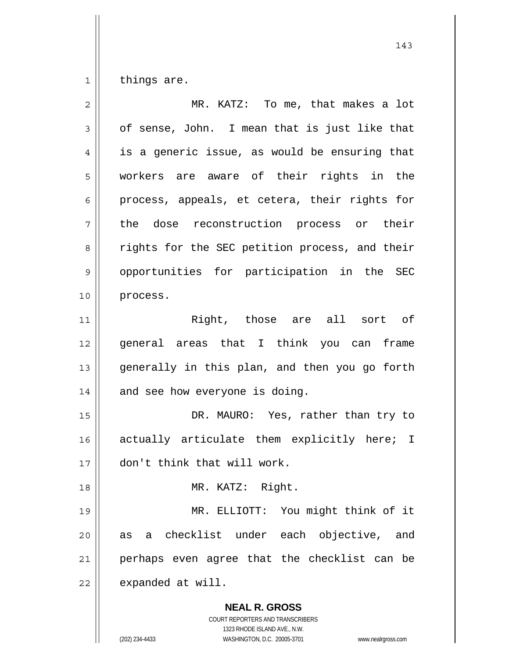1 things are.

| $\overline{2}$ | MR. KATZ: To me, that makes a lot                                                                                                                               |
|----------------|-----------------------------------------------------------------------------------------------------------------------------------------------------------------|
| 3              | of sense, John. I mean that is just like that                                                                                                                   |
| 4              | is a generic issue, as would be ensuring that                                                                                                                   |
| 5              | workers are aware of their rights in the                                                                                                                        |
| 6              | process, appeals, et cetera, their rights for                                                                                                                   |
| 7              | the dose reconstruction process or their                                                                                                                        |
| 8              | rights for the SEC petition process, and their                                                                                                                  |
| $\mathsf 9$    | opportunities for participation in the SEC                                                                                                                      |
| 10             | process.                                                                                                                                                        |
| 11             | Right, those are all sort of                                                                                                                                    |
| 12             | general areas that I think you can frame                                                                                                                        |
| 13             | generally in this plan, and then you go forth                                                                                                                   |
| 14             | and see how everyone is doing.                                                                                                                                  |
| 15             | DR. MAURO: Yes, rather than try to                                                                                                                              |
| 16             | actually articulate them explicitly here; I                                                                                                                     |
| 17             | don't think that will work.                                                                                                                                     |
| 18             | MR. KATZ: Right.                                                                                                                                                |
| 19             | MR. ELLIOTT: You might think of it                                                                                                                              |
| 20             | a checklist under each objective,<br>and<br>as                                                                                                                  |
| 21             | perhaps even agree that the checklist can be                                                                                                                    |
| 22             | expanded at will.                                                                                                                                               |
|                | <b>NEAL R. GROSS</b><br>COURT REPORTERS AND TRANSCRIBERS<br>1323 RHODE ISLAND AVE., N.W.<br>(202) 234-4433<br>WASHINGTON, D.C. 20005-3701<br>www.nealrgross.com |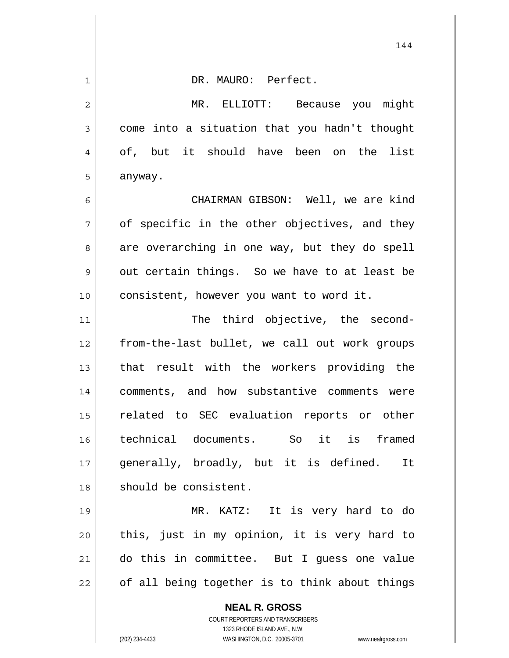| $\mathbf 1$    | DR. MAURO: Perfect.                                                                                 |
|----------------|-----------------------------------------------------------------------------------------------------|
| $\overline{c}$ | MR. ELLIOTT: Because you might                                                                      |
| 3              | come into a situation that you hadn't thought                                                       |
| $\overline{4}$ | of, but it should have been on the list                                                             |
| 5              | anyway.                                                                                             |
| 6              | CHAIRMAN GIBSON: Well, we are kind                                                                  |
| 7              | of specific in the other objectives, and they                                                       |
| 8              | are overarching in one way, but they do spell                                                       |
| $\mathsf 9$    | out certain things. So we have to at least be                                                       |
| 10             | consistent, however you want to word it.                                                            |
| 11             | The third objective, the second-                                                                    |
| 12             | from-the-last bullet, we call out work groups                                                       |
| 13             | that result with the workers providing the                                                          |
| 14             | comments, and how substantive comments were                                                         |
| 15             | related to SEC evaluation reports or other                                                          |
| 16             | technical documents. So it is framed                                                                |
| 17             | generally, broadly, but it is defined.<br>It                                                        |
| 18             | should be consistent.                                                                               |
| 19             | MR. KATZ: It is very hard to do                                                                     |
| 20             | this, just in my opinion, it is very hard to                                                        |
| 21             | do this in committee. But I quess one value                                                         |
| 22             | of all being together is to think about things                                                      |
|                | <b>NEAL R. GROSS</b>                                                                                |
|                | COURT REPORTERS AND TRANSCRIBERS                                                                    |
|                | 1323 RHODE ISLAND AVE., N.W.<br>(202) 234-4433<br>WASHINGTON, D.C. 20005-3701<br>www.nealrgross.com |
|                |                                                                                                     |

144

 $\mathsf{I}$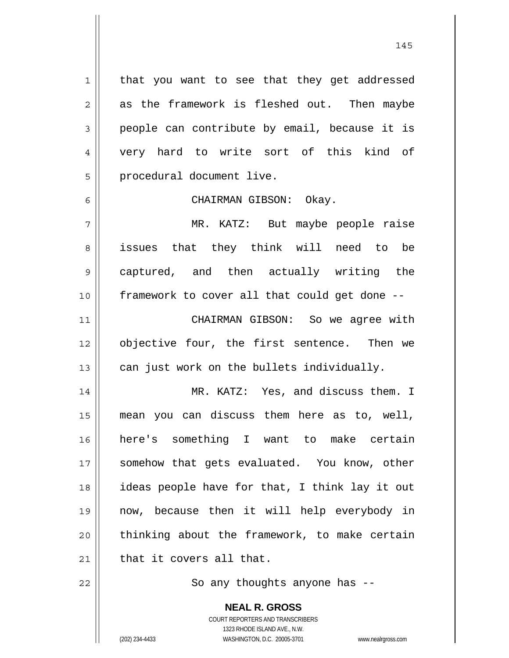1 2 3 4 5 6 that you want to see that they get addressed as the framework is fleshed out. Then maybe people can contribute by email, because it is very hard to write sort of this kind of procedural document live. CHAIRMAN GIBSON: Okay.

7 8 9 10 MR. KATZ: But maybe people raise issues that they think will need to be captured, and then actually writing the framework to cover all that could get done --

11 12 13 CHAIRMAN GIBSON: So we agree with objective four, the first sentence. Then we can just work on the bullets individually.

14 15 16 17 18 19 20 21 MR. KATZ: Yes, and discuss them. I mean you can discuss them here as to, well, here's something I want to make certain somehow that gets evaluated. You know, other ideas people have for that, I think lay it out now, because then it will help everybody in thinking about the framework, to make certain that it covers all that.

So any thoughts anyone has --

**NEAL R. GROSS** COURT REPORTERS AND TRANSCRIBERS 1323 RHODE ISLAND AVE., N.W. (202) 234-4433 WASHINGTON, D.C. 20005-3701 www.nealrgross.com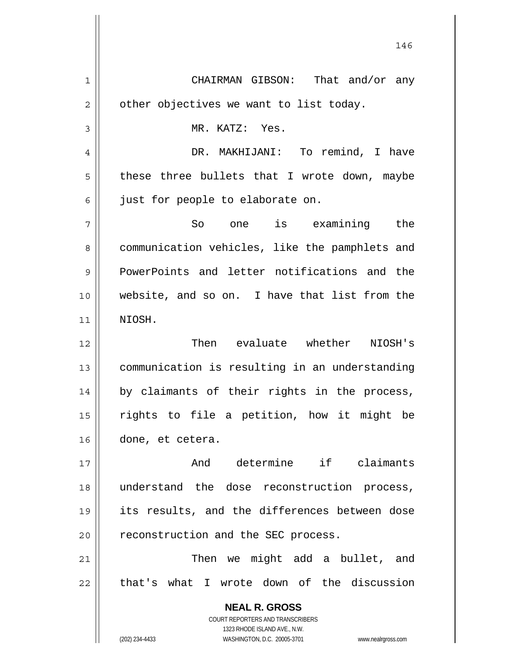**NEAL R. GROSS** COURT REPORTERS AND TRANSCRIBERS 1323 RHODE ISLAND AVE., N.W. (202) 234-4433 WASHINGTON, D.C. 20005-3701 www.nealrgross.com 1 2 3 4 5 6 7 8 9 10 11 12 13 14 15 16 17 18 19 20 21 22 CHAIRMAN GIBSON: That and/or any other objectives we want to list today. MR. KATZ: Yes. DR. MAKHIJANI: To remind, I have these three bullets that I wrote down, maybe just for people to elaborate on. So one is examining the communication vehicles, like the pamphlets and PowerPoints and letter notifications and the website, and so on. I have that list from the NIOSH. Then evaluate whether NIOSH's communication is resulting in an understanding by claimants of their rights in the process, rights to file a petition, how it might be done, et cetera. And determine if claimants understand the dose reconstruction process, its results, and the differences between dose reconstruction and the SEC process. Then we might add a bullet, and that's what I wrote down of the discussion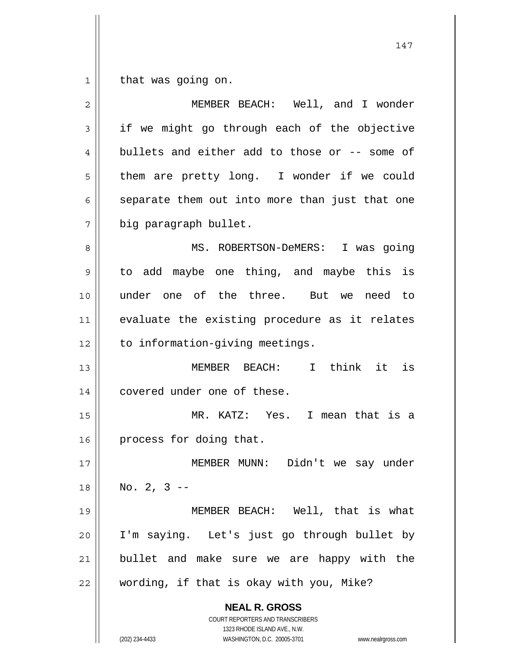1 that was going on.

| 2  | MEMBER BEACH: Well, and I wonder                                                                    |
|----|-----------------------------------------------------------------------------------------------------|
| 3  | if we might go through each of the objective                                                        |
| 4  | bullets and either add to those or -- some of                                                       |
| 5  | them are pretty long. I wonder if we could                                                          |
| 6  | separate them out into more than just that one                                                      |
| 7  | big paragraph bullet.                                                                               |
| 8  | MS. ROBERTSON-DeMERS: I was going                                                                   |
| 9  | to add maybe one thing, and maybe this is                                                           |
| 10 | under one of the three. But we need to                                                              |
| 11 | evaluate the existing procedure as it relates                                                       |
| 12 | to information-giving meetings.                                                                     |
| 13 | I think it<br>is<br>MEMBER BEACH:                                                                   |
| 14 | covered under one of these.                                                                         |
| 15 | MR. KATZ: Yes. I mean that is a                                                                     |
| 16 | process for doing that.                                                                             |
| 17 | MEMBER MUNN: Didn't we say under                                                                    |
| 18 | No. 2, $3$ --                                                                                       |
| 19 | MEMBER BEACH: Well, that is what                                                                    |
| 20 | I'm saying. Let's just go through bullet by                                                         |
| 21 | bullet and make sure we are happy with the                                                          |
| 22 | wording, if that is okay with you, Mike?                                                            |
|    | <b>NEAL R. GROSS</b><br><b>COURT REPORTERS AND TRANSCRIBERS</b>                                     |
|    | 1323 RHODE ISLAND AVE., N.W.<br>(202) 234-4433<br>WASHINGTON, D.C. 20005-3701<br>www.nealrgross.com |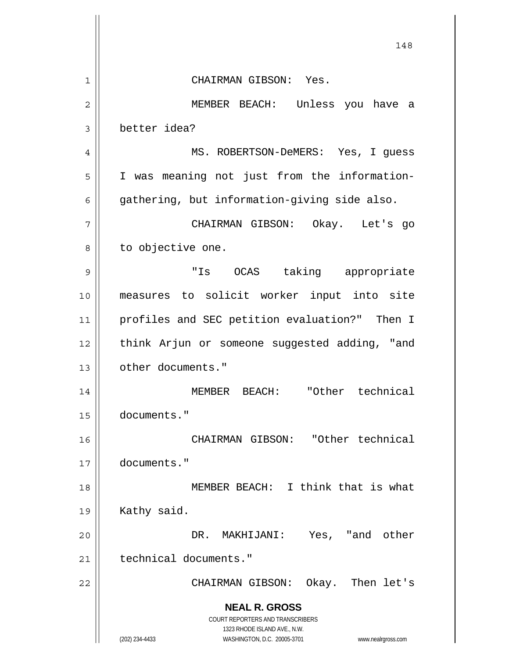|    | 148                                                                 |
|----|---------------------------------------------------------------------|
| 1  | CHAIRMAN GIBSON: Yes.                                               |
| 2  | MEMBER BEACH: Unless you have a                                     |
| 3  | better idea?                                                        |
| 4  | MS. ROBERTSON-DeMERS: Yes, I guess                                  |
| 5  | I was meaning not just from the information-                        |
| 6  | gathering, but information-giving side also.                        |
| 7  | CHAIRMAN GIBSON: Okay. Let's go                                     |
| 8  | to objective one.                                                   |
| 9  | "Is OCAS taking appropriate                                         |
| 10 | measures to solicit worker input into site                          |
| 11 | profiles and SEC petition evaluation?" Then I                       |
| 12 | think Arjun or someone suggested adding, "and                       |
| 13 | other documents."                                                   |
| 14 | <b>MEMBER</b><br><b>BEACH:</b><br>technical<br>"Other               |
| 15 | documents."                                                         |
| 16 | CHAIRMAN GIBSON: "Other technical                                   |
| 17 | documents."                                                         |
| 18 | MEMBER BEACH: I think that is what                                  |
| 19 | Kathy said.                                                         |
| 20 | DR. MAKHIJANI: Yes, "and<br>other                                   |
| 21 | technical documents."                                               |
| 22 | CHAIRMAN GIBSON: Okay. Then let's                                   |
|    | <b>NEAL R. GROSS</b>                                                |
|    | COURT REPORTERS AND TRANSCRIBERS<br>1323 RHODE ISLAND AVE., N.W.    |
|    | (202) 234-4433<br>WASHINGTON, D.C. 20005-3701<br>www.nealrgross.com |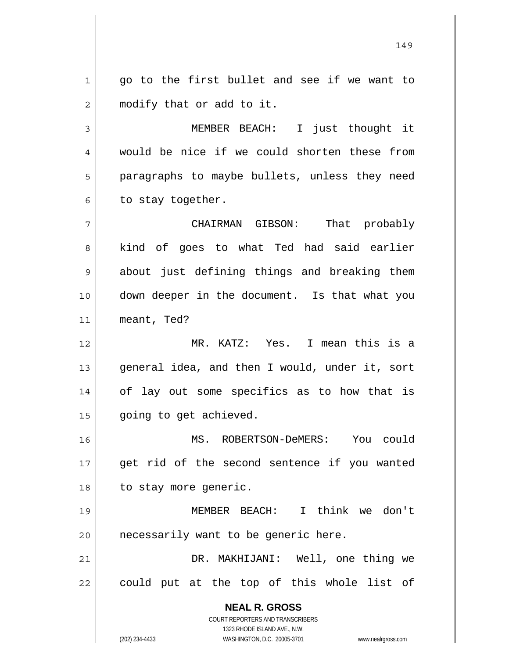1 2 go to the first bullet and see if we want to modify that or add to it.

3 4 5 6 MEMBER BEACH: I just thought it would be nice if we could shorten these from paragraphs to maybe bullets, unless they need to stay together.

7 8 9 10 11 CHAIRMAN GIBSON: That probably kind of goes to what Ted had said earlier about just defining things and breaking them down deeper in the document. Is that what you meant, Ted?

12 13 14 15 MR. KATZ: Yes. I mean this is a general idea, and then I would, under it, sort of lay out some specifics as to how that is going to get achieved.

16 17 18 MS. ROBERTSON-DeMERS: You could get rid of the second sentence if you wanted to stay more generic.

19 20 MEMBER BEACH: I think we don't necessarily want to be generic here.

21 22 DR. MAKHIJANI: Well, one thing we could put at the top of this whole list of

> **NEAL R. GROSS** COURT REPORTERS AND TRANSCRIBERS 1323 RHODE ISLAND AVE., N.W.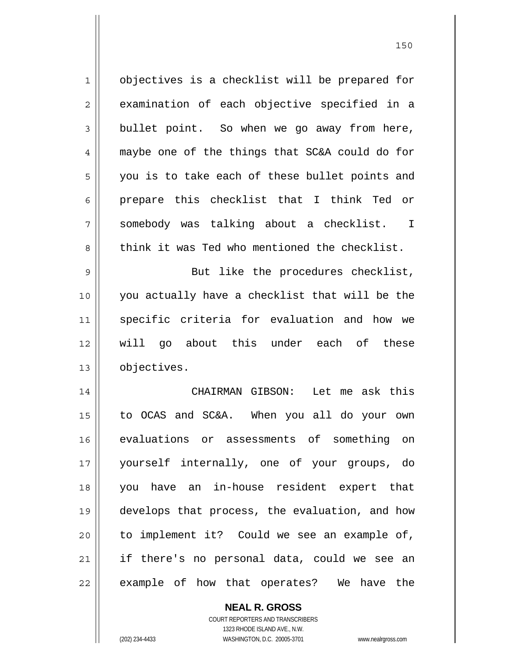1 2 3 4 5 6 7 8 9 10 11 12 13 14 15 16 17 18 19 objectives is a checklist will be prepared for examination of each objective specified in a bullet point. So when we go away from here, maybe one of the things that SC&A could do for you is to take each of these bullet points and prepare this checklist that I think Ted or somebody was talking about a checklist. I think it was Ted who mentioned the checklist. But like the procedures checklist, you actually have a checklist that will be the specific criteria for evaluation and how we will go about this under each of these objectives. CHAIRMAN GIBSON: Let me ask this to OCAS and SC&A. When you all do your own evaluations or assessments of something on yourself internally, one of your groups, do you have an in-house resident expert that develops that process, the evaluation, and how

21 22 to implement it? Could we see an example of, if there's no personal data, could we see an example of how that operates? We have the

> **NEAL R. GROSS** COURT REPORTERS AND TRANSCRIBERS 1323 RHODE ISLAND AVE., N.W. (202) 234-4433 WASHINGTON, D.C. 20005-3701 www.nealrgross.com

20

<u>150</u>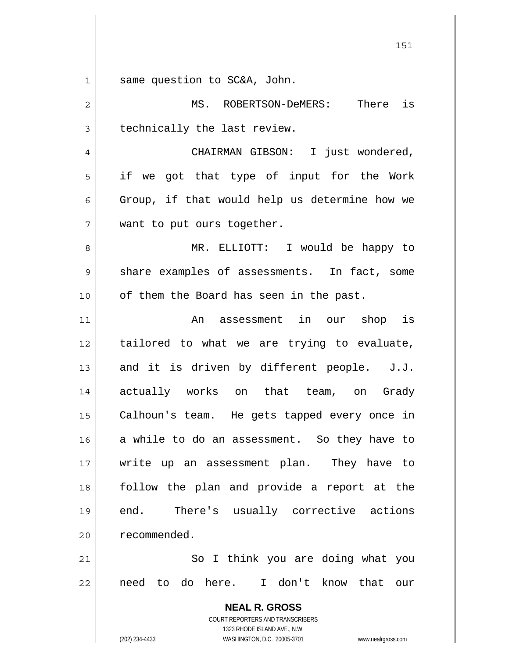1 same question to SC&A, John.

**NEAL R. GROSS** 2 3 4 5 6 7 8 9 10 11 12 13 14 15 16 17 18 19 20 21 22 MS. ROBERTSON-DeMERS: There is technically the last review. CHAIRMAN GIBSON: I just wondered, if we got that type of input for the Work Group, if that would help us determine how we want to put ours together. MR. ELLIOTT: I would be happy to share examples of assessments. In fact, some of them the Board has seen in the past. An assessment in our shop is tailored to what we are trying to evaluate, and it is driven by different people. J.J. actually works on that team, on Grady Calhoun's team. He gets tapped every once in a while to do an assessment. So they have to write up an assessment plan. They have to follow the plan and provide a report at the end. There's usually corrective actions recommended. So I think you are doing what you need to do here. I don't know that our

> COURT REPORTERS AND TRANSCRIBERS 1323 RHODE ISLAND AVE., N.W.

(202) 234-4433 WASHINGTON, D.C. 20005-3701 www.nealrgross.com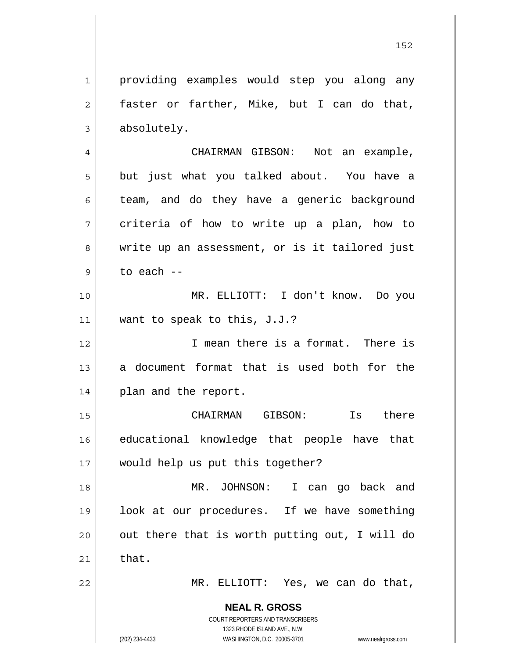**NEAL R. GROSS** COURT REPORTERS AND TRANSCRIBERS 1 2 3 4 5 6 7 8 9 10 11 12 13 14 15 16 17 18 19 20 21 22 providing examples would step you along any faster or farther, Mike, but I can do that, absolutely. CHAIRMAN GIBSON: Not an example, but just what you talked about. You have a team, and do they have a generic background criteria of how to write up a plan, how to write up an assessment, or is it tailored just to each -- MR. ELLIOTT: I don't know. Do you want to speak to this, J.J.? I mean there is a format. There is a document format that is used both for the plan and the report. CHAIRMAN GIBSON: Is there educational knowledge that people have that would help us put this together? MR. JOHNSON: I can go back and look at our procedures. If we have something out there that is worth putting out, I will do that. MR. ELLIOTT: Yes, we can do that,

1323 RHODE ISLAND AVE., N.W.

(202) 234-4433 WASHINGTON, D.C. 20005-3701 www.nealrgross.com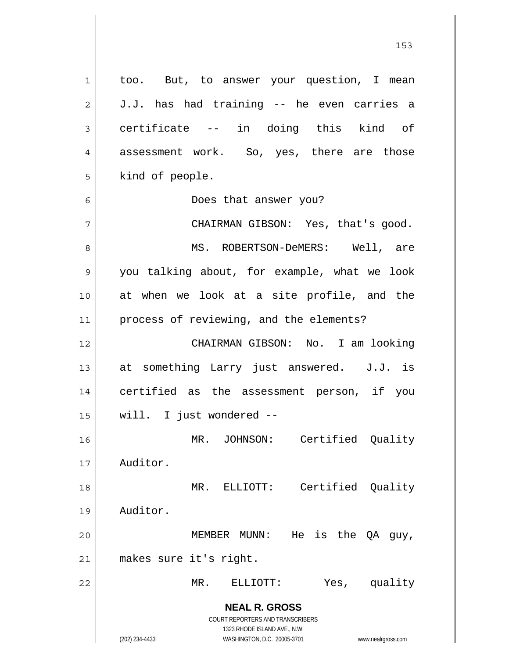**NEAL R. GROSS** COURT REPORTERS AND TRANSCRIBERS 1323 RHODE ISLAND AVE., N.W. (202) 234-4433 WASHINGTON, D.C. 20005-3701 www.nealrgross.com 1 2 3 4 5 6 7 8 9 10 11 12 13 14 15 16 17 18 19 20 21 22 too. But, to answer your question, I mean J.J. has had training -- he even carries a certificate -- in doing this kind of assessment work. So, yes, there are those kind of people. Does that answer you? CHAIRMAN GIBSON: Yes, that's good. MS. ROBERTSON-DeMERS: Well, are you talking about, for example, what we look at when we look at a site profile, and the process of reviewing, and the elements? CHAIRMAN GIBSON: No. I am looking at something Larry just answered. J.J. is certified as the assessment person, if you will. I just wondered -- MR. JOHNSON: Certified Quality Auditor. MR. ELLIOTT: Certified Quality Auditor. MEMBER MUNN: He is the QA guy, makes sure it's right. MR. ELLIOTT: Yes, quality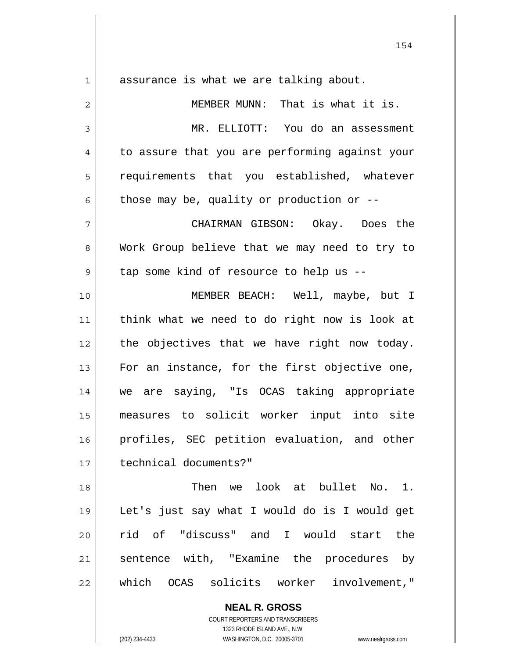1 2 3 4 5 6 7 8 9 10 11 12 13 14 15 16 17 18 19 20 21 22 assurance is what we are talking about. MEMBER MUNN: That is what it is. MR. ELLIOTT: You do an assessment to assure that you are performing against your requirements that you established, whatever those may be, quality or production or -- CHAIRMAN GIBSON: Okay. Does the Work Group believe that we may need to try to tap some kind of resource to help us -- MEMBER BEACH: Well, maybe, but I think what we need to do right now is look at the objectives that we have right now today. For an instance, for the first objective one, we are saying, "Is OCAS taking appropriate measures to solicit worker input into site profiles, SEC petition evaluation, and other technical documents?" Then we look at bullet No. 1. Let's just say what I would do is I would get rid of "discuss" and I would start the sentence with, "Examine the procedures by which OCAS solicits worker involvement,"

154

**NEAL R. GROSS** COURT REPORTERS AND TRANSCRIBERS 1323 RHODE ISLAND AVE., N.W.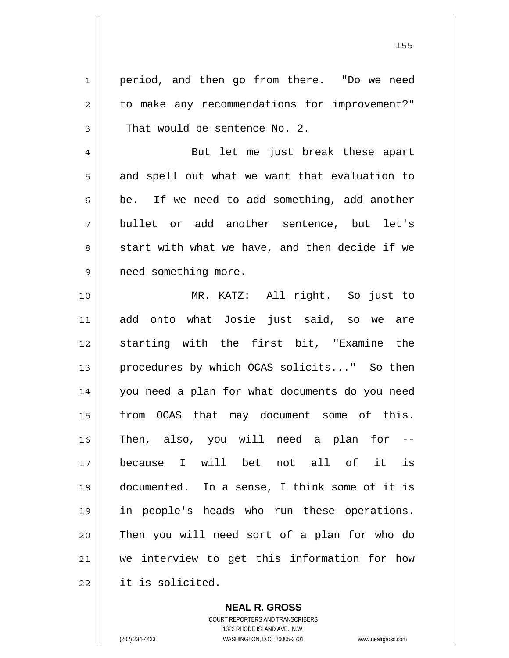1 2 3 4 5 6 7 8 9 10 11 12 13 14 15 16 17 18 19 20 21 22 period, and then go from there. "Do we need to make any recommendations for improvement?" That would be sentence No. 2. But let me just break these apart and spell out what we want that evaluation to be. If we need to add something, add another bullet or add another sentence, but let's start with what we have, and then decide if we need something more. MR. KATZ: All right. So just to add onto what Josie just said, so we are starting with the first bit, "Examine the procedures by which OCAS solicits..." So then you need a plan for what documents do you need from OCAS that may document some of this. Then, also, you will need a plan for - because I will bet not all of it is documented. In a sense, I think some of it is in people's heads who run these operations. Then you will need sort of a plan for who do we interview to get this information for how it is solicited.

> **NEAL R. GROSS** COURT REPORTERS AND TRANSCRIBERS

> > 1323 RHODE ISLAND AVE., N.W.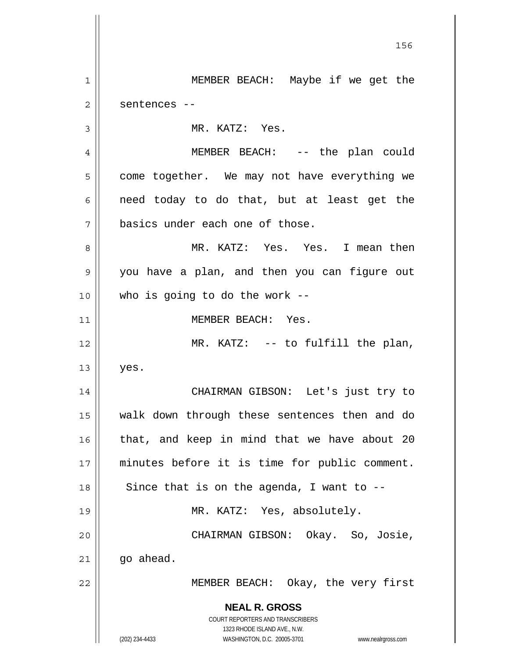**NEAL R. GROSS** COURT REPORTERS AND TRANSCRIBERS 1323 RHODE ISLAND AVE., N.W. (202) 234-4433 WASHINGTON, D.C. 20005-3701 www.nealrgross.com 1 2 3 4 5 6 7 8 9 10 11 12 13 14 15 16 17 18 19 20 21 22 MEMBER BEACH: Maybe if we get the sentences -- MR. KATZ: Yes. MEMBER BEACH: -- the plan could come together. We may not have everything we need today to do that, but at least get the basics under each one of those. MR. KATZ: Yes. Yes. I mean then you have a plan, and then you can figure out who is going to do the work -- MEMBER BEACH: Yes. MR. KATZ: -- to fulfill the plan, yes. CHAIRMAN GIBSON: Let's just try to walk down through these sentences then and do that, and keep in mind that we have about 20 minutes before it is time for public comment. Since that is on the agenda, I want to -- MR. KATZ: Yes, absolutely. CHAIRMAN GIBSON: Okay. So, Josie, go ahead. MEMBER BEACH: Okay, the very first

<u>156 - Animal Stephen Barbara, amerikan pendadaran pengaran pengaran pengaran pengaran pengaran pengaran penga</u>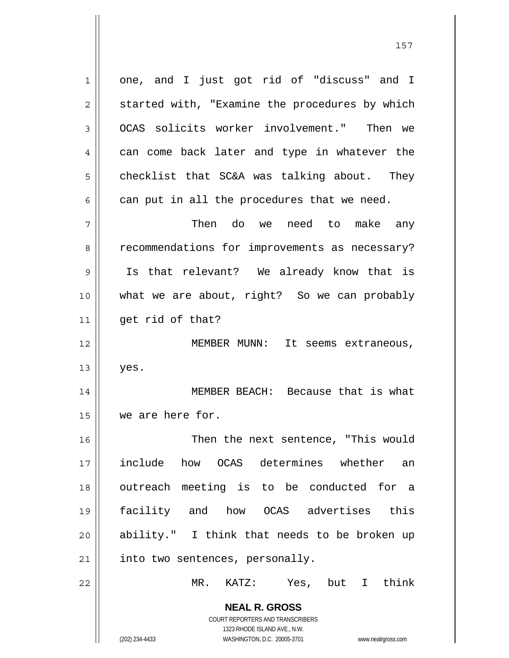**NEAL R. GROSS** COURT REPORTERS AND TRANSCRIBERS 1 2 3 4 5 6 7 8 9 10 11 12 13 14 15 16 17 18 19 20 21 22 one, and I just got rid of "discuss" and I started with, "Examine the procedures by which OCAS solicits worker involvement." Then we can come back later and type in whatever the checklist that SC&A was talking about. They can put in all the procedures that we need. Then do we need to make any recommendations for improvements as necessary? Is that relevant? We already know that is what we are about, right? So we can probably get rid of that? MEMBER MUNN: It seems extraneous, yes. MEMBER BEACH: Because that is what we are here for. Then the next sentence, "This would include how OCAS determines whether an outreach meeting is to be conducted for a facility and how OCAS advertises this ability." I think that needs to be broken up into two sentences, personally. MR. KATZ: Yes, but I think

1323 RHODE ISLAND AVE., N.W.

(202) 234-4433 WASHINGTON, D.C. 20005-3701 www.nealrgross.com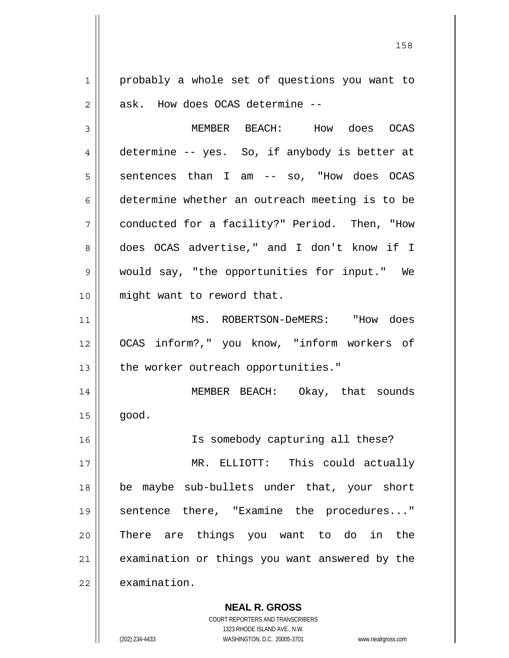probably a whole set of questions you want to ask. How does OCAS determine --

3 4 5 6 7 8 9 10 11 12 13 14 15 16 MEMBER BEACH: How does OCAS determine -- yes. So, if anybody is better at sentences than I am -- so, "How does OCAS determine whether an outreach meeting is to be conducted for a facility?" Period. Then, "How does OCAS advertise," and I don't know if I would say, "the opportunities for input." We might want to reword that. MS. ROBERTSON-DeMERS: "How does OCAS inform?," you know, "inform workers of the worker outreach opportunities." MEMBER BEACH: Okay, that sounds good. Is somebody capturing all these?

17 18 19 20 21 22 MR. ELLIOTT: This could actually be maybe sub-bullets under that, your short sentence there, "Examine the procedures..." There are things you want to do in the examination or things you want answered by the examination.

> **NEAL R. GROSS** COURT REPORTERS AND TRANSCRIBERS 1323 RHODE ISLAND AVE., N.W.

1

2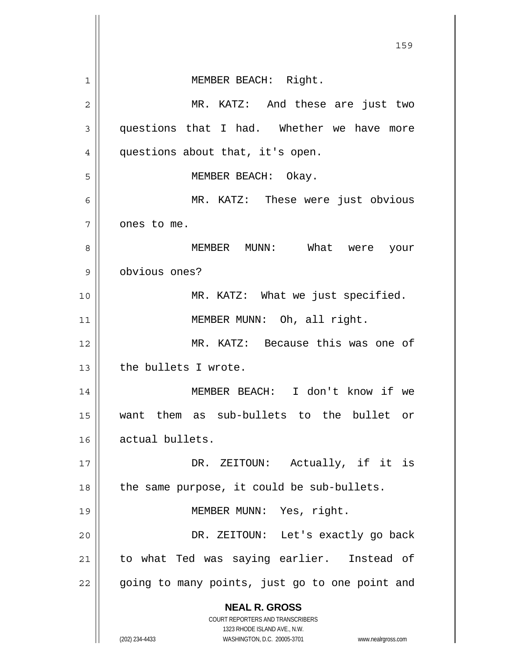**NEAL R. GROSS** COURT REPORTERS AND TRANSCRIBERS 1323 RHODE ISLAND AVE., N.W. (202) 234-4433 WASHINGTON, D.C. 20005-3701 www.nealrgross.com 159 1 2 3 4 5 6 7 8 9 10 11 12 13 14 15 16 17 18 19 20 21 22 MEMBER BEACH: Right. MR. KATZ: And these are just two questions that I had. Whether we have more questions about that, it's open. MEMBER BEACH: Okay. MR. KATZ: These were just obvious ones to me. MEMBER MUNN: What were your obvious ones? MR. KATZ: What we just specified. MEMBER MUNN: Oh, all right. MR. KATZ: Because this was one of the bullets I wrote. MEMBER BEACH: I don't know if we want them as sub-bullets to the bullet or actual bullets. DR. ZEITOUN: Actually, if it is the same purpose, it could be sub-bullets. MEMBER MUNN: Yes, right. DR. ZEITOUN: Let's exactly go back to what Ted was saying earlier. Instead of going to many points, just go to one point and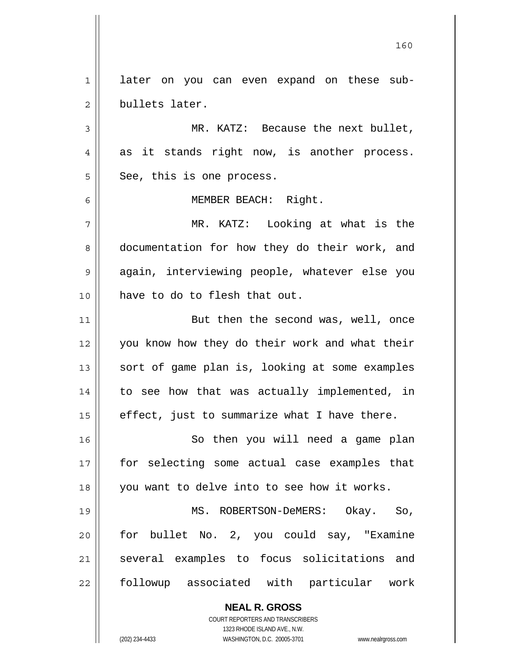**NEAL R. GROSS** COURT REPORTERS AND TRANSCRIBERS 1 2 3 4 5 6 7 8 9 10 11 12 13 14 15 16 17 18 19 20 21 22 later on you can even expand on these subbullets later. MR. KATZ: Because the next bullet, as it stands right now, is another process. See, this is one process. MEMBER BEACH: Right. MR. KATZ: Looking at what is the documentation for how they do their work, and again, interviewing people, whatever else you have to do to flesh that out. But then the second was, well, once you know how they do their work and what their sort of game plan is, looking at some examples to see how that was actually implemented, in effect, just to summarize what I have there. So then you will need a game plan for selecting some actual case examples that you want to delve into to see how it works. MS. ROBERTSON-DeMERS: Okay. So, for bullet No. 2, you could say, "Examine several examples to focus solicitations and followup associated with particular work

160

1323 RHODE ISLAND AVE., N.W.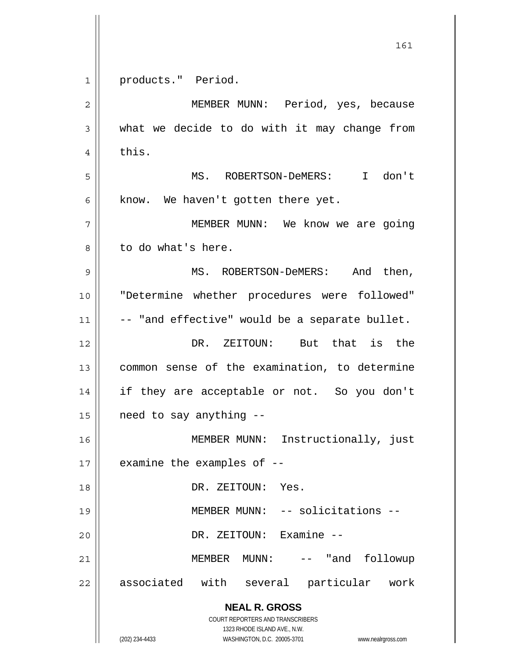|                | 161                                                                                                 |
|----------------|-----------------------------------------------------------------------------------------------------|
| $\mathbf 1$    | products." Period.                                                                                  |
| $\overline{c}$ | MEMBER MUNN: Period, yes, because                                                                   |
| 3              | what we decide to do with it may change from                                                        |
| 4              | this.                                                                                               |
| 5              | MS. ROBERTSON-DeMERS: I don't                                                                       |
| 6              | know. We haven't gotten there yet.                                                                  |
| 7              | MEMBER MUNN: We know we are going                                                                   |
| 8              | to do what's here.                                                                                  |
| 9              | MS. ROBERTSON-DeMERS: And then,                                                                     |
| 10             | "Determine whether procedures were followed"                                                        |
| 11             | -- "and effective" would be a separate bullet.                                                      |
| 12             | DR. ZEITOUN: But that is the                                                                        |
| 13             | common sense of the examination, to determine                                                       |
| 14             | if they are acceptable or not. So you don't                                                         |
| 15             | need to say anything --                                                                             |
| 16             | MEMBER MUNN: Instructionally, just                                                                  |
| 17             | examine the examples of --                                                                          |
| 18             | DR. ZEITOUN: Yes.                                                                                   |
| 19             | MEMBER MUNN: -- solicitations --                                                                    |
| 20             | DR. ZEITOUN: Examine --                                                                             |
| 21             | MEMBER MUNN: -- "and followup                                                                       |
| 22             | associated with several particular work                                                             |
|                | <b>NEAL R. GROSS</b><br>COURT REPORTERS AND TRANSCRIBERS                                            |
|                | 1323 RHODE ISLAND AVE., N.W.<br>(202) 234-4433<br>WASHINGTON, D.C. 20005-3701<br>www.nealrgross.com |

 $\overline{\phantom{a}}$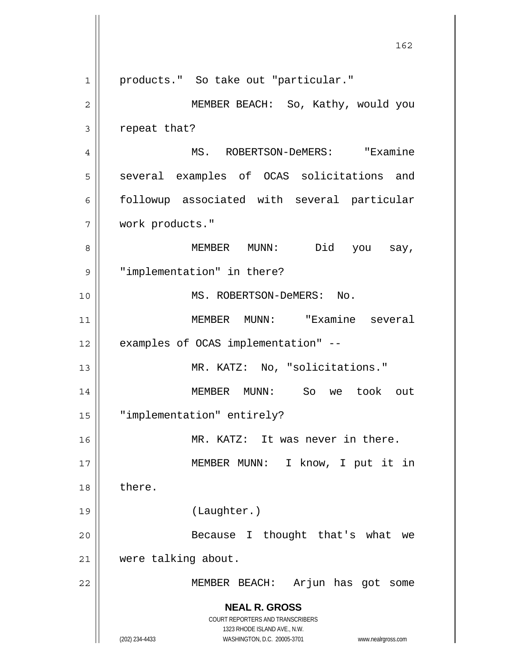**NEAL R. GROSS** COURT REPORTERS AND TRANSCRIBERS 1323 RHODE ISLAND AVE., N.W. (202) 234-4433 WASHINGTON, D.C. 20005-3701 www.nealrgross.com <u>162</u> 1 2 3 4 5 6 7 8 9 10 11 12 13 14 15 16 17 18 19 20 21 22 products." So take out "particular." MEMBER BEACH: So, Kathy, would you repeat that? MS. ROBERTSON-DeMERS: "Examine several examples of OCAS solicitations and followup associated with several particular work products." MEMBER MUNN: Did you say, "implementation" in there? MS. ROBERTSON-DeMERS: No. MEMBER MUNN: "Examine several examples of OCAS implementation" -- MR. KATZ: No, "solicitations." MEMBER MUNN: So we took out "implementation" entirely? MR. KATZ: It was never in there. MEMBER MUNN: I know, I put it in there. (Laughter.) Because I thought that's what we were talking about. MEMBER BEACH: Arjun has got some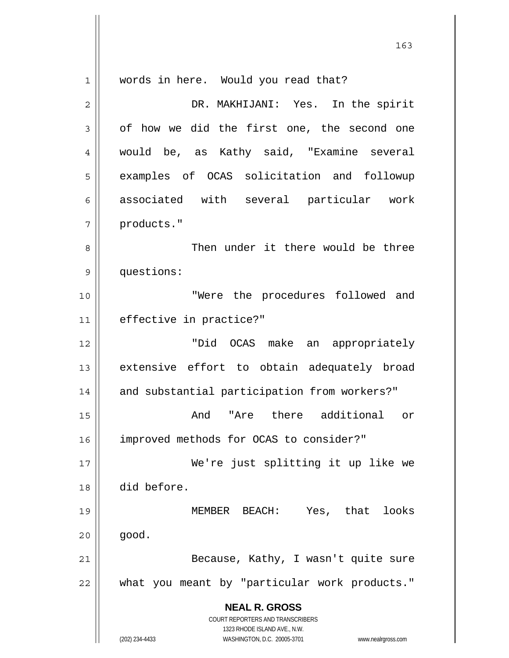**NEAL R. GROSS** COURT REPORTERS AND TRANSCRIBERS 1323 RHODE ISLAND AVE., N.W. (202) 234-4433 WASHINGTON, D.C. 20005-3701 www.nealrgross.com 1 2 3 4 5 6 7 8 9 10 11 12 13 14 15 16 17 18 19 20 21 22 words in here. Would you read that? DR. MAKHIJANI: Yes. In the spirit of how we did the first one, the second one would be, as Kathy said, "Examine several examples of OCAS solicitation and followup associated with several particular work products." Then under it there would be three questions: "Were the procedures followed and effective in practice?" "Did OCAS make an appropriately extensive effort to obtain adequately broad and substantial participation from workers?" And "Are there additional or improved methods for OCAS to consider?" We're just splitting it up like we did before. MEMBER BEACH: Yes, that looks good. Because, Kathy, I wasn't quite sure what you meant by "particular work products."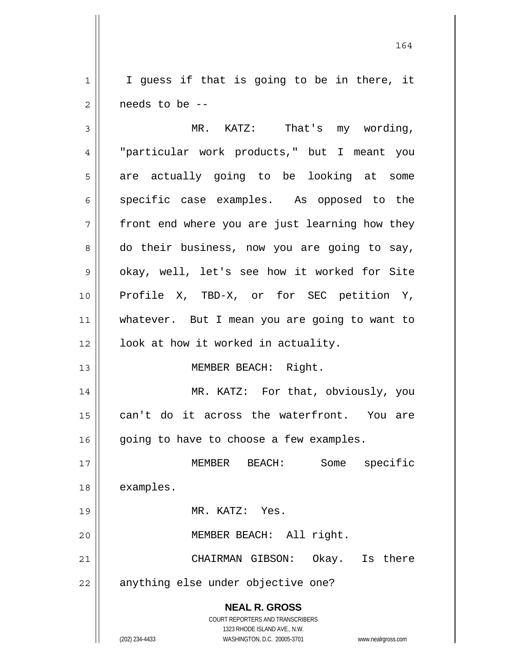1 2 I guess if that is going to be in there, it needs to be --

**NEAL R. GROSS** COURT REPORTERS AND TRANSCRIBERS 1323 RHODE ISLAND AVE., N.W. (202) 234-4433 WASHINGTON, D.C. 20005-3701 www.nealrgross.com 3 4 5 6 7 8 9 10 11 12 13 14 15 16 17 18 19 20 21 22 MR. KATZ: That's my wording, "particular work products," but I meant you are actually going to be looking at some specific case examples. As opposed to the front end where you are just learning how they do their business, now you are going to say, okay, well, let's see how it worked for Site Profile X, TBD-X, or for SEC petition Y, whatever. But I mean you are going to want to look at how it worked in actuality. MEMBER BEACH: Right. MR. KATZ: For that, obviously, you can't do it across the waterfront. You are going to have to choose a few examples. MEMBER BEACH: Some specific examples. MR. KATZ: Yes. MEMBER BEACH: All right. CHAIRMAN GIBSON: Okay. Is there anything else under objective one?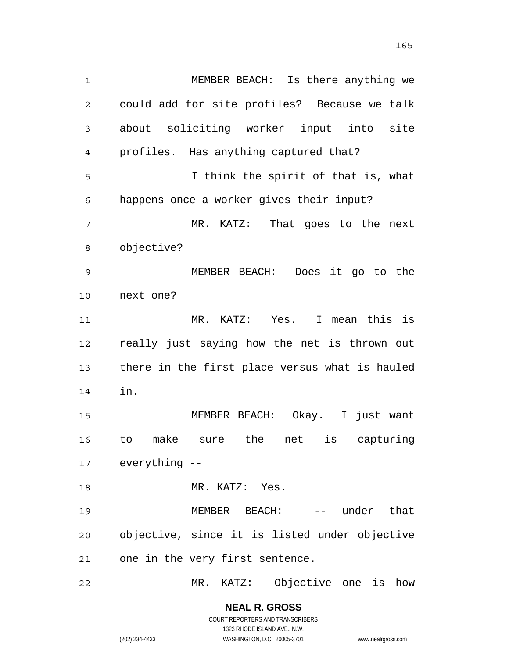**NEAL R. GROSS** COURT REPORTERS AND TRANSCRIBERS 1323 RHODE ISLAND AVE., N.W. (202) 234-4433 WASHINGTON, D.C. 20005-3701 www.nealrgross.com 1 2 3 4 5 6 7 8 9 10 11 12 13 14 15 16 17 18 19 20 21 22 MEMBER BEACH: Is there anything we could add for site profiles? Because we talk about soliciting worker input into site profiles. Has anything captured that? I think the spirit of that is, what happens once a worker gives their input? MR. KATZ: That goes to the next objective? MEMBER BEACH: Does it go to the next one? MR. KATZ: Yes. I mean this is really just saying how the net is thrown out there in the first place versus what is hauled in. MEMBER BEACH: Okay. I just want to make sure the net is capturing everything -- MR. KATZ: Yes. MEMBER BEACH: -- under that objective, since it is listed under objective one in the very first sentence. MR. KATZ: Objective one is how

<u>165</u>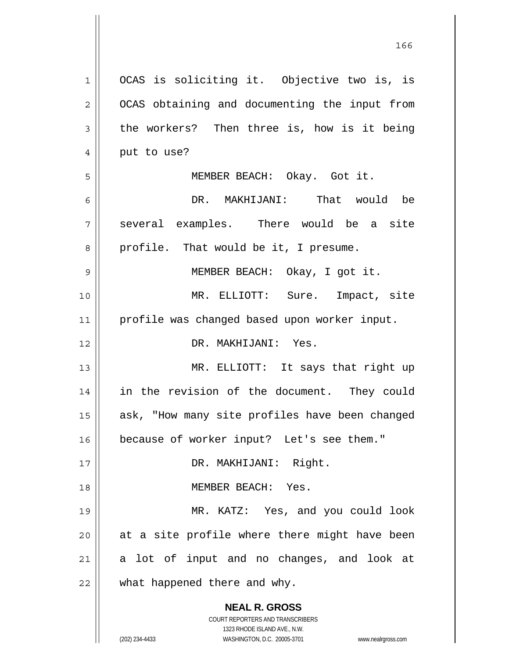| 1  | OCAS is soliciting it. Objective two is, is                         |
|----|---------------------------------------------------------------------|
| 2  | OCAS obtaining and documenting the input from                       |
| 3  | the workers? Then three is, how is it being                         |
| 4  | put to use?                                                         |
| 5  | MEMBER BEACH: Okay. Got it.                                         |
| 6  | DR. MAKHIJANI: That would be                                        |
| 7  | several examples. There would be a site                             |
| 8  | profile. That would be it, I presume.                               |
| 9  | MEMBER BEACH: Okay, I got it.                                       |
| 10 | MR. ELLIOTT: Sure. Impact, site                                     |
| 11 | profile was changed based upon worker input.                        |
| 12 | DR. MAKHIJANI: Yes.                                                 |
| 13 | MR. ELLIOTT: It says that right up                                  |
| 14 | in the revision of the document. They could                         |
| 15 | ask, "How many site profiles have been changed                      |
| 16 | because of worker input? Let's see them."                           |
| 17 | DR. MAKHIJANI: Right.                                               |
| 18 | MEMBER BEACH: Yes.                                                  |
| 19 | MR. KATZ: Yes, and you could look                                   |
| 20 | at a site profile where there might have been                       |
| 21 | a lot of input and no changes, and look at                          |
| 22 | what happened there and why.                                        |
|    |                                                                     |
|    | <b>NEAL R. GROSS</b><br>COURT REPORTERS AND TRANSCRIBERS            |
|    | 1323 RHODE ISLAND AVE., N.W.                                        |
|    | (202) 234-4433<br>WASHINGTON, D.C. 20005-3701<br>www.nealrgross.com |

<u>166</u>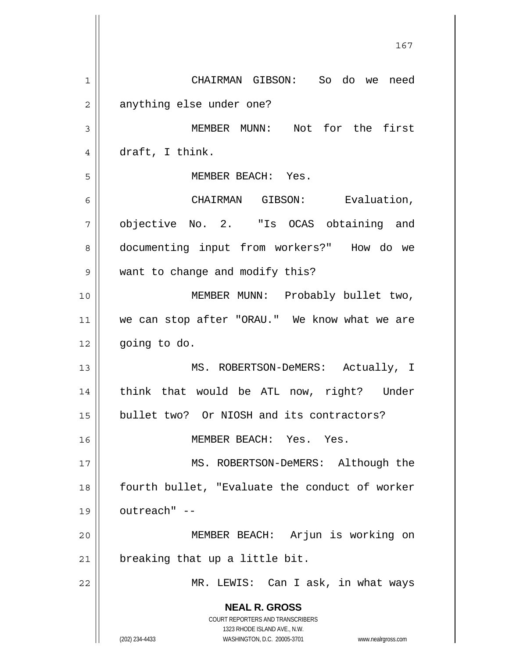**NEAL R. GROSS** COURT REPORTERS AND TRANSCRIBERS 1323 RHODE ISLAND AVE., N.W. (202) 234-4433 WASHINGTON, D.C. 20005-3701 www.nealrgross.com 167 1 2 3 4 5 6 7 8 9 10 11 12 13 14 15 16 17 18 19 20 21 22 CHAIRMAN GIBSON: So do we need anything else under one? MEMBER MUNN: Not for the first draft, I think. MEMBER BEACH: Yes. CHAIRMAN GIBSON: Evaluation, objective No. 2. "Is OCAS obtaining and documenting input from workers?" How do we want to change and modify this? MEMBER MUNN: Probably bullet two, we can stop after "ORAU." We know what we are going to do. MS. ROBERTSON-DeMERS: Actually, I think that would be ATL now, right? Under bullet two? Or NIOSH and its contractors? MEMBER BEACH: Yes. Yes. MS. ROBERTSON-DeMERS: Although the fourth bullet, "Evaluate the conduct of worker outreach" -- MEMBER BEACH: Arjun is working on breaking that up a little bit. MR. LEWIS: Can I ask, in what ways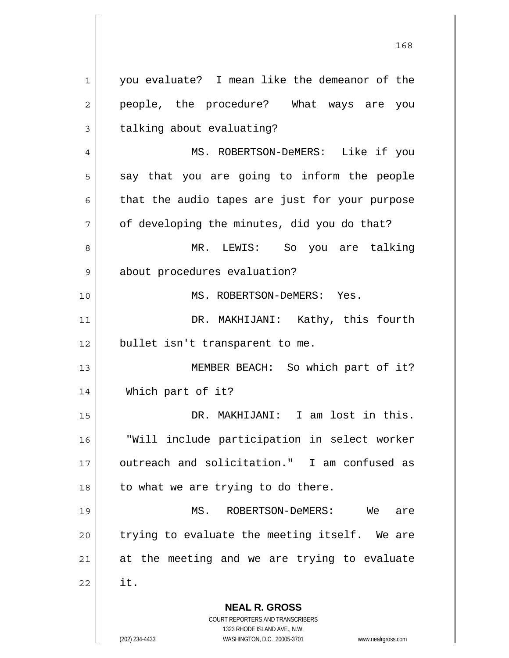| $\mathbf 1$ | you evaluate? I mean like the demeanor of the                       |
|-------------|---------------------------------------------------------------------|
| 2           | people, the procedure? What ways are you                            |
| 3           | talking about evaluating?                                           |
| 4           | MS. ROBERTSON-DeMERS: Like if you                                   |
| 5           | say that you are going to inform the people                         |
| 6           | that the audio tapes are just for your purpose                      |
| 7           | of developing the minutes, did you do that?                         |
| 8           | MR. LEWIS: So you are talking                                       |
| 9           | about procedures evaluation?                                        |
| 10          | MS. ROBERTSON-DeMERS: Yes.                                          |
| 11          | DR. MAKHIJANI: Kathy, this fourth                                   |
| 12          | bullet isn't transparent to me.                                     |
| 13          | MEMBER BEACH: So which part of it?                                  |
| 14          | Which part of it?                                                   |
| 15          | DR. MAKHIJANI: I am lost in this.                                   |
| 16          | "Will include participation in select worker                        |
| 17          | outreach and solicitation." I am confused as                        |
|             |                                                                     |
| 18          | to what we are trying to do there.                                  |
| 19          | MS. ROBERTSON-DeMERS:<br>We<br>are                                  |
| 20          | trying to evaluate the meeting itself. We are                       |
| 21          | at the meeting and we are trying to evaluate                        |
| 22          | it.                                                                 |
|             | <b>NEAL R. GROSS</b>                                                |
|             | <b>COURT REPORTERS AND TRANSCRIBERS</b>                             |
|             | 1323 RHODE ISLAND AVE., N.W.                                        |
|             | (202) 234-4433<br>WASHINGTON, D.C. 20005-3701<br>www.nealrgross.com |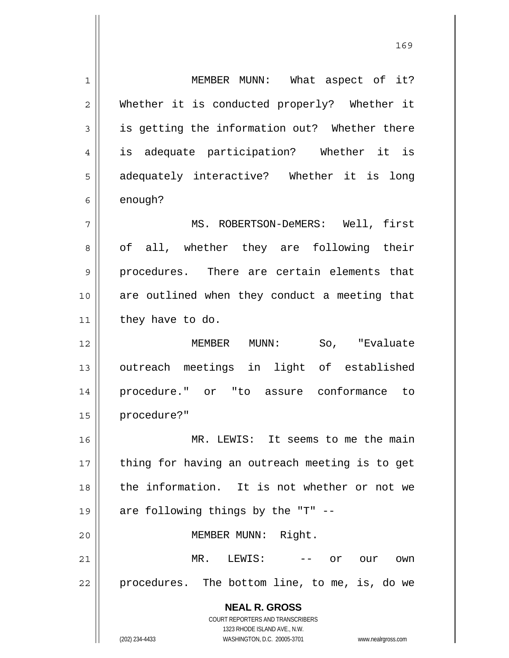**NEAL R. GROSS** COURT REPORTERS AND TRANSCRIBERS 1323 RHODE ISLAND AVE., N.W. 1 2 3 4 5 6 7 8 9 10 11 12 13 14 15 16 17 18 19 20 21 22 MEMBER MUNN: What aspect of it? Whether it is conducted properly? Whether it is getting the information out? Whether there is adequate participation? Whether it is adequately interactive? Whether it is long enough? MS. ROBERTSON-DeMERS: Well, first of all, whether they are following their procedures. There are certain elements that are outlined when they conduct a meeting that they have to do. MEMBER MUNN: So, "Evaluate outreach meetings in light of established procedure." or "to assure conformance to procedure?" MR. LEWIS: It seems to me the main thing for having an outreach meeting is to get the information. It is not whether or not we are following things by the "T" -- MEMBER MUNN: Right. MR. LEWIS: -- or our own procedures. The bottom line, to me, is, do we

169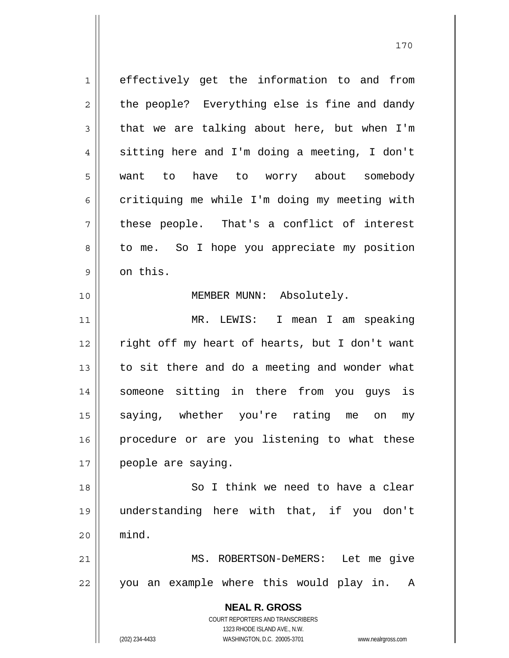**NEAL R. GROSS** COURT REPORTERS AND TRANSCRIBERS 1323 RHODE ISLAND AVE., N.W. (202) 234-4433 WASHINGTON, D.C. 20005-3701 www.nealrgross.com 1 2 3 4 5 6 7 8 9 10 11 12 13 14 15 16 17 18 19 20 21 22 effectively get the information to and from the people? Everything else is fine and dandy that we are talking about here, but when I'm sitting here and I'm doing a meeting, I don't want to have to worry about somebody critiquing me while I'm doing my meeting with these people. That's a conflict of interest to me. So I hope you appreciate my position on this. MEMBER MUNN: Absolutely. MR. LEWIS: I mean I am speaking right off my heart of hearts, but I don't want to sit there and do a meeting and wonder what someone sitting in there from you guys is saying, whether you're rating me on my procedure or are you listening to what these people are saying. So I think we need to have a clear understanding here with that, if you don't mind. MS. ROBERTSON-DeMERS: Let me give you an example where this would play in. A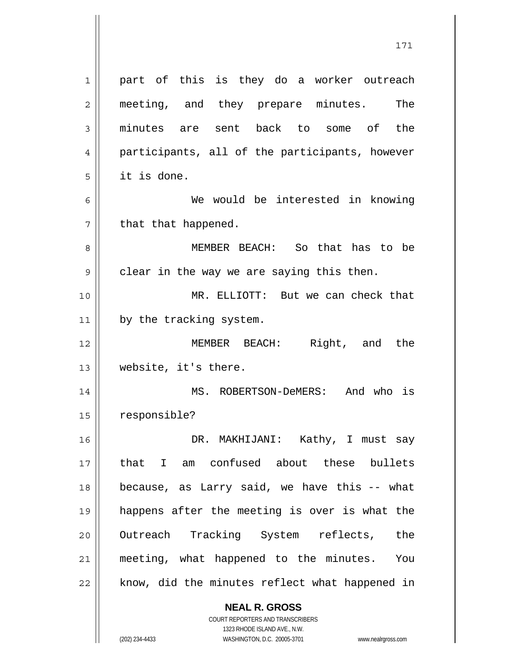**NEAL R. GROSS** COURT REPORTERS AND TRANSCRIBERS 1 2 3 4 5 6 7 8 9 10 11 12 13 14 15 16 17 18 19 20 21 22 part of this is they do a worker outreach meeting, and they prepare minutes. The minutes are sent back to some of the participants, all of the participants, however it is done. We would be interested in knowing that that happened. MEMBER BEACH: So that has to be clear in the way we are saying this then. MR. ELLIOTT: But we can check that by the tracking system. MEMBER BEACH: Right, and the website, it's there. MS. ROBERTSON-DeMERS: And who is responsible? DR. MAKHIJANI: Kathy, I must say that I am confused about these bullets because, as Larry said, we have this -- what happens after the meeting is over is what the Outreach Tracking System reflects, the meeting, what happened to the minutes. You know, did the minutes reflect what happened in

171

1323 RHODE ISLAND AVE., N.W.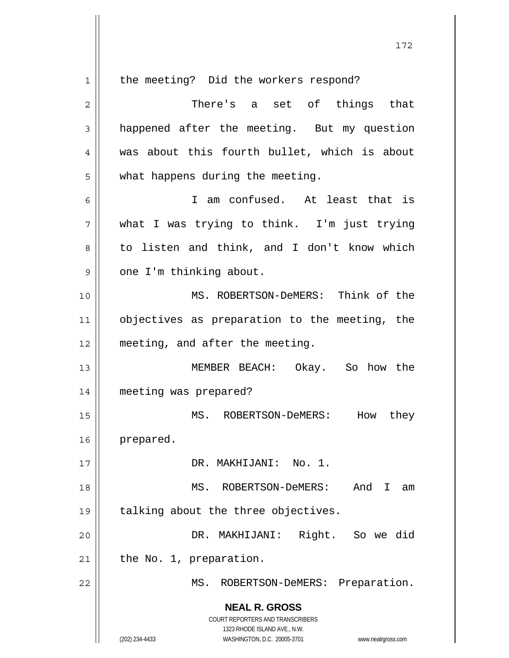**NEAL R. GROSS** COURT REPORTERS AND TRANSCRIBERS 1323 RHODE ISLAND AVE., N.W. (202) 234-4433 WASHINGTON, D.C. 20005-3701 www.nealrgross.com 1 2 3 4 5 6 7 8 9 10 11 12 13 14 15 16 17 18 19 20 21 22 the meeting? Did the workers respond? There's a set of things that happened after the meeting. But my question was about this fourth bullet, which is about what happens during the meeting. I am confused. At least that is what I was trying to think. I'm just trying to listen and think, and I don't know which one I'm thinking about. MS. ROBERTSON-DeMERS: Think of the objectives as preparation to the meeting, the meeting, and after the meeting. MEMBER BEACH: Okay. So how the meeting was prepared? MS. ROBERTSON-DeMERS: How they prepared. DR. MAKHIJANI: No. 1. MS. ROBERTSON-DeMERS: And I am talking about the three objectives. DR. MAKHIJANI: Right. So we did the No. 1, preparation. MS. ROBERTSON-DeMERS: Preparation.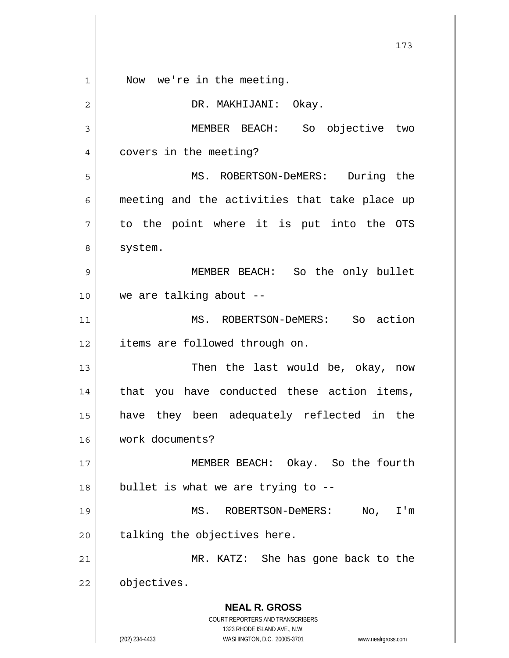**NEAL R. GROSS** COURT REPORTERS AND TRANSCRIBERS 1323 RHODE ISLAND AVE., N.W. (202) 234-4433 WASHINGTON, D.C. 20005-3701 www.nealrgross.com 173 1 2 3 4 5 6 7 8 9 10 11 12 13 14 15 16 17 18 19 20 21 22 Now we're in the meeting. DR. MAKHIJANI: Okay. MEMBER BEACH: So objective two covers in the meeting? MS. ROBERTSON-DeMERS: During the meeting and the activities that take place up to the point where it is put into the OTS system. MEMBER BEACH: So the only bullet we are talking about -- MS. ROBERTSON-DeMERS: So action items are followed through on. Then the last would be, okay, now that you have conducted these action items, have they been adequately reflected in the work documents? MEMBER BEACH: Okay. So the fourth bullet is what we are trying to -- MS. ROBERTSON-DeMERS: No, I'm talking the objectives here. MR. KATZ: She has gone back to the objectives.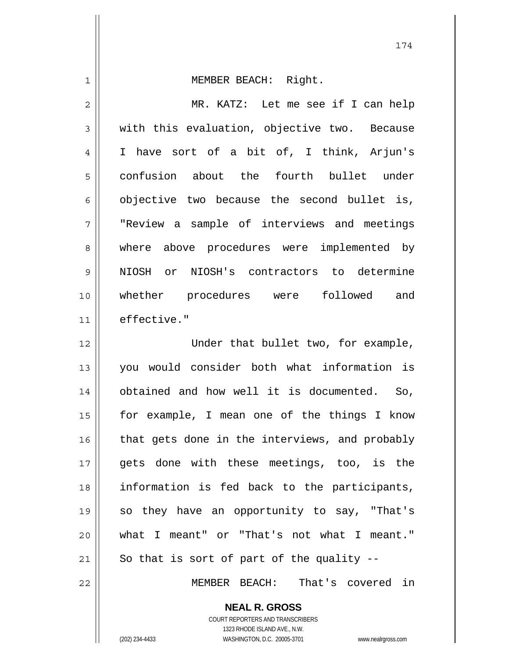1 2 3 4 5 6 7 8 9 10 11 12 13 14 15 16 17 18 19 20 21 22 MEMBER BEACH: Right. MR. KATZ: Let me see if I can help with this evaluation, objective two. Because I have sort of a bit of, I think, Arjun's confusion about the fourth bullet under objective two because the second bullet is, "Review a sample of interviews and meetings where above procedures were implemented by NIOSH or NIOSH's contractors to determine whether procedures were followed and effective." Under that bullet two, for example, you would consider both what information is obtained and how well it is documented. So, for example, I mean one of the things I know that gets done in the interviews, and probably gets done with these meetings, too, is the information is fed back to the participants, so they have an opportunity to say, "That's what I meant" or "That's not what I meant." So that is sort of part of the quality -- MEMBER BEACH: That's covered in

174

COURT REPORTERS AND TRANSCRIBERS 1323 RHODE ISLAND AVE., N.W. (202) 234-4433 WASHINGTON, D.C. 20005-3701 www.nealrgross.com

**NEAL R. GROSS**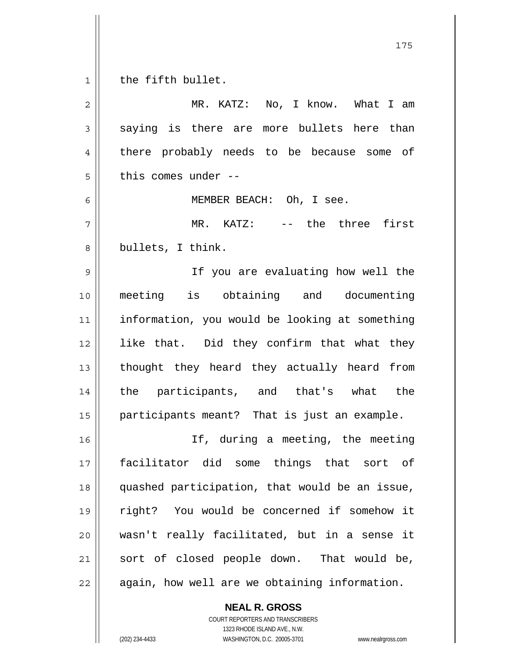1 the fifth bullet.

| $\mathbf{2}$   | MR. KATZ: No, I know. What I am                |
|----------------|------------------------------------------------|
| $\mathfrak{Z}$ | saying is there are more bullets here than     |
| 4              | there probably needs to be because some of     |
| 5              | this comes under --                            |
| 6              | MEMBER BEACH: Oh, I see.                       |
| $\overline{7}$ | MR. KATZ: -- the three first                   |
| 8              | bullets, I think.                              |
| $\mathsf 9$    | If you are evaluating how well the             |
| 10             | meeting is obtaining and documenting           |
| 11             | information, you would be looking at something |
| 12             | like that. Did they confirm that what they     |
| 13             | thought they heard they actually heard from    |
| 14             | the participants, and that's what the          |
| 15             | participants meant? That is just an example.   |
| 16             | If, during a meeting, the meeting              |
| 17             | facilitator did some things that sort of       |
| 18             | quashed participation, that would be an issue, |
| 19             | right? You would be concerned if somehow it    |
| 20             | wasn't really facilitated, but in a sense it   |
| 21             | sort of closed people down. That would be,     |
| 22             | again, how well are we obtaining information.  |

COURT REPORTERS AND TRANSCRIBERS 1323 RHODE ISLAND AVE., N.W. (202) 234-4433 WASHINGTON, D.C. 20005-3701 www.nealrgross.com

**NEAL R. GROSS**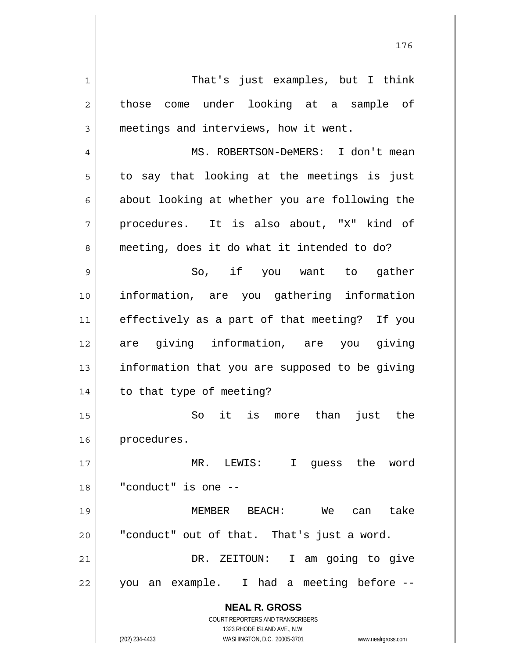**NEAL R. GROSS** COURT REPORTERS AND TRANSCRIBERS 1323 RHODE ISLAND AVE., N.W. 1 2 3 4 5 6 7 8 9 10 11 12 13 14 15 16 17 18 19 20 21 22 That's just examples, but I think those come under looking at a sample of meetings and interviews, how it went. MS. ROBERTSON-DeMERS: I don't mean to say that looking at the meetings is just about looking at whether you are following the procedures. It is also about, "X" kind of meeting, does it do what it intended to do? So, if you want to gather information, are you gathering information effectively as a part of that meeting? If you are giving information, are you giving information that you are supposed to be giving to that type of meeting? So it is more than just the procedures. MR. LEWIS: I guess the word "conduct" is one -- MEMBER BEACH: We can take "conduct" out of that. That's just a word. DR. ZEITOUN: I am going to give you an example. I had a meeting before --

176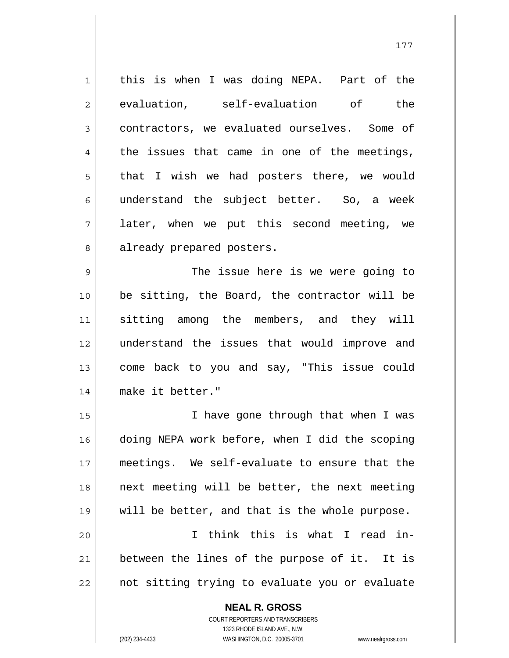**NEAL R. GROSS** 1 2 3 4 5 6 7 8 9 10 11 12 13 14 15 16 17 18 19 20 21 22 this is when I was doing NEPA. Part of the evaluation, self-evaluation of the contractors, we evaluated ourselves. Some of the issues that came in one of the meetings, that I wish we had posters there, we would understand the subject better. So, a week later, when we put this second meeting, we already prepared posters. The issue here is we were going to be sitting, the Board, the contractor will be sitting among the members, and they will understand the issues that would improve and come back to you and say, "This issue could make it better." I have gone through that when I was doing NEPA work before, when I did the scoping meetings. We self-evaluate to ensure that the next meeting will be better, the next meeting will be better, and that is the whole purpose. I think this is what I read inbetween the lines of the purpose of it. It is not sitting trying to evaluate you or evaluate

177

COURT REPORTERS AND TRANSCRIBERS 1323 RHODE ISLAND AVE., N.W.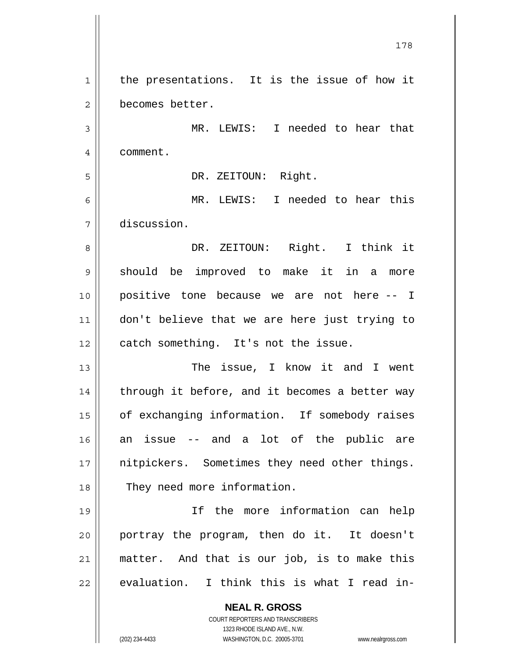**NEAL R. GROSS** COURT REPORTERS AND TRANSCRIBERS 1323 RHODE ISLAND AVE., N.W. (202) 234-4433 WASHINGTON, D.C. 20005-3701 www.nealrgross.com 178 1 2 3 4 5 6 7 8 9 10 11 12 13 14 15 16 17 18 19 20 21 22 the presentations. It is the issue of how it becomes better. MR. LEWIS: I needed to hear that comment. DR. ZEITOUN: Right. MR. LEWIS: I needed to hear this discussion. DR. ZEITOUN: Right. I think it should be improved to make it in a more positive tone because we are not here -- I don't believe that we are here just trying to catch something. It's not the issue. The issue, I know it and I went through it before, and it becomes a better way of exchanging information. If somebody raises an issue -- and a lot of the public are nitpickers. Sometimes they need other things. They need more information. If the more information can help portray the program, then do it. It doesn't matter. And that is our job, is to make this evaluation. I think this is what I read in-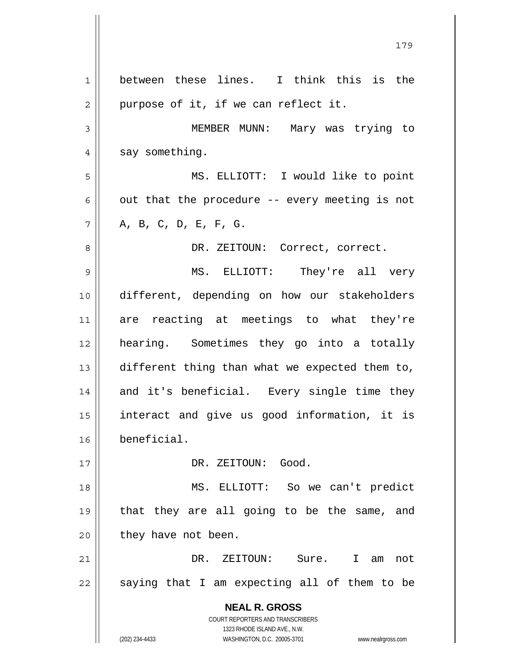**NEAL R. GROSS** COURT REPORTERS AND TRANSCRIBERS 1323 RHODE ISLAND AVE., N.W. (202) 234-4433 WASHINGTON, D.C. 20005-3701 www.nealrgross.com 1 2 3 4 5 6 7 8 9 10 11 12 13 14 15 16 17 18 19 20 21 22 between these lines. I think this is the purpose of it, if we can reflect it. MEMBER MUNN: Mary was trying to say something. MS. ELLIOTT: I would like to point out that the procedure -- every meeting is not A, B, C, D, E, F, G. DR. ZEITOUN: Correct, correct. MS. ELLIOTT: They're all very different, depending on how our stakeholders are reacting at meetings to what they're hearing. Sometimes they go into a totally different thing than what we expected them to, and it's beneficial. Every single time they interact and give us good information, it is beneficial. DR. ZEITOUN: Good. MS. ELLIOTT: So we can't predict that they are all going to be the same, and they have not been. DR. ZEITOUN: Sure. I am not saying that I am expecting all of them to be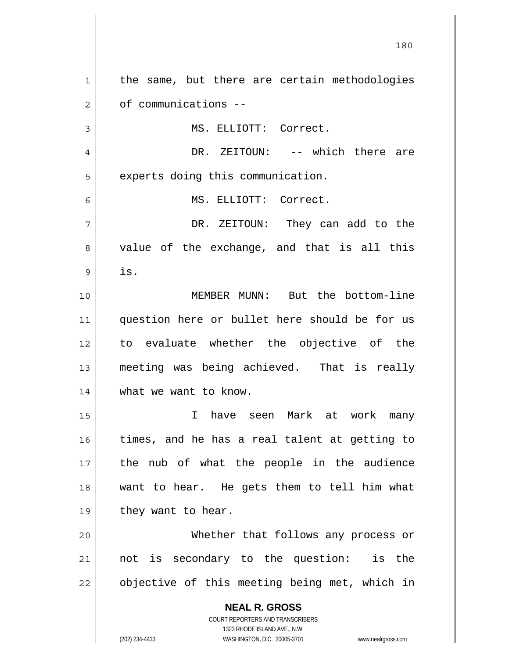**NEAL R. GROSS** COURT REPORTERS AND TRANSCRIBERS 1323 RHODE ISLAND AVE., N.W. (202) 234-4433 WASHINGTON, D.C. 20005-3701 www.nealrgross.com 1 2 3 4 5 6 7 8 9 10 11 12 13 14 15 16 17 18 19 20 21 22 the same, but there are certain methodologies of communications -- MS. ELLIOTT: Correct. DR. ZEITOUN: -- which there are experts doing this communication. MS. ELLIOTT: Correct. DR. ZEITOUN: They can add to the value of the exchange, and that is all this is. MEMBER MUNN: But the bottom-line question here or bullet here should be for us to evaluate whether the objective of the meeting was being achieved. That is really what we want to know. I have seen Mark at work many times, and he has a real talent at getting to the nub of what the people in the audience want to hear. He gets them to tell him what they want to hear. Whether that follows any process or not is secondary to the question: is the objective of this meeting being met, which in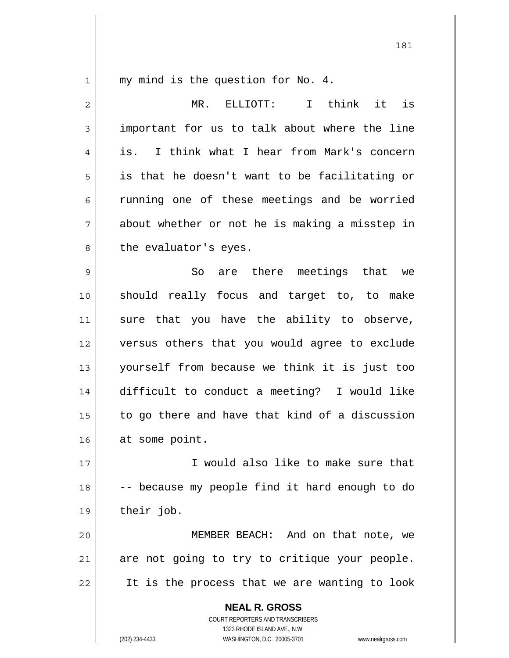1

my mind is the question for No. 4.

| $\overline{2}$ | I think it is<br>MR. ELLIOTT:                                                                                                                                   |
|----------------|-----------------------------------------------------------------------------------------------------------------------------------------------------------------|
| 3              | important for us to talk about where the line                                                                                                                   |
| 4              | I think what I hear from Mark's concern<br>is.                                                                                                                  |
| 5              | is that he doesn't want to be facilitating or                                                                                                                   |
| 6              | running one of these meetings and be worried                                                                                                                    |
| 7              | about whether or not he is making a misstep in                                                                                                                  |
| 8              | the evaluator's eyes.                                                                                                                                           |
| 9              | are there meetings that we<br>So                                                                                                                                |
| 10             | should really focus and target to, to make                                                                                                                      |
| 11             | sure that you have the ability to observe,                                                                                                                      |
| 12             | versus others that you would agree to exclude                                                                                                                   |
| 13             | yourself from because we think it is just too                                                                                                                   |
| 14             | difficult to conduct a meeting? I would like                                                                                                                    |
| 15             | to go there and have that kind of a discussion                                                                                                                  |
| 16             | at some point.                                                                                                                                                  |
| 17             | I would also like to make sure that                                                                                                                             |
| 18             | -- because my people find it hard enough to do                                                                                                                  |
| 19             | their job.                                                                                                                                                      |
| 20             | MEMBER BEACH: And on that note, we                                                                                                                              |
| 21             | are not going to try to critique your people.                                                                                                                   |
| 22             | It is the process that we are wanting to look                                                                                                                   |
|                | <b>NEAL R. GROSS</b><br>COURT REPORTERS AND TRANSCRIBERS<br>1323 RHODE ISLAND AVE., N.W.<br>(202) 234-4433<br>WASHINGTON, D.C. 20005-3701<br>www.nealrgross.com |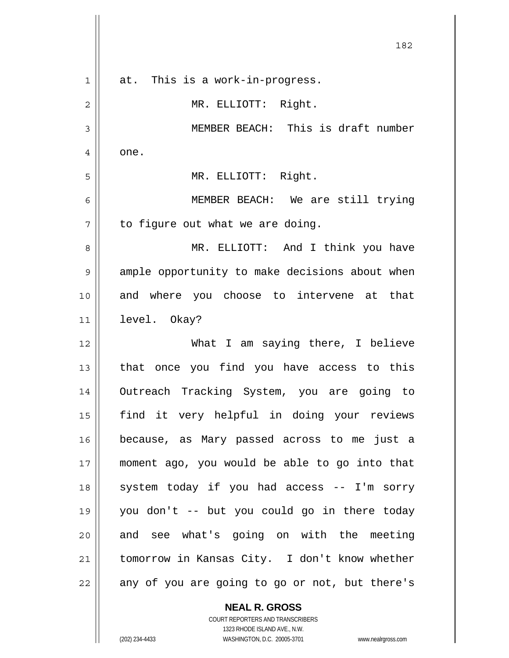|             | 182                                            |
|-------------|------------------------------------------------|
| $\mathbf 1$ | at. This is a work-in-progress.                |
| 2           | MR. ELLIOTT: Right.                            |
| 3           | MEMBER BEACH: This is draft number             |
| 4           | one.                                           |
| 5           | MR. ELLIOTT: Right.                            |
| 6           | MEMBER BEACH: We are still trying              |
| 7           | to figure out what we are doing.               |
| 8           | MR. ELLIOTT: And I think you have              |
| 9           | ample opportunity to make decisions about when |
| 10          | and where you choose to intervene at that      |
| 11          | level. Okay?                                   |
| 12          | What I am saying there, I believe              |
| 13          | that once you find you have access to this     |
| 14          | Outreach Tracking System, you are going to     |
| 15          | find it very helpful in doing your reviews     |
| 16          | because, as Mary passed across to me just a    |
| 17          | moment ago, you would be able to go into that  |
| 18          | system today if you had access -- I'm sorry    |
| 19          | you don't -- but you could go in there today   |
| 20          | and see what's going on with the meeting       |
| 21          | tomorrow in Kansas City. I don't know whether  |
| 22          | any of you are going to go or not, but there's |

**NEAL R. GROSS** COURT REPORTERS AND TRANSCRIBERS

1323 RHODE ISLAND AVE., N.W.

(202) 234-4433 WASHINGTON, D.C. 20005-3701 www.nealrgross.com

 $\mathbf{I}$ 

 $\mathsf{I}$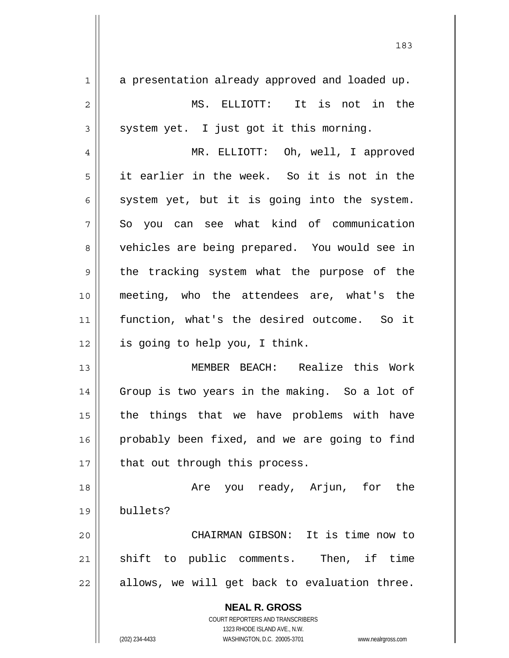| $\mathbf 1$    | a presentation already approved and loaded up.                      |
|----------------|---------------------------------------------------------------------|
| 2              | MS. ELLIOTT: It is not in the                                       |
| 3              | system yet. I just got it this morning.                             |
| $\overline{4}$ | MR. ELLIOTT: Oh, well, I approved                                   |
| 5              | it earlier in the week. So it is not in the                         |
| 6              | system yet, but it is going into the system.                        |
| 7              | So you can see what kind of communication                           |
| 8              | vehicles are being prepared. You would see in                       |
| 9              | the tracking system what the purpose of the                         |
| 10             | meeting, who the attendees are, what's the                          |
| 11             | function, what's the desired outcome. So it                         |
| 12             | is going to help you, I think.                                      |
| 13             | MEMBER BEACH: Realize this Work                                     |
| 14             | Group is two years in the making. So a lot of                       |
| 15             | the things that we have problems with have                          |
| 16             | probably been fixed, and we are going to find                       |
| 17             | that out through this process.                                      |
| 18             | you ready, Arjun, for the<br>Are                                    |
| 19             | bullets?                                                            |
| 20             | CHAIRMAN GIBSON: It is time now to                                  |
| 21             | shift to public comments. Then, if time                             |
| 22             | allows, we will get back to evaluation three.                       |
|                | <b>NEAL R. GROSS</b>                                                |
|                | COURT REPORTERS AND TRANSCRIBERS                                    |
|                | 1323 RHODE ISLAND AVE., N.W.                                        |
|                | (202) 234-4433<br>WASHINGTON, D.C. 20005-3701<br>www.nealrgross.com |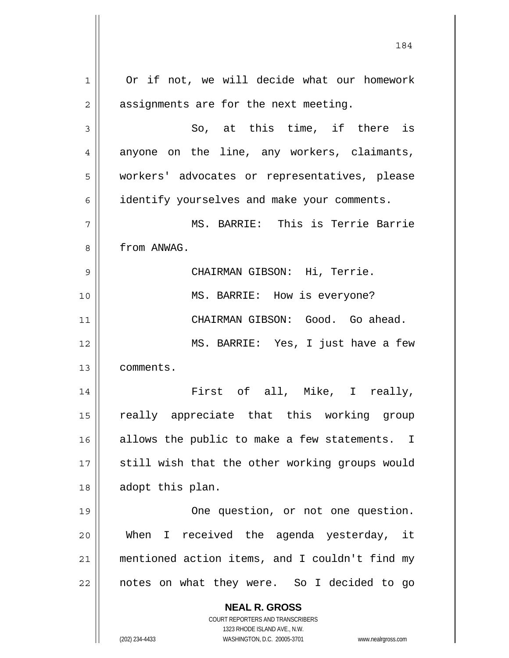**NEAL R. GROSS** COURT REPORTERS AND TRANSCRIBERS 1323 RHODE ISLAND AVE., N.W. (202) 234-4433 WASHINGTON, D.C. 20005-3701 www.nealrgross.com 1 2 3 4 5 6 7 8 9 10 11 12 13 14 15 16 17 18 19 20 21 22 Or if not, we will decide what our homework assignments are for the next meeting. So, at this time, if there is anyone on the line, any workers, claimants, workers' advocates or representatives, please identify yourselves and make your comments. MS. BARRIE: This is Terrie Barrie from ANWAG. CHAIRMAN GIBSON: Hi, Terrie. MS. BARRIE: How is everyone? CHAIRMAN GIBSON: Good. Go ahead. MS. BARRIE: Yes, I just have a few comments. First of all, Mike, I really, really appreciate that this working group allows the public to make a few statements. I still wish that the other working groups would adopt this plan. One question, or not one question. When I received the agenda yesterday, it mentioned action items, and I couldn't find my notes on what they were. So I decided to go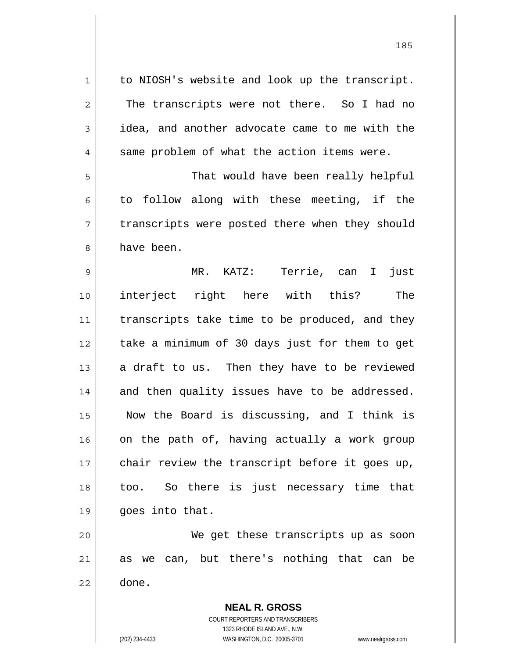1 2 3 4 5 6 7 8 9 10 11 12 13 14 15 16 17 18 19 20 21 to NIOSH's website and look up the transcript. The transcripts were not there. So I had no idea, and another advocate came to me with the same problem of what the action items were. That would have been really helpful to follow along with these meeting, if the transcripts were posted there when they should have been. MR. KATZ: Terrie, can I just interject right here with this? The transcripts take time to be produced, and they take a minimum of 30 days just for them to get a draft to us. Then they have to be reviewed and then quality issues have to be addressed. Now the Board is discussing, and I think is on the path of, having actually a work group chair review the transcript before it goes up, too. So there is just necessary time that goes into that. We get these transcripts up as soon as we can, but there's nothing that can be

done.

22

**NEAL R. GROSS** COURT REPORTERS AND TRANSCRIBERS 1323 RHODE ISLAND AVE., N.W. (202) 234-4433 WASHINGTON, D.C. 20005-3701 www.nealrgross.com

<u>185</u>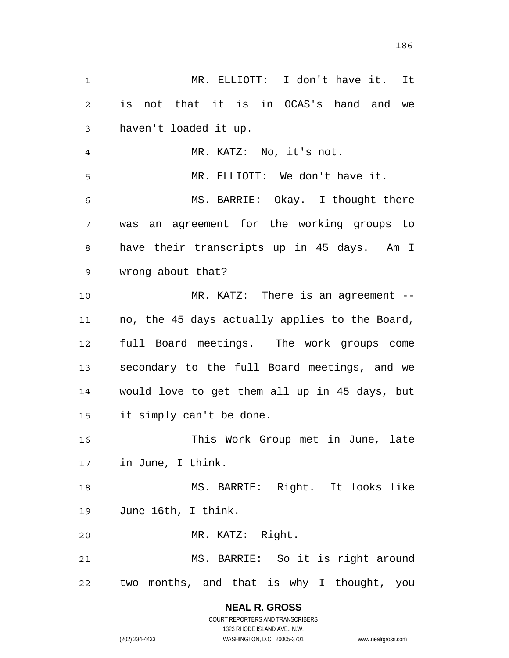|    | 186                                                                 |
|----|---------------------------------------------------------------------|
| 1  | MR. ELLIOTT: I don't have it. It                                    |
| 2  | is not that it is in OCAS's hand and we                             |
| 3  | haven't loaded it up.                                               |
| 4  | MR. KATZ: No, it's not.                                             |
| 5  | MR. ELLIOTT: We don't have it.                                      |
| 6  | MS. BARRIE: Okay. I thought there                                   |
| 7  | was an agreement for the working groups to                          |
| 8  | have their transcripts up in 45 days. Am I                          |
| 9  | wrong about that?                                                   |
| 10 | $MR. KATZ:$ There is an agreement --                                |
| 11 | no, the 45 days actually applies to the Board,                      |
| 12 | full Board meetings. The work groups come                           |
| 13 | secondary to the full Board meetings, and we                        |
| 14 | would love to get them all up in 45 days, but                       |
| 15 | it simply can't be done.                                            |
| 16 | This Work Group met in June, late                                   |
| 17 | in June, I think.                                                   |
| 18 | MS. BARRIE: Right. It looks like                                    |
| 19 | June 16th, I think.                                                 |
| 20 | MR. KATZ: Right.                                                    |
| 21 | MS. BARRIE: So it is right around                                   |
| 22 | two months, and that is why I thought, you                          |
|    | <b>NEAL R. GROSS</b><br>COURT REPORTERS AND TRANSCRIBERS            |
|    | 1323 RHODE ISLAND AVE., N.W.                                        |
|    | (202) 234-4433<br>WASHINGTON, D.C. 20005-3701<br>www.nealrgross.com |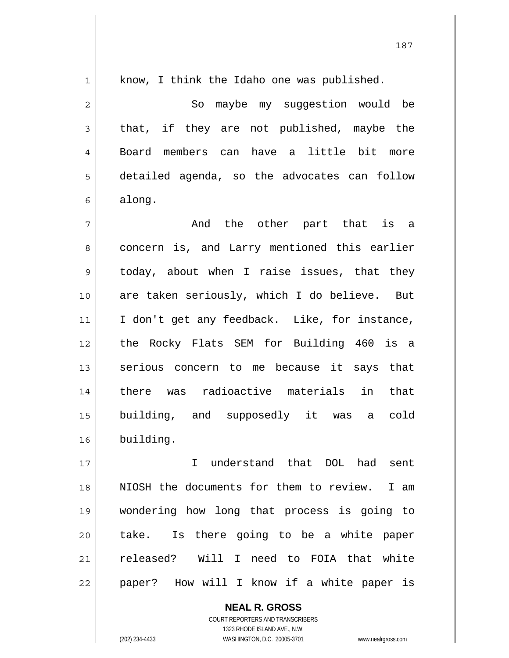| $\mathbf 1$ | know, I think the Idaho one was published.      |
|-------------|-------------------------------------------------|
| 2           | So maybe my suggestion would be                 |
| 3           | that, if they are not published, maybe the      |
| 4           | Board members can have a little bit more        |
| 5           | detailed agenda, so the advocates can follow    |
| 6           | along.                                          |
| 7           | And the other part that is a                    |
| 8           | concern is, and Larry mentioned this earlier    |
| 9           | today, about when I raise issues, that they     |
| 10          | are taken seriously, which I do believe. But    |
| 11          | I don't get any feedback. Like, for instance,   |
| 12          | the Rocky Flats SEM for Building 460 is a       |
| 13          | serious concern to me because it says that      |
| 14          | there was radioactive materials in that         |
| 15          | building, and supposedly it was a cold          |
| 16          | building.                                       |
| 17          | understand that DOL had sent<br>T.              |
| 18          | NIOSH the documents for them to review.<br>I am |
| 19          | wondering how long that process is going to     |
| 20          | take. Is there going to be a white paper        |
| 21          | released? Will I need to FOIA that white        |
| 22          | paper? How will I know if a white paper is      |
|             | <b>NEAL R. GROSS</b>                            |

COURT REPORTERS AND TRANSCRIBERS 1323 RHODE ISLAND AVE., N.W.

 $\mathbf{I}$ 

(202) 234-4433 WASHINGTON, D.C. 20005-3701 www.nealrgross.com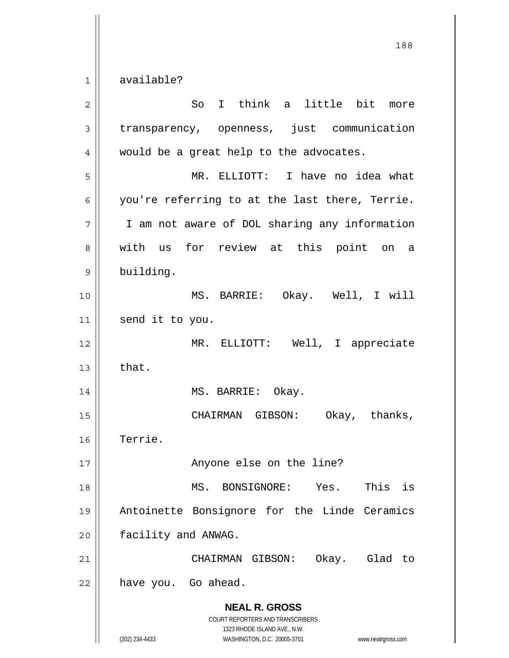1 available?

**NEAL R. GROSS** COURT REPORTERS AND TRANSCRIBERS 1323 RHODE ISLAND AVE., N.W. (202) 234-4433 WASHINGTON, D.C. 20005-3701 www.nealrgross.com 2 3 4 5 6 7 8 9 10 11 12 13 14 15 16 17 18 19 20 21 22 So I think a little bit more transparency, openness, just communication would be a great help to the advocates. MR. ELLIOTT: I have no idea what you're referring to at the last there, Terrie. I am not aware of DOL sharing any information with us for review at this point on a building. MS. BARRIE: Okay. Well, I will send it to you. MR. ELLIOTT: Well, I appreciate that. MS. BARRIE: Okay. CHAIRMAN GIBSON: Okay, thanks, Terrie. Anyone else on the line? MS. BONSIGNORE: Yes. This is Antoinette Bonsignore for the Linde Ceramics facility and ANWAG. CHAIRMAN GIBSON: Okay. Glad to have you. Go ahead.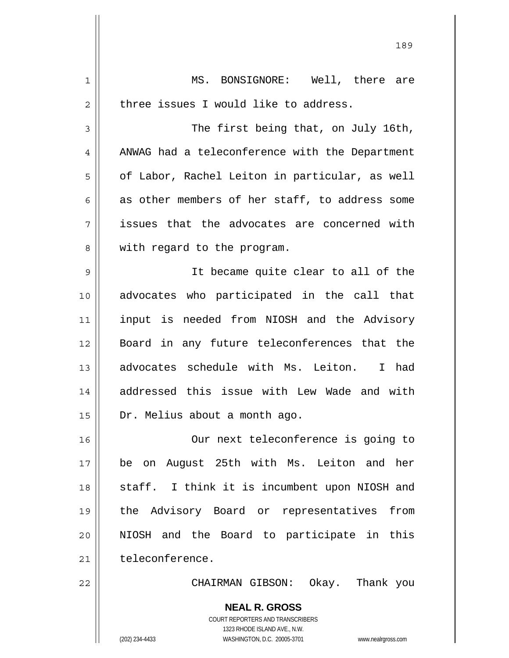| $\mathbf 1$<br>MS. BONSIGNORE: Well, there are                                                      |  |
|-----------------------------------------------------------------------------------------------------|--|
| three issues I would like to address.<br>$\overline{2}$                                             |  |
| The first being that, on July 16th,<br>3                                                            |  |
| ANWAG had a teleconference with the Department<br>4                                                 |  |
| of Labor, Rachel Leiton in particular, as well<br>5                                                 |  |
| as other members of her staff, to address some<br>6                                                 |  |
| 7<br>issues that the advocates are concerned with                                                   |  |
| with regard to the program.<br>8                                                                    |  |
| It became quite clear to all of the<br>9                                                            |  |
| advocates who participated in the call that<br>10                                                   |  |
| input is needed from NIOSH and the Advisory<br>11                                                   |  |
| 12<br>Board in any future teleconferences that the                                                  |  |
| advocates schedule with Ms. Leiton. I had<br>13                                                     |  |
| addressed this issue with Lew Wade and with<br>14                                                   |  |
| Dr. Melius about a month ago.<br>15                                                                 |  |
| Our next teleconference is going to<br>16                                                           |  |
| be on August 25th with Ms. Leiton and her<br>17                                                     |  |
| staff. I think it is incumbent upon NIOSH and<br>18                                                 |  |
| the Advisory Board or representatives<br>from<br>19                                                 |  |
| NIOSH and the Board to participate in this<br>20                                                    |  |
| teleconference.<br>21                                                                               |  |
| CHAIRMAN GIBSON: Okay. Thank you<br>22                                                              |  |
| <b>NEAL R. GROSS</b>                                                                                |  |
| <b>COURT REPORTERS AND TRANSCRIBERS</b>                                                             |  |
| 1323 RHODE ISLAND AVE., N.W.<br>(202) 234-4433<br>WASHINGTON, D.C. 20005-3701<br>www.nealrgross.com |  |

189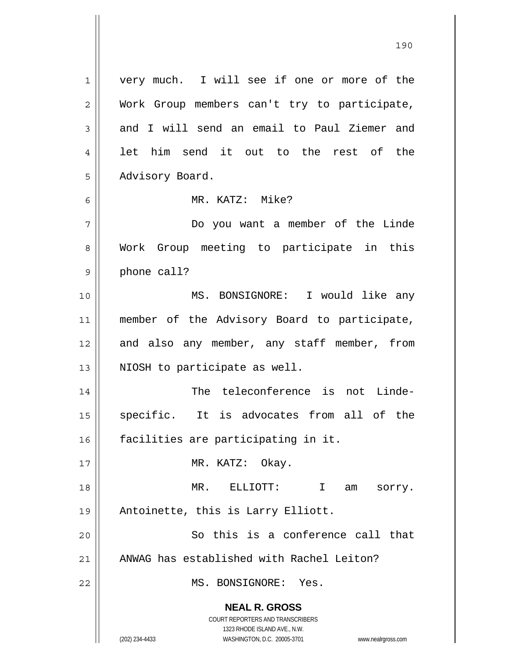**NEAL R. GROSS** COURT REPORTERS AND TRANSCRIBERS 1323 RHODE ISLAND AVE., N.W. (202) 234-4433 WASHINGTON, D.C. 20005-3701 www.nealrgross.com 1 2 3 4 5 6 7 8 9 10 11 12 13 14 15 16 17 18 19 20 21 22 very much. I will see if one or more of the Work Group members can't try to participate, and I will send an email to Paul Ziemer and let him send it out to the rest of the Advisory Board. MR. KATZ: Mike? Do you want a member of the Linde Work Group meeting to participate in this phone call? MS. BONSIGNORE: I would like any member of the Advisory Board to participate, and also any member, any staff member, from NIOSH to participate as well. The teleconference is not Lindespecific. It is advocates from all of the facilities are participating in it. MR. KATZ: Okay. MR. ELLIOTT: I am sorry. Antoinette, this is Larry Elliott. So this is a conference call that ANWAG has established with Rachel Leiton? MS. BONSIGNORE: Yes.

<u>190</u>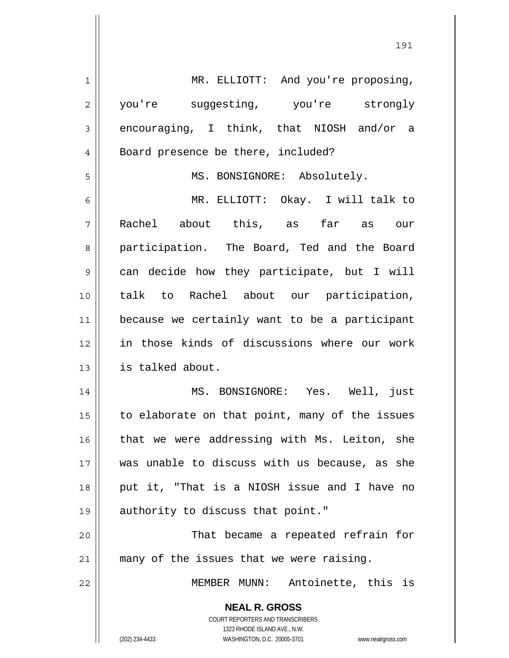| $\mathbf 1$    | MR. ELLIOTT: And you're proposing,                                                                  |
|----------------|-----------------------------------------------------------------------------------------------------|
| $\overline{2}$ | you're suggesting, you're strongly                                                                  |
| 3              | encouraging, I think, that NIOSH and/or a                                                           |
| 4              | Board presence be there, included?                                                                  |
| 5              | MS. BONSIGNORE: Absolutely.                                                                         |
| 6              | MR. ELLIOTT: Okay. I will talk to                                                                   |
| 7              | Rachel about this, as far as our                                                                    |
| 8              | participation. The Board, Ted and the Board                                                         |
| 9              | can decide how they participate, but I will                                                         |
| 10             | talk to Rachel about our participation,                                                             |
| 11             | because we certainly want to be a participant                                                       |
| 12             | in those kinds of discussions where our work                                                        |
| 13             | is talked about.                                                                                    |
| 14             | MS. BONSIGNORE: Yes. Well, just                                                                     |
| 15             | to elaborate on that point, many of the issues                                                      |
| 16             | that we were addressing with Ms. Leiton, she                                                        |
| 17             | was unable to discuss with us because, as she                                                       |
| 18             | put it, "That is a NIOSH issue and I have no                                                        |
| 19             | authority to discuss that point."                                                                   |
| 20             | That became a repeated refrain for                                                                  |
| 21             | many of the issues that we were raising.                                                            |
| 22             | MEMBER MUNN: Antoinette, this is                                                                    |
|                |                                                                                                     |
|                | <b>NEAL R. GROSS</b>                                                                                |
|                | COURT REPORTERS AND TRANSCRIBERS                                                                    |
|                | 1323 RHODE ISLAND AVE., N.W.<br>(202) 234-4433<br>WASHINGTON, D.C. 20005-3701<br>www.nealrgross.com |
|                |                                                                                                     |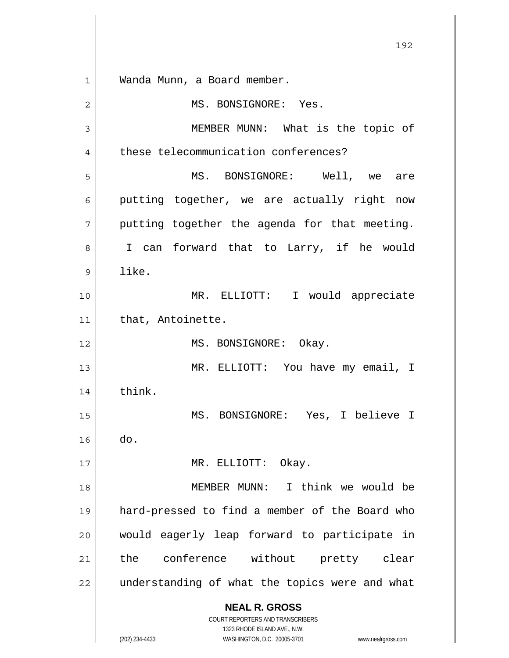**NEAL R. GROSS** COURT REPORTERS AND TRANSCRIBERS 1323 RHODE ISLAND AVE., N.W. (202) 234-4433 WASHINGTON, D.C. 20005-3701 www.nealrgross.com 192 1 2 3 4 5 6 7 8 9 10 11 12 13 14 15 16 17 18 19 20 21 22 Wanda Munn, a Board member. MS. BONSIGNORE: Yes. MEMBER MUNN: What is the topic of these telecommunication conferences? MS. BONSIGNORE: Well, we are putting together, we are actually right now putting together the agenda for that meeting. I can forward that to Larry, if he would like. MR. ELLIOTT: I would appreciate that, Antoinette. MS. BONSIGNORE: Okay. MR. ELLIOTT: You have my email, I think. MS. BONSIGNORE: Yes, I believe I do. MR. ELLIOTT: Okay. MEMBER MUNN: I think we would be hard-pressed to find a member of the Board who would eagerly leap forward to participate in the conference without pretty clear understanding of what the topics were and what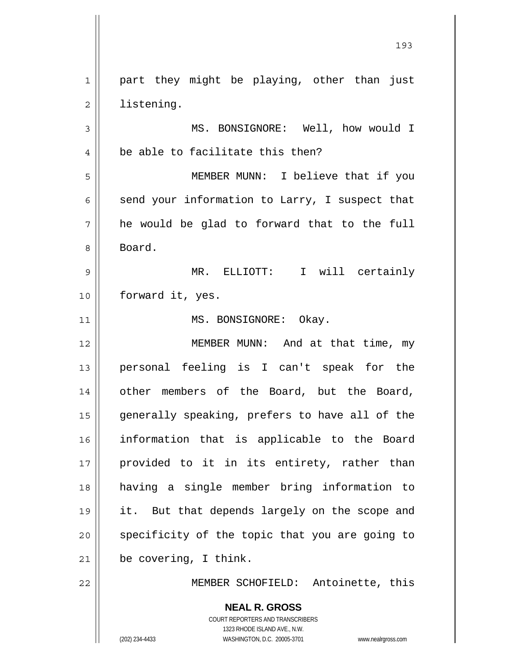**NEAL R. GROSS** COURT REPORTERS AND TRANSCRIBERS 1 2 3 4 5 6 7 8 9 10 11 12 13 14 15 16 17 18 19 20 21 22 part they might be playing, other than just listening. MS. BONSIGNORE: Well, how would I be able to facilitate this then? MEMBER MUNN: I believe that if you send your information to Larry, I suspect that he would be glad to forward that to the full Board. MR. ELLIOTT: I will certainly forward it, yes. MS. BONSIGNORE: Okay. MEMBER MUNN: And at that time, my personal feeling is I can't speak for the other members of the Board, but the Board, generally speaking, prefers to have all of the information that is applicable to the Board provided to it in its entirety, rather than having a single member bring information to it. But that depends largely on the scope and specificity of the topic that you are going to be covering, I think. MEMBER SCHOFIELD: Antoinette, this

193

1323 RHODE ISLAND AVE., N.W.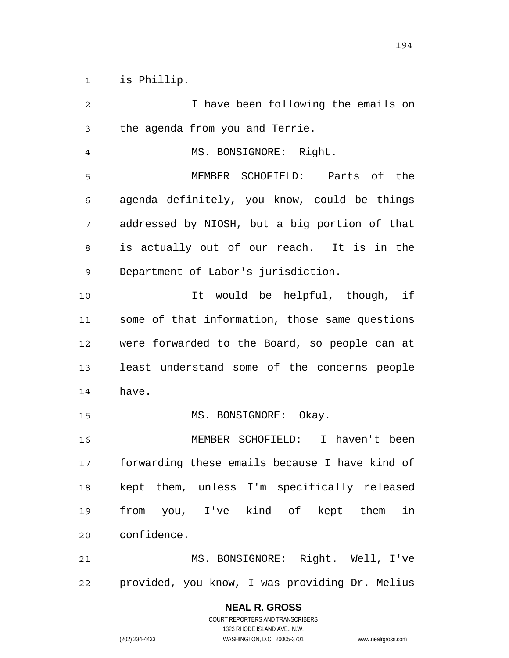1 is Phillip.

| $\overline{c}$ | I have been following the emails on                                                                                                                             |
|----------------|-----------------------------------------------------------------------------------------------------------------------------------------------------------------|
| 3              | the agenda from you and Terrie.                                                                                                                                 |
| $\overline{4}$ | MS. BONSIGNORE: Right.                                                                                                                                          |
| 5              | MEMBER SCHOFIELD: Parts of the                                                                                                                                  |
| 6              | agenda definitely, you know, could be things                                                                                                                    |
| 7              | addressed by NIOSH, but a big portion of that                                                                                                                   |
| 8              | is actually out of our reach. It is in the                                                                                                                      |
| $\mathsf 9$    | Department of Labor's jurisdiction.                                                                                                                             |
| 10             | It would be helpful, though, if                                                                                                                                 |
| 11             | some of that information, those same questions                                                                                                                  |
| 12             | were forwarded to the Board, so people can at                                                                                                                   |
| 13             | least understand some of the concerns people                                                                                                                    |
| 14             | have.                                                                                                                                                           |
| 15             | MS. BONSIGNORE: Okay.                                                                                                                                           |
| 16             | MEMBER SCHOFIELD: I haven't been                                                                                                                                |
| 17             | forwarding these emails because I have kind of                                                                                                                  |
| 18             | kept them, unless I'm specifically released                                                                                                                     |
| 19             | from you, I've kind of<br>kept them<br>in                                                                                                                       |
| 20             | confidence.                                                                                                                                                     |
| 21             | MS. BONSIGNORE: Right. Well, I've                                                                                                                               |
| 22             | provided, you know, I was providing Dr. Melius                                                                                                                  |
|                | <b>NEAL R. GROSS</b><br>COURT REPORTERS AND TRANSCRIBERS<br>1323 RHODE ISLAND AVE., N.W.<br>(202) 234-4433<br>WASHINGTON, D.C. 20005-3701<br>www.nealrgross.com |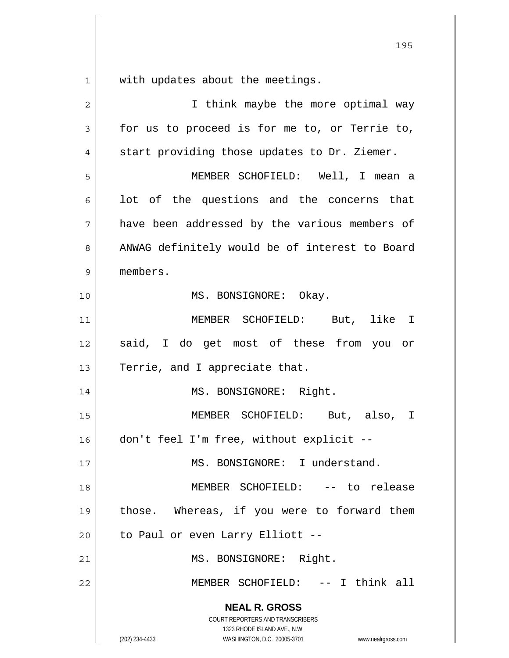$\begin{array}{c|c|c|c} 1 & 1 \\ \hline \end{array}$ with updates about the meetings.

| 2  | I think maybe the more optimal way                                                                                                                              |
|----|-----------------------------------------------------------------------------------------------------------------------------------------------------------------|
| 3  | for us to proceed is for me to, or Terrie to,                                                                                                                   |
| 4  | start providing those updates to Dr. Ziemer.                                                                                                                    |
| 5  | MEMBER SCHOFIELD: Well, I mean a                                                                                                                                |
| 6  | lot of the questions and the concerns that                                                                                                                      |
| 7  | have been addressed by the various members of                                                                                                                   |
| 8  | ANWAG definitely would be of interest to Board                                                                                                                  |
| 9  | members.                                                                                                                                                        |
| 10 | MS. BONSIGNORE: Okay.                                                                                                                                           |
| 11 | MEMBER SCHOFIELD: But, like I                                                                                                                                   |
| 12 | said, I do get most of these from you or                                                                                                                        |
| 13 | Terrie, and I appreciate that.                                                                                                                                  |
| 14 | MS. BONSIGNORE: Right.                                                                                                                                          |
| 15 | MEMBER SCHOFIELD: But, also, I                                                                                                                                  |
| 16 | don't feel I'm free, without explicit --                                                                                                                        |
| 17 | MS. BONSIGNORE: I understand.                                                                                                                                   |
| 18 | MEMBER SCHOFIELD: -- to release                                                                                                                                 |
| 19 | those. Whereas, if you were to forward them                                                                                                                     |
| 20 | to Paul or even Larry Elliott --                                                                                                                                |
| 21 | MS. BONSIGNORE: Right.                                                                                                                                          |
| 22 | MEMBER SCHOFIELD: -- I think all                                                                                                                                |
|    | <b>NEAL R. GROSS</b><br>COURT REPORTERS AND TRANSCRIBERS<br>1323 RHODE ISLAND AVE., N.W.<br>(202) 234-4433<br>WASHINGTON, D.C. 20005-3701<br>www.nealrgross.com |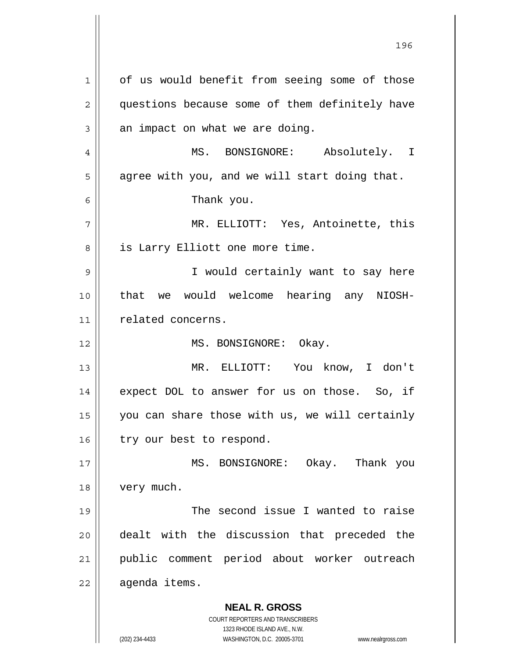**NEAL R. GROSS** COURT REPORTERS AND TRANSCRIBERS 1323 RHODE ISLAND AVE., N.W. 1 2 3 4 5 6 7 8 9 10 11 12 13 14 15 16 17 18 19 20 21 22 of us would benefit from seeing some of those questions because some of them definitely have an impact on what we are doing. MS. BONSIGNORE: Absolutely. I agree with you, and we will start doing that. Thank you. MR. ELLIOTT: Yes, Antoinette, this is Larry Elliott one more time. I would certainly want to say here that we would welcome hearing any NIOSHrelated concerns. MS. BONSIGNORE: Okay. MR. ELLIOTT: You know, I don't expect DOL to answer for us on those. So, if you can share those with us, we will certainly try our best to respond. MS. BONSIGNORE: Okay. Thank you very much. The second issue I wanted to raise dealt with the discussion that preceded the public comment period about worker outreach agenda items.

<u>1962 - Johann Stein, Amerikaansk politiker (</u>† 196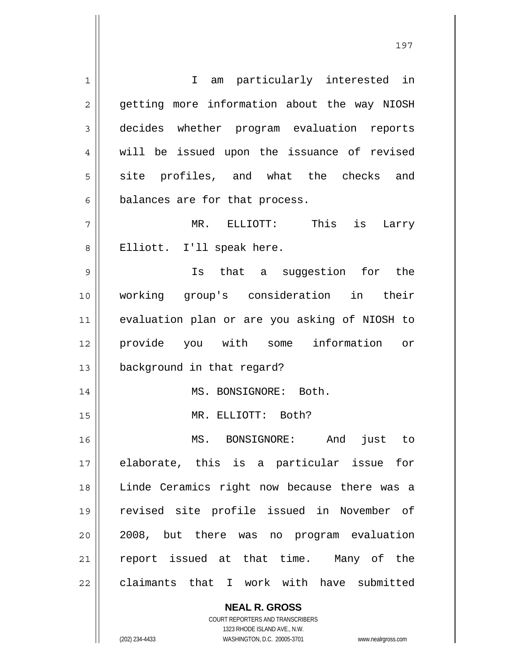**NEAL R. GROSS** 1 2 3 4 5 6 7 8 9 10 11 12 13 14 15 16 17 18 19 20 21 22 I am particularly interested in getting more information about the way NIOSH decides whether program evaluation reports will be issued upon the issuance of revised site profiles, and what the checks and balances are for that process. MR. ELLIOTT: This is Larry Elliott. I'll speak here. Is that a suggestion for the working group's consideration in their evaluation plan or are you asking of NIOSH to provide you with some information or background in that regard? MS. BONSIGNORE: Both. MR. ELLIOTT: Both? MS. BONSIGNORE: And just to elaborate, this is a particular issue for Linde Ceramics right now because there was a revised site profile issued in November of 2008, but there was no program evaluation report issued at that time. Many of the claimants that I work with have submitted

> COURT REPORTERS AND TRANSCRIBERS 1323 RHODE ISLAND AVE., N.W.

(202) 234-4433 WASHINGTON, D.C. 20005-3701 www.nealrgross.com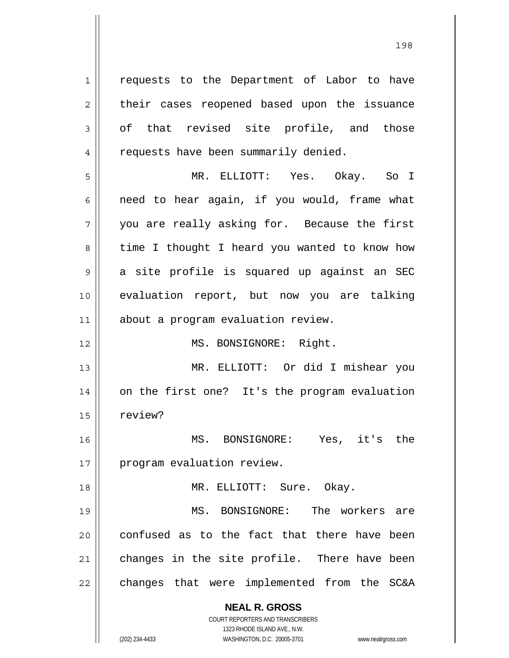**NEAL R. GROSS** COURT REPORTERS AND TRANSCRIBERS 1 2 3 4 5 6 7 8 9 10 11 12 13 14 15 16 17 18 19 20 21 22 requests to the Department of Labor to have their cases reopened based upon the issuance of that revised site profile, and those requests have been summarily denied. MR. ELLIOTT: Yes. Okay. So I need to hear again, if you would, frame what you are really asking for. Because the first time I thought I heard you wanted to know how a site profile is squared up against an SEC evaluation report, but now you are talking about a program evaluation review. MS. BONSIGNORE: Right. MR. ELLIOTT: Or did I mishear you on the first one? It's the program evaluation review? MS. BONSIGNORE: Yes, it's the program evaluation review. MR. ELLIOTT: Sure. Okay. MS. BONSIGNORE: The workers are confused as to the fact that there have been changes in the site profile. There have been changes that were implemented from the SC&A

1323 RHODE ISLAND AVE., N.W.

198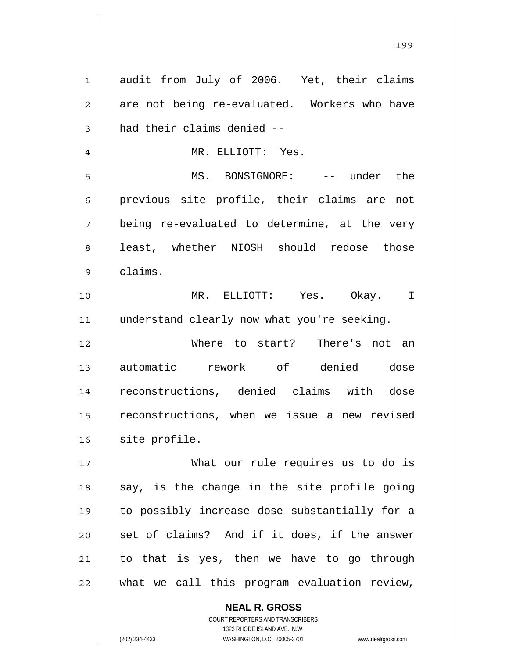1 2 3 4 5 6 7 8 9 10 11 12 13 14 15 16 17 18 19 20 21 22 audit from July of 2006. Yet, their claims are not being re-evaluated. Workers who have had their claims denied -- MR. ELLIOTT: Yes. MS. BONSIGNORE: -- under the previous site profile, their claims are not being re-evaluated to determine, at the very least, whether NIOSH should redose those claims. MR. ELLIOTT: Yes. Okay. I understand clearly now what you're seeking. Where to start? There's not an automatic rework of denied dose reconstructions, denied claims with dose reconstructions, when we issue a new revised site profile. What our rule requires us to do is say, is the change in the site profile going to possibly increase dose substantially for a set of claims? And if it does, if the answer to that is yes, then we have to go through what we call this program evaluation review,

199

**NEAL R. GROSS** COURT REPORTERS AND TRANSCRIBERS 1323 RHODE ISLAND AVE., N.W.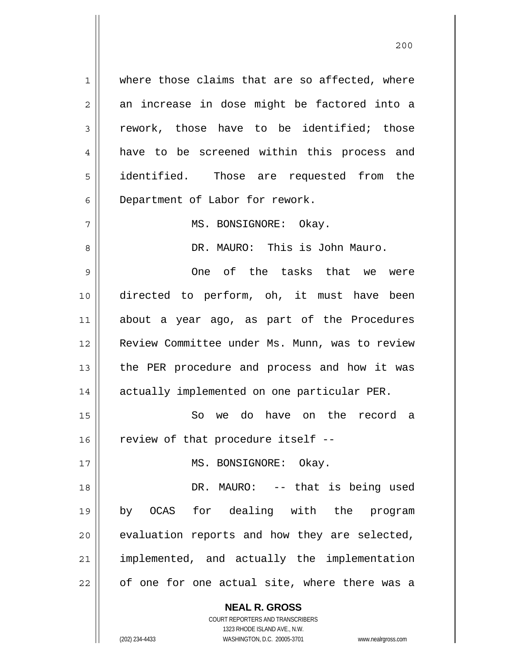1 2 3 4 5 6 7 8 9 10 11 12 13 14 15 16 17 18 19 20 21 22 where those claims that are so affected, where an increase in dose might be factored into a rework, those have to be identified; those have to be screened within this process and identified. Those are requested from the Department of Labor for rework. MS. BONSIGNORE: Okay. DR. MAURO: This is John Mauro. One of the tasks that we were directed to perform, oh, it must have been about a year ago, as part of the Procedures Review Committee under Ms. Munn, was to review the PER procedure and process and how it was actually implemented on one particular PER. So we do have on the record a review of that procedure itself -- MS. BONSIGNORE: Okay. DR. MAURO: -- that is being used by OCAS for dealing with the program evaluation reports and how they are selected, implemented, and actually the implementation of one for one actual site, where there was a

> **NEAL R. GROSS** COURT REPORTERS AND TRANSCRIBERS 1323 RHODE ISLAND AVE., N.W.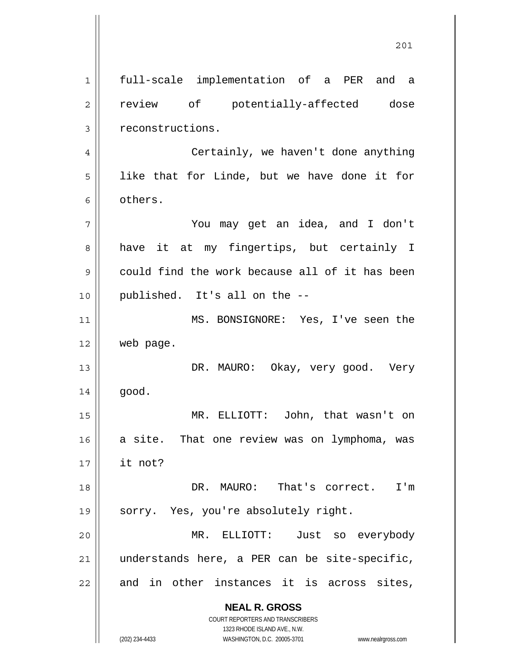**NEAL R. GROSS** COURT REPORTERS AND TRANSCRIBERS 1323 RHODE ISLAND AVE., N.W. (202) 234-4433 WASHINGTON, D.C. 20005-3701 www.nealrgross.com 1 2 3 4 5 6 7 8 9 10 11 12 13 14 15 16 17 18 19 20 21 22 full-scale implementation of a PER and a review of potentially-affected dose reconstructions. Certainly, we haven't done anything like that for Linde, but we have done it for others. You may get an idea, and I don't have it at my fingertips, but certainly I could find the work because all of it has been published. It's all on the -- MS. BONSIGNORE: Yes, I've seen the web page. DR. MAURO: Okay, very good. Very good. MR. ELLIOTT: John, that wasn't on a site. That one review was on lymphoma, was it not? DR. MAURO: That's correct. I'm sorry. Yes, you're absolutely right. MR. ELLIOTT: Just so everybody understands here, a PER can be site-specific, and in other instances it is across sites,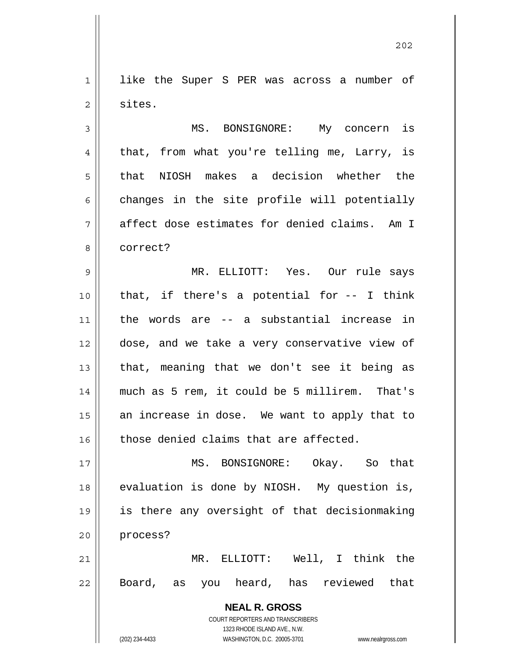1 2 like the Super S PER was across a number of sites.

3 4 5 6 7 8 MS. BONSIGNORE: My concern is that, from what you're telling me, Larry, is that NIOSH makes a decision whether the changes in the site profile will potentially affect dose estimates for denied claims. Am I correct?

9 10 11 12 13 14 15 16 MR. ELLIOTT: Yes. Our rule says that, if there's a potential for -- I think the words are -- a substantial increase in dose, and we take a very conservative view of that, meaning that we don't see it being as much as 5 rem, it could be 5 millirem. That's an increase in dose. We want to apply that to those denied claims that are affected.

17 18 19 20 MS. BONSIGNORE: Okay. So that evaluation is done by NIOSH. My question is, is there any oversight of that decisionmaking process?

21 22 MR. ELLIOTT: Well, I think the Board, as you heard, has reviewed that

> **NEAL R. GROSS** COURT REPORTERS AND TRANSCRIBERS 1323 RHODE ISLAND AVE., N.W.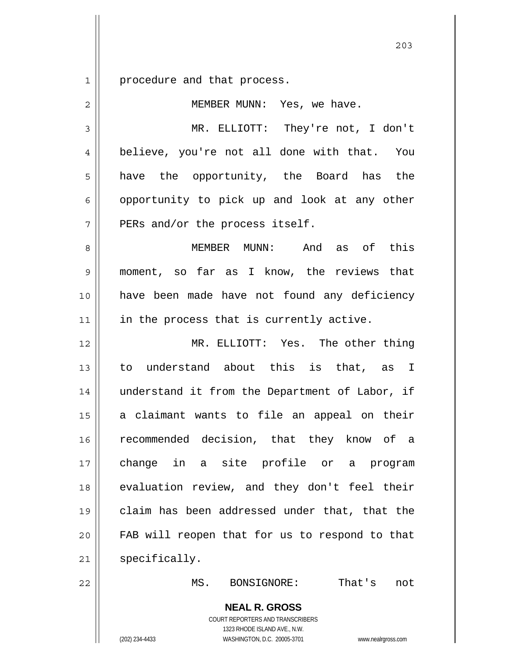$\begin{array}{c|c|c|c|c} 1 & 1 \\ \hline \end{array}$ procedure and that process.

| 2           | MEMBER MUNN: Yes, we have.                               |
|-------------|----------------------------------------------------------|
| 3           | MR. ELLIOTT: They're not, I don't                        |
| 4           | believe, you're not all done with that. You              |
| 5           | have the opportunity, the Board has the                  |
| 6           | opportunity to pick up and look at any other             |
| 7           | PERs and/or the process itself.                          |
| 8           | MEMBER MUNN: And as of this                              |
| $\mathsf 9$ | moment, so far as I know, the reviews that               |
| 10          | have been made have not found any deficiency             |
| 11          | in the process that is currently active.                 |
| 12          | MR. ELLIOTT: Yes. The other thing                        |
| 13          | to understand about this is that, as I                   |
| 14          | understand it from the Department of Labor, if           |
| 15          | a claimant wants to file an appeal on their              |
| 16          | recommended decision, that they know of a                |
| 17          | change in a site profile or a program                    |
| 18          | evaluation review, and they don't feel their             |
| 19          | claim has been addressed under that, that the            |
| 20          | FAB will reopen that for us to respond to that           |
| 21          | specifically.                                            |
| 22          | MS.<br>BONSIGNORE:<br>That's<br>not                      |
|             | <b>NEAL R. GROSS</b><br>COURT REPORTERS AND TRANSCRIBERS |

1323 RHODE ISLAND AVE., N.W.

 $\mathsf{II}$ 

(202) 234-4433 WASHINGTON, D.C. 20005-3701 www.nealrgross.com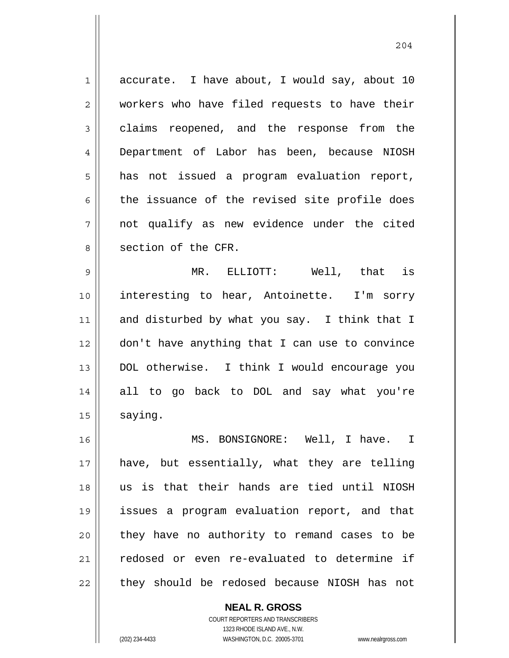1 2 3 4 5 6 7 8 accurate. I have about, I would say, about 10 workers who have filed requests to have their claims reopened, and the response from the Department of Labor has been, because NIOSH has not issued a program evaluation report, the issuance of the revised site profile does not qualify as new evidence under the cited section of the CFR.

9 10 11 12 13 14 15 MR. ELLIOTT: Well, that is interesting to hear, Antoinette. I'm sorry and disturbed by what you say. I think that I don't have anything that I can use to convince DOL otherwise. I think I would encourage you all to go back to DOL and say what you're saying.

16 17 18 19 20 21 22 MS. BONSIGNORE: Well, I have. I have, but essentially, what they are telling us is that their hands are tied until NIOSH issues a program evaluation report, and that they have no authority to remand cases to be redosed or even re-evaluated to determine if they should be redosed because NIOSH has not

> **NEAL R. GROSS** COURT REPORTERS AND TRANSCRIBERS 1323 RHODE ISLAND AVE., N.W. (202) 234-4433 WASHINGTON, D.C. 20005-3701 www.nealrgross.com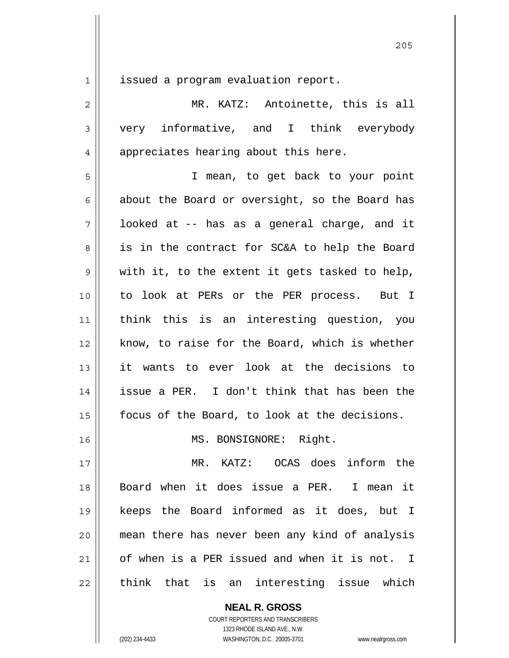1

16

issued a program evaluation report.

2 3 4 MR. KATZ: Antoinette, this is all very informative, and I think everybody appreciates hearing about this here.

5 6 7 8 9 10 11 12 13 14 15 I mean, to get back to your point about the Board or oversight, so the Board has looked at -- has as a general charge, and it is in the contract for SC&A to help the Board with it, to the extent it gets tasked to help, to look at PERs or the PER process. But I think this is an interesting question, you know, to raise for the Board, which is whether it wants to ever look at the decisions to issue a PER. I don't think that has been the focus of the Board, to look at the decisions.

MS. BONSIGNORE: Right.

17 18 19 20 21 22 MR. KATZ: OCAS does inform the Board when it does issue a PER. I mean it keeps the Board informed as it does, but I mean there has never been any kind of analysis of when is a PER issued and when it is not. I think that is an interesting issue which

> **NEAL R. GROSS** COURT REPORTERS AND TRANSCRIBERS

1323 RHODE ISLAND AVE., N.W. (202) 234-4433 WASHINGTON, D.C. 20005-3701 www.nealrgross.com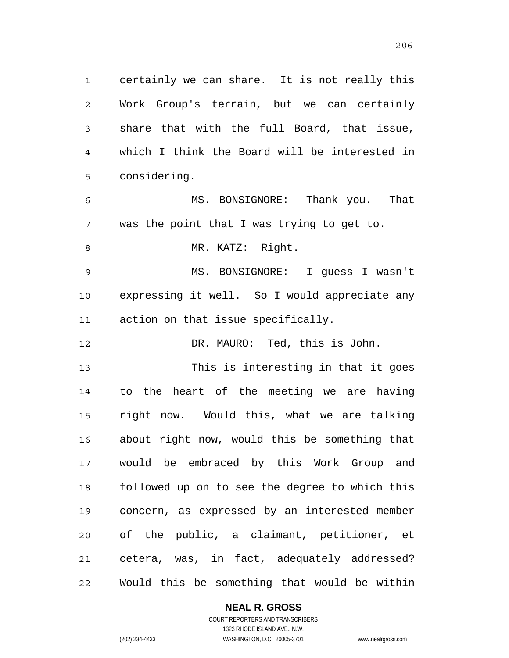certainly we can share. It is not really this Work Group's terrain, but we can certainly share that with the full Board, that issue, which I think the Board will be interested in considering.

1

2

3

4

5

8

12

6 7 MS. BONSIGNORE: Thank you. That was the point that I was trying to get to.

MR. KATZ: Right.

9 10 11 MS. BONSIGNORE: I guess I wasn't expressing it well. So I would appreciate any action on that issue specifically.

DR. MAURO: Ted, this is John.

13 14 15 16 17 18 19 20 21 22 This is interesting in that it goes to the heart of the meeting we are having right now. Would this, what we are talking about right now, would this be something that would be embraced by this Work Group and followed up on to see the degree to which this concern, as expressed by an interested member of the public, a claimant, petitioner, et cetera, was, in fact, adequately addressed? Would this be something that would be within

**NEAL R. GROSS**

COURT REPORTERS AND TRANSCRIBERS 1323 RHODE ISLAND AVE., N.W. (202) 234-4433 WASHINGTON, D.C. 20005-3701 www.nealrgross.com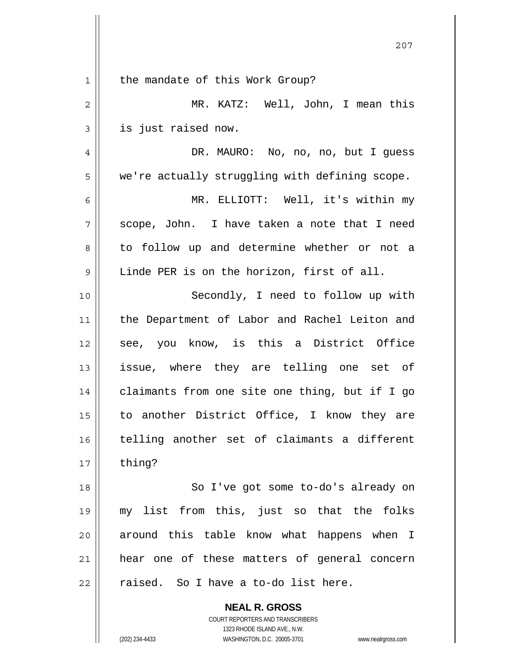|              | 207                                                      |
|--------------|----------------------------------------------------------|
| $\mathbf{1}$ | the mandate of this Work Group?                          |
| 2            | MR. KATZ: Well, John, I mean this                        |
| 3            | is just raised now.                                      |
| 4            | DR. MAURO: No, no, no, but I guess                       |
| 5            | we're actually struggling with defining scope.           |
| 6            | MR. ELLIOTT: Well, it's within my                        |
| 7            | scope, John. I have taken a note that I need             |
| 8            | to follow up and determine whether or not a              |
| 9            | Linde PER is on the horizon, first of all.               |
| 10           | Secondly, I need to follow up with                       |
| 11           | the Department of Labor and Rachel Leiton and            |
| 12           | see, you know, is this a District Office                 |
| 13           | issue, where they are telling one set of                 |
| 14           | claimants from one site one thing, but if I go           |
| 15           | to another District Office, I know they are              |
| 16           | telling another set of claimants a different             |
| 17           | thing?                                                   |
| 18           | So I've got some to-do's already on                      |
| 19           | my list from this, just so that the folks                |
| 20           | around this table know what happens when I               |
| 21           | hear one of these matters of general concern             |
| 22           | raised. So I have a to-do list here.                     |
|              | <b>NEAL R. GROSS</b><br>COURT REPORTERS AND TRANSCRIBERS |

1323 RHODE ISLAND AVE., N.W.

 $\prod$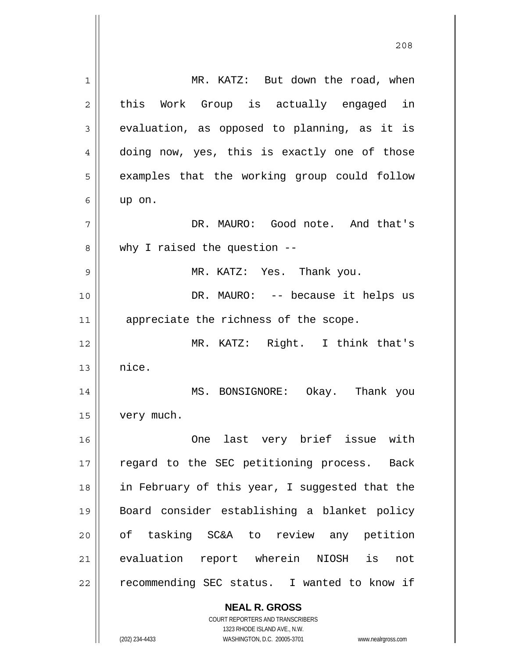**NEAL R. GROSS** COURT REPORTERS AND TRANSCRIBERS 1323 RHODE ISLAND AVE., N.W. 1 2 3 4 5 6 7 8 9 10 11 12 13 14 15 16 17 18 19 20 21 22 MR. KATZ: But down the road, when this Work Group is actually engaged in evaluation, as opposed to planning, as it is doing now, yes, this is exactly one of those examples that the working group could follow up on. DR. MAURO: Good note. And that's why I raised the question -- MR. KATZ: Yes. Thank you. DR. MAURO: -- because it helps us appreciate the richness of the scope. MR. KATZ: Right. I think that's nice. MS. BONSIGNORE: Okay. Thank you very much. One last very brief issue with regard to the SEC petitioning process. Back in February of this year, I suggested that the Board consider establishing a blanket policy of tasking SC&A to review any petition evaluation report wherein NIOSH is not recommending SEC status. I wanted to know if

<u>208</u>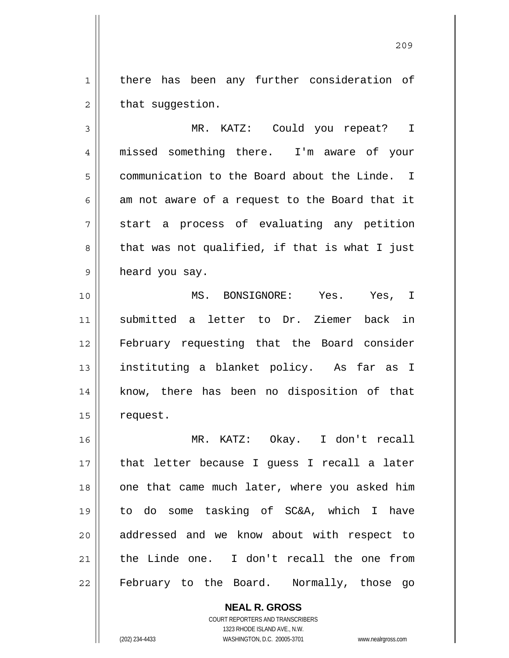1 2 there has been any further consideration of that suggestion.

3 4 5 6 7 8 9 MR. KATZ: Could you repeat? I missed something there. I'm aware of your communication to the Board about the Linde. I am not aware of a request to the Board that it start a process of evaluating any petition that was not qualified, if that is what I just heard you say.

10 11 12 13 14 15 MS. BONSIGNORE: Yes. Yes, I submitted a letter to Dr. Ziemer back in February requesting that the Board consider instituting a blanket policy. As far as I know, there has been no disposition of that request.

16 17 18 19 20 21 22 MR. KATZ: Okay. I don't recall that letter because I guess I recall a later one that came much later, where you asked him to do some tasking of SC&A, which I have addressed and we know about with respect to the Linde one. I don't recall the one from February to the Board. Normally, those go

> **NEAL R. GROSS** COURT REPORTERS AND TRANSCRIBERS 1323 RHODE ISLAND AVE., N.W. (202) 234-4433 WASHINGTON, D.C. 20005-3701 www.nealrgross.com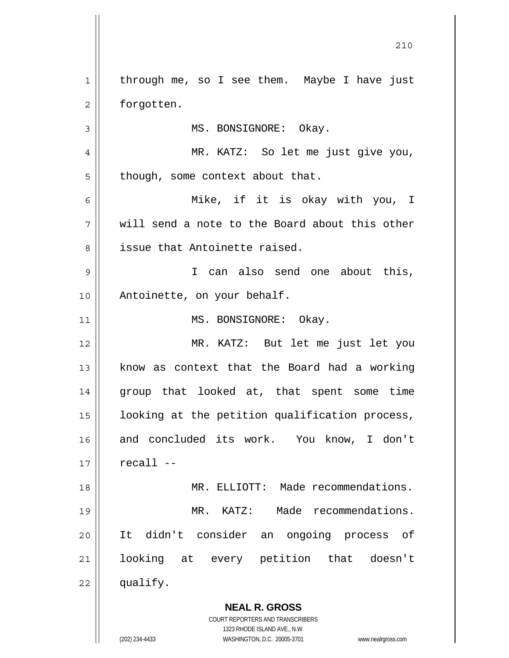**NEAL R. GROSS** COURT REPORTERS AND TRANSCRIBERS <u>210</u> 1 2 3 4 5 6 7 8 9 10 11 12 13 14 15 16 17 18 19 20 21 22 through me, so I see them. Maybe I have just forgotten. MS. BONSIGNORE: Okay. MR. KATZ: So let me just give you, though, some context about that. Mike, if it is okay with you, I will send a note to the Board about this other issue that Antoinette raised. I can also send one about this, Antoinette, on your behalf. MS. BONSIGNORE: Okay. MR. KATZ: But let me just let you know as context that the Board had a working group that looked at, that spent some time looking at the petition qualification process, and concluded its work. You know, I don't recall -- MR. ELLIOTT: Made recommendations. MR. KATZ: Made recommendations. It didn't consider an ongoing process of looking at every petition that doesn't qualify.

1323 RHODE ISLAND AVE., N.W.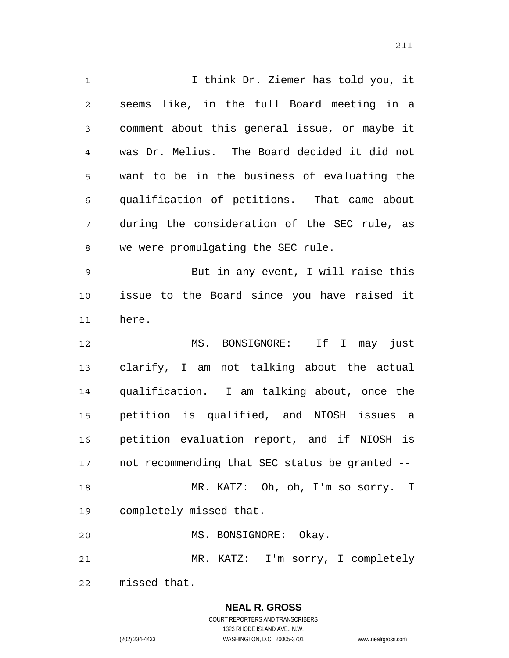**NEAL R. GROSS** COURT REPORTERS AND TRANSCRIBERS 1323 RHODE ISLAND AVE., N.W. 1 2 3 4 5 6 7 8 9 10 11 12 13 14 15 16 17 18 19 20 21 22 I think Dr. Ziemer has told you, it seems like, in the full Board meeting in a comment about this general issue, or maybe it was Dr. Melius. The Board decided it did not want to be in the business of evaluating the qualification of petitions. That came about during the consideration of the SEC rule, as we were promulgating the SEC rule. But in any event, I will raise this issue to the Board since you have raised it here. MS. BONSIGNORE: If I may just clarify, I am not talking about the actual qualification. I am talking about, once the petition is qualified, and NIOSH issues a petition evaluation report, and if NIOSH is not recommending that SEC status be granted -- MR. KATZ: Oh, oh, I'm so sorry. I completely missed that. MS. BONSIGNORE: Okay. MR. KATZ: I'm sorry, I completely missed that.

211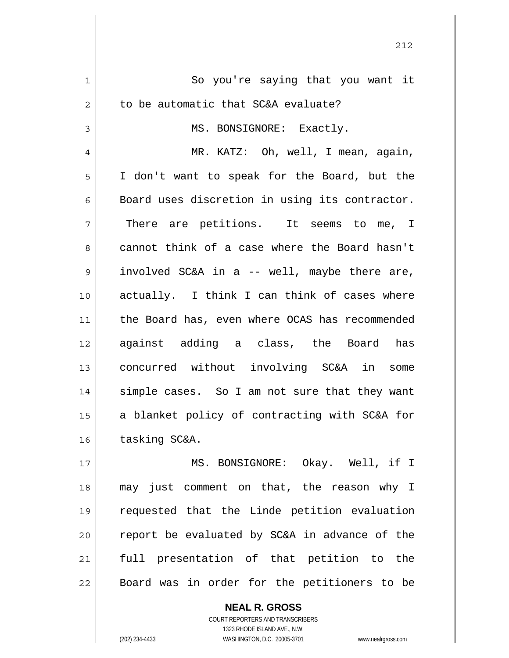1 2 3 4 5 6 7 8 9 10 11 12 13 14 15 16 17 18 19 20 So you're saying that you want it to be automatic that SC&A evaluate? MS. BONSIGNORE: Exactly. MR. KATZ: Oh, well, I mean, again, I don't want to speak for the Board, but the Board uses discretion in using its contractor. There are petitions. It seems to me, I cannot think of a case where the Board hasn't involved SC&A in a -- well, maybe there are, actually. I think I can think of cases where the Board has, even where OCAS has recommended against adding a class, the Board has concurred without involving SC&A in some simple cases. So I am not sure that they want a blanket policy of contracting with SC&A for tasking SC&A. MS. BONSIGNORE: Okay. Well, if I may just comment on that, the reason why I requested that the Linde petition evaluation report be evaluated by SC&A in advance of the

21 22 full presentation of that petition to the Board was in order for the petitioners to be

> **NEAL R. GROSS** COURT REPORTERS AND TRANSCRIBERS 1323 RHODE ISLAND AVE., N.W. (202) 234-4433 WASHINGTON, D.C. 20005-3701 www.nealrgross.com

<u>212</u>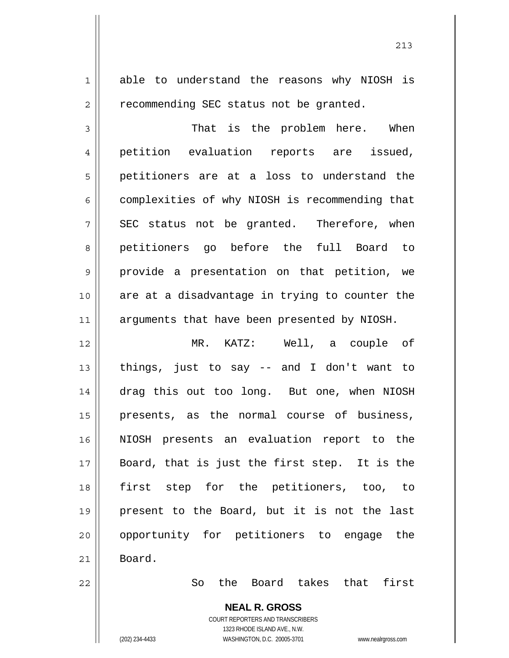able to understand the reasons why NIOSH is recommending SEC status not be granted.

213

3 4 5 6 7 8 9 10 11 That is the problem here. When petition evaluation reports are issued, petitioners are at a loss to understand the complexities of why NIOSH is recommending that SEC status not be granted. Therefore, when petitioners go before the full Board to provide a presentation on that petition, we are at a disadvantage in trying to counter the arguments that have been presented by NIOSH.

12 13 14 15 16 17 18 19 20 21 MR. KATZ: Well, a couple of things, just to say -- and I don't want to drag this out too long. But one, when NIOSH presents, as the normal course of business, NIOSH presents an evaluation report to the Board, that is just the first step. It is the first step for the petitioners, too, to present to the Board, but it is not the last opportunity for petitioners to engage the Board.

22

1

2

So the Board takes that first

**NEAL R. GROSS** COURT REPORTERS AND TRANSCRIBERS 1323 RHODE ISLAND AVE., N.W. (202) 234-4433 WASHINGTON, D.C. 20005-3701 www.nealrgross.com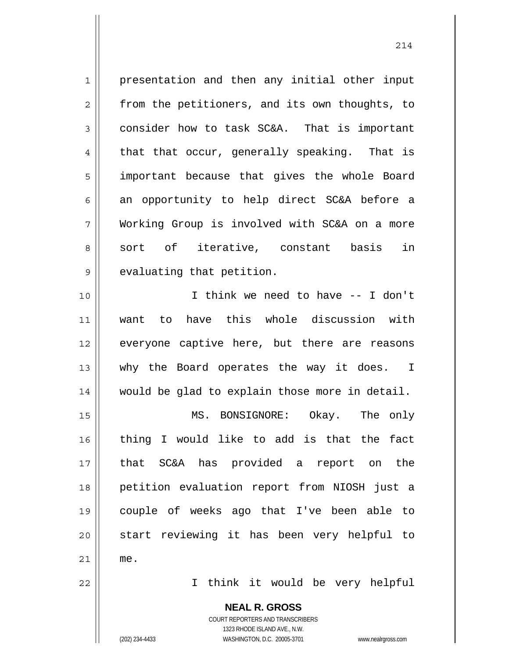1 2 3 4 5 6 7 8 9 10 11 12 13 14 presentation and then any initial other input from the petitioners, and its own thoughts, to consider how to task SC&A. That is important that that occur, generally speaking. That is important because that gives the whole Board an opportunity to help direct SC&A before a Working Group is involved with SC&A on a more sort of iterative, constant basis in evaluating that petition. I think we need to have -- I don't want to have this whole discussion with everyone captive here, but there are reasons why the Board operates the way it does. I would be glad to explain those more in detail.

15 16 17 18 19 20 21 MS. BONSIGNORE: Okay. The only thing I would like to add is that the fact that SC&A has provided a report on the petition evaluation report from NIOSH just a couple of weeks ago that I've been able to start reviewing it has been very helpful to me.

I think it would be very helpful

**NEAL R. GROSS** COURT REPORTERS AND TRANSCRIBERS 1323 RHODE ISLAND AVE., N.W. (202) 234-4433 WASHINGTON, D.C. 20005-3701 www.nealrgross.com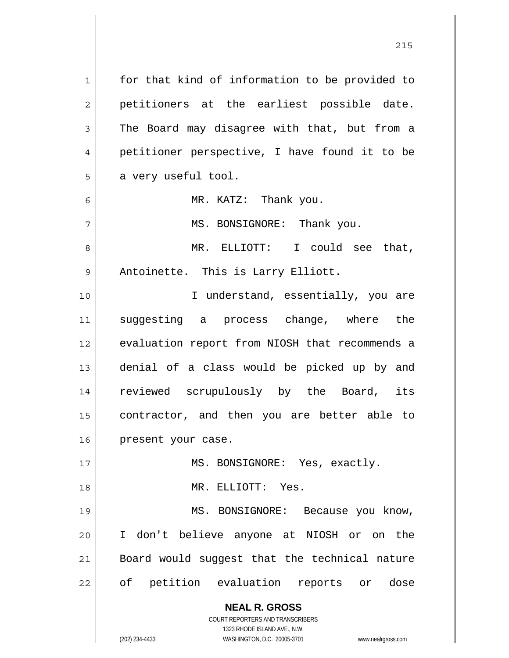**NEAL R. GROSS** COURT REPORTERS AND TRANSCRIBERS 1323 RHODE ISLAND AVE., N.W. (202) 234-4433 WASHINGTON, D.C. 20005-3701 www.nealrgross.com 1 2 3 4 5 6 7 8 9 10 11 12 13 14 15 16 17 18 19 20 21 22 for that kind of information to be provided to petitioners at the earliest possible date. The Board may disagree with that, but from a petitioner perspective, I have found it to be a very useful tool. MR. KATZ: Thank you. MS. BONSIGNORE: Thank you. MR. ELLIOTT: I could see that, Antoinette. This is Larry Elliott. I understand, essentially, you are suggesting a process change, where the evaluation report from NIOSH that recommends a denial of a class would be picked up by and reviewed scrupulously by the Board, its contractor, and then you are better able to present your case. MS. BONSIGNORE: Yes, exactly. MR. ELLIOTT: Yes. MS. BONSIGNORE: Because you know, I don't believe anyone at NIOSH or on the Board would suggest that the technical nature of petition evaluation reports or dose

<u>215</u>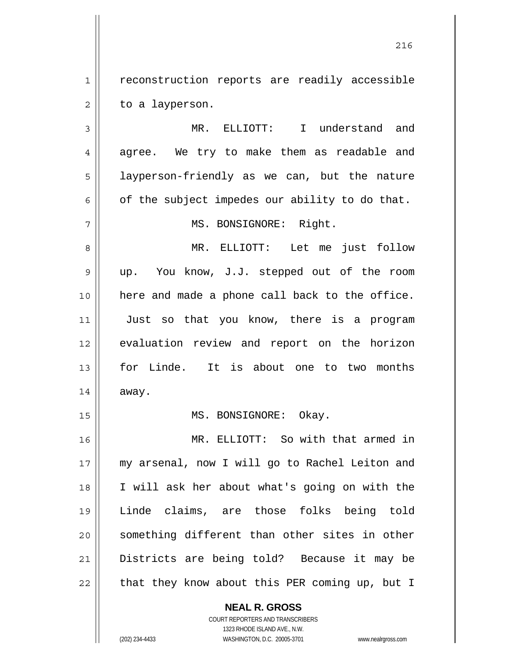1 2 reconstruction reports are readily accessible to a layperson.

3 4 5 6 7 8 9 10 11 12 13 14 15 16 17 18 19 20 21 22 MR. ELLIOTT: I understand and agree. We try to make them as readable and layperson-friendly as we can, but the nature of the subject impedes our ability to do that. MS. BONSIGNORE: Right. MR. ELLIOTT: Let me just follow up. You know, J.J. stepped out of the room here and made a phone call back to the office. Just so that you know, there is a program evaluation review and report on the horizon for Linde. It is about one to two months away. MS. BONSIGNORE: Okay. MR. ELLIOTT: So with that armed in my arsenal, now I will go to Rachel Leiton and I will ask her about what's going on with the Linde claims, are those folks being told something different than other sites in other Districts are being told? Because it may be that they know about this PER coming up, but I

**NEAL R. GROSS**

COURT REPORTERS AND TRANSCRIBERS 1323 RHODE ISLAND AVE., N.W. (202) 234-4433 WASHINGTON, D.C. 20005-3701 www.nealrgross.com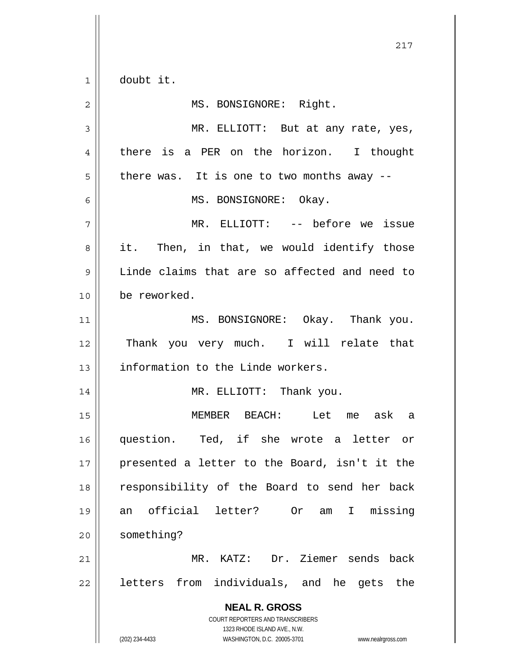**NEAL R. GROSS** COURT REPORTERS AND TRANSCRIBERS 1323 RHODE ISLAND AVE., N.W. (202) 234-4433 WASHINGTON, D.C. 20005-3701 www.nealrgross.com 217 1 2 3 4 5 6 7 8 9 10 11 12 13 14 15 16 17 18 19 20 21 22 doubt it. MS. BONSIGNORE: Right. MR. ELLIOTT: But at any rate, yes, there is a PER on the horizon. I thought there was. It is one to two months away -- MS. BONSIGNORE: Okay. MR. ELLIOTT: -- before we issue it. Then, in that, we would identify those Linde claims that are so affected and need to be reworked. MS. BONSIGNORE: Okay. Thank you. Thank you very much. I will relate that information to the Linde workers. MR. ELLIOTT: Thank you. MEMBER BEACH: Let me ask a question. Ted, if she wrote a letter or presented a letter to the Board, isn't it the responsibility of the Board to send her back an official letter? Or am I missing something? MR. KATZ: Dr. Ziemer sends back letters from individuals, and he gets the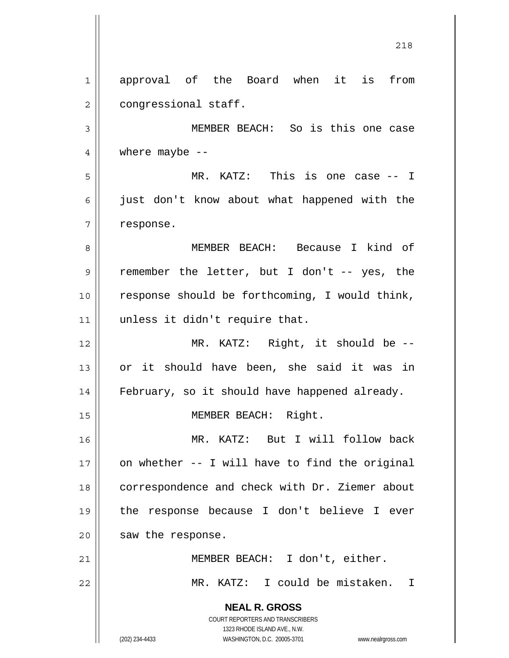**NEAL R. GROSS** COURT REPORTERS AND TRANSCRIBERS 1323 RHODE ISLAND AVE., N.W. (202) 234-4433 WASHINGTON, D.C. 20005-3701 www.nealrgross.com 1 2 3 4 5 6 7 8 9 10 11 12 13 14 15 16 17 18 19 20 21 22 approval of the Board when it is from congressional staff. MEMBER BEACH: So is this one case where maybe  $--$  MR. KATZ: This is one case -- I just don't know about what happened with the response. MEMBER BEACH: Because I kind of remember the letter, but I don't -- yes, the response should be forthcoming, I would think, unless it didn't require that. MR. KATZ: Right, it should be - or it should have been, she said it was in February, so it should have happened already. MEMBER BEACH: Right. MR. KATZ: But I will follow back on whether -- I will have to find the original correspondence and check with Dr. Ziemer about the response because I don't believe I ever saw the response. MEMBER BEACH: I don't, either. MR. KATZ: I could be mistaken. I

<u>218</u>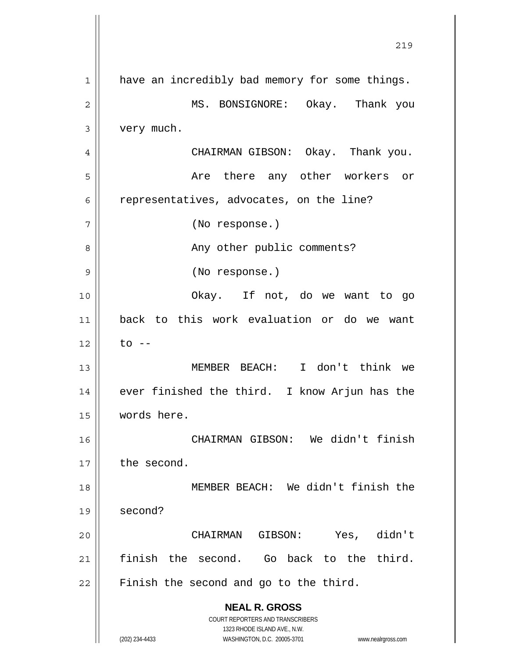**NEAL R. GROSS** COURT REPORTERS AND TRANSCRIBERS 1323 RHODE ISLAND AVE., N.W. (202) 234-4433 WASHINGTON, D.C. 20005-3701 www.nealrgross.com <u>219</u> 1 2 3 4 5 6 7 8 9 10 11 12 13 14 15 16 17 18 19 20 21 22 have an incredibly bad memory for some things. MS. BONSIGNORE: Okay. Thank you very much. CHAIRMAN GIBSON: Okay. Thank you. Are there any other workers or representatives, advocates, on the line? (No response.) Any other public comments? (No response.) Okay. If not, do we want to go back to this work evaluation or do we want  $to$   $--$  MEMBER BEACH: I don't think we ever finished the third. I know Arjun has the words here. CHAIRMAN GIBSON: We didn't finish the second. MEMBER BEACH: We didn't finish the second? CHAIRMAN GIBSON: Yes, didn't finish the second. Go back to the third. Finish the second and go to the third.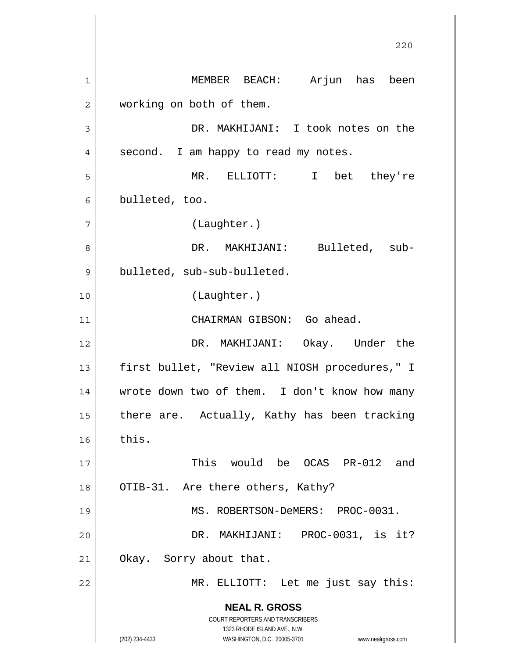**NEAL R. GROSS** COURT REPORTERS AND TRANSCRIBERS 1323 RHODE ISLAND AVE., N.W. (202) 234-4433 WASHINGTON, D.C. 20005-3701 www.nealrgross.com <u>220</u> 1 2 3 4 5 6 7 8 9 10 11 12 13 14 15 16 17 18 19 20 21 22 MEMBER BEACH: Arjun has been working on both of them. DR. MAKHIJANI: I took notes on the second. I am happy to read my notes. MR. ELLIOTT: I bet they're bulleted, too. (Laughter.) DR. MAKHIJANI: Bulleted, subbulleted, sub-sub-bulleted. (Laughter.) CHAIRMAN GIBSON: Go ahead. DR. MAKHIJANI: Okay. Under the first bullet, "Review all NIOSH procedures," I wrote down two of them. I don't know how many there are. Actually, Kathy has been tracking this. This would be OCAS PR-012 and OTIB-31. Are there others, Kathy? MS. ROBERTSON-DeMERS: PROC-0031. DR. MAKHIJANI: PROC-0031, is it? Okay. Sorry about that. MR. ELLIOTT: Let me just say this: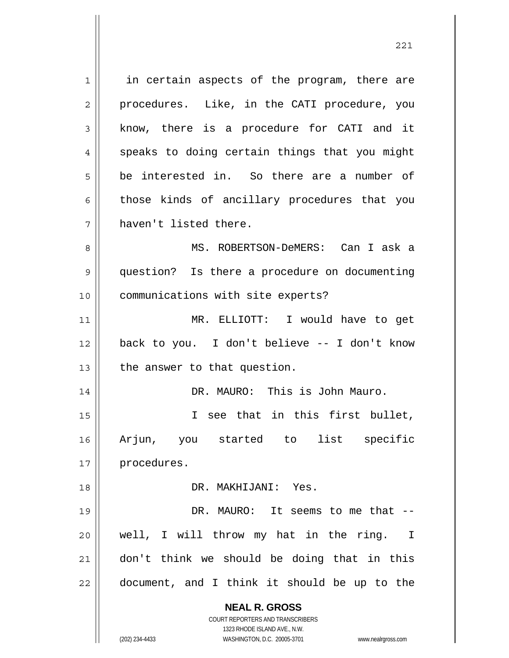**NEAL R. GROSS** COURT REPORTERS AND TRANSCRIBERS 1323 RHODE ISLAND AVE., N.W. (202) 234-4433 WASHINGTON, D.C. 20005-3701 www.nealrgross.com 1 2 3 4 5 6 7 8 9 10 11 12 13 14 15 16 17 18 19 20 21 22 in certain aspects of the program, there are procedures. Like, in the CATI procedure, you know, there is a procedure for CATI and it speaks to doing certain things that you might be interested in. So there are a number of those kinds of ancillary procedures that you haven't listed there. MS. ROBERTSON-DeMERS: Can I ask a question? Is there a procedure on documenting communications with site experts? MR. ELLIOTT: I would have to get back to you. I don't believe -- I don't know the answer to that question. DR. MAURO: This is John Mauro. I see that in this first bullet, Arjun, you started to list specific procedures. DR. MAKHIJANI: Yes. DR. MAURO: It seems to me that -well, I will throw my hat in the ring. I don't think we should be doing that in this document, and I think it should be up to the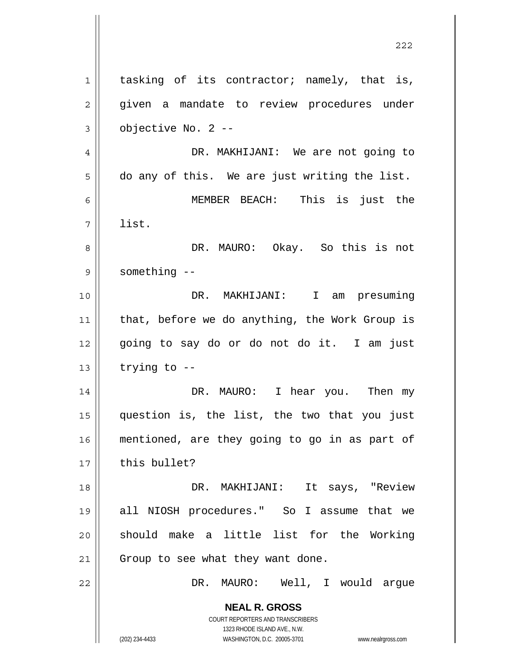**NEAL R. GROSS** COURT REPORTERS AND TRANSCRIBERS 1323 RHODE ISLAND AVE., N.W. 1 2 3 4 5 6 7 8 9 10 11 12 13 14 15 16 17 18 19 20 21 22 tasking of its contractor; namely, that is, given a mandate to review procedures under objective No. 2 -- DR. MAKHIJANI: We are not going to do any of this. We are just writing the list. MEMBER BEACH: This is just the list. DR. MAURO: Okay. So this is not something -- DR. MAKHIJANI: I am presuming that, before we do anything, the Work Group is going to say do or do not do it. I am just trying to -- DR. MAURO: I hear you. Then my question is, the list, the two that you just mentioned, are they going to go in as part of this bullet? DR. MAKHIJANI: It says, "Review all NIOSH procedures." So I assume that we should make a little list for the Working Group to see what they want done. DR. MAURO: Well, I would argue

<u>222</u>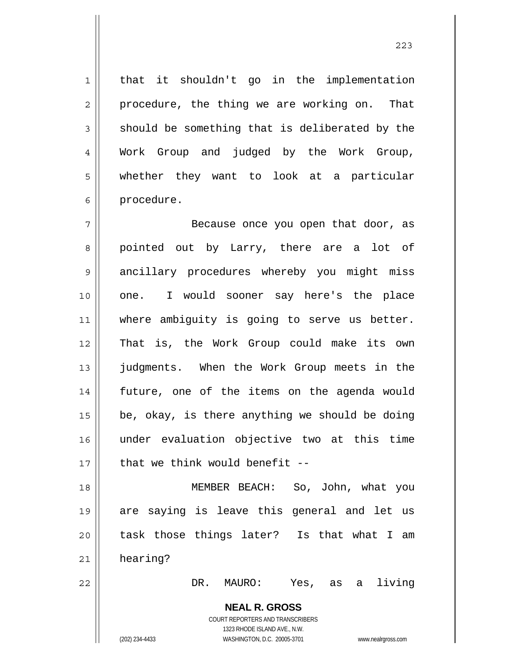that it shouldn't go in the implementation procedure, the thing we are working on. That should be something that is deliberated by the Work Group and judged by the Work Group, whether they want to look at a particular procedure.

7 8 9 10 11 12 13 14 15 16 17 Because once you open that door, as pointed out by Larry, there are a lot of ancillary procedures whereby you might miss one. I would sooner say here's the place where ambiguity is going to serve us better. That is, the Work Group could make its own judgments. When the Work Group meets in the future, one of the items on the agenda would be, okay, is there anything we should be doing under evaluation objective two at this time that we think would benefit --

18 19 20 21 MEMBER BEACH: So, John, what you are saying is leave this general and let us task those things later? Is that what I am hearing?

DR. MAURO: Yes, as a living

**NEAL R. GROSS** COURT REPORTERS AND TRANSCRIBERS 1323 RHODE ISLAND AVE., N.W. (202) 234-4433 WASHINGTON, D.C. 20005-3701 www.nealrgross.com

22

1

2

3

4

5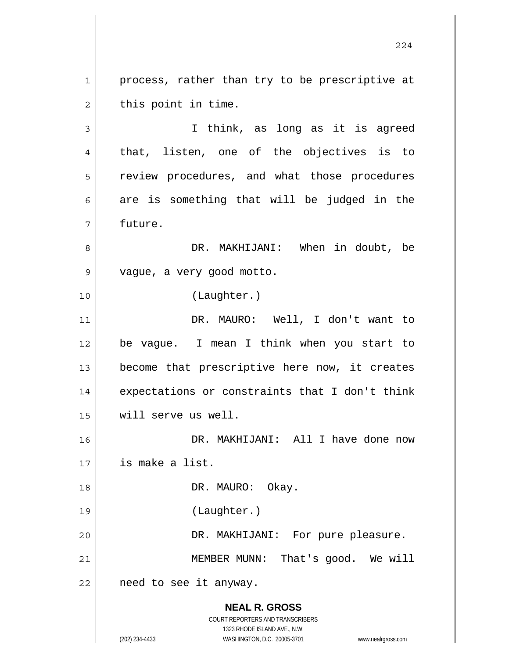**NEAL R. GROSS** COURT REPORTERS AND TRANSCRIBERS 1323 RHODE ISLAND AVE., N.W. (202) 234-4433 WASHINGTON, D.C. 20005-3701 www.nealrgross.com 1 2 3 4 5 6 7 8 9 10 11 12 13 14 15 16 17 18 19 20 21 22 process, rather than try to be prescriptive at this point in time. I think, as long as it is agreed that, listen, one of the objectives is to review procedures, and what those procedures are is something that will be judged in the future. DR. MAKHIJANI: When in doubt, be vague, a very good motto. (Laughter.) DR. MAURO: Well, I don't want to be vague. I mean I think when you start to become that prescriptive here now, it creates expectations or constraints that I don't think will serve us well. DR. MAKHIJANI: All I have done now is make a list. DR. MAURO: Okay. (Laughter.) DR. MAKHIJANI: For pure pleasure. MEMBER MUNN: That's good. We will need to see it anyway.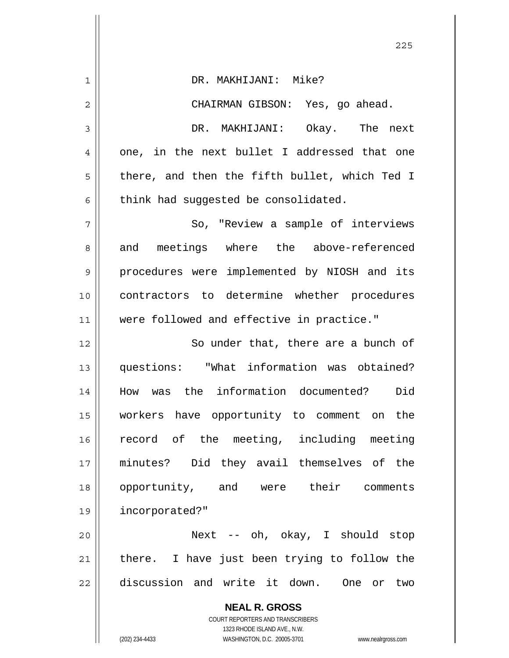|    | 225                                                                                                 |
|----|-----------------------------------------------------------------------------------------------------|
| 1  | DR. MAKHIJANI: Mike?                                                                                |
| 2  | CHAIRMAN GIBSON: Yes, go ahead.                                                                     |
| 3  | DR. MAKHIJANI: Okay. The next                                                                       |
| 4  | one, in the next bullet I addressed that one                                                        |
| 5  | there, and then the fifth bullet, which Ted I                                                       |
| 6  | think had suggested be consolidated.                                                                |
| 7  | So, "Review a sample of interviews                                                                  |
| 8  | and meetings where the above-referenced                                                             |
| 9  | procedures were implemented by NIOSH and its                                                        |
| 10 | contractors to determine whether procedures                                                         |
| 11 | were followed and effective in practice."                                                           |
| 12 | So under that, there are a bunch of                                                                 |
| 13 | questions: "What information was obtained?                                                          |
| 14 | How was the information documented? Did                                                             |
| 15 | workers have opportunity to comment on the                                                          |
| 16 | record of the meeting, including meeting                                                            |
| 17 | minutes? Did they avail themselves of the                                                           |
| 18 | opportunity, and were their comments                                                                |
| 19 | incorporated?"                                                                                      |
| 20 | Next -- oh, okay, I should stop                                                                     |
| 21 | there. I have just been trying to follow the                                                        |
| 22 | discussion and write it down. One or two                                                            |
|    | <b>NEAL R. GROSS</b>                                                                                |
|    | COURT REPORTERS AND TRANSCRIBERS                                                                    |
|    | 1323 RHODE ISLAND AVE., N.W.<br>(202) 234-4433<br>WASHINGTON, D.C. 20005-3701<br>www.nealrgross.com |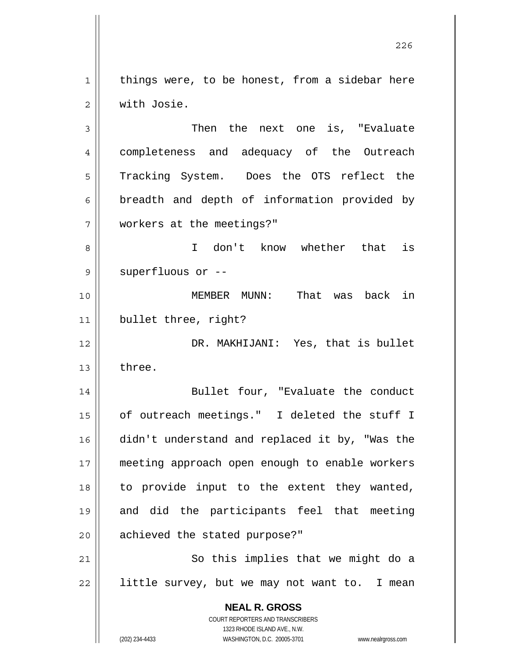1 2 things were, to be honest, from a sidebar here with Josie.

3 4 5 6 7 Then the next one is, "Evaluate completeness and adequacy of the Outreach Tracking System. Does the OTS reflect the breadth and depth of information provided by workers at the meetings?"

8 9 I don't know whether that is superfluous or --

10 11 MEMBER MUNN: That was back in bullet three, right?

12 13 DR. MAKHIJANI: Yes, that is bullet three.

14 15 16 17 18 19 20 Bullet four, "Evaluate the conduct of outreach meetings." I deleted the stuff I didn't understand and replaced it by, "Was the meeting approach open enough to enable workers to provide input to the extent they wanted, and did the participants feel that meeting achieved the stated purpose?"

21 22 So this implies that we might do a little survey, but we may not want to. I mean

> **NEAL R. GROSS** COURT REPORTERS AND TRANSCRIBERS

> > 1323 RHODE ISLAND AVE., N.W.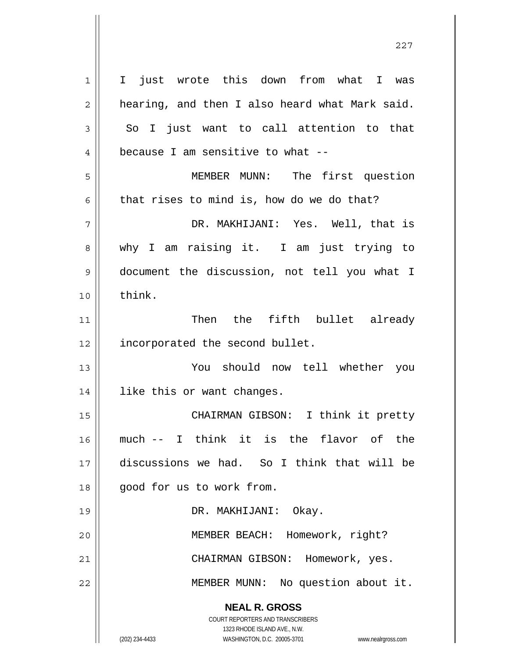**NEAL R. GROSS** COURT REPORTERS AND TRANSCRIBERS 1323 RHODE ISLAND AVE., N.W. (202) 234-4433 WASHINGTON, D.C. 20005-3701 www.nealrgross.com 1 2 3 4 5 6 7 8 9 10 11 12 13 14 15 16 17 18 19 20 21 22 I just wrote this down from what I was hearing, and then I also heard what Mark said. So I just want to call attention to that because I am sensitive to what -- MEMBER MUNN: The first question that rises to mind is, how do we do that? DR. MAKHIJANI: Yes. Well, that is why I am raising it. I am just trying to document the discussion, not tell you what I think. Then the fifth bullet already incorporated the second bullet. You should now tell whether you like this or want changes. CHAIRMAN GIBSON: I think it pretty much -- I think it is the flavor of the discussions we had. So I think that will be good for us to work from. DR. MAKHIJANI: Okay. MEMBER BEACH: Homework, right? CHAIRMAN GIBSON: Homework, yes. MEMBER MUNN: No question about it.

<u>227</u>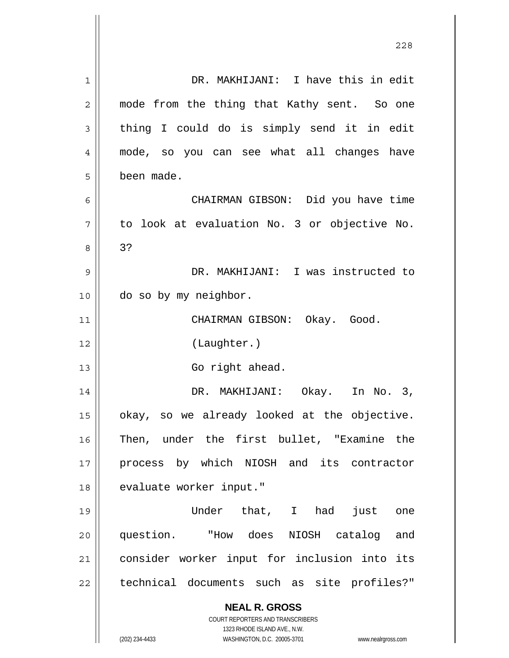| $\mathbf{1}$ | DR. MAKHIJANI: I have this in edit                                                                  |
|--------------|-----------------------------------------------------------------------------------------------------|
| 2            | mode from the thing that Kathy sent. So one                                                         |
| 3            | thing I could do is simply send it in edit                                                          |
| 4            | mode, so you can see what all changes have                                                          |
| 5            | been made.                                                                                          |
| 6            | CHAIRMAN GIBSON: Did you have time                                                                  |
| 7            | to look at evaluation No. 3 or objective No.                                                        |
| 8            | 3?                                                                                                  |
| 9            | DR. MAKHIJANI: I was instructed to                                                                  |
| 10           | do so by my neighbor.                                                                               |
| 11           | CHAIRMAN GIBSON: Okay. Good.                                                                        |
| 12           | (Laughter.)                                                                                         |
| 13           | Go right ahead.                                                                                     |
| 14           | DR. MAKHIJANI: Okay. In No. 3,                                                                      |
| 15           | okay, so we already looked at the objective.                                                        |
| 16           | Then, under the first bullet, "Examine the                                                          |
| 17           | process by which NIOSH and its contractor                                                           |
| 18           | evaluate worker input."                                                                             |
| 19           | Under that, I had<br>just<br>one                                                                    |
| 20           | question.<br>"How does<br>NIOSH catalog<br>and                                                      |
| 21           | consider worker input for inclusion into its                                                        |
| 22           | technical documents such as site profiles?"                                                         |
|              | <b>NEAL R. GROSS</b>                                                                                |
|              | <b>COURT REPORTERS AND TRANSCRIBERS</b>                                                             |
|              | 1323 RHODE ISLAND AVE., N.W.<br>(202) 234-4433<br>WASHINGTON, D.C. 20005-3701<br>www.nealrgross.com |
|              |                                                                                                     |

<u>228</u>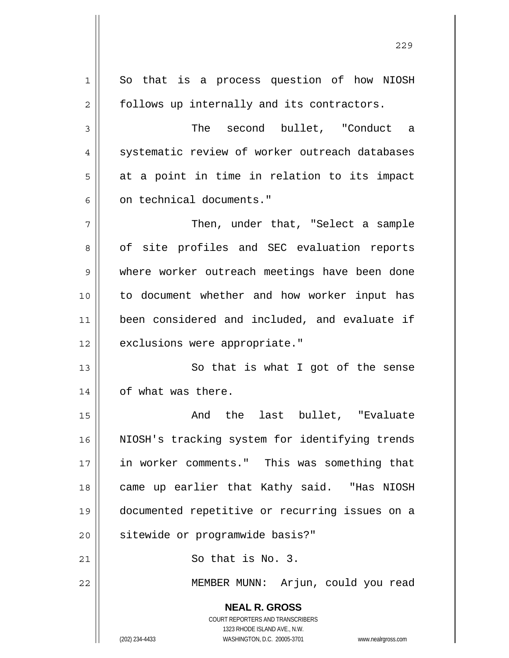| $\mathbf 1$    | So that is a process question of how NIOSH                                                                                                                             |
|----------------|------------------------------------------------------------------------------------------------------------------------------------------------------------------------|
| 2              | follows up internally and its contractors.                                                                                                                             |
| 3              | The second bullet, "Conduct a                                                                                                                                          |
| $\overline{4}$ | systematic review of worker outreach databases                                                                                                                         |
| 5              | at a point in time in relation to its impact                                                                                                                           |
| 6              | on technical documents."                                                                                                                                               |
| 7              | Then, under that, "Select a sample                                                                                                                                     |
| 8              | of site profiles and SEC evaluation reports                                                                                                                            |
| 9              | where worker outreach meetings have been done                                                                                                                          |
| 10             | to document whether and how worker input has                                                                                                                           |
| 11             | been considered and included, and evaluate if                                                                                                                          |
| 12             | exclusions were appropriate."                                                                                                                                          |
|                |                                                                                                                                                                        |
| 13             | So that is what I got of the sense                                                                                                                                     |
| 14             | of what was there.                                                                                                                                                     |
| 15             | And the<br>last bullet, "Evaluate                                                                                                                                      |
| 16             | NIOSH's tracking system for identifying trends                                                                                                                         |
| 17             | in worker comments." This was something that                                                                                                                           |
| 18             | came up earlier that Kathy said. "Has NIOSH                                                                                                                            |
| 19             | documented repetitive or recurring issues on a                                                                                                                         |
| 20             | sitewide or programwide basis?"                                                                                                                                        |
| 21             | So that is No. 3.                                                                                                                                                      |
| 22             | MEMBER MUNN: Arjun, could you read                                                                                                                                     |
|                | <b>NEAL R. GROSS</b><br><b>COURT REPORTERS AND TRANSCRIBERS</b><br>1323 RHODE ISLAND AVE., N.W.<br>(202) 234-4433<br>WASHINGTON, D.C. 20005-3701<br>www.nealrgross.com |

<u>229</u>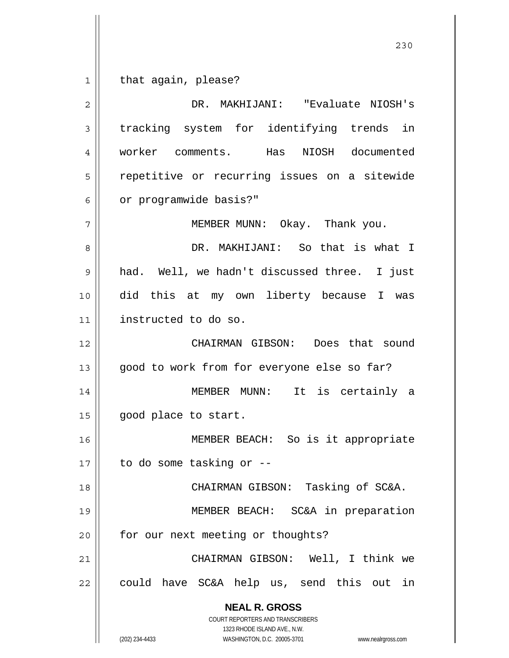**NEAL R. GROSS** 1 2 3 4 5 6 7 8 9 10 11 12 13 14 15 16 17 18 19 20 21 22 that again, please? DR. MAKHIJANI: "Evaluate NIOSH's tracking system for identifying trends in worker comments. Has NIOSH documented repetitive or recurring issues on a sitewide or programwide basis?" MEMBER MUNN: Okay. Thank you. DR. MAKHIJANI: So that is what I had. Well, we hadn't discussed three. I just did this at my own liberty because I was instructed to do so. CHAIRMAN GIBSON: Does that sound good to work from for everyone else so far? MEMBER MUNN: It is certainly a good place to start. MEMBER BEACH: So is it appropriate to do some tasking or -- CHAIRMAN GIBSON: Tasking of SC&A. MEMBER BEACH: SC&A in preparation for our next meeting or thoughts? CHAIRMAN GIBSON: Well, I think we could have SC&A help us, send this out in

<u>230</u>

COURT REPORTERS AND TRANSCRIBERS 1323 RHODE ISLAND AVE., N.W.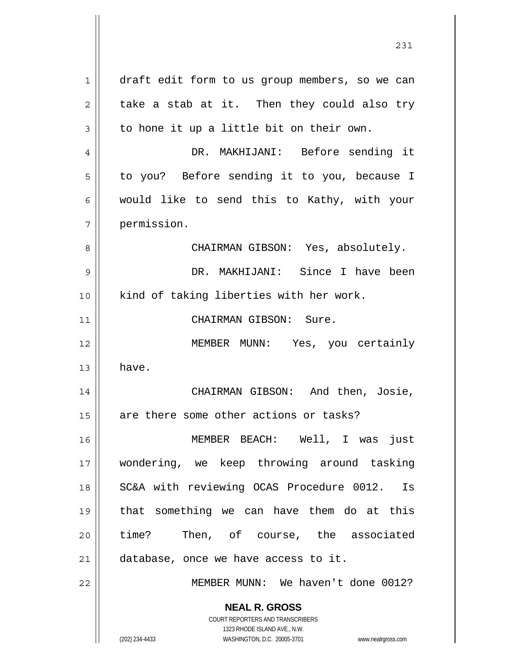| $\mathbf 1$    | draft edit form to us group members, so we can                   |
|----------------|------------------------------------------------------------------|
| $\overline{c}$ | take a stab at it. Then they could also try                      |
| 3              | to hone it up a little bit on their own.                         |
| 4              | DR. MAKHIJANI: Before sending it                                 |
| 5              | to you? Before sending it to you, because I                      |
| 6              | would like to send this to Kathy, with your                      |
| 7              | permission.                                                      |
| 8              | CHAIRMAN GIBSON: Yes, absolutely.                                |
| 9              | DR. MAKHIJANI: Since I have been                                 |
| 10             | kind of taking liberties with her work.                          |
| 11             | CHAIRMAN GIBSON: Sure.                                           |
| 12             | MEMBER MUNN: Yes, you certainly                                  |
| 13             | have.                                                            |
| 14             | CHAIRMAN GIBSON: And then, Josie,                                |
| 15             | are there some other actions or tasks?                           |
| 16             | MEMBER BEACH: Well, I was just                                   |
| 17             | wondering, we keep throwing around tasking                       |
| 18             | SC&A with reviewing OCAS Procedure 0012. Is                      |
| 19             | that something we can have them do at this                       |
| 20             | time? Then, of course, the associated                            |
| 21             | database, once we have access to it.                             |
| 22             | MEMBER MUNN: We haven't done 0012?                               |
|                |                                                                  |
|                | <b>NEAL R. GROSS</b><br>COURT REPORTERS AND TRANSCRIBERS         |
|                | 1323 RHODE ISLAND AVE., N.W.                                     |
|                | (202) 234-4433<br>WASHINGTON, D.C. 20005-3701 www.nealrgross.com |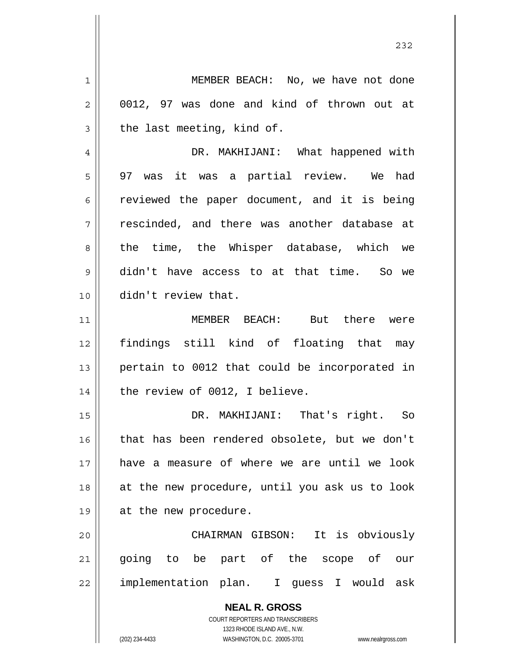**NEAL R. GROSS** COURT REPORTERS AND TRANSCRIBERS 1323 RHODE ISLAND AVE., N.W. 1 2 3 4 5 6 7 8 9 10 11 12 13 14 15 16 17 18 19 20 21 22 MEMBER BEACH: No, we have not done 0012, 97 was done and kind of thrown out at the last meeting, kind of. DR. MAKHIJANI: What happened with 97 was it was a partial review. We had reviewed the paper document, and it is being rescinded, and there was another database at the time, the Whisper database, which we didn't have access to at that time. So we didn't review that. MEMBER BEACH: But there were findings still kind of floating that may pertain to 0012 that could be incorporated in the review of 0012, I believe. DR. MAKHIJANI: That's right. So that has been rendered obsolete, but we don't have a measure of where we are until we look at the new procedure, until you ask us to look at the new procedure. CHAIRMAN GIBSON: It is obviously going to be part of the scope of our implementation plan. I guess I would ask

(202) 234-4433 WASHINGTON, D.C. 20005-3701 www.nealrgross.com

<u>232</u>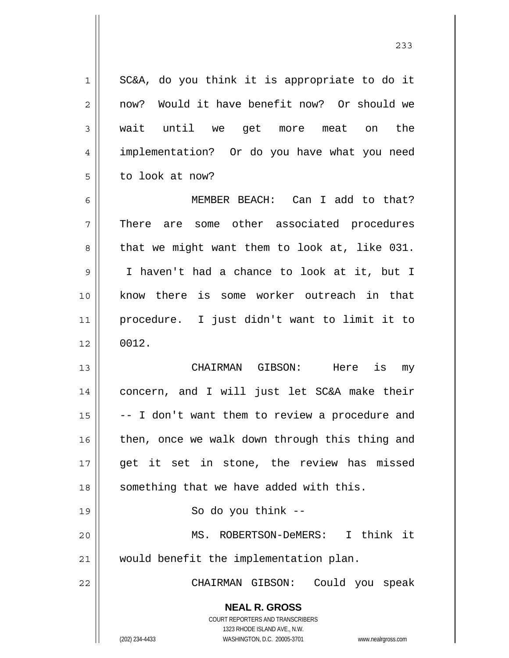**NEAL R. GROSS** COURT REPORTERS AND TRANSCRIBERS 1323 RHODE ISLAND AVE., N.W. 1 2 3 4 5 6 7 8 9 10 11 12 13 14 15 16 17 18 19 20 21 22 SC&A, do you think it is appropriate to do it now? Would it have benefit now? Or should we wait until we get more meat on the implementation? Or do you have what you need to look at now? MEMBER BEACH: Can I add to that? There are some other associated procedures that we might want them to look at, like 031. I haven't had a chance to look at it, but I know there is some worker outreach in that procedure. I just didn't want to limit it to 0012. CHAIRMAN GIBSON: Here is my concern, and I will just let SC&A make their -- I don't want them to review a procedure and then, once we walk down through this thing and get it set in stone, the review has missed something that we have added with this. So do you think -- MS. ROBERTSON-DeMERS: I think it would benefit the implementation plan. CHAIRMAN GIBSON: Could you speak

(202) 234-4433 WASHINGTON, D.C. 20005-3701 www.nealrgross.com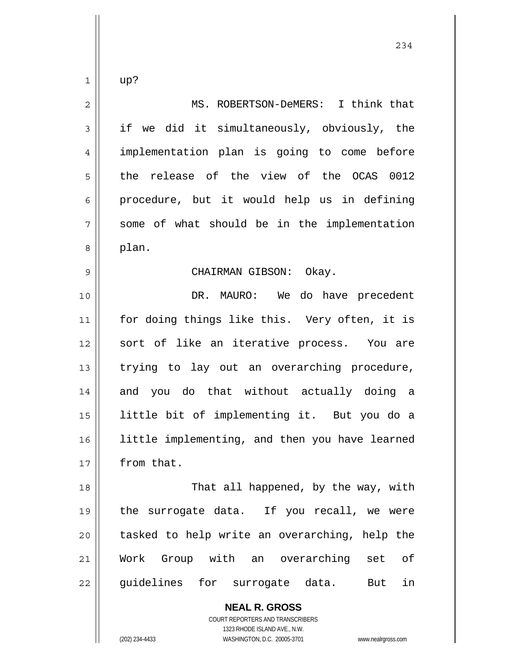1 up?

| $\overline{2}$ | MS. ROBERTSON-DeMERS: I think that             |
|----------------|------------------------------------------------|
| 3              | if we did it simultaneously, obviously, the    |
| 4              | implementation plan is going to come before    |
| 5              | the release of the view of the OCAS 0012       |
| 6              | procedure, but it would help us in defining    |
| 7              | some of what should be in the implementation   |
| 8              | plan.                                          |
| 9              | CHAIRMAN GIBSON: Okay.                         |
| 10             | DR. MAURO: We do have precedent                |
| 11             | for doing things like this. Very often, it is  |
| 12             | sort of like an iterative process. You are     |
| 13             | trying to lay out an overarching procedure,    |
| 14             | and you do that without actually doing a       |
| 15             | little bit of implementing it. But you do a    |
| 16             | little implementing, and then you have learned |
| 17             | from that.                                     |
| 18             | That all happened, by the way, with            |
| 19             | the surrogate data. If you recall, we were     |
| 20             | tasked to help write an overarching, help the  |
| 21             | Work Group with an overarching set of          |
| 22             | guidelines for surrogate data.<br>in<br>But    |
|                |                                                |

**NEAL R. GROSS** COURT REPORTERS AND TRANSCRIBERS

1323 RHODE ISLAND AVE., N.W.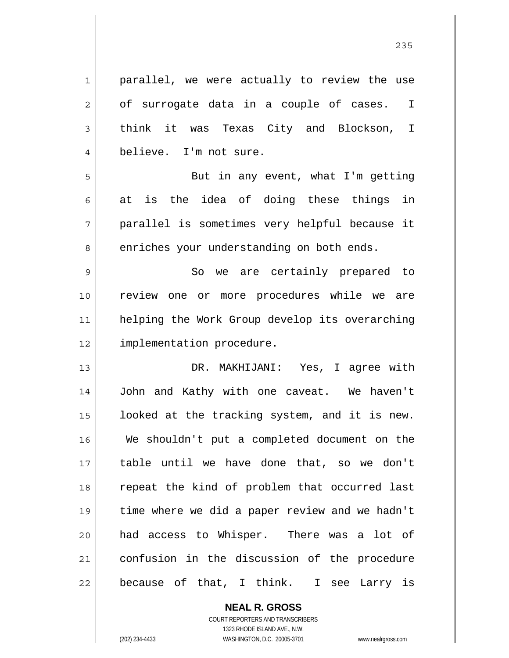1 2 3 4 5 6 7 8 9 10 11 12 13 14 15 16 17 18 19 20 21 22 parallel, we were actually to review the use of surrogate data in a couple of cases. I think it was Texas City and Blockson, I believe. I'm not sure. But in any event, what I'm getting at is the idea of doing these things in parallel is sometimes very helpful because it enriches your understanding on both ends. So we are certainly prepared to review one or more procedures while we are helping the Work Group develop its overarching implementation procedure. DR. MAKHIJANI: Yes, I agree with John and Kathy with one caveat. We haven't looked at the tracking system, and it is new. We shouldn't put a completed document on the table until we have done that, so we don't repeat the kind of problem that occurred last time where we did a paper review and we hadn't had access to Whisper. There was a lot of confusion in the discussion of the procedure because of that, I think. I see Larry is

**NEAL R. GROSS** COURT REPORTERS AND TRANSCRIBERS 1323 RHODE ISLAND AVE., N.W.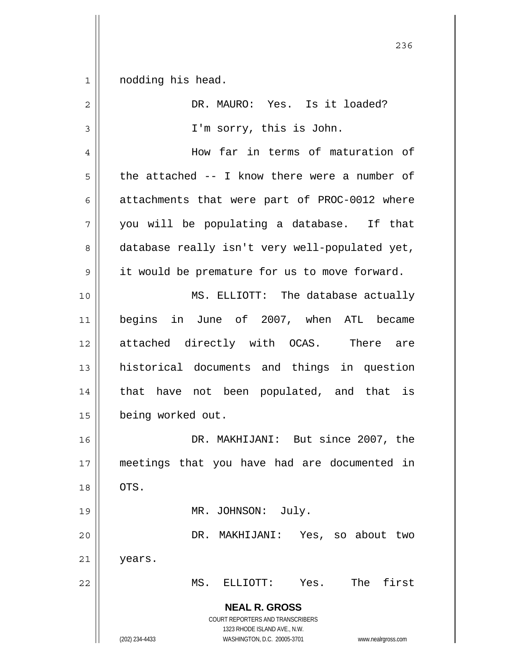$\begin{array}{c|c|c|c} 1 & 1 \end{array}$ nodding his head.

| $\mathbf{2}$ | DR. MAURO: Yes. Is it loaded?                                                            |
|--------------|------------------------------------------------------------------------------------------|
|              |                                                                                          |
| 3            | I'm sorry, this is John.                                                                 |
| 4            | How far in terms of maturation of                                                        |
| 5            | the attached -- I know there were a number of                                            |
| 6            | attachments that were part of PROC-0012 where                                            |
| 7            | you will be populating a database. If that                                               |
| 8            | database really isn't very well-populated yet,                                           |
| 9            | it would be premature for us to move forward.                                            |
| 10           | MS. ELLIOTT: The database actually                                                       |
| 11           | begins in June of 2007, when ATL became                                                  |
| 12           | attached directly with OCAS. There are                                                   |
| 13           | historical documents and things in question                                              |
| 14           | that have not been populated, and that is                                                |
| 15           | being worked out.                                                                        |
| 16           | DR. MAKHIJANI: But since 2007, the                                                       |
| 17           | meetings that you have had are documented in                                             |
| 18           | OTS.                                                                                     |
| 19           | MR. JOHNSON: July.                                                                       |
| 20           | MAKHIJANI: Yes, so about two<br>DR.                                                      |
| 21           | years.                                                                                   |
| 22           | The first<br>MS. ELLIOTT: Yes.                                                           |
|              | <b>NEAL R. GROSS</b><br>COURT REPORTERS AND TRANSCRIBERS<br>1323 RHODE ISLAND AVE., N.W. |
|              | (202) 234-4433<br>WASHINGTON, D.C. 20005-3701<br>www.nealrgross.com                      |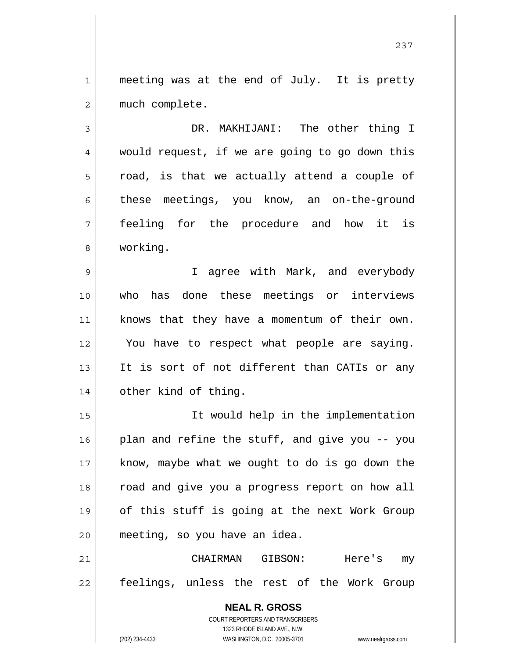1 2 meeting was at the end of July. It is pretty much complete.

3 4 5 6 7 8 DR. MAKHIJANI: The other thing I would request, if we are going to go down this road, is that we actually attend a couple of these meetings, you know, an on-the-ground feeling for the procedure and how it is working.

9 10 11 12 13 14 I agree with Mark, and everybody who has done these meetings or interviews knows that they have a momentum of their own. You have to respect what people are saying. It is sort of not different than CATIs or any other kind of thing.

15 16 17 18 19 20 It would help in the implementation plan and refine the stuff, and give you -- you know, maybe what we ought to do is go down the road and give you a progress report on how all of this stuff is going at the next Work Group meeting, so you have an idea.

21 22 CHAIRMAN GIBSON: Here's my feelings, unless the rest of the Work Group

> **NEAL R. GROSS** COURT REPORTERS AND TRANSCRIBERS 1323 RHODE ISLAND AVE., N.W. (202) 234-4433 WASHINGTON, D.C. 20005-3701 www.nealrgross.com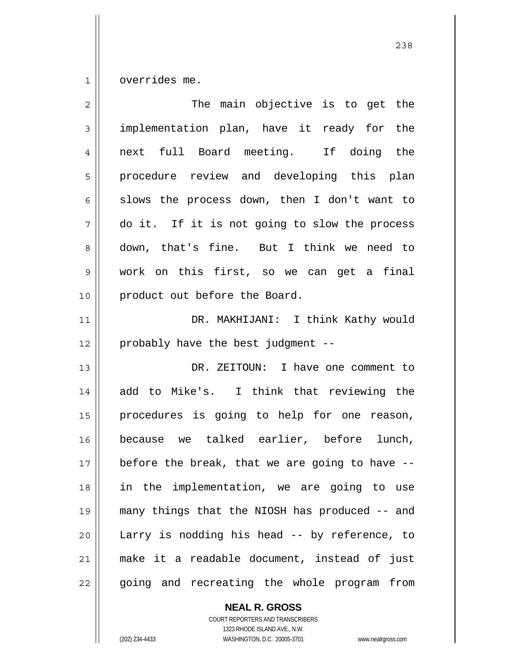1 overrides me.

| $\overline{2}$ | The main objective is to get the               |
|----------------|------------------------------------------------|
| 3              | implementation plan, have it ready for the     |
| 4              | next full Board meeting. If doing the          |
| 5              | procedure review and developing this plan      |
| 6              | slows the process down, then I don't want to   |
| 7              | do it. If it is not going to slow the process  |
| 8              | down, that's fine. But I think we need to      |
| 9              | work on this first, so we can get a final      |
| 10             | product out before the Board.                  |
| 11             | DR. MAKHIJANI: I think Kathy would             |
| 12             | probably have the best judgment --             |
| 13             | DR. ZEITOUN: I have one comment to             |
| 14             | add to Mike's. I think that reviewing the      |
| 15             | procedures is going to help for one reason,    |
| 16             | because we talked earlier, before lunch,       |
| 17             | before the break, that we are going to have -- |
| 18             | in the implementation, we are going to use     |
| 19             | many things that the NIOSH has produced -- and |
| 20             | Larry is nodding his head -- by reference, to  |
| 21             | make it a readable document, instead of just   |
| 22             | going and recreating the whole program<br>from |

**NEAL R. GROSS** COURT REPORTERS AND TRANSCRIBERS 1323 RHODE ISLAND AVE., N.W. (202) 234-4433 WASHINGTON, D.C. 20005-3701 www.nealrgross.com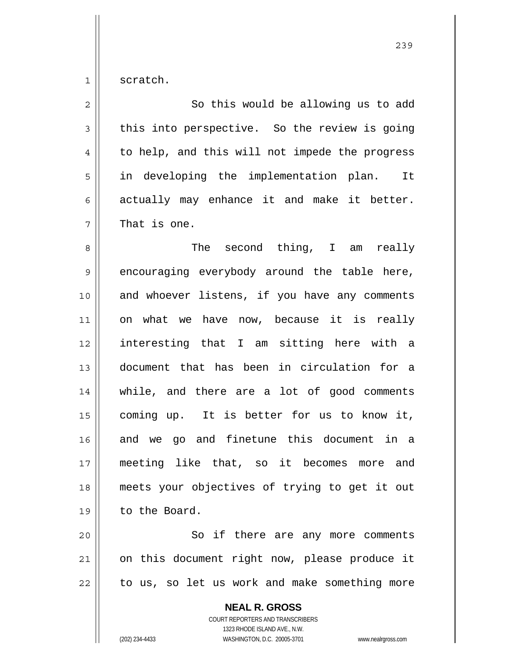| $\overline{2}$ | So this would be allowing us to add            |
|----------------|------------------------------------------------|
| 3              | this into perspective. So the review is going  |
| 4              | to help, and this will not impede the progress |
| 5              | in developing the implementation plan. It      |
| 6              | actually may enhance it and make it better.    |
| 7              | That is one.                                   |
| 8              | The second thing, I am really                  |
| 9              | encouraging everybody around the table here,   |
| 10             | and whoever listens, if you have any comments  |
| 11             | on what we have now, because it is really      |
| 12             | interesting that I am sitting here with a      |
| 13             | document that has been in circulation for a    |
| 14             | while, and there are a lot of good comments    |
| 15             | coming up. It is better for us to know it,     |
| 16             | and we go and finetune this document in a      |
| 17             | meeting like that, so it becomes more and      |
| 18             | meets your objectives of trying to get it out  |
| 19             | to the Board.                                  |
| 20             | So if there are any more comments              |
| 21             | on this document right now, please produce it  |
| 22             | to us, so let us work and make something more  |

**NEAL R. GROSS** COURT REPORTERS AND TRANSCRIBERS 1323 RHODE ISLAND AVE., N.W.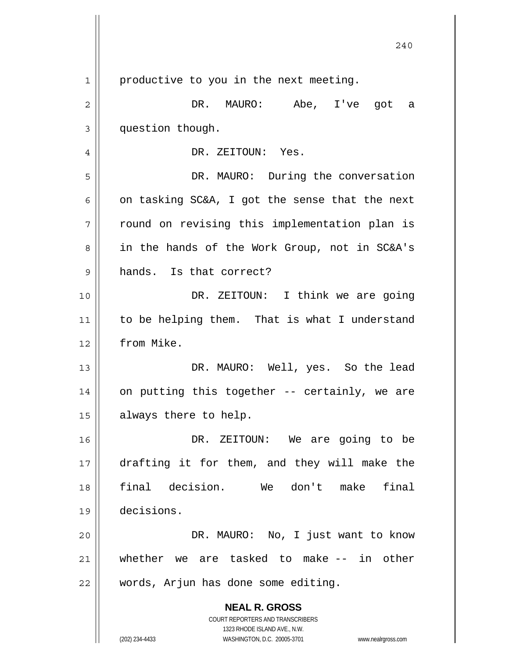**NEAL R. GROSS** COURT REPORTERS AND TRANSCRIBERS 1323 RHODE ISLAND AVE., N.W. (202) 234-4433 WASHINGTON, D.C. 20005-3701 www.nealrgross.com 240 1 2 3 4 5 6 7 8 9 10 11 12 13 14 15 16 17 18 19 20 21 22 productive to you in the next meeting. DR. MAURO: Abe, I've got a question though. DR. ZEITOUN: Yes. DR. MAURO: During the conversation on tasking SC&A, I got the sense that the next round on revising this implementation plan is in the hands of the Work Group, not in SC&A's hands. Is that correct? DR. ZEITOUN: I think we are going to be helping them. That is what I understand from Mike. DR. MAURO: Well, yes. So the lead on putting this together -- certainly, we are always there to help. DR. ZEITOUN: We are going to be drafting it for them, and they will make the final decision. We don't make final decisions. DR. MAURO: No, I just want to know whether we are tasked to make -- in other words, Arjun has done some editing.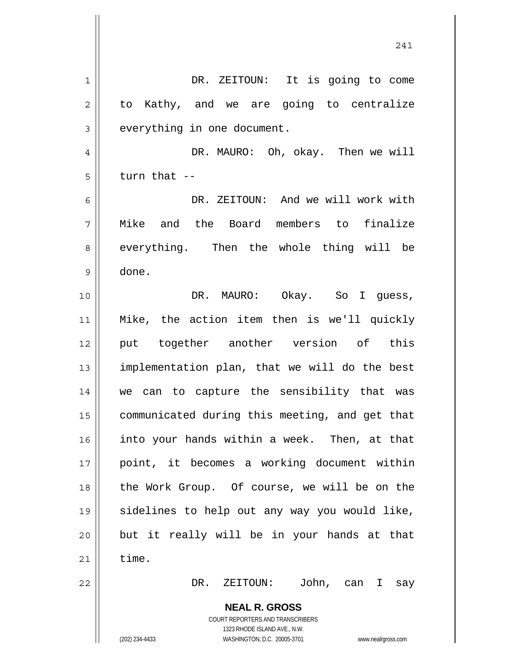**NEAL R. GROSS** COURT REPORTERS AND TRANSCRIBERS 1323 RHODE ISLAND AVE., N.W. (202) 234-4433 WASHINGTON, D.C. 20005-3701 www.nealrgross.com 1 2 3 4 5 6 7 8 9 10 11 12 13 14 15 16 17 18 19 20 21 22 DR. ZEITOUN: It is going to come to Kathy, and we are going to centralize everything in one document. DR. MAURO: Oh, okay. Then we will turn that -- DR. ZEITOUN: And we will work with Mike and the Board members to finalize everything. Then the whole thing will be done. DR. MAURO: Okay. So I guess, Mike, the action item then is we'll quickly put together another version of this implementation plan, that we will do the best we can to capture the sensibility that was communicated during this meeting, and get that into your hands within a week. Then, at that point, it becomes a working document within the Work Group. Of course, we will be on the sidelines to help out any way you would like, but it really will be in your hands at that time. DR. ZEITOUN: John, can I say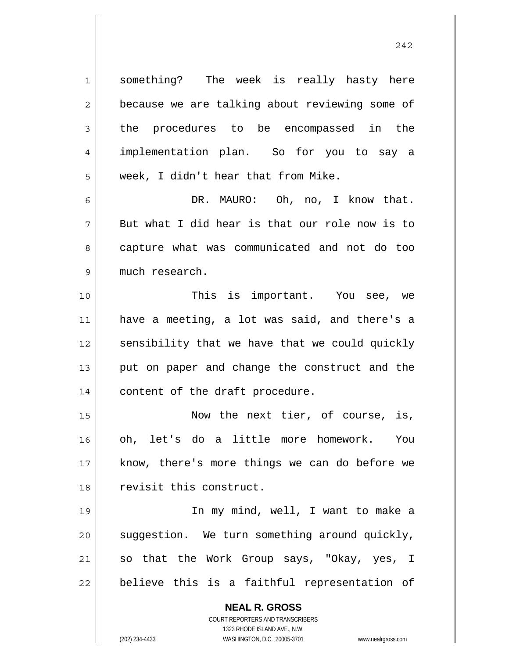**NEAL R. GROSS** COURT REPORTERS AND TRANSCRIBERS 1 2 3 4 5 6 7 8 9 10 11 12 13 14 15 16 17 18 19 20 21 22 something? The week is really hasty here because we are talking about reviewing some of the procedures to be encompassed in the implementation plan. So for you to say a week, I didn't hear that from Mike. DR. MAURO: Oh, no, I know that. But what I did hear is that our role now is to capture what was communicated and not do too much research. This is important. You see, we have a meeting, a lot was said, and there's a sensibility that we have that we could quickly put on paper and change the construct and the content of the draft procedure. Now the next tier, of course, is, oh, let's do a little more homework. You know, there's more things we can do before we revisit this construct. In my mind, well, I want to make a suggestion. We turn something around quickly, so that the Work Group says, "Okay, yes, I believe this is a faithful representation of

242

1323 RHODE ISLAND AVE., N.W.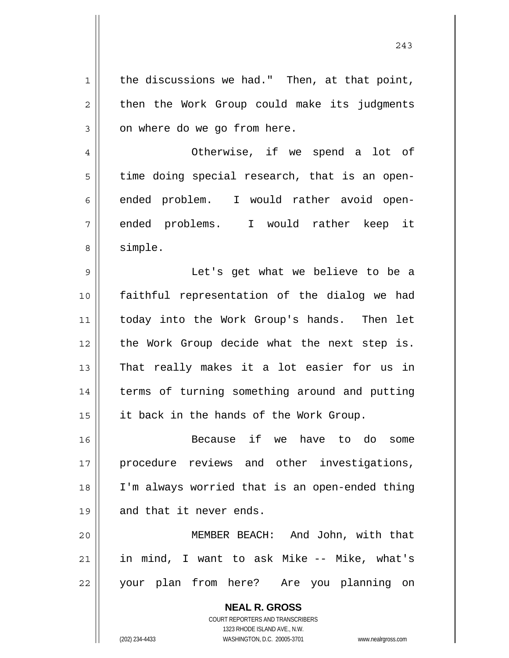the discussions we had." Then, at that point, then the Work Group could make its judgments on where do we go from here.

1

2

3

4 5 6 7 8 Otherwise, if we spend a lot of time doing special research, that is an openended problem. I would rather avoid openended problems. I would rather keep it simple.

9 10 11 12 13 14 15 Let's get what we believe to be a faithful representation of the dialog we had today into the Work Group's hands. Then let the Work Group decide what the next step is. That really makes it a lot easier for us in terms of turning something around and putting it back in the hands of the Work Group.

16 17 18 19 Because if we have to do some procedure reviews and other investigations, I'm always worried that is an open-ended thing and that it never ends.

20 21 22 MEMBER BEACH: And John, with that in mind, I want to ask Mike -- Mike, what's your plan from here? Are you planning on

> **NEAL R. GROSS** COURT REPORTERS AND TRANSCRIBERS 1323 RHODE ISLAND AVE., N.W. (202) 234-4433 WASHINGTON, D.C. 20005-3701 www.nealrgross.com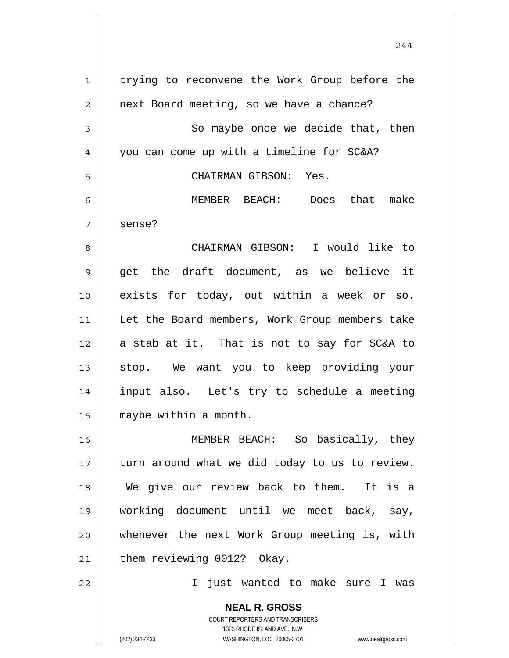**NEAL R. GROSS** 1 2 3 4 5 6 7 8 9 10 11 12 13 14 15 16 17 18 19 20 21 22 trying to reconvene the Work Group before the next Board meeting, so we have a chance? So maybe once we decide that, then you can come up with a timeline for SC&A? CHAIRMAN GIBSON: Yes. MEMBER BEACH: Does that make sense? CHAIRMAN GIBSON: I would like to get the draft document, as we believe it exists for today, out within a week or so. Let the Board members, Work Group members take a stab at it. That is not to say for SC&A to stop. We want you to keep providing your input also. Let's try to schedule a meeting maybe within a month. MEMBER BEACH: So basically, they turn around what we did today to us to review. We give our review back to them. It is a working document until we meet back, say, whenever the next Work Group meeting is, with them reviewing 0012? Okay. I just wanted to make sure I was

244

COURT REPORTERS AND TRANSCRIBERS 1323 RHODE ISLAND AVE., N.W.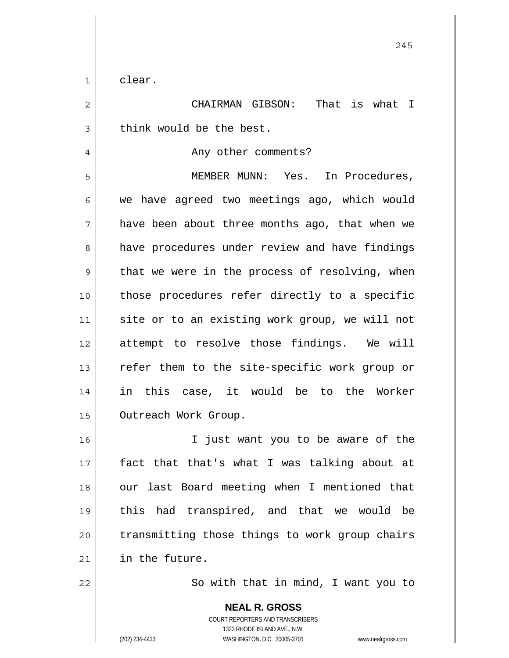1 clear.

2 3 4 5 6 CHAIRMAN GIBSON: That is what I think would be the best. Any other comments? MEMBER MUNN: Yes. In Procedures, we have agreed two meetings ago, which would

7 8 9 10 11 12 13 14 15 have been about three months ago, that when we have procedures under review and have findings that we were in the process of resolving, when those procedures refer directly to a specific site or to an existing work group, we will not attempt to resolve those findings. We will refer them to the site-specific work group or in this case, it would be to the Worker Outreach Work Group.

16 17 18 19 20 21 I just want you to be aware of the fact that that's what I was talking about at our last Board meeting when I mentioned that this had transpired, and that we would be transmitting those things to work group chairs in the future.

22

So with that in mind, I want you to

**NEAL R. GROSS** COURT REPORTERS AND TRANSCRIBERS 1323 RHODE ISLAND AVE., N.W. (202) 234-4433 WASHINGTON, D.C. 20005-3701 www.nealrgross.com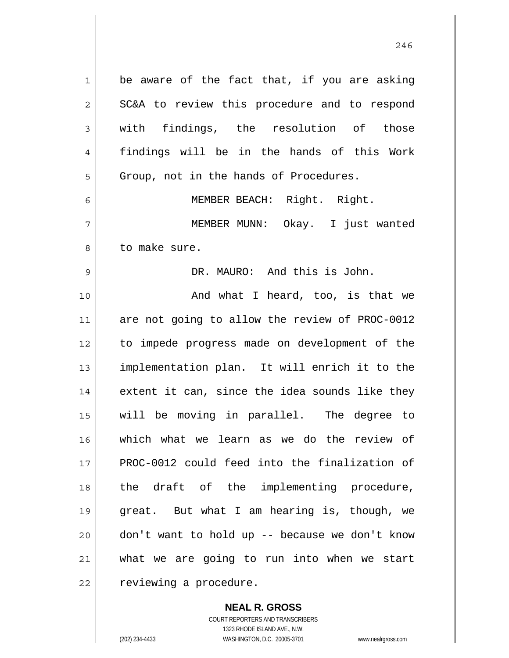1 2 3 4 5 6 7 8 9 10 11 12 13 14 15 16 17 18 19 20 21 22 be aware of the fact that, if you are asking SC&A to review this procedure and to respond with findings, the resolution of those findings will be in the hands of this Work Group, not in the hands of Procedures. MEMBER BEACH: Right. Right. MEMBER MUNN: Okay. I just wanted to make sure. DR. MAURO: And this is John. And what I heard, too, is that we are not going to allow the review of PROC-0012 to impede progress made on development of the implementation plan. It will enrich it to the extent it can, since the idea sounds like they will be moving in parallel. The degree to which what we learn as we do the review of PROC-0012 could feed into the finalization of the draft of the implementing procedure, great. But what I am hearing is, though, we don't want to hold up -- because we don't know what we are going to run into when we start reviewing a procedure.

> **NEAL R. GROSS** COURT REPORTERS AND TRANSCRIBERS 1323 RHODE ISLAND AVE., N.W.

(202) 234-4433 WASHINGTON, D.C. 20005-3701 www.nealrgross.com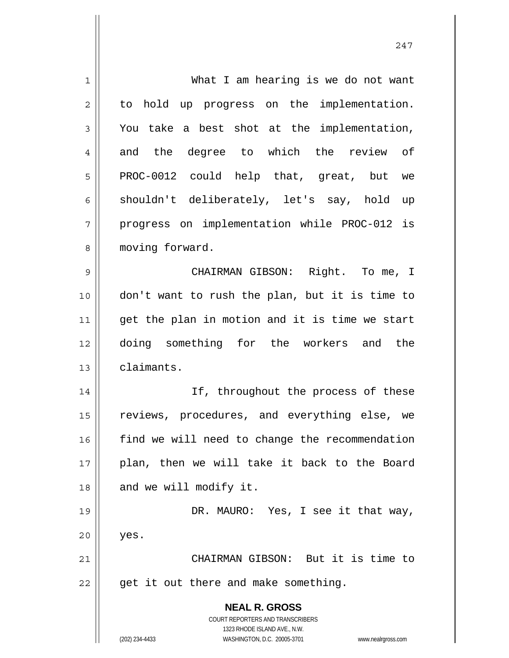| 1  | What I am hearing is we do not want                         |
|----|-------------------------------------------------------------|
| 2  | hold up progress on the implementation.<br>to               |
| 3  | You take a best shot at the implementation,                 |
| 4  | and the degree to which the review of                       |
| 5  | PROC-0012 could help that, great, but<br>we                 |
| 6  | shouldn't deliberately, let's say, hold<br>up               |
| 7  | progress on implementation while PROC-012 is                |
| 8  | moving forward.                                             |
| 9  | CHAIRMAN GIBSON: Right. To me, I                            |
| 10 | don't want to rush the plan, but it is time to              |
| 11 | get the plan in motion and it is time we start              |
| 12 | doing something for the workers and the                     |
| 13 | claimants.                                                  |
| 14 | If, throughout the process of these                         |
| 15 | reviews, procedures, and everything else, we                |
| 16 | find we will need to change the recommendation              |
| 17 | plan, then we will take it back to the Board                |
| 18 | and we will modify it.                                      |
| 19 | DR. MAURO: Yes, I see it that way,                          |
| 20 | yes.                                                        |
| 21 | CHAIRMAN GIBSON: But it is time to                          |
| 22 | get it out there and make something.                        |
|    | <b>NEAL R. GROSS</b>                                        |
|    | COURT REPORTERS AND TRANSCRIBERS                            |
|    | 1323 RHODE ISLAND AVE., N.W.<br>WASHINGTON, D.C. 20005-3701 |
|    | (202) 234-4433<br>www.nealrgross.com                        |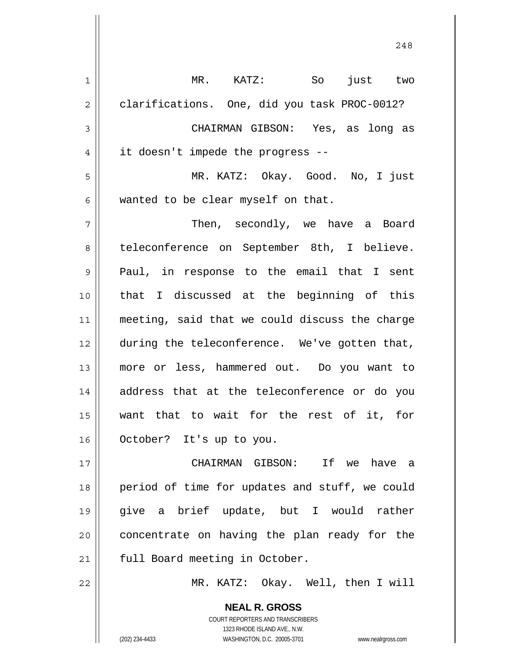**NEAL R. GROSS** COURT REPORTERS AND TRANSCRIBERS 1 2 3 4 5 6 7 8 9 10 11 12 13 14 15 16 17 18 19 20 21 22 MR. KATZ: So just two clarifications. One, did you task PROC-0012? CHAIRMAN GIBSON: Yes, as long as it doesn't impede the progress -- MR. KATZ: Okay. Good. No, I just wanted to be clear myself on that. Then, secondly, we have a Board teleconference on September 8th, I believe. Paul, in response to the email that I sent that I discussed at the beginning of this meeting, said that we could discuss the charge during the teleconference. We've gotten that, more or less, hammered out. Do you want to address that at the teleconference or do you want that to wait for the rest of it, for October? It's up to you. CHAIRMAN GIBSON: If we have a period of time for updates and stuff, we could give a brief update, but I would rather concentrate on having the plan ready for the full Board meeting in October. MR. KATZ: Okay. Well, then I will

248

1323 RHODE ISLAND AVE., N.W.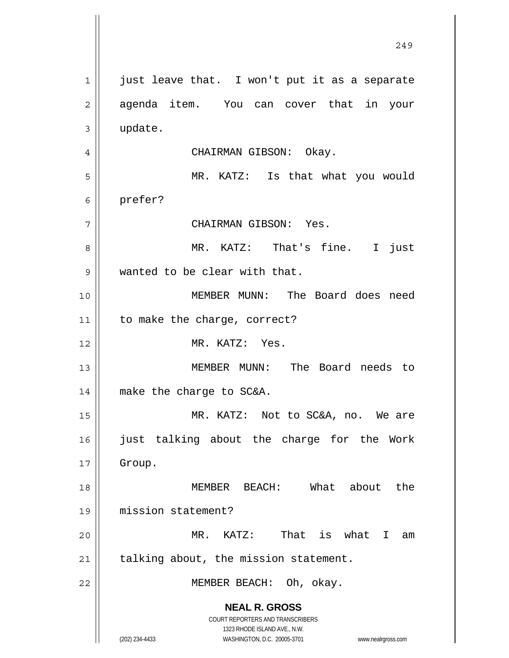**NEAL R. GROSS** COURT REPORTERS AND TRANSCRIBERS 1323 RHODE ISLAND AVE., N.W. (202) 234-4433 WASHINGTON, D.C. 20005-3701 www.nealrgross.com 1 2 3 4 5 6 7 8 9 10 11 12 13 14 15 16 17 18 19 20 21 22 just leave that. I won't put it as a separate agenda item. You can cover that in your update. CHAIRMAN GIBSON: Okay. MR. KATZ: Is that what you would prefer? CHAIRMAN GIBSON: Yes. MR. KATZ: That's fine. I just wanted to be clear with that. MEMBER MUNN: The Board does need to make the charge, correct? MR. KATZ: Yes. MEMBER MUNN: The Board needs to make the charge to SC&A. MR. KATZ: Not to SC&A, no. We are just talking about the charge for the Work Group. MEMBER BEACH: What about the mission statement? MR. KATZ: That is what I am talking about, the mission statement. MEMBER BEACH: Oh, okay.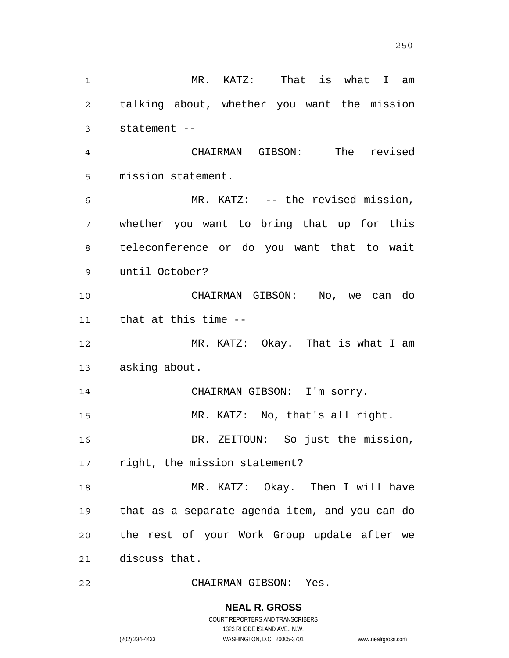**NEAL R. GROSS** COURT REPORTERS AND TRANSCRIBERS 1323 RHODE ISLAND AVE., N.W. (202) 234-4433 WASHINGTON, D.C. 20005-3701 www.nealrgross.com <u>250</u> 1 2 3 4 5 6 7 8 9 10 11 12 13 14 15 16 17 18 19 20 21 22 MR. KATZ: That is what I am talking about, whether you want the mission statement -- CHAIRMAN GIBSON: The revised mission statement. MR. KATZ: -- the revised mission, whether you want to bring that up for this teleconference or do you want that to wait until October? CHAIRMAN GIBSON: No, we can do that at this time -- MR. KATZ: Okay. That is what I am asking about. CHAIRMAN GIBSON: I'm sorry. MR. KATZ: No, that's all right. DR. ZEITOUN: So just the mission, right, the mission statement? MR. KATZ: Okay. Then I will have that as a separate agenda item, and you can do the rest of your Work Group update after we discuss that. CHAIRMAN GIBSON: Yes.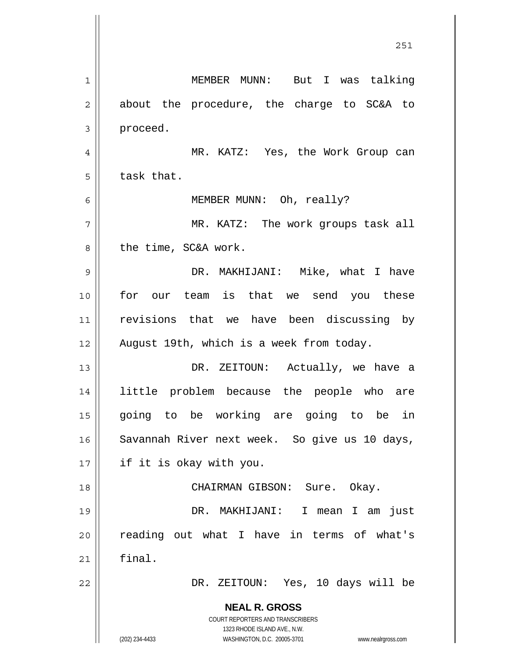**NEAL R. GROSS** COURT REPORTERS AND TRANSCRIBERS 1323 RHODE ISLAND AVE., N.W. (202) 234-4433 WASHINGTON, D.C. 20005-3701 www.nealrgross.com 1 2 3 4 5 6 7 8 9 10 11 12 13 14 15 16 17 18 19 20 21 22 MEMBER MUNN: But I was talking about the procedure, the charge to SC&A to proceed. MR. KATZ: Yes, the Work Group can task that. MEMBER MUNN: Oh, really? MR. KATZ: The work groups task all the time, SC&A work. DR. MAKHIJANI: Mike, what I have for our team is that we send you these revisions that we have been discussing by August 19th, which is a week from today. DR. ZEITOUN: Actually, we have a little problem because the people who are going to be working are going to be in Savannah River next week. So give us 10 days, if it is okay with you. CHAIRMAN GIBSON: Sure. Okay. DR. MAKHIJANI: I mean I am just reading out what I have in terms of what's final. DR. ZEITOUN: Yes, 10 days will be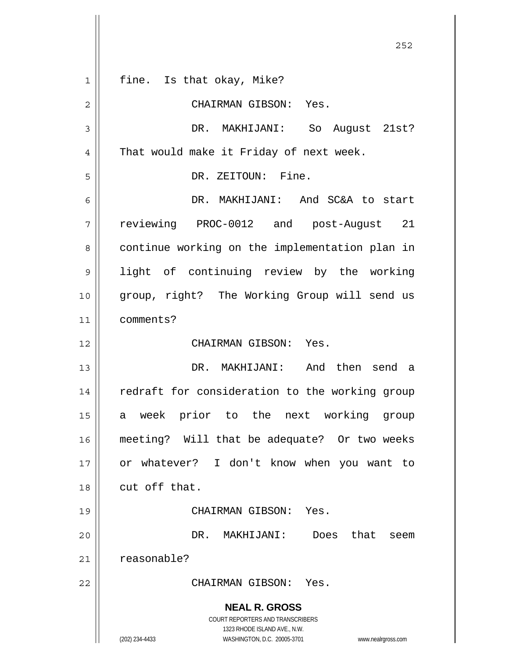| $\mathbf 1$    | fine. Is that okay, Mike?                                           |
|----------------|---------------------------------------------------------------------|
| $\overline{2}$ | CHAIRMAN GIBSON: Yes.                                               |
| 3              | DR. MAKHIJANI: So<br>August 21st?                                   |
| 4              | That would make it Friday of next week.                             |
| 5              | DR. ZEITOUN: Fine.                                                  |
| 6              | DR. MAKHIJANI: And SC&A to start                                    |
| 7              | reviewing PROC-0012 and post-August<br>21                           |
| 8              | continue working on the implementation plan in                      |
| 9              | light of continuing review by the working                           |
| 10             | group, right? The Working Group will send us                        |
| 11             | comments?                                                           |
| 12             | CHAIRMAN GIBSON: Yes.                                               |
| 13             | DR. MAKHIJANI: And then send a                                      |
| 14             | redraft for consideration to the working group                      |
| 15             | week prior to the next working group<br>a                           |
| 16             | meeting? Will that be adequate? Or two weeks                        |
| 17             | or whatever? I don't know when you want to                          |
| 18             | cut off that.                                                       |
| 19             | CHAIRMAN GIBSON:<br>Yes.                                            |
| 20             | that<br>DR. MAKHIJANI:<br>Does<br>seem                              |
| 21             | reasonable?                                                         |
| 22             | CHAIRMAN GIBSON: Yes.                                               |
|                | <b>NEAL R. GROSS</b>                                                |
|                | <b>COURT REPORTERS AND TRANSCRIBERS</b>                             |
|                | 1323 RHODE ISLAND AVE., N.W.                                        |
|                | (202) 234-4433<br>WASHINGTON, D.C. 20005-3701<br>www.nealrgross.com |

<u>252</u>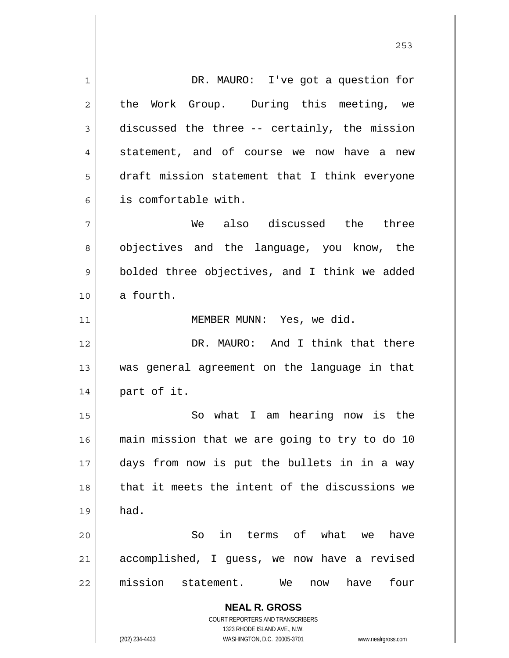**NEAL R. GROSS** COURT REPORTERS AND TRANSCRIBERS 1323 RHODE ISLAND AVE., N.W. (202) 234-4433 WASHINGTON, D.C. 20005-3701 www.nealrgross.com 1 2 3 4 5 6 7 8 9 10 11 12 13 14 15 16 17 18 19 20 21 22 DR. MAURO: I've got a question for the Work Group. During this meeting, we discussed the three -- certainly, the mission statement, and of course we now have a new draft mission statement that I think everyone is comfortable with. We also discussed the three objectives and the language, you know, the bolded three objectives, and I think we added a fourth. MEMBER MUNN: Yes, we did. DR. MAURO: And I think that there was general agreement on the language in that part of it. So what I am hearing now is the main mission that we are going to try to do 10 days from now is put the bullets in in a way that it meets the intent of the discussions we had. So in terms of what we have accomplished, I guess, we now have a revised mission statement. We now have four

<u>253</u>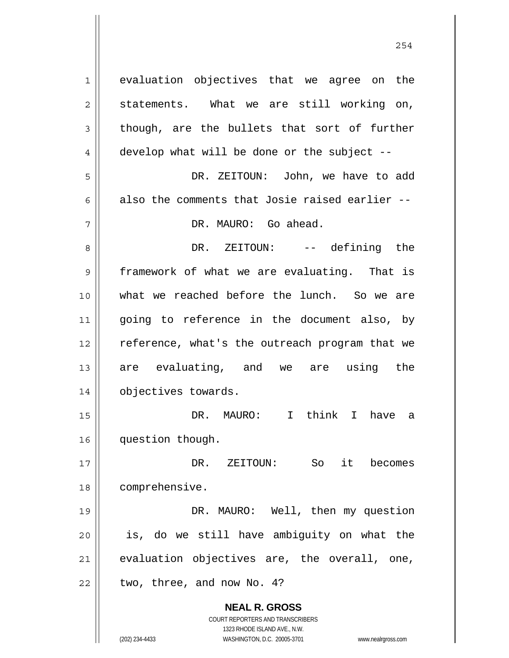**NEAL R. GROSS** COURT REPORTERS AND TRANSCRIBERS 1323 RHODE ISLAND AVE., N.W. (202) 234-4433 WASHINGTON, D.C. 20005-3701 www.nealrgross.com 1 2 3 4 5 6 7 8 9 10 11 12 13 14 15 16 17 18 19 20 21 22 evaluation objectives that we agree on the statements. What we are still working on, though, are the bullets that sort of further develop what will be done or the subject -- DR. ZEITOUN: John, we have to add also the comments that Josie raised earlier -- DR. MAURO: Go ahead. DR. ZEITOUN: -- defining the framework of what we are evaluating. That is what we reached before the lunch. So we are going to reference in the document also, by reference, what's the outreach program that we are evaluating, and we are using the objectives towards. DR. MAURO: I think I have a question though. DR. ZEITOUN: So it becomes comprehensive. DR. MAURO: Well, then my question is, do we still have ambiguity on what the evaluation objectives are, the overall, one, two, three, and now No. 4?

254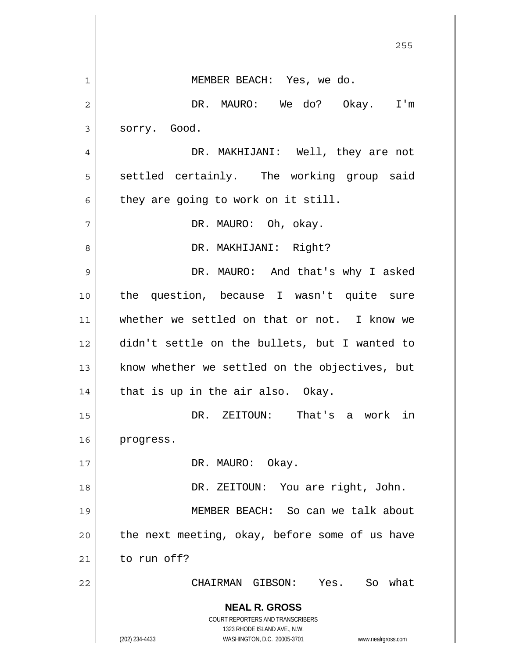|                | 255                                                                                                 |
|----------------|-----------------------------------------------------------------------------------------------------|
| 1              | MEMBER BEACH: Yes, we do.                                                                           |
| $\overline{c}$ | DR. MAURO: We do? Okay. I'm                                                                         |
| 3              | sorry. Good.                                                                                        |
| 4              | DR. MAKHIJANI: Well, they are not                                                                   |
| 5              | settled certainly. The working group said                                                           |
| 6              | they are going to work on it still.                                                                 |
| 7              | DR. MAURO: Oh, okay.                                                                                |
| 8              | DR. MAKHIJANI: Right?                                                                               |
| 9              | DR. MAURO: And that's why I asked                                                                   |
| 10             | the question, because I wasn't quite sure                                                           |
| 11             | whether we settled on that or not. I know we                                                        |
| 12             | didn't settle on the bullets, but I wanted to                                                       |
| 13             | know whether we settled on the objectives, but                                                      |
| 14             | that is up in the air also. Okay.                                                                   |
| 15             | DR. ZEITOUN:<br>That's a work in                                                                    |
| 16             | progress.                                                                                           |
| 17             | DR. MAURO: Okay.                                                                                    |
| 18             | DR. ZEITOUN: You are right, John.                                                                   |
| 19             | MEMBER BEACH: So can we talk about                                                                  |
| 20             | the next meeting, okay, before some of us have                                                      |
| 21             | to run off?                                                                                         |
| 22             | Yes.<br>what<br>CHAIRMAN GIBSON:<br>So                                                              |
|                | <b>NEAL R. GROSS</b>                                                                                |
|                | COURT REPORTERS AND TRANSCRIBERS                                                                    |
|                | 1323 RHODE ISLAND AVE., N.W.<br>(202) 234-4433<br>WASHINGTON, D.C. 20005-3701<br>www.nealrgross.com |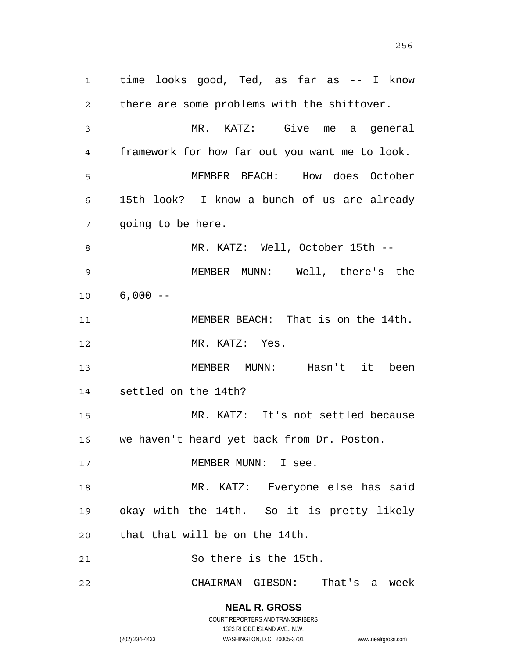**NEAL R. GROSS** COURT REPORTERS AND TRANSCRIBERS 1323 RHODE ISLAND AVE., N.W. (202) 234-4433 WASHINGTON, D.C. 20005-3701 www.nealrgross.com 1 2 3 4 5 6 7 8 9 10 11 12 13 14 15 16 17 18 19 20 21 22 time looks good, Ted, as far as -- I know there are some problems with the shiftover. MR. KATZ: Give me a general framework for how far out you want me to look. MEMBER BEACH: How does October 15th look? I know a bunch of us are already going to be here. MR. KATZ: Well, October 15th -- MEMBER MUNN: Well, there's the  $6,000 - -$  MEMBER BEACH: That is on the 14th. MR. KATZ: Yes. MEMBER MUNN: Hasn't it been settled on the 14th? MR. KATZ: It's not settled because we haven't heard yet back from Dr. Poston. MEMBER MUNN: I see. MR. KATZ: Everyone else has said okay with the 14th. So it is pretty likely that that will be on the 14th. So there is the 15th. CHAIRMAN GIBSON: That's a week

<u>256 میں اس کا 17 مئی میں اس کا 17 مئی میں اس کا 17 مئی میں اس کا 17 مئی میں اس کا 17 مئی میں اس کا 256 مئی می</u>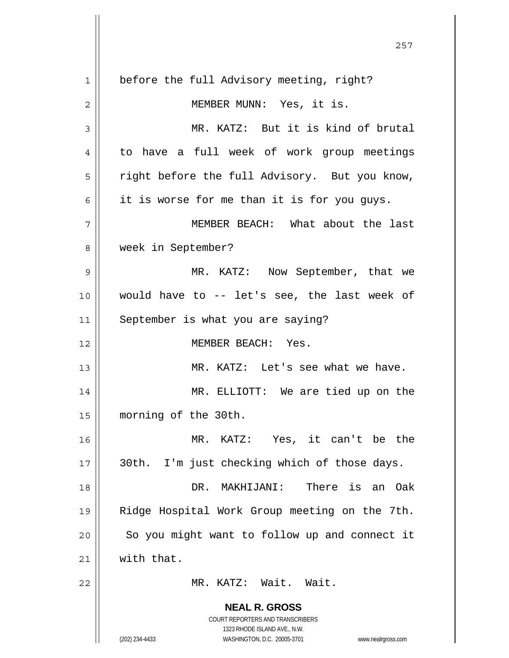**NEAL R. GROSS** COURT REPORTERS AND TRANSCRIBERS 1323 RHODE ISLAND AVE., N.W. (202) 234-4433 WASHINGTON, D.C. 20005-3701 www.nealrgross.com <u>257 and 257</u> 1 2 3 4 5 6 7 8 9 10 11 12 13 14 15 16 17 18 19 20 21 22 before the full Advisory meeting, right? MEMBER MUNN: Yes, it is. MR. KATZ: But it is kind of brutal to have a full week of work group meetings right before the full Advisory. But you know, it is worse for me than it is for you guys. MEMBER BEACH: What about the last week in September? MR. KATZ: Now September, that we would have to -- let's see, the last week of September is what you are saying? MEMBER BEACH: Yes. MR. KATZ: Let's see what we have. MR. ELLIOTT: We are tied up on the morning of the 30th. MR. KATZ: Yes, it can't be the 30th. I'm just checking which of those days. DR. MAKHIJANI: There is an Oak Ridge Hospital Work Group meeting on the 7th. So you might want to follow up and connect it with that. MR. KATZ: Wait. Wait.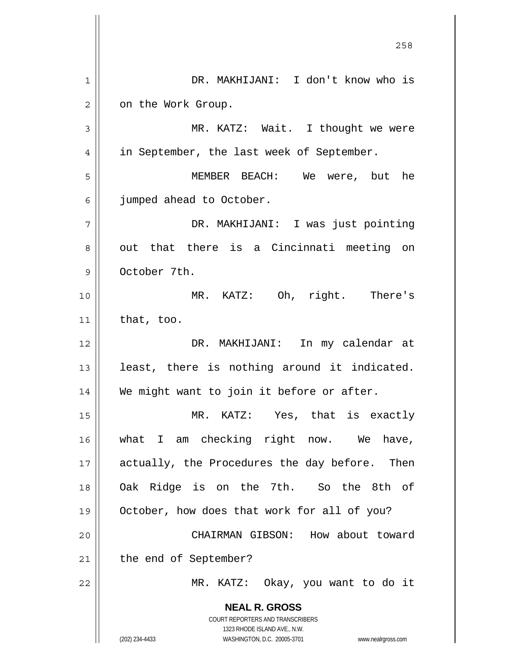**NEAL R. GROSS** COURT REPORTERS AND TRANSCRIBERS 1323 RHODE ISLAND AVE., N.W. (202) 234-4433 WASHINGTON, D.C. 20005-3701 www.nealrgross.com <u>258</u> 1 2 3 4 5 6 7 8 9 10 11 12 13 14 15 16 17 18 19 20 21 22 DR. MAKHIJANI: I don't know who is on the Work Group. MR. KATZ: Wait. I thought we were in September, the last week of September. MEMBER BEACH: We were, but he jumped ahead to October. DR. MAKHIJANI: I was just pointing out that there is a Cincinnati meeting on October 7th. MR. KATZ: Oh, right. There's that, too. DR. MAKHIJANI: In my calendar at least, there is nothing around it indicated. We might want to join it before or after. MR. KATZ: Yes, that is exactly what I am checking right now. We have, actually, the Procedures the day before. Then Oak Ridge is on the 7th. So the 8th of October, how does that work for all of you? CHAIRMAN GIBSON: How about toward the end of September? MR. KATZ: Okay, you want to do it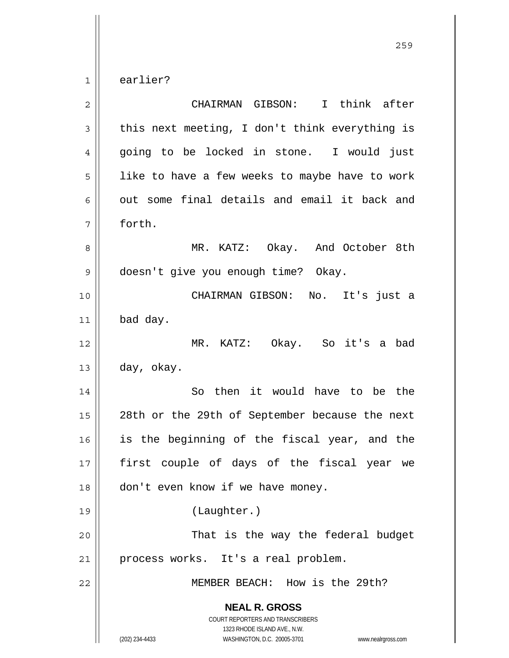1 earlier?

| $\overline{2}$ | CHAIRMAN GIBSON:<br>I think after                                                                                                                               |
|----------------|-----------------------------------------------------------------------------------------------------------------------------------------------------------------|
| 3              | this next meeting, I don't think everything is                                                                                                                  |
| $\overline{4}$ | going to be locked in stone. I would just                                                                                                                       |
| 5              | like to have a few weeks to maybe have to work                                                                                                                  |
| 6              | out some final details and email it back and                                                                                                                    |
| 7              | forth.                                                                                                                                                          |
| 8              | MR. KATZ: Okay. And October 8th                                                                                                                                 |
| $\mathsf 9$    | doesn't give you enough time? Okay.                                                                                                                             |
| 10             | CHAIRMAN GIBSON: No. It's just a                                                                                                                                |
| 11             | bad day.                                                                                                                                                        |
| 12             | MR. KATZ: Okay. So it's a bad                                                                                                                                   |
| 13             | day, okay.                                                                                                                                                      |
| 14             | So then it would have to be the                                                                                                                                 |
| 15             | 28th or the 29th of September because the next                                                                                                                  |
| 16             | is the beginning of the fiscal year, and the                                                                                                                    |
| 17             | first couple of days of the fiscal year we                                                                                                                      |
| 18             | don't even know if we have money.                                                                                                                               |
| 19             | (Laughter.)                                                                                                                                                     |
| 20             | That is the way the federal budget                                                                                                                              |
| 21             | process works. It's a real problem.                                                                                                                             |
| 22             | MEMBER BEACH: How is the 29th?                                                                                                                                  |
|                | <b>NEAL R. GROSS</b><br>COURT REPORTERS AND TRANSCRIBERS<br>1323 RHODE ISLAND AVE., N.W.<br>(202) 234-4433<br>WASHINGTON, D.C. 20005-3701<br>www.nealrgross.com |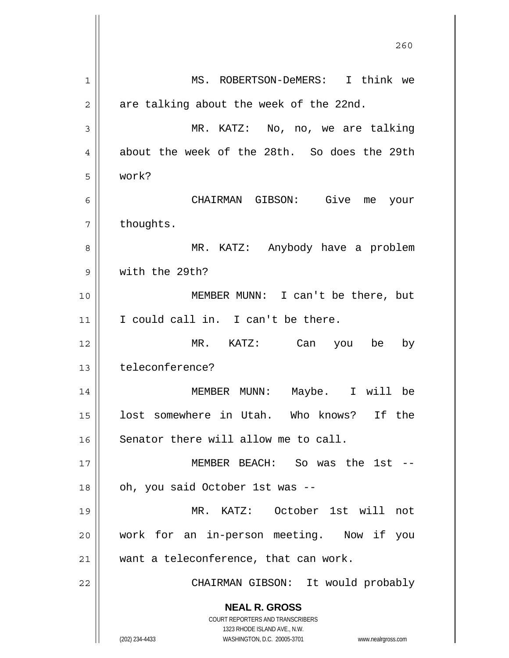**NEAL R. GROSS** COURT REPORTERS AND TRANSCRIBERS 1323 RHODE ISLAND AVE., N.W. (202) 234-4433 WASHINGTON, D.C. 20005-3701 www.nealrgross.com <u>260</u> 1 2 3 4 5 6 7 8 9 10 11 12 13 14 15 16 17 18 19 20 21 22 MS. ROBERTSON-DeMERS: I think we are talking about the week of the 22nd. MR. KATZ: No, no, we are talking about the week of the 28th. So does the 29th work? CHAIRMAN GIBSON: Give me your thoughts. MR. KATZ: Anybody have a problem with the 29th? MEMBER MUNN: I can't be there, but I could call in. I can't be there. MR. KATZ: Can you be by teleconference? MEMBER MUNN: Maybe. I will be lost somewhere in Utah. Who knows? If the Senator there will allow me to call. MEMBER BEACH: So was the 1st - oh, you said October 1st was -- MR. KATZ: October 1st will not work for an in-person meeting. Now if you want a teleconference, that can work. CHAIRMAN GIBSON: It would probably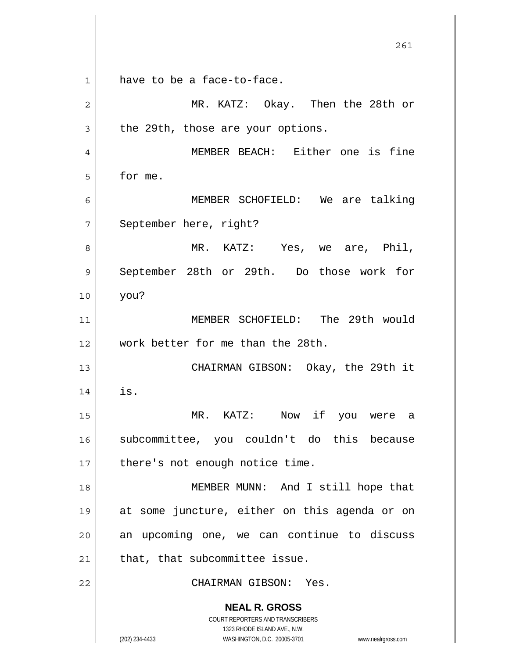**NEAL R. GROSS** COURT REPORTERS AND TRANSCRIBERS 1323 RHODE ISLAND AVE., N.W. (202) 234-4433 WASHINGTON, D.C. 20005-3701 www.nealrgross.com 261 1 2 3 4 5 6 7 8 9 10 11 12 13 14 15 16 17 18 19 20 21 22 have to be a face-to-face. MR. KATZ: Okay. Then the 28th or the 29th, those are your options. MEMBER BEACH: Either one is fine for me. MEMBER SCHOFIELD: We are talking September here, right? MR. KATZ: Yes, we are, Phil, September 28th or 29th. Do those work for you? MEMBER SCHOFIELD: The 29th would work better for me than the 28th. CHAIRMAN GIBSON: Okay, the 29th it is. MR. KATZ: Now if you were a subcommittee, you couldn't do this because there's not enough notice time. MEMBER MUNN: And I still hope that at some juncture, either on this agenda or on an upcoming one, we can continue to discuss that, that subcommittee issue. CHAIRMAN GIBSON: Yes.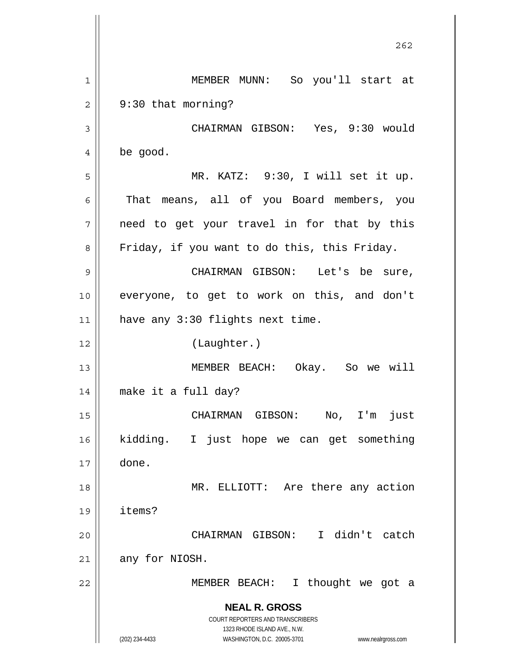**NEAL R. GROSS** COURT REPORTERS AND TRANSCRIBERS 1323 RHODE ISLAND AVE., N.W. (202) 234-4433 WASHINGTON, D.C. 20005-3701 www.nealrgross.com 262 1 2 3 4 5 6 7 8 9 10 11 12 13 14 15 16 17 18 19 20 21 22 MEMBER MUNN: So you'll start at 9:30 that morning? CHAIRMAN GIBSON: Yes, 9:30 would be good. MR. KATZ: 9:30, I will set it up. That means, all of you Board members, you need to get your travel in for that by this Friday, if you want to do this, this Friday. CHAIRMAN GIBSON: Let's be sure, everyone, to get to work on this, and don't have any 3:30 flights next time. (Laughter.) MEMBER BEACH: Okay. So we will make it a full day? CHAIRMAN GIBSON: No, I'm just kidding. I just hope we can get something done. MR. ELLIOTT: Are there any action items? CHAIRMAN GIBSON: I didn't catch any for NIOSH. MEMBER BEACH: I thought we got a